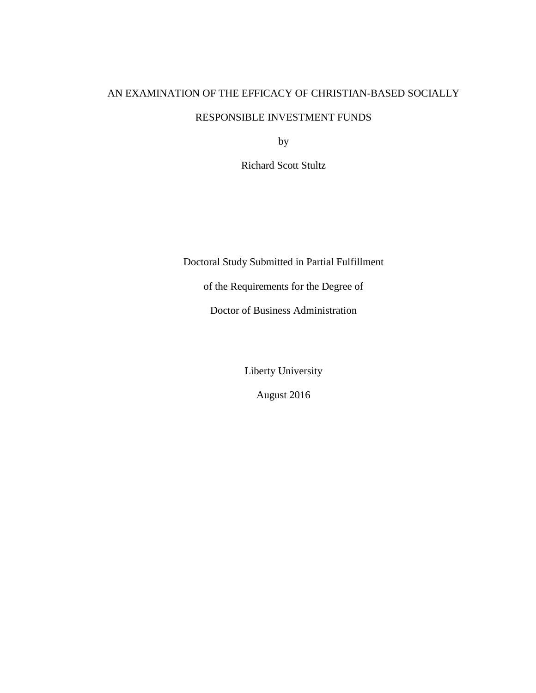# AN EXAMINATION OF THE EFFICACY OF CHRISTIAN-BASED SOCIALLY

# RESPONSIBLE INVESTMENT FUNDS

by

Richard Scott Stultz

Doctoral Study Submitted in Partial Fulfillment

of the Requirements for the Degree of

Doctor of Business Administration

Liberty University

August 2016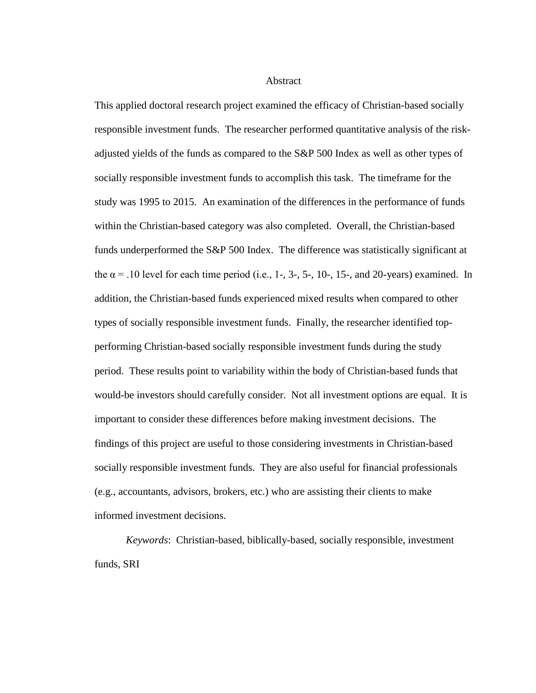**Abstract** 

This applied doctoral research project examined the efficacy of Christian-based socially responsible investment funds. The researcher performed quantitative analysis of the riskadjusted yields of the funds as compared to the S&P 500 Index as well as other types of socially responsible investment funds to accomplish this task. The timeframe for the study was 1995 to 2015. An examination of the differences in the performance of funds within the Christian-based category was also completed. Overall, the Christian-based funds underperformed the S&P 500 Index. The difference was statistically significant at the  $\alpha$  = .10 level for each time period (i.e., 1-, 3-, 5-, 10-, 15-, and 20-years) examined. In addition, the Christian-based funds experienced mixed results when compared to other types of socially responsible investment funds. Finally, the researcher identified topperforming Christian-based socially responsible investment funds during the study period. These results point to variability within the body of Christian-based funds that would-be investors should carefully consider. Not all investment options are equal. It is important to consider these differences before making investment decisions. The findings of this project are useful to those considering investments in Christian-based socially responsible investment funds. They are also useful for financial professionals (e.g., accountants, advisors, brokers, etc.) who are assisting their clients to make informed investment decisions.

*Keywords*: Christian-based, biblically-based, socially responsible, investment funds, SRI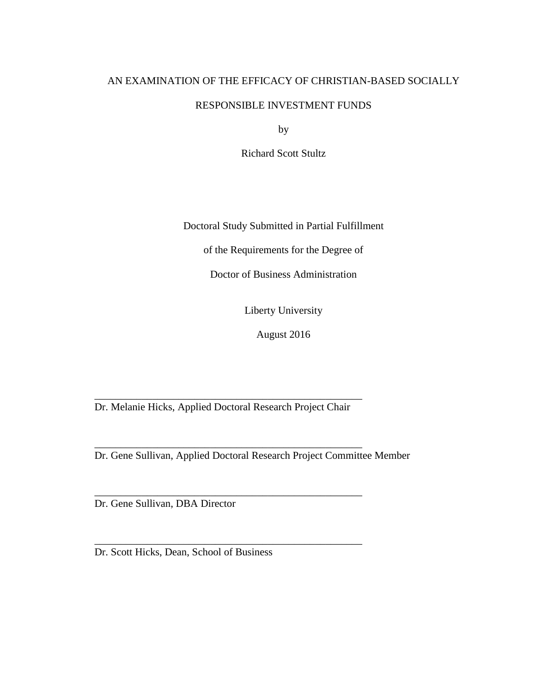# AN EXAMINATION OF THE EFFICACY OF CHRISTIAN-BASED SOCIALLY

## RESPONSIBLE INVESTMENT FUNDS

by

Richard Scott Stultz

Doctoral Study Submitted in Partial Fulfillment

of the Requirements for the Degree of

Doctor of Business Administration

Liberty University

August 2016

\_\_\_\_\_\_\_\_\_\_\_\_\_\_\_\_\_\_\_\_\_\_\_\_\_\_\_\_\_\_\_\_\_\_\_\_\_\_\_\_\_\_\_\_\_\_\_\_\_\_\_ Dr. Melanie Hicks, Applied Doctoral Research Project Chair

\_\_\_\_\_\_\_\_\_\_\_\_\_\_\_\_\_\_\_\_\_\_\_\_\_\_\_\_\_\_\_\_\_\_\_\_\_\_\_\_\_\_\_\_\_\_\_\_\_\_\_

\_\_\_\_\_\_\_\_\_\_\_\_\_\_\_\_\_\_\_\_\_\_\_\_\_\_\_\_\_\_\_\_\_\_\_\_\_\_\_\_\_\_\_\_\_\_\_\_\_\_\_

\_\_\_\_\_\_\_\_\_\_\_\_\_\_\_\_\_\_\_\_\_\_\_\_\_\_\_\_\_\_\_\_\_\_\_\_\_\_\_\_\_\_\_\_\_\_\_\_\_\_\_

Dr. Gene Sullivan, Applied Doctoral Research Project Committee Member

Dr. Gene Sullivan, DBA Director

Dr. Scott Hicks, Dean, School of Business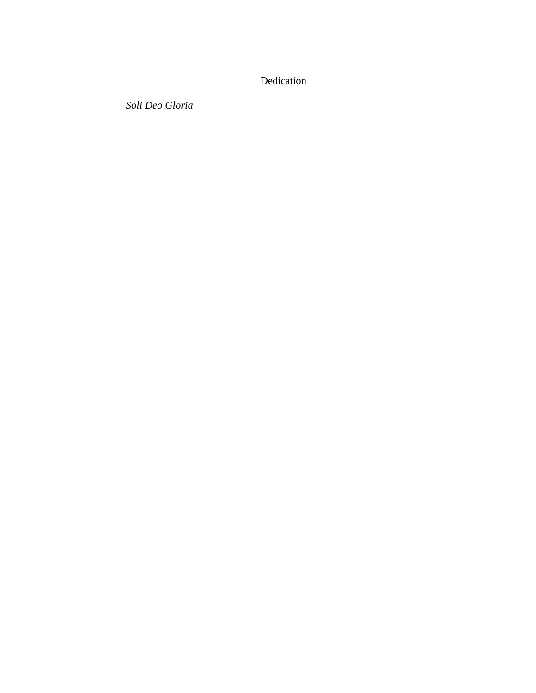# Dedication

*Soli Deo Gloria*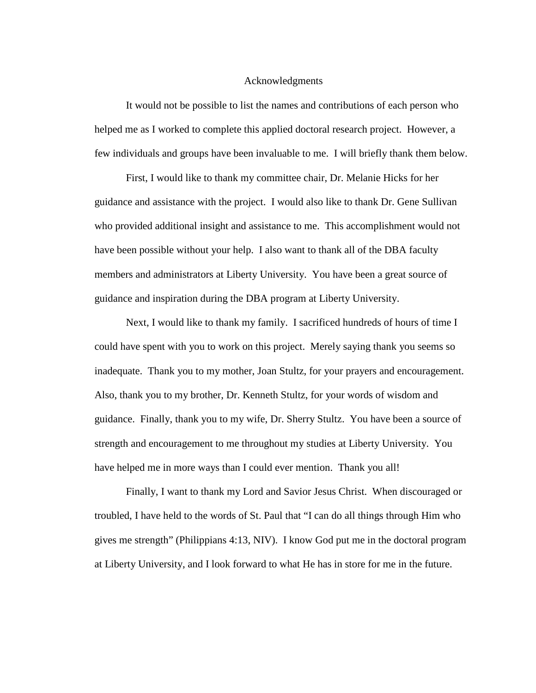#### Acknowledgments

It would not be possible to list the names and contributions of each person who helped me as I worked to complete this applied doctoral research project. However, a few individuals and groups have been invaluable to me. I will briefly thank them below.

First, I would like to thank my committee chair, Dr. Melanie Hicks for her guidance and assistance with the project. I would also like to thank Dr. Gene Sullivan who provided additional insight and assistance to me. This accomplishment would not have been possible without your help. I also want to thank all of the DBA faculty members and administrators at Liberty University. You have been a great source of guidance and inspiration during the DBA program at Liberty University.

Next, I would like to thank my family. I sacrificed hundreds of hours of time I could have spent with you to work on this project. Merely saying thank you seems so inadequate. Thank you to my mother, Joan Stultz, for your prayers and encouragement. Also, thank you to my brother, Dr. Kenneth Stultz, for your words of wisdom and guidance. Finally, thank you to my wife, Dr. Sherry Stultz. You have been a source of strength and encouragement to me throughout my studies at Liberty University. You have helped me in more ways than I could ever mention. Thank you all!

Finally, I want to thank my Lord and Savior Jesus Christ. When discouraged or troubled, I have held to the words of St. Paul that "I can do all things through Him who gives me strength" (Philippians 4:13, NIV). I know God put me in the doctoral program at Liberty University, and I look forward to what He has in store for me in the future.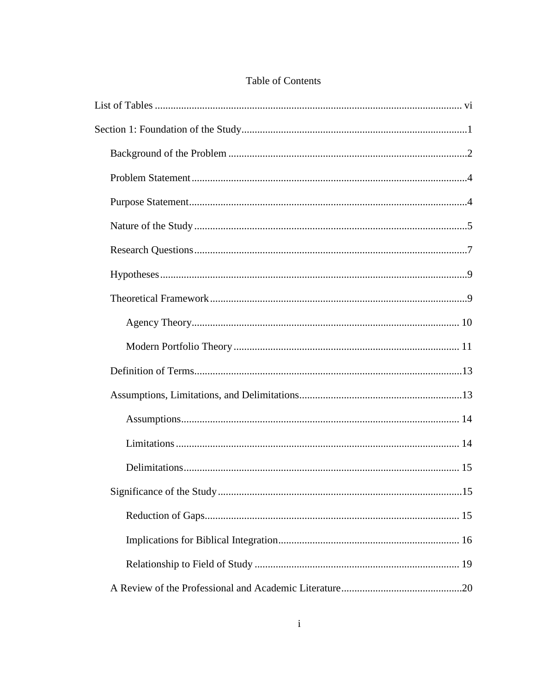# Table of Contents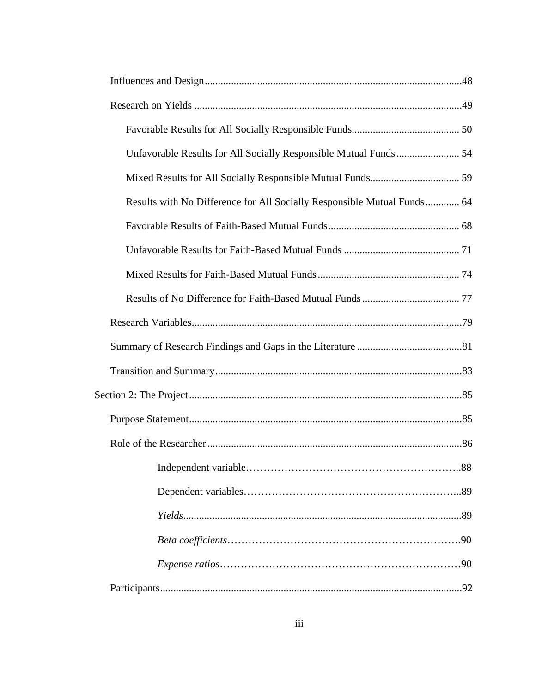| Results with No Difference for All Socially Responsible Mutual Funds 64 |  |
|-------------------------------------------------------------------------|--|
|                                                                         |  |
|                                                                         |  |
|                                                                         |  |
|                                                                         |  |
|                                                                         |  |
|                                                                         |  |
|                                                                         |  |
|                                                                         |  |
|                                                                         |  |
|                                                                         |  |
|                                                                         |  |
|                                                                         |  |
|                                                                         |  |
|                                                                         |  |
|                                                                         |  |
|                                                                         |  |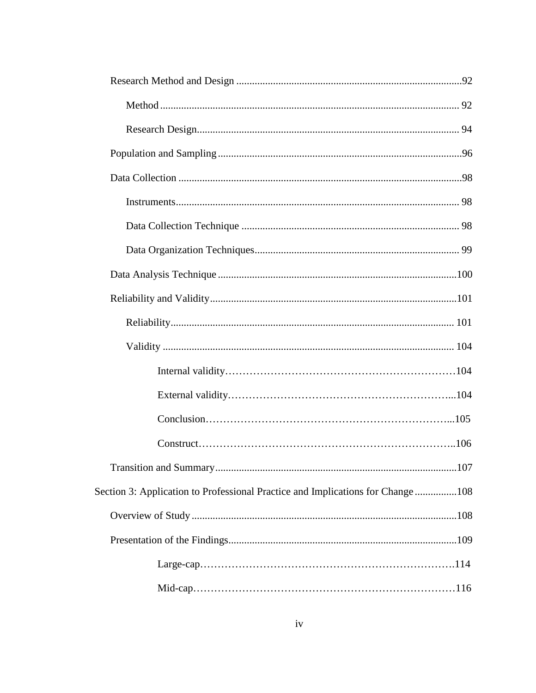| Section 3: Application to Professional Practice and Implications for Change108 |  |
|--------------------------------------------------------------------------------|--|
|                                                                                |  |
|                                                                                |  |
|                                                                                |  |
|                                                                                |  |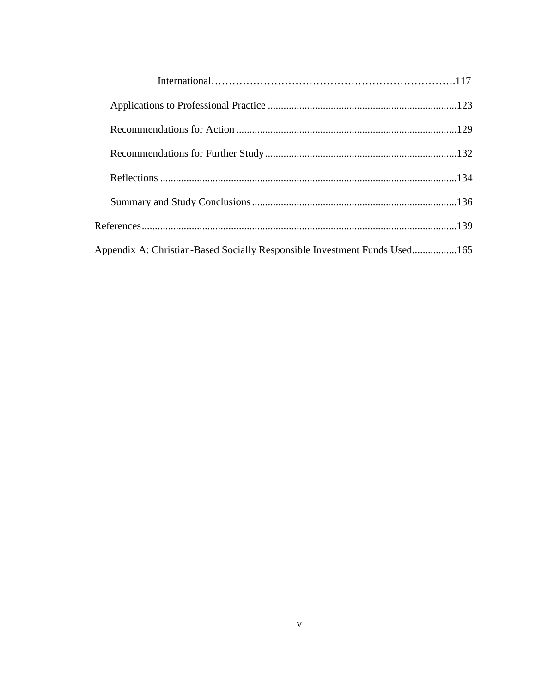| Appendix A: Christian-Based Socially Responsible Investment Funds Used165 |  |
|---------------------------------------------------------------------------|--|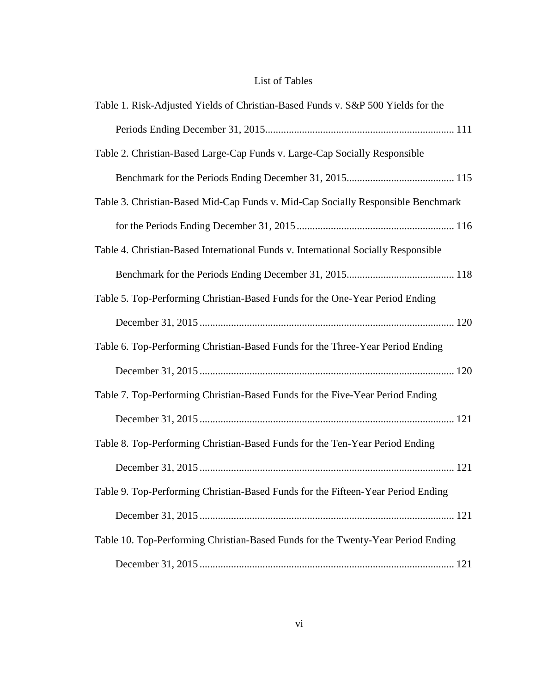# List of Tables

| Table 1. Risk-Adjusted Yields of Christian-Based Funds v. S&P 500 Yields for the   |
|------------------------------------------------------------------------------------|
|                                                                                    |
| Table 2. Christian-Based Large-Cap Funds v. Large-Cap Socially Responsible         |
|                                                                                    |
| Table 3. Christian-Based Mid-Cap Funds v. Mid-Cap Socially Responsible Benchmark   |
|                                                                                    |
| Table 4. Christian-Based International Funds v. International Socially Responsible |
|                                                                                    |
| Table 5. Top-Performing Christian-Based Funds for the One-Year Period Ending       |
|                                                                                    |
| Table 6. Top-Performing Christian-Based Funds for the Three-Year Period Ending     |
|                                                                                    |
| Table 7. Top-Performing Christian-Based Funds for the Five-Year Period Ending      |
|                                                                                    |
| Table 8. Top-Performing Christian-Based Funds for the Ten-Year Period Ending       |
|                                                                                    |
| Table 9. Top-Performing Christian-Based Funds for the Fifteen-Year Period Ending   |
|                                                                                    |
| Table 10. Top-Performing Christian-Based Funds for the Twenty-Year Period Ending   |
|                                                                                    |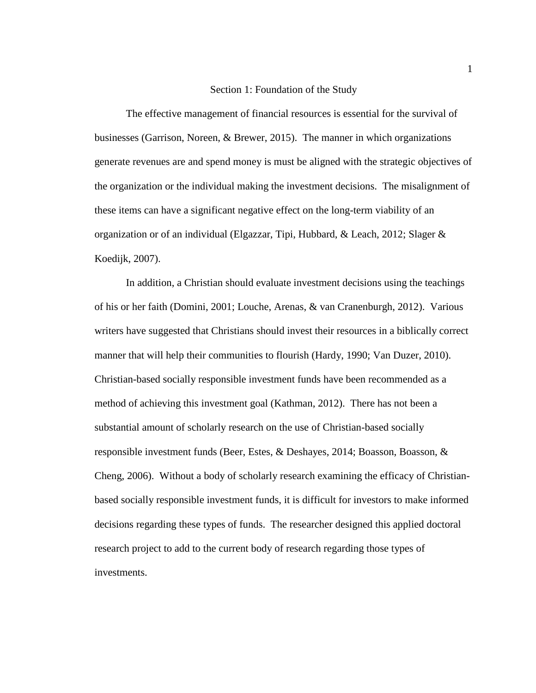#### Section 1: Foundation of the Study

The effective management of financial resources is essential for the survival of businesses (Garrison, Noreen, & Brewer, 2015). The manner in which organizations generate revenues are and spend money is must be aligned with the strategic objectives of the organization or the individual making the investment decisions. The misalignment of these items can have a significant negative effect on the long-term viability of an organization or of an individual (Elgazzar, Tipi, Hubbard, & Leach, 2012; Slager & Koedijk, 2007).

In addition, a Christian should evaluate investment decisions using the teachings of his or her faith (Domini, 2001; Louche, Arenas, & van Cranenburgh, 2012). Various writers have suggested that Christians should invest their resources in a biblically correct manner that will help their communities to flourish (Hardy, 1990; Van Duzer, 2010). Christian-based socially responsible investment funds have been recommended as a method of achieving this investment goal (Kathman, 2012). There has not been a substantial amount of scholarly research on the use of Christian-based socially responsible investment funds (Beer, Estes, & Deshayes, 2014; Boasson, Boasson, & Cheng, 2006). Without a body of scholarly research examining the efficacy of Christianbased socially responsible investment funds, it is difficult for investors to make informed decisions regarding these types of funds. The researcher designed this applied doctoral research project to add to the current body of research regarding those types of investments.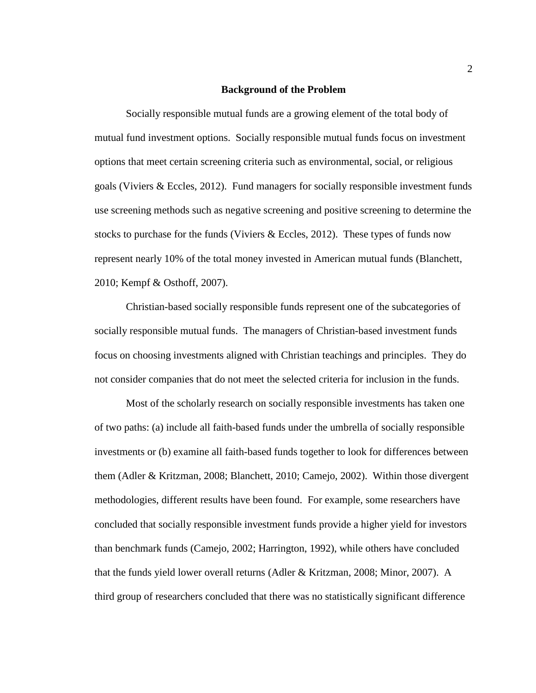#### **Background of the Problem**

Socially responsible mutual funds are a growing element of the total body of mutual fund investment options. Socially responsible mutual funds focus on investment options that meet certain screening criteria such as environmental, social, or religious goals (Viviers & Eccles, 2012). Fund managers for socially responsible investment funds use screening methods such as negative screening and positive screening to determine the stocks to purchase for the funds (Viviers  $\&$  Eccles, 2012). These types of funds now represent nearly 10% of the total money invested in American mutual funds (Blanchett, 2010; Kempf & Osthoff, 2007).

Christian-based socially responsible funds represent one of the subcategories of socially responsible mutual funds. The managers of Christian-based investment funds focus on choosing investments aligned with Christian teachings and principles. They do not consider companies that do not meet the selected criteria for inclusion in the funds.

Most of the scholarly research on socially responsible investments has taken one of two paths: (a) include all faith-based funds under the umbrella of socially responsible investments or (b) examine all faith-based funds together to look for differences between them (Adler & Kritzman, 2008; Blanchett, 2010; Camejo, 2002). Within those divergent methodologies, different results have been found. For example, some researchers have concluded that socially responsible investment funds provide a higher yield for investors than benchmark funds (Camejo, 2002; Harrington, 1992), while others have concluded that the funds yield lower overall returns (Adler & Kritzman, 2008; Minor, 2007). A third group of researchers concluded that there was no statistically significant difference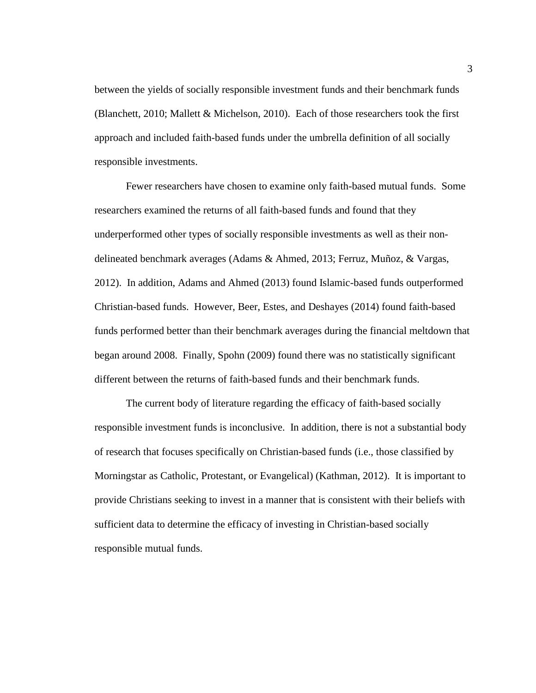between the yields of socially responsible investment funds and their benchmark funds (Blanchett, 2010; Mallett & Michelson, 2010). Each of those researchers took the first approach and included faith-based funds under the umbrella definition of all socially responsible investments.

Fewer researchers have chosen to examine only faith-based mutual funds. Some researchers examined the returns of all faith-based funds and found that they underperformed other types of socially responsible investments as well as their nondelineated benchmark averages (Adams & Ahmed, 2013; Ferruz, Muñoz, & Vargas, 2012). In addition, Adams and Ahmed (2013) found Islamic-based funds outperformed Christian-based funds. However, Beer, Estes, and Deshayes (2014) found faith-based funds performed better than their benchmark averages during the financial meltdown that began around 2008. Finally, Spohn (2009) found there was no statistically significant different between the returns of faith-based funds and their benchmark funds.

The current body of literature regarding the efficacy of faith-based socially responsible investment funds is inconclusive. In addition, there is not a substantial body of research that focuses specifically on Christian-based funds (i.e., those classified by Morningstar as Catholic, Protestant, or Evangelical) (Kathman, 2012). It is important to provide Christians seeking to invest in a manner that is consistent with their beliefs with sufficient data to determine the efficacy of investing in Christian-based socially responsible mutual funds.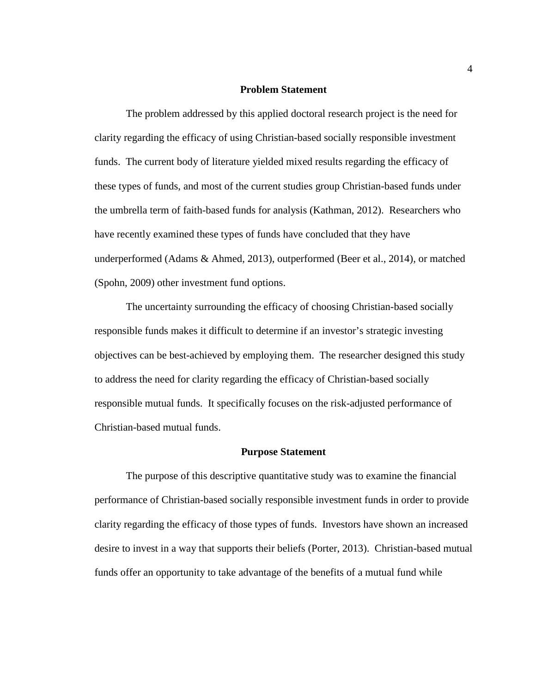#### **Problem Statement**

The problem addressed by this applied doctoral research project is the need for clarity regarding the efficacy of using Christian-based socially responsible investment funds. The current body of literature yielded mixed results regarding the efficacy of these types of funds, and most of the current studies group Christian-based funds under the umbrella term of faith-based funds for analysis (Kathman, 2012). Researchers who have recently examined these types of funds have concluded that they have underperformed (Adams & Ahmed, 2013), outperformed (Beer et al., 2014), or matched (Spohn, 2009) other investment fund options.

The uncertainty surrounding the efficacy of choosing Christian-based socially responsible funds makes it difficult to determine if an investor's strategic investing objectives can be best-achieved by employing them. The researcher designed this study to address the need for clarity regarding the efficacy of Christian-based socially responsible mutual funds. It specifically focuses on the risk-adjusted performance of Christian-based mutual funds.

#### **Purpose Statement**

The purpose of this descriptive quantitative study was to examine the financial performance of Christian-based socially responsible investment funds in order to provide clarity regarding the efficacy of those types of funds. Investors have shown an increased desire to invest in a way that supports their beliefs (Porter, 2013). Christian-based mutual funds offer an opportunity to take advantage of the benefits of a mutual fund while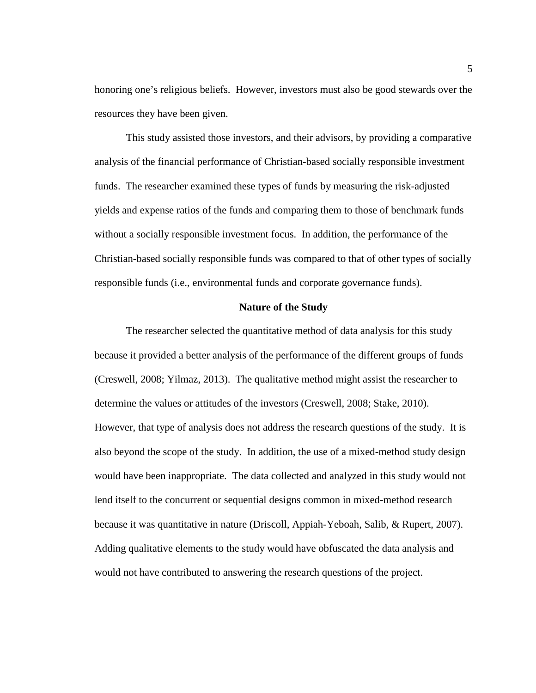honoring one's religious beliefs. However, investors must also be good stewards over the resources they have been given.

This study assisted those investors, and their advisors, by providing a comparative analysis of the financial performance of Christian-based socially responsible investment funds. The researcher examined these types of funds by measuring the risk-adjusted yields and expense ratios of the funds and comparing them to those of benchmark funds without a socially responsible investment focus. In addition, the performance of the Christian-based socially responsible funds was compared to that of other types of socially responsible funds (i.e., environmental funds and corporate governance funds).

#### **Nature of the Study**

The researcher selected the quantitative method of data analysis for this study because it provided a better analysis of the performance of the different groups of funds (Creswell, 2008; Yilmaz, 2013). The qualitative method might assist the researcher to determine the values or attitudes of the investors (Creswell, 2008; Stake, 2010). However, that type of analysis does not address the research questions of the study. It is also beyond the scope of the study. In addition, the use of a mixed-method study design would have been inappropriate. The data collected and analyzed in this study would not lend itself to the concurrent or sequential designs common in mixed-method research because it was quantitative in nature (Driscoll, Appiah-Yeboah, Salib, & Rupert, 2007). Adding qualitative elements to the study would have obfuscated the data analysis and would not have contributed to answering the research questions of the project.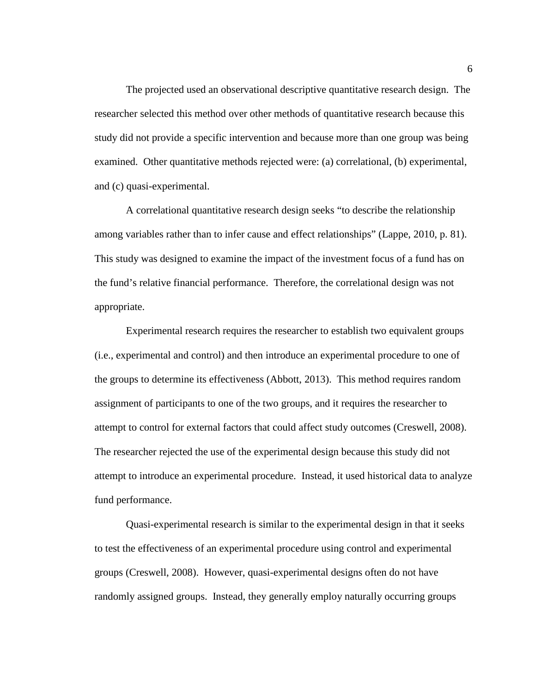The projected used an observational descriptive quantitative research design. The researcher selected this method over other methods of quantitative research because this study did not provide a specific intervention and because more than one group was being examined. Other quantitative methods rejected were: (a) correlational, (b) experimental, and (c) quasi-experimental.

A correlational quantitative research design seeks "to describe the relationship among variables rather than to infer cause and effect relationships" (Lappe, 2010, p. 81). This study was designed to examine the impact of the investment focus of a fund has on the fund's relative financial performance. Therefore, the correlational design was not appropriate.

Experimental research requires the researcher to establish two equivalent groups (i.e., experimental and control) and then introduce an experimental procedure to one of the groups to determine its effectiveness (Abbott, 2013). This method requires random assignment of participants to one of the two groups, and it requires the researcher to attempt to control for external factors that could affect study outcomes (Creswell, 2008). The researcher rejected the use of the experimental design because this study did not attempt to introduce an experimental procedure. Instead, it used historical data to analyze fund performance.

Quasi-experimental research is similar to the experimental design in that it seeks to test the effectiveness of an experimental procedure using control and experimental groups (Creswell, 2008). However, quasi-experimental designs often do not have randomly assigned groups. Instead, they generally employ naturally occurring groups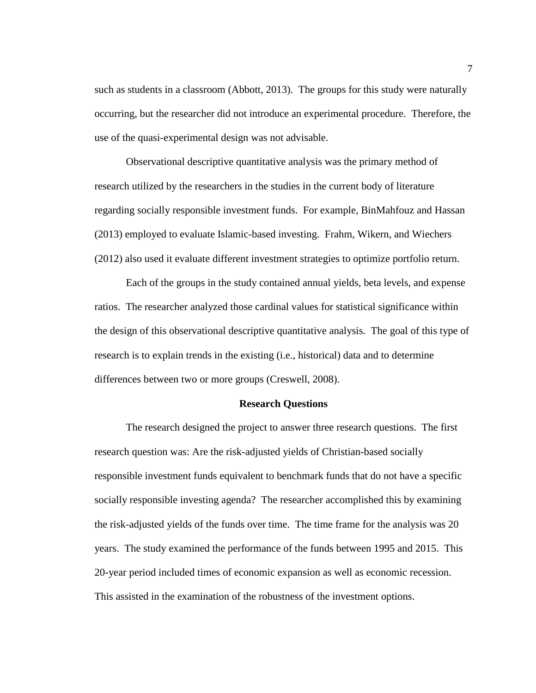such as students in a classroom (Abbott, 2013). The groups for this study were naturally occurring, but the researcher did not introduce an experimental procedure. Therefore, the use of the quasi-experimental design was not advisable.

Observational descriptive quantitative analysis was the primary method of research utilized by the researchers in the studies in the current body of literature regarding socially responsible investment funds. For example, BinMahfouz and Hassan (2013) employed to evaluate Islamic-based investing. Frahm, Wikern, and Wiechers (2012) also used it evaluate different investment strategies to optimize portfolio return.

Each of the groups in the study contained annual yields, beta levels, and expense ratios. The researcher analyzed those cardinal values for statistical significance within the design of this observational descriptive quantitative analysis. The goal of this type of research is to explain trends in the existing (i.e., historical) data and to determine differences between two or more groups (Creswell, 2008).

#### **Research Questions**

The research designed the project to answer three research questions. The first research question was: Are the risk-adjusted yields of Christian-based socially responsible investment funds equivalent to benchmark funds that do not have a specific socially responsible investing agenda? The researcher accomplished this by examining the risk-adjusted yields of the funds over time. The time frame for the analysis was 20 years. The study examined the performance of the funds between 1995 and 2015. This 20-year period included times of economic expansion as well as economic recession. This assisted in the examination of the robustness of the investment options.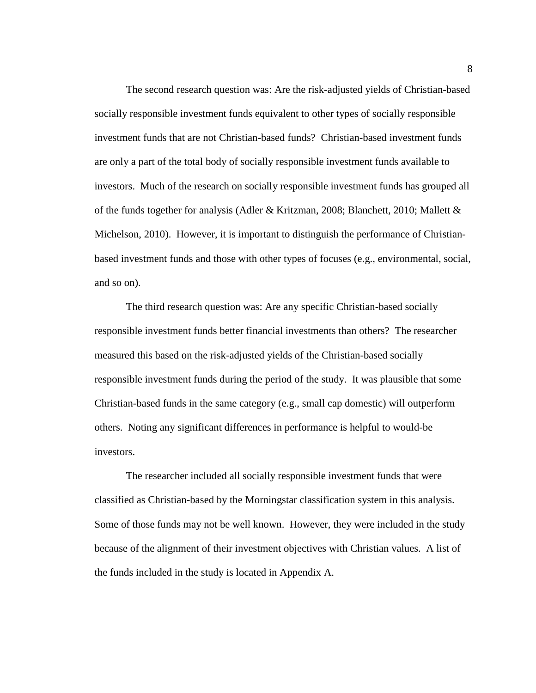The second research question was: Are the risk-adjusted yields of Christian-based socially responsible investment funds equivalent to other types of socially responsible investment funds that are not Christian-based funds? Christian-based investment funds are only a part of the total body of socially responsible investment funds available to investors. Much of the research on socially responsible investment funds has grouped all of the funds together for analysis (Adler & Kritzman, 2008; Blanchett, 2010; Mallett & Michelson, 2010). However, it is important to distinguish the performance of Christianbased investment funds and those with other types of focuses (e.g., environmental, social, and so on).

The third research question was: Are any specific Christian-based socially responsible investment funds better financial investments than others? The researcher measured this based on the risk-adjusted yields of the Christian-based socially responsible investment funds during the period of the study. It was plausible that some Christian-based funds in the same category (e.g., small cap domestic) will outperform others. Noting any significant differences in performance is helpful to would-be investors.

The researcher included all socially responsible investment funds that were classified as Christian-based by the Morningstar classification system in this analysis. Some of those funds may not be well known. However, they were included in the study because of the alignment of their investment objectives with Christian values. A list of the funds included in the study is located in Appendix A.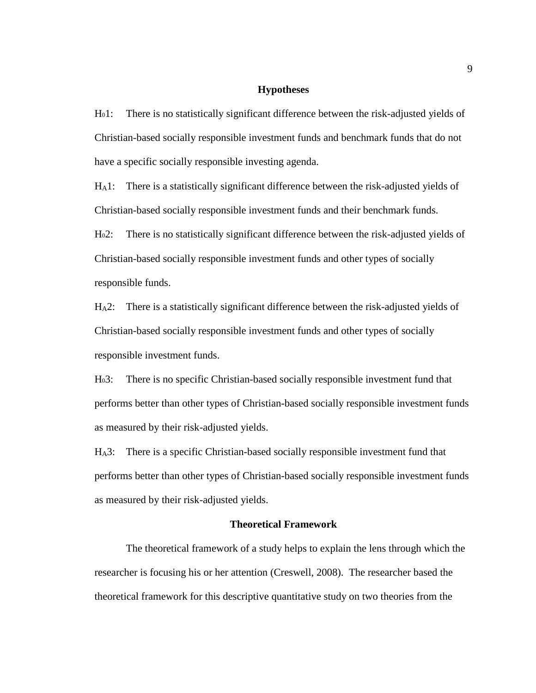#### **Hypotheses**

H01: There is no statistically significant difference between the risk-adjusted yields of Christian-based socially responsible investment funds and benchmark funds that do not have a specific socially responsible investing agenda.

HA1: There is a statistically significant difference between the risk-adjusted yields of Christian-based socially responsible investment funds and their benchmark funds.

H02: There is no statistically significant difference between the risk-adjusted yields of Christian-based socially responsible investment funds and other types of socially responsible funds.

HA2: There is a statistically significant difference between the risk-adjusted yields of Christian-based socially responsible investment funds and other types of socially responsible investment funds.

H03: There is no specific Christian-based socially responsible investment fund that performs better than other types of Christian-based socially responsible investment funds as measured by their risk-adjusted yields.

HA3: There is a specific Christian-based socially responsible investment fund that performs better than other types of Christian-based socially responsible investment funds as measured by their risk-adjusted yields.

#### **Theoretical Framework**

The theoretical framework of a study helps to explain the lens through which the researcher is focusing his or her attention (Creswell, 2008). The researcher based the theoretical framework for this descriptive quantitative study on two theories from the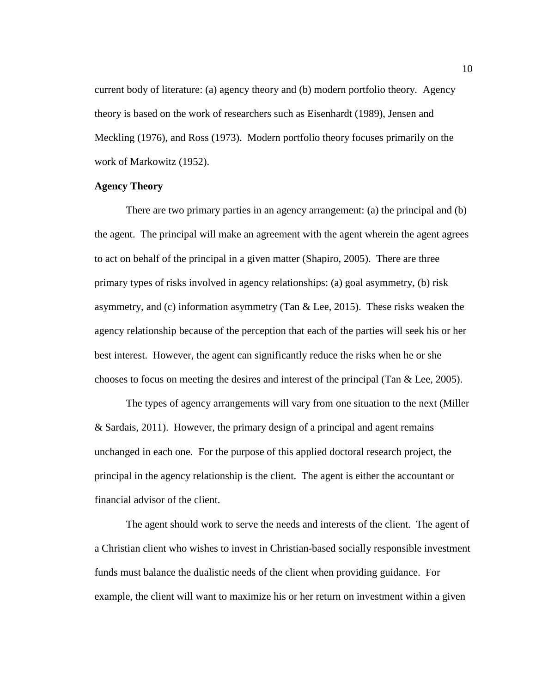current body of literature: (a) agency theory and (b) modern portfolio theory. Agency theory is based on the work of researchers such as Eisenhardt (1989), Jensen and Meckling (1976), and Ross (1973). Modern portfolio theory focuses primarily on the work of Markowitz (1952).

#### **Agency Theory**

There are two primary parties in an agency arrangement: (a) the principal and (b) the agent. The principal will make an agreement with the agent wherein the agent agrees to act on behalf of the principal in a given matter (Shapiro, 2005). There are three primary types of risks involved in agency relationships: (a) goal asymmetry, (b) risk asymmetry, and (c) information asymmetry (Tan & Lee, 2015). These risks weaken the agency relationship because of the perception that each of the parties will seek his or her best interest. However, the agent can significantly reduce the risks when he or she chooses to focus on meeting the desires and interest of the principal (Tan & Lee, 2005).

The types of agency arrangements will vary from one situation to the next (Miller & Sardais, 2011). However, the primary design of a principal and agent remains unchanged in each one. For the purpose of this applied doctoral research project, the principal in the agency relationship is the client. The agent is either the accountant or financial advisor of the client.

The agent should work to serve the needs and interests of the client. The agent of a Christian client who wishes to invest in Christian-based socially responsible investment funds must balance the dualistic needs of the client when providing guidance. For example, the client will want to maximize his or her return on investment within a given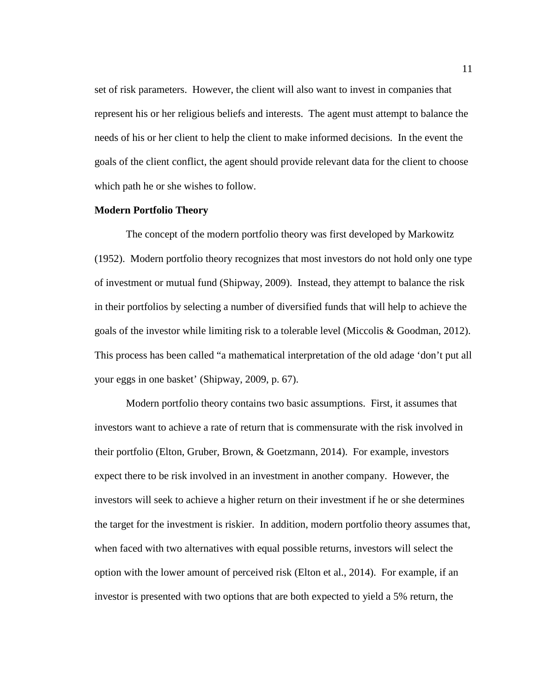set of risk parameters. However, the client will also want to invest in companies that represent his or her religious beliefs and interests. The agent must attempt to balance the needs of his or her client to help the client to make informed decisions. In the event the goals of the client conflict, the agent should provide relevant data for the client to choose which path he or she wishes to follow.

#### **Modern Portfolio Theory**

The concept of the modern portfolio theory was first developed by Markowitz (1952). Modern portfolio theory recognizes that most investors do not hold only one type of investment or mutual fund (Shipway, 2009). Instead, they attempt to balance the risk in their portfolios by selecting a number of diversified funds that will help to achieve the goals of the investor while limiting risk to a tolerable level (Miccolis & Goodman, 2012). This process has been called "a mathematical interpretation of the old adage 'don't put all your eggs in one basket' (Shipway, 2009, p. 67).

Modern portfolio theory contains two basic assumptions. First, it assumes that investors want to achieve a rate of return that is commensurate with the risk involved in their portfolio (Elton, Gruber, Brown, & Goetzmann, 2014). For example, investors expect there to be risk involved in an investment in another company. However, the investors will seek to achieve a higher return on their investment if he or she determines the target for the investment is riskier. In addition, modern portfolio theory assumes that, when faced with two alternatives with equal possible returns, investors will select the option with the lower amount of perceived risk (Elton et al., 2014). For example, if an investor is presented with two options that are both expected to yield a 5% return, the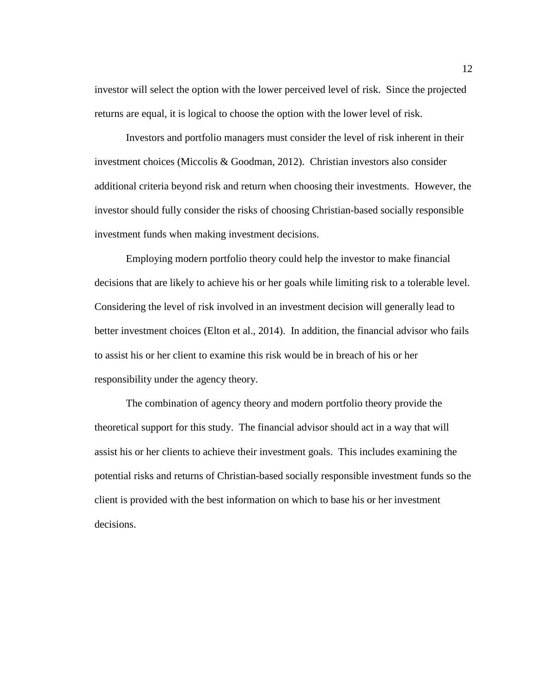investor will select the option with the lower perceived level of risk. Since the projected returns are equal, it is logical to choose the option with the lower level of risk.

Investors and portfolio managers must consider the level of risk inherent in their investment choices (Miccolis & Goodman, 2012). Christian investors also consider additional criteria beyond risk and return when choosing their investments. However, the investor should fully consider the risks of choosing Christian-based socially responsible investment funds when making investment decisions.

Employing modern portfolio theory could help the investor to make financial decisions that are likely to achieve his or her goals while limiting risk to a tolerable level. Considering the level of risk involved in an investment decision will generally lead to better investment choices (Elton et al., 2014). In addition, the financial advisor who fails to assist his or her client to examine this risk would be in breach of his or her responsibility under the agency theory.

The combination of agency theory and modern portfolio theory provide the theoretical support for this study. The financial advisor should act in a way that will assist his or her clients to achieve their investment goals. This includes examining the potential risks and returns of Christian-based socially responsible investment funds so the client is provided with the best information on which to base his or her investment decisions.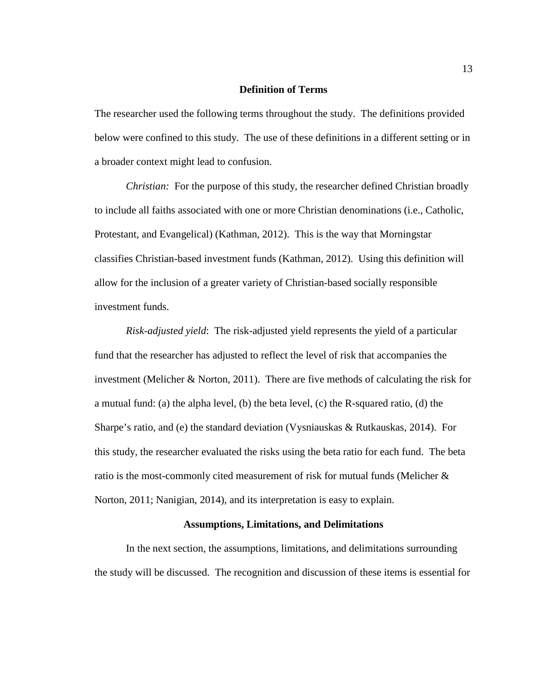#### **Definition of Terms**

The researcher used the following terms throughout the study. The definitions provided below were confined to this study. The use of these definitions in a different setting or in a broader context might lead to confusion.

*Christian:* For the purpose of this study, the researcher defined Christian broadly to include all faiths associated with one or more Christian denominations (i.e., Catholic, Protestant, and Evangelical) (Kathman, 2012). This is the way that Morningstar classifies Christian-based investment funds (Kathman, 2012). Using this definition will allow for the inclusion of a greater variety of Christian-based socially responsible investment funds.

*Risk-adjusted yield*: The risk-adjusted yield represents the yield of a particular fund that the researcher has adjusted to reflect the level of risk that accompanies the investment (Melicher & Norton, 2011). There are five methods of calculating the risk for a mutual fund: (a) the alpha level, (b) the beta level, (c) the R-squared ratio, (d) the Sharpe's ratio, and (e) the standard deviation (Vysniauskas & Rutkauskas, 2014). For this study, the researcher evaluated the risks using the beta ratio for each fund. The beta ratio is the most-commonly cited measurement of risk for mutual funds (Melicher & Norton, 2011; Nanigian, 2014), and its interpretation is easy to explain.

#### **Assumptions, Limitations, and Delimitations**

In the next section, the assumptions, limitations, and delimitations surrounding the study will be discussed. The recognition and discussion of these items is essential for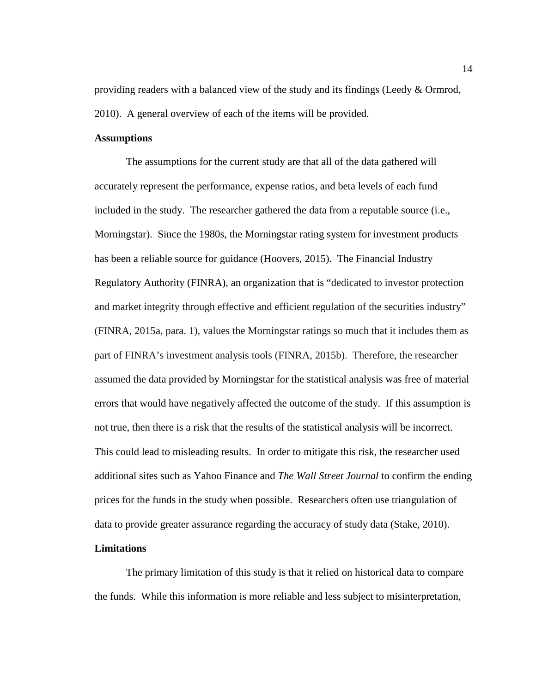providing readers with a balanced view of the study and its findings (Leedy & Ormrod, 2010). A general overview of each of the items will be provided.

#### **Assumptions**

The assumptions for the current study are that all of the data gathered will accurately represent the performance, expense ratios, and beta levels of each fund included in the study. The researcher gathered the data from a reputable source (i.e., Morningstar). Since the 1980s, the Morningstar rating system for investment products has been a reliable source for guidance (Hoovers, 2015). The Financial Industry Regulatory Authority (FINRA), an organization that is "dedicated to investor protection and market integrity through effective and efficient regulation of the securities industry" (FINRA, 2015a, para. 1), values the Morningstar ratings so much that it includes them as part of FINRA's investment analysis tools (FINRA, 2015b). Therefore, the researcher assumed the data provided by Morningstar for the statistical analysis was free of material errors that would have negatively affected the outcome of the study. If this assumption is not true, then there is a risk that the results of the statistical analysis will be incorrect. This could lead to misleading results. In order to mitigate this risk, the researcher used additional sites such as Yahoo Finance and *The Wall Street Journal* to confirm the ending prices for the funds in the study when possible. Researchers often use triangulation of data to provide greater assurance regarding the accuracy of study data (Stake, 2010).

## **Limitations**

The primary limitation of this study is that it relied on historical data to compare the funds. While this information is more reliable and less subject to misinterpretation,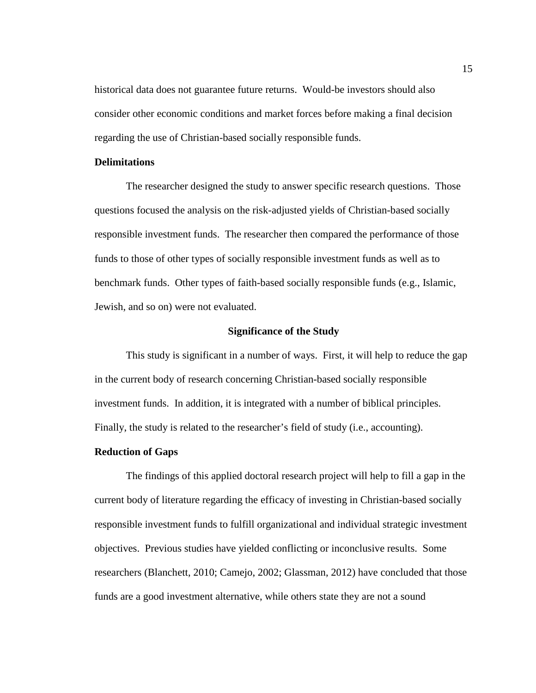historical data does not guarantee future returns. Would-be investors should also consider other economic conditions and market forces before making a final decision regarding the use of Christian-based socially responsible funds.

#### **Delimitations**

The researcher designed the study to answer specific research questions. Those questions focused the analysis on the risk-adjusted yields of Christian-based socially responsible investment funds. The researcher then compared the performance of those funds to those of other types of socially responsible investment funds as well as to benchmark funds. Other types of faith-based socially responsible funds (e.g., Islamic, Jewish, and so on) were not evaluated.

#### **Significance of the Study**

This study is significant in a number of ways. First, it will help to reduce the gap in the current body of research concerning Christian-based socially responsible investment funds. In addition, it is integrated with a number of biblical principles. Finally, the study is related to the researcher's field of study (i.e., accounting).

## **Reduction of Gaps**

The findings of this applied doctoral research project will help to fill a gap in the current body of literature regarding the efficacy of investing in Christian-based socially responsible investment funds to fulfill organizational and individual strategic investment objectives. Previous studies have yielded conflicting or inconclusive results. Some researchers (Blanchett, 2010; Camejo, 2002; Glassman, 2012) have concluded that those funds are a good investment alternative, while others state they are not a sound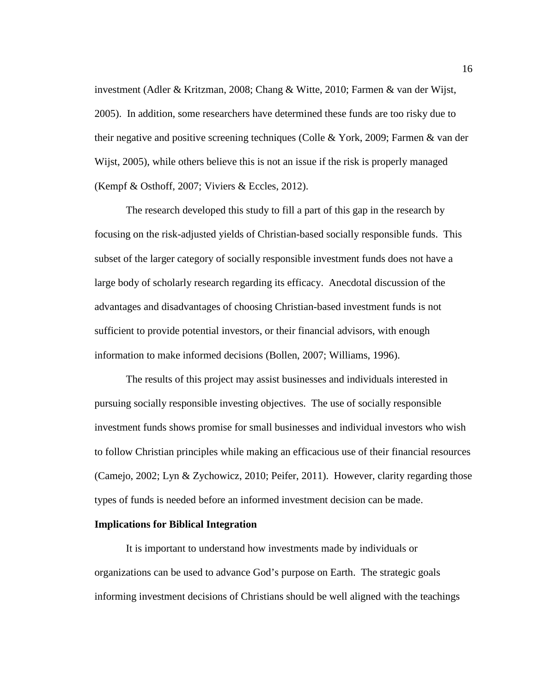investment (Adler & Kritzman, 2008; Chang & Witte, 2010; Farmen & van der Wijst, 2005). In addition, some researchers have determined these funds are too risky due to their negative and positive screening techniques (Colle & York, 2009; Farmen & van der Wijst, 2005), while others believe this is not an issue if the risk is properly managed (Kempf & Osthoff, 2007; Viviers & Eccles, 2012).

The research developed this study to fill a part of this gap in the research by focusing on the risk-adjusted yields of Christian-based socially responsible funds. This subset of the larger category of socially responsible investment funds does not have a large body of scholarly research regarding its efficacy. Anecdotal discussion of the advantages and disadvantages of choosing Christian-based investment funds is not sufficient to provide potential investors, or their financial advisors, with enough information to make informed decisions (Bollen, 2007; Williams, 1996).

The results of this project may assist businesses and individuals interested in pursuing socially responsible investing objectives. The use of socially responsible investment funds shows promise for small businesses and individual investors who wish to follow Christian principles while making an efficacious use of their financial resources (Camejo, 2002; Lyn & Zychowicz, 2010; Peifer, 2011). However, clarity regarding those types of funds is needed before an informed investment decision can be made.

## **Implications for Biblical Integration**

It is important to understand how investments made by individuals or organizations can be used to advance God's purpose on Earth. The strategic goals informing investment decisions of Christians should be well aligned with the teachings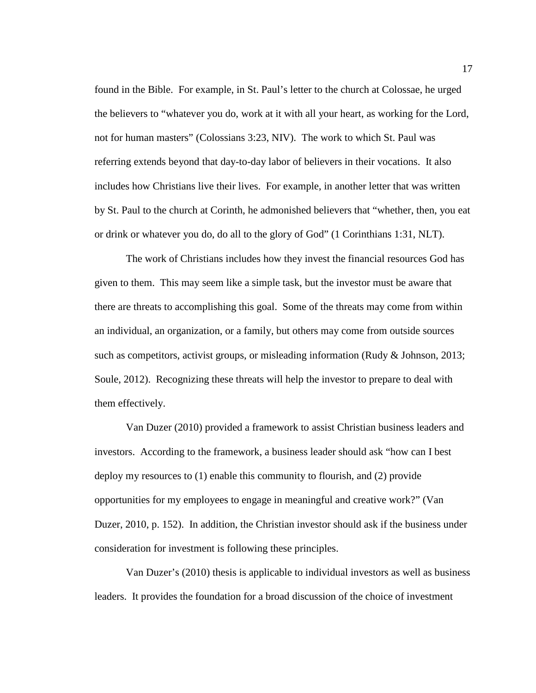found in the Bible. For example, in St. Paul's letter to the church at Colossae, he urged the believers to "whatever you do, work at it with all your heart, as working for the Lord, not for human masters" (Colossians 3:23, NIV). The work to which St. Paul was referring extends beyond that day-to-day labor of believers in their vocations. It also includes how Christians live their lives. For example, in another letter that was written by St. Paul to the church at Corinth, he admonished believers that "whether, then, you eat or drink or whatever you do, do all to the glory of God" (1 Corinthians 1:31, NLT).

The work of Christians includes how they invest the financial resources God has given to them. This may seem like a simple task, but the investor must be aware that there are threats to accomplishing this goal. Some of the threats may come from within an individual, an organization, or a family, but others may come from outside sources such as competitors, activist groups, or misleading information (Rudy & Johnson, 2013; Soule, 2012). Recognizing these threats will help the investor to prepare to deal with them effectively.

Van Duzer (2010) provided a framework to assist Christian business leaders and investors. According to the framework, a business leader should ask "how can I best deploy my resources to (1) enable this community to flourish, and (2) provide opportunities for my employees to engage in meaningful and creative work?" (Van Duzer, 2010, p. 152). In addition, the Christian investor should ask if the business under consideration for investment is following these principles.

Van Duzer's (2010) thesis is applicable to individual investors as well as business leaders. It provides the foundation for a broad discussion of the choice of investment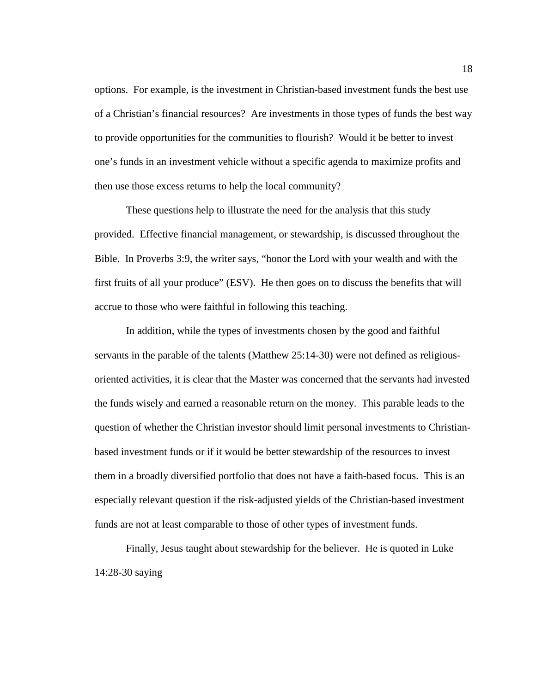options. For example, is the investment in Christian-based investment funds the best use of a Christian's financial resources? Are investments in those types of funds the best way to provide opportunities for the communities to flourish? Would it be better to invest one's funds in an investment vehicle without a specific agenda to maximize profits and then use those excess returns to help the local community?

These questions help to illustrate the need for the analysis that this study provided. Effective financial management, or stewardship, is discussed throughout the Bible. In Proverbs 3:9, the writer says, "honor the Lord with your wealth and with the first fruits of all your produce" (ESV). He then goes on to discuss the benefits that will accrue to those who were faithful in following this teaching.

In addition, while the types of investments chosen by the good and faithful servants in the parable of the talents (Matthew 25:14-30) were not defined as religiousoriented activities, it is clear that the Master was concerned that the servants had invested the funds wisely and earned a reasonable return on the money. This parable leads to the question of whether the Christian investor should limit personal investments to Christianbased investment funds or if it would be better stewardship of the resources to invest them in a broadly diversified portfolio that does not have a faith-based focus. This is an especially relevant question if the risk-adjusted yields of the Christian-based investment funds are not at least comparable to those of other types of investment funds.

Finally, Jesus taught about stewardship for the believer. He is quoted in Luke 14:28-30 saying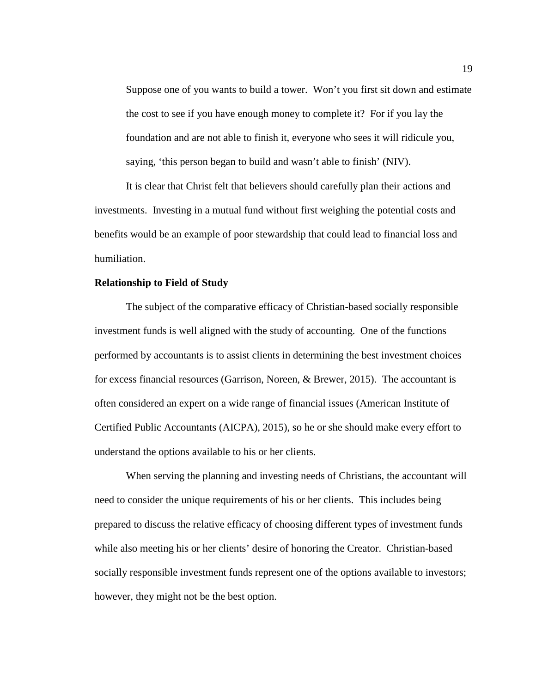Suppose one of you wants to build a tower. Won't you first sit down and estimate the cost to see if you have enough money to complete it? For if you lay the foundation and are not able to finish it, everyone who sees it will ridicule you, saying, 'this person began to build and wasn't able to finish' (NIV).

It is clear that Christ felt that believers should carefully plan their actions and investments. Investing in a mutual fund without first weighing the potential costs and benefits would be an example of poor stewardship that could lead to financial loss and humiliation.

#### **Relationship to Field of Study**

The subject of the comparative efficacy of Christian-based socially responsible investment funds is well aligned with the study of accounting. One of the functions performed by accountants is to assist clients in determining the best investment choices for excess financial resources (Garrison, Noreen, & Brewer, 2015). The accountant is often considered an expert on a wide range of financial issues (American Institute of Certified Public Accountants (AICPA), 2015), so he or she should make every effort to understand the options available to his or her clients.

When serving the planning and investing needs of Christians, the accountant will need to consider the unique requirements of his or her clients. This includes being prepared to discuss the relative efficacy of choosing different types of investment funds while also meeting his or her clients' desire of honoring the Creator. Christian-based socially responsible investment funds represent one of the options available to investors; however, they might not be the best option.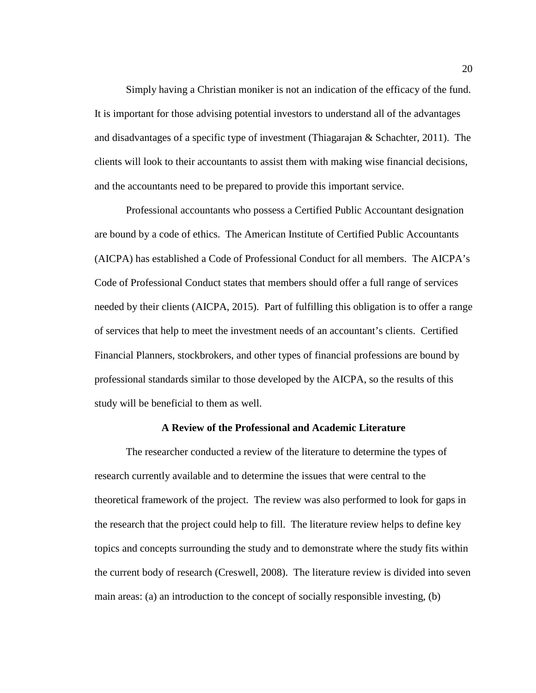Simply having a Christian moniker is not an indication of the efficacy of the fund. It is important for those advising potential investors to understand all of the advantages and disadvantages of a specific type of investment (Thiagarajan & Schachter, 2011). The clients will look to their accountants to assist them with making wise financial decisions, and the accountants need to be prepared to provide this important service.

Professional accountants who possess a Certified Public Accountant designation are bound by a code of ethics. The American Institute of Certified Public Accountants (AICPA) has established a Code of Professional Conduct for all members. The AICPA's Code of Professional Conduct states that members should offer a full range of services needed by their clients (AICPA, 2015). Part of fulfilling this obligation is to offer a range of services that help to meet the investment needs of an accountant's clients. Certified Financial Planners, stockbrokers, and other types of financial professions are bound by professional standards similar to those developed by the AICPA, so the results of this study will be beneficial to them as well.

## **A Review of the Professional and Academic Literature**

The researcher conducted a review of the literature to determine the types of research currently available and to determine the issues that were central to the theoretical framework of the project. The review was also performed to look for gaps in the research that the project could help to fill. The literature review helps to define key topics and concepts surrounding the study and to demonstrate where the study fits within the current body of research (Creswell, 2008). The literature review is divided into seven main areas: (a) an introduction to the concept of socially responsible investing, (b)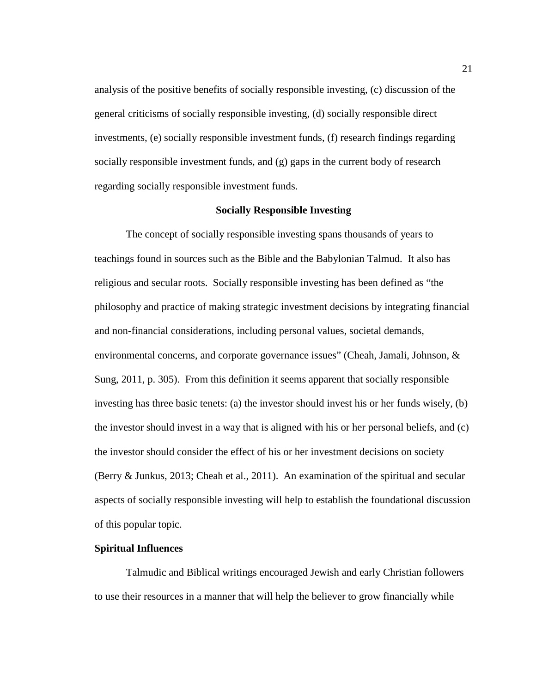analysis of the positive benefits of socially responsible investing, (c) discussion of the general criticisms of socially responsible investing, (d) socially responsible direct investments, (e) socially responsible investment funds, (f) research findings regarding socially responsible investment funds, and (g) gaps in the current body of research regarding socially responsible investment funds.

#### **Socially Responsible Investing**

The concept of socially responsible investing spans thousands of years to teachings found in sources such as the Bible and the Babylonian Talmud. It also has religious and secular roots. Socially responsible investing has been defined as "the philosophy and practice of making strategic investment decisions by integrating financial and non-financial considerations, including personal values, societal demands, environmental concerns, and corporate governance issues" (Cheah, Jamali, Johnson, & Sung, 2011, p. 305). From this definition it seems apparent that socially responsible investing has three basic tenets: (a) the investor should invest his or her funds wisely, (b) the investor should invest in a way that is aligned with his or her personal beliefs, and (c) the investor should consider the effect of his or her investment decisions on society (Berry & Junkus, 2013; Cheah et al., 2011). An examination of the spiritual and secular aspects of socially responsible investing will help to establish the foundational discussion of this popular topic.

## **Spiritual Influences**

Talmudic and Biblical writings encouraged Jewish and early Christian followers to use their resources in a manner that will help the believer to grow financially while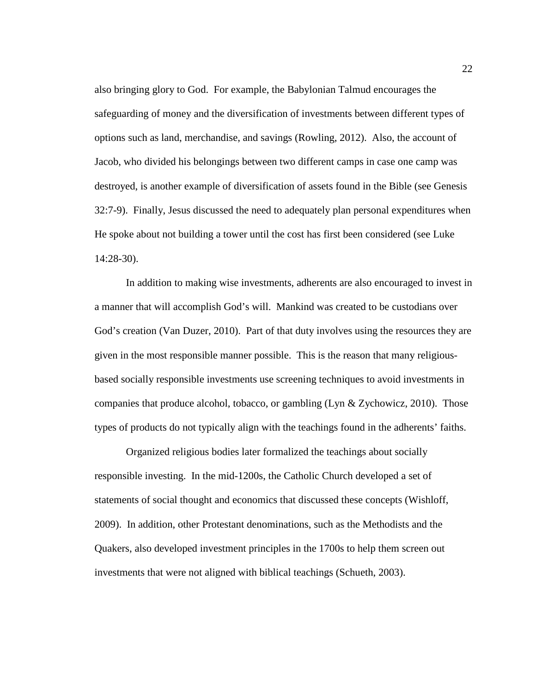also bringing glory to God. For example, the Babylonian Talmud encourages the safeguarding of money and the diversification of investments between different types of options such as land, merchandise, and savings (Rowling, 2012). Also, the account of Jacob, who divided his belongings between two different camps in case one camp was destroyed, is another example of diversification of assets found in the Bible (see Genesis 32:7-9). Finally, Jesus discussed the need to adequately plan personal expenditures when He spoke about not building a tower until the cost has first been considered (see Luke 14:28-30).

In addition to making wise investments, adherents are also encouraged to invest in a manner that will accomplish God's will. Mankind was created to be custodians over God's creation (Van Duzer, 2010). Part of that duty involves using the resources they are given in the most responsible manner possible. This is the reason that many religiousbased socially responsible investments use screening techniques to avoid investments in companies that produce alcohol, tobacco, or gambling (Lyn & Zychowicz, 2010). Those types of products do not typically align with the teachings found in the adherents' faiths.

Organized religious bodies later formalized the teachings about socially responsible investing. In the mid-1200s, the Catholic Church developed a set of statements of social thought and economics that discussed these concepts (Wishloff, 2009). In addition, other Protestant denominations, such as the Methodists and the Quakers, also developed investment principles in the 1700s to help them screen out investments that were not aligned with biblical teachings (Schueth, 2003).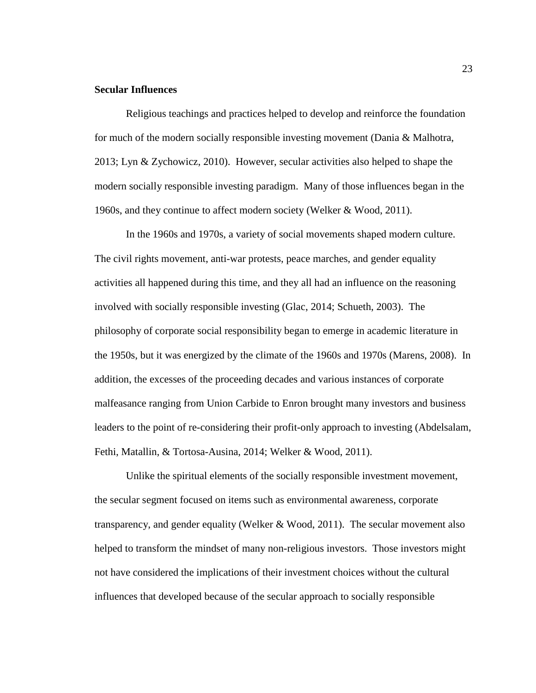#### **Secular Influences**

Religious teachings and practices helped to develop and reinforce the foundation for much of the modern socially responsible investing movement (Dania & Malhotra, 2013; Lyn & Zychowicz, 2010). However, secular activities also helped to shape the modern socially responsible investing paradigm. Many of those influences began in the 1960s, and they continue to affect modern society (Welker & Wood, 2011).

In the 1960s and 1970s, a variety of social movements shaped modern culture. The civil rights movement, anti-war protests, peace marches, and gender equality activities all happened during this time, and they all had an influence on the reasoning involved with socially responsible investing (Glac, 2014; Schueth, 2003). The philosophy of corporate social responsibility began to emerge in academic literature in the 1950s, but it was energized by the climate of the 1960s and 1970s (Marens, 2008). In addition, the excesses of the proceeding decades and various instances of corporate malfeasance ranging from Union Carbide to Enron brought many investors and business leaders to the point of re-considering their profit-only approach to investing (Abdelsalam, Fethi, Matallin, & Tortosa-Ausina, 2014; Welker & Wood, 2011).

Unlike the spiritual elements of the socially responsible investment movement, the secular segment focused on items such as environmental awareness, corporate transparency, and gender equality (Welker & Wood, 2011). The secular movement also helped to transform the mindset of many non-religious investors. Those investors might not have considered the implications of their investment choices without the cultural influences that developed because of the secular approach to socially responsible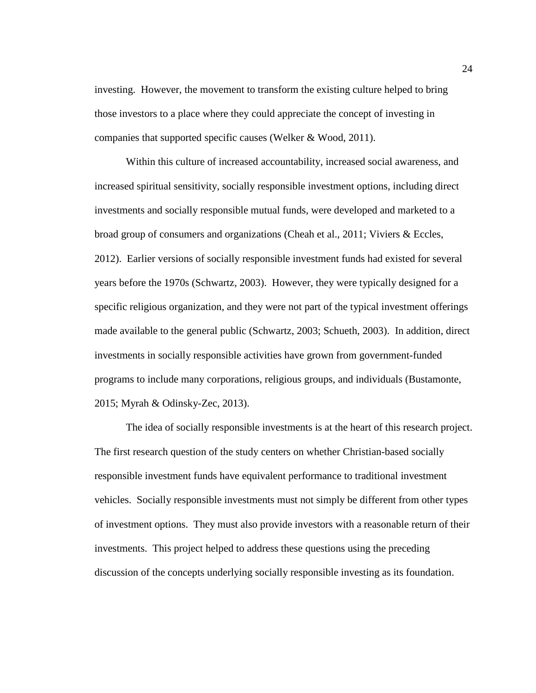investing. However, the movement to transform the existing culture helped to bring those investors to a place where they could appreciate the concept of investing in companies that supported specific causes (Welker & Wood, 2011).

Within this culture of increased accountability, increased social awareness, and increased spiritual sensitivity, socially responsible investment options, including direct investments and socially responsible mutual funds, were developed and marketed to a broad group of consumers and organizations (Cheah et al., 2011; Viviers & Eccles, 2012). Earlier versions of socially responsible investment funds had existed for several years before the 1970s (Schwartz, 2003). However, they were typically designed for a specific religious organization, and they were not part of the typical investment offerings made available to the general public (Schwartz, 2003; Schueth, 2003). In addition, direct investments in socially responsible activities have grown from government-funded programs to include many corporations, religious groups, and individuals (Bustamonte, 2015; Myrah & Odinsky-Zec, 2013).

The idea of socially responsible investments is at the heart of this research project. The first research question of the study centers on whether Christian-based socially responsible investment funds have equivalent performance to traditional investment vehicles. Socially responsible investments must not simply be different from other types of investment options. They must also provide investors with a reasonable return of their investments. This project helped to address these questions using the preceding discussion of the concepts underlying socially responsible investing as its foundation.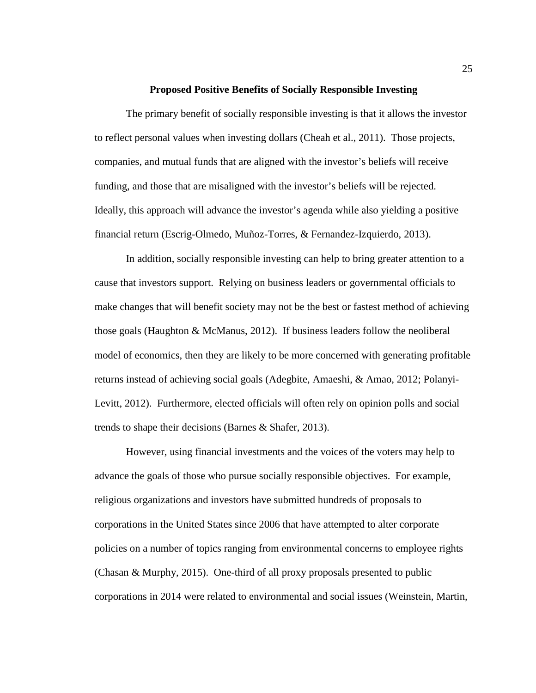#### **Proposed Positive Benefits of Socially Responsible Investing**

The primary benefit of socially responsible investing is that it allows the investor to reflect personal values when investing dollars (Cheah et al., 2011). Those projects, companies, and mutual funds that are aligned with the investor's beliefs will receive funding, and those that are misaligned with the investor's beliefs will be rejected. Ideally, this approach will advance the investor's agenda while also yielding a positive financial return (Escrig-Olmedo, Muñoz-Torres, & Fernandez-Izquierdo, 2013).

In addition, socially responsible investing can help to bring greater attention to a cause that investors support. Relying on business leaders or governmental officials to make changes that will benefit society may not be the best or fastest method of achieving those goals (Haughton & McManus, 2012). If business leaders follow the neoliberal model of economics, then they are likely to be more concerned with generating profitable returns instead of achieving social goals (Adegbite, Amaeshi, & Amao, 2012; Polanyi-Levitt, 2012). Furthermore, elected officials will often rely on opinion polls and social trends to shape their decisions (Barnes & Shafer, 2013).

However, using financial investments and the voices of the voters may help to advance the goals of those who pursue socially responsible objectives. For example, religious organizations and investors have submitted hundreds of proposals to corporations in the United States since 2006 that have attempted to alter corporate policies on a number of topics ranging from environmental concerns to employee rights (Chasan & Murphy, 2015). One-third of all proxy proposals presented to public corporations in 2014 were related to environmental and social issues (Weinstein, Martin,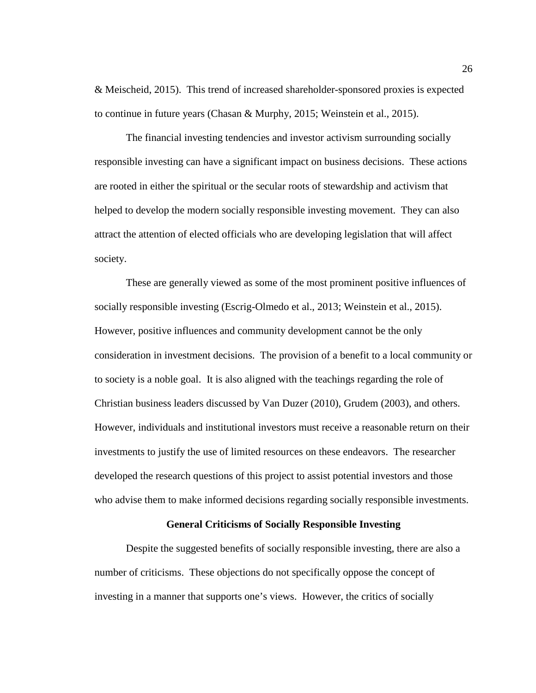& Meischeid, 2015). This trend of increased shareholder-sponsored proxies is expected to continue in future years (Chasan & Murphy, 2015; Weinstein et al., 2015).

The financial investing tendencies and investor activism surrounding socially responsible investing can have a significant impact on business decisions. These actions are rooted in either the spiritual or the secular roots of stewardship and activism that helped to develop the modern socially responsible investing movement. They can also attract the attention of elected officials who are developing legislation that will affect society.

These are generally viewed as some of the most prominent positive influences of socially responsible investing (Escrig-Olmedo et al., 2013; Weinstein et al., 2015). However, positive influences and community development cannot be the only consideration in investment decisions. The provision of a benefit to a local community or to society is a noble goal. It is also aligned with the teachings regarding the role of Christian business leaders discussed by Van Duzer (2010), Grudem (2003), and others. However, individuals and institutional investors must receive a reasonable return on their investments to justify the use of limited resources on these endeavors. The researcher developed the research questions of this project to assist potential investors and those who advise them to make informed decisions regarding socially responsible investments.

# **General Criticisms of Socially Responsible Investing**

Despite the suggested benefits of socially responsible investing, there are also a number of criticisms. These objections do not specifically oppose the concept of investing in a manner that supports one's views. However, the critics of socially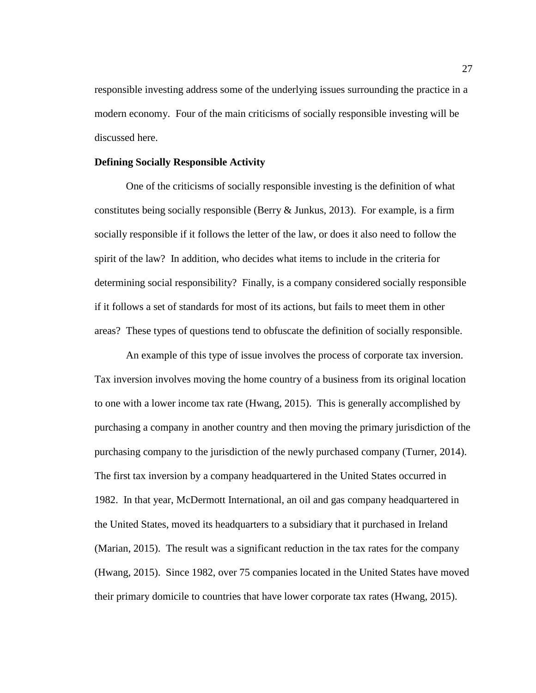responsible investing address some of the underlying issues surrounding the practice in a modern economy. Four of the main criticisms of socially responsible investing will be discussed here.

#### **Defining Socially Responsible Activity**

One of the criticisms of socially responsible investing is the definition of what constitutes being socially responsible (Berry  $\&$  Junkus, 2013). For example, is a firm socially responsible if it follows the letter of the law, or does it also need to follow the spirit of the law? In addition, who decides what items to include in the criteria for determining social responsibility? Finally, is a company considered socially responsible if it follows a set of standards for most of its actions, but fails to meet them in other areas? These types of questions tend to obfuscate the definition of socially responsible.

An example of this type of issue involves the process of corporate tax inversion. Tax inversion involves moving the home country of a business from its original location to one with a lower income tax rate (Hwang, 2015). This is generally accomplished by purchasing a company in another country and then moving the primary jurisdiction of the purchasing company to the jurisdiction of the newly purchased company (Turner, 2014). The first tax inversion by a company headquartered in the United States occurred in 1982. In that year, McDermott International, an oil and gas company headquartered in the United States, moved its headquarters to a subsidiary that it purchased in Ireland (Marian, 2015). The result was a significant reduction in the tax rates for the company (Hwang, 2015). Since 1982, over 75 companies located in the United States have moved their primary domicile to countries that have lower corporate tax rates (Hwang, 2015).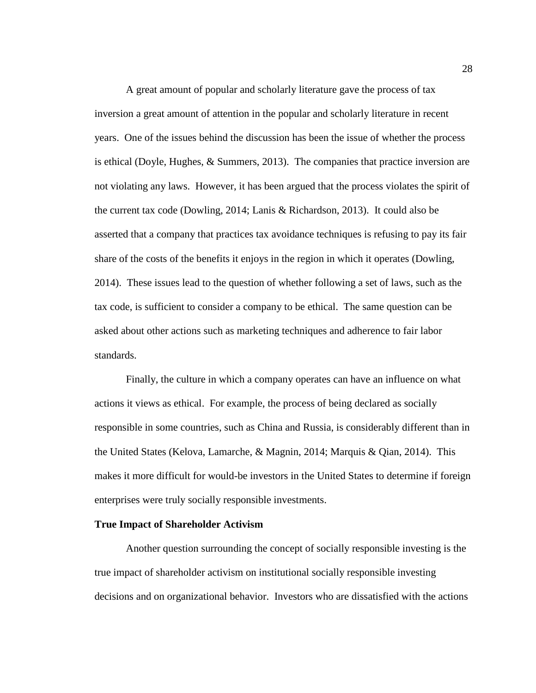A great amount of popular and scholarly literature gave the process of tax inversion a great amount of attention in the popular and scholarly literature in recent years. One of the issues behind the discussion has been the issue of whether the process is ethical (Doyle, Hughes, & Summers, 2013). The companies that practice inversion are not violating any laws. However, it has been argued that the process violates the spirit of the current tax code (Dowling, 2014; Lanis & Richardson, 2013). It could also be asserted that a company that practices tax avoidance techniques is refusing to pay its fair share of the costs of the benefits it enjoys in the region in which it operates (Dowling, 2014). These issues lead to the question of whether following a set of laws, such as the tax code, is sufficient to consider a company to be ethical. The same question can be asked about other actions such as marketing techniques and adherence to fair labor standards.

Finally, the culture in which a company operates can have an influence on what actions it views as ethical. For example, the process of being declared as socially responsible in some countries, such as China and Russia, is considerably different than in the United States (Kelova, Lamarche, & Magnin, 2014; Marquis & Qian, 2014). This makes it more difficult for would-be investors in the United States to determine if foreign enterprises were truly socially responsible investments.

## **True Impact of Shareholder Activism**

Another question surrounding the concept of socially responsible investing is the true impact of shareholder activism on institutional socially responsible investing decisions and on organizational behavior. Investors who are dissatisfied with the actions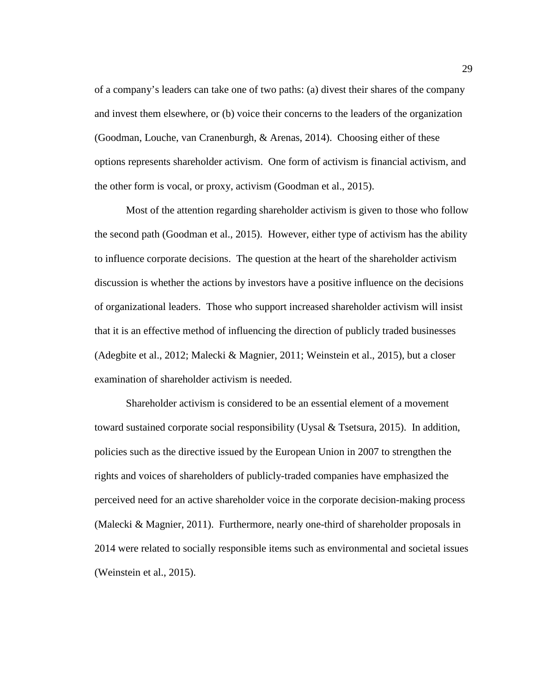of a company's leaders can take one of two paths: (a) divest their shares of the company and invest them elsewhere, or (b) voice their concerns to the leaders of the organization (Goodman, Louche, van Cranenburgh, & Arenas, 2014). Choosing either of these options represents shareholder activism. One form of activism is financial activism, and the other form is vocal, or proxy, activism (Goodman et al., 2015).

Most of the attention regarding shareholder activism is given to those who follow the second path (Goodman et al., 2015). However, either type of activism has the ability to influence corporate decisions. The question at the heart of the shareholder activism discussion is whether the actions by investors have a positive influence on the decisions of organizational leaders. Those who support increased shareholder activism will insist that it is an effective method of influencing the direction of publicly traded businesses (Adegbite et al., 2012; Malecki & Magnier, 2011; Weinstein et al., 2015), but a closer examination of shareholder activism is needed.

Shareholder activism is considered to be an essential element of a movement toward sustained corporate social responsibility (Uysal & Tsetsura, 2015). In addition, policies such as the directive issued by the European Union in 2007 to strengthen the rights and voices of shareholders of publicly-traded companies have emphasized the perceived need for an active shareholder voice in the corporate decision-making process (Malecki & Magnier, 2011). Furthermore, nearly one-third of shareholder proposals in 2014 were related to socially responsible items such as environmental and societal issues (Weinstein et al., 2015).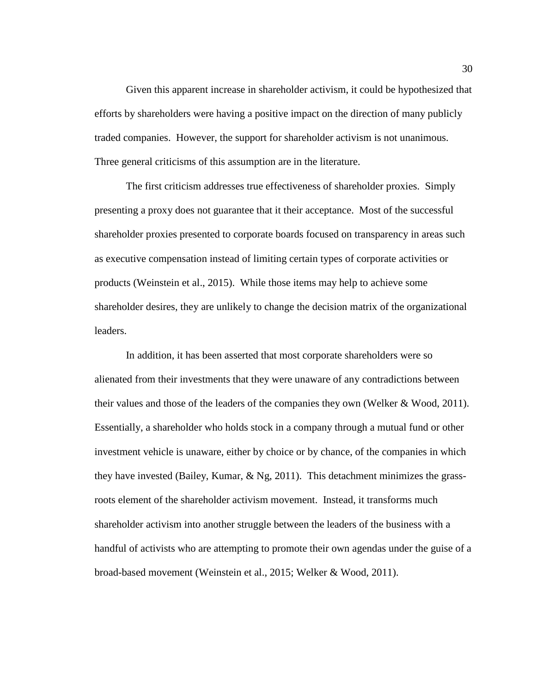Given this apparent increase in shareholder activism, it could be hypothesized that efforts by shareholders were having a positive impact on the direction of many publicly traded companies. However, the support for shareholder activism is not unanimous. Three general criticisms of this assumption are in the literature.

The first criticism addresses true effectiveness of shareholder proxies. Simply presenting a proxy does not guarantee that it their acceptance. Most of the successful shareholder proxies presented to corporate boards focused on transparency in areas such as executive compensation instead of limiting certain types of corporate activities or products (Weinstein et al., 2015). While those items may help to achieve some shareholder desires, they are unlikely to change the decision matrix of the organizational leaders.

In addition, it has been asserted that most corporate shareholders were so alienated from their investments that they were unaware of any contradictions between their values and those of the leaders of the companies they own (Welker & Wood, 2011). Essentially, a shareholder who holds stock in a company through a mutual fund or other investment vehicle is unaware, either by choice or by chance, of the companies in which they have invested (Bailey, Kumar, & Ng, 2011). This detachment minimizes the grassroots element of the shareholder activism movement. Instead, it transforms much shareholder activism into another struggle between the leaders of the business with a handful of activists who are attempting to promote their own agendas under the guise of a broad-based movement (Weinstein et al., 2015; Welker & Wood, 2011).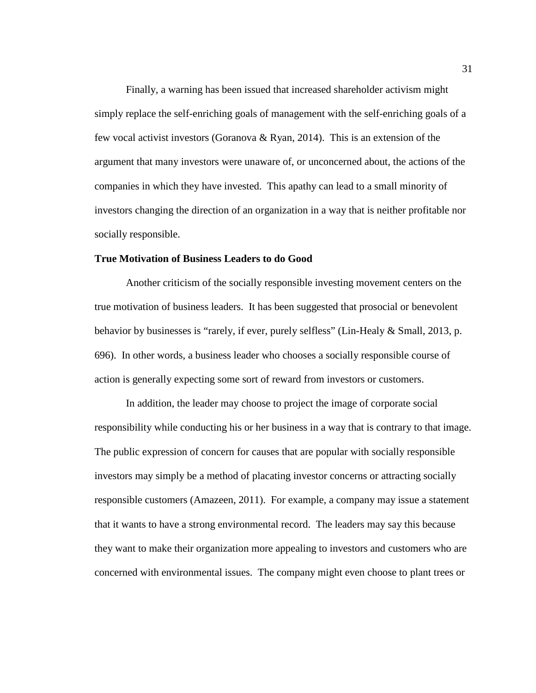Finally, a warning has been issued that increased shareholder activism might simply replace the self-enriching goals of management with the self-enriching goals of a few vocal activist investors (Goranova & Ryan, 2014). This is an extension of the argument that many investors were unaware of, or unconcerned about, the actions of the companies in which they have invested. This apathy can lead to a small minority of investors changing the direction of an organization in a way that is neither profitable nor socially responsible.

## **True Motivation of Business Leaders to do Good**

Another criticism of the socially responsible investing movement centers on the true motivation of business leaders. It has been suggested that prosocial or benevolent behavior by businesses is "rarely, if ever, purely selfless" (Lin-Healy & Small, 2013, p. 696). In other words, a business leader who chooses a socially responsible course of action is generally expecting some sort of reward from investors or customers.

In addition, the leader may choose to project the image of corporate social responsibility while conducting his or her business in a way that is contrary to that image. The public expression of concern for causes that are popular with socially responsible investors may simply be a method of placating investor concerns or attracting socially responsible customers (Amazeen, 2011). For example, a company may issue a statement that it wants to have a strong environmental record. The leaders may say this because they want to make their organization more appealing to investors and customers who are concerned with environmental issues. The company might even choose to plant trees or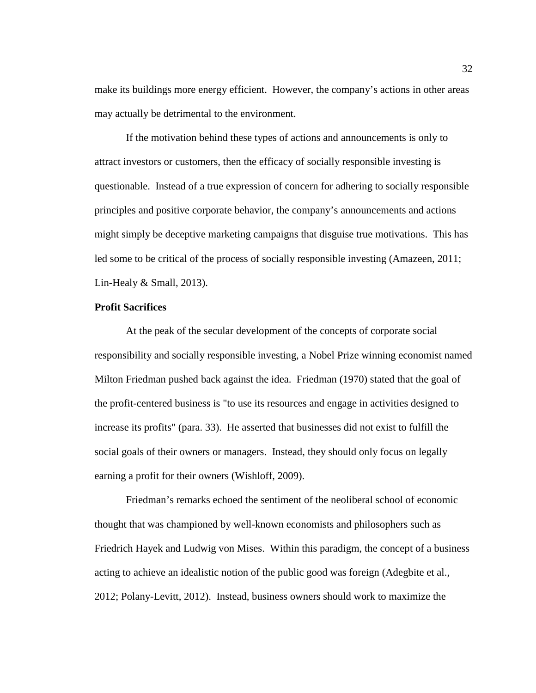make its buildings more energy efficient. However, the company's actions in other areas may actually be detrimental to the environment.

If the motivation behind these types of actions and announcements is only to attract investors or customers, then the efficacy of socially responsible investing is questionable. Instead of a true expression of concern for adhering to socially responsible principles and positive corporate behavior, the company's announcements and actions might simply be deceptive marketing campaigns that disguise true motivations. This has led some to be critical of the process of socially responsible investing (Amazeen, 2011; Lin-Healy & Small, 2013).

#### **Profit Sacrifices**

At the peak of the secular development of the concepts of corporate social responsibility and socially responsible investing, a Nobel Prize winning economist named Milton Friedman pushed back against the idea. Friedman (1970) stated that the goal of the profit-centered business is "to use its resources and engage in activities designed to increase its profits" (para. 33). He asserted that businesses did not exist to fulfill the social goals of their owners or managers. Instead, they should only focus on legally earning a profit for their owners (Wishloff, 2009).

Friedman's remarks echoed the sentiment of the neoliberal school of economic thought that was championed by well-known economists and philosophers such as Friedrich Hayek and Ludwig von Mises. Within this paradigm, the concept of a business acting to achieve an idealistic notion of the public good was foreign (Adegbite et al., 2012; Polany-Levitt, 2012). Instead, business owners should work to maximize the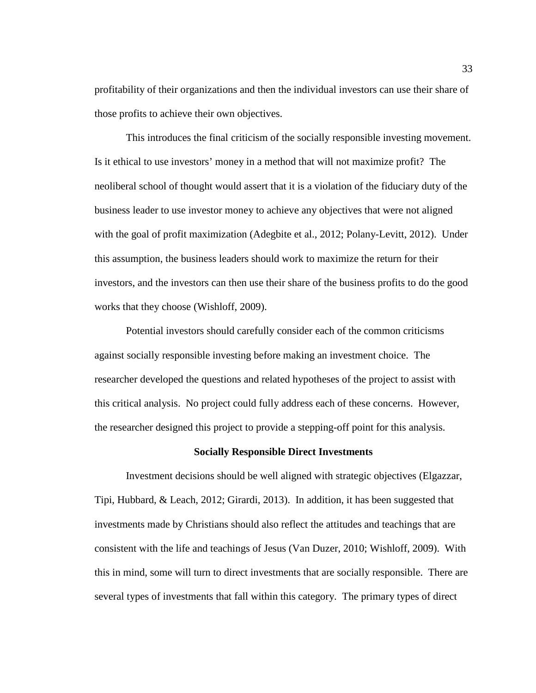profitability of their organizations and then the individual investors can use their share of those profits to achieve their own objectives.

This introduces the final criticism of the socially responsible investing movement. Is it ethical to use investors' money in a method that will not maximize profit? The neoliberal school of thought would assert that it is a violation of the fiduciary duty of the business leader to use investor money to achieve any objectives that were not aligned with the goal of profit maximization (Adegbite et al., 2012; Polany-Levitt, 2012). Under this assumption, the business leaders should work to maximize the return for their investors, and the investors can then use their share of the business profits to do the good works that they choose (Wishloff, 2009).

Potential investors should carefully consider each of the common criticisms against socially responsible investing before making an investment choice. The researcher developed the questions and related hypotheses of the project to assist with this critical analysis. No project could fully address each of these concerns. However, the researcher designed this project to provide a stepping-off point for this analysis.

# **Socially Responsible Direct Investments**

Investment decisions should be well aligned with strategic objectives (Elgazzar, Tipi, Hubbard, & Leach, 2012; Girardi, 2013). In addition, it has been suggested that investments made by Christians should also reflect the attitudes and teachings that are consistent with the life and teachings of Jesus (Van Duzer, 2010; Wishloff, 2009). With this in mind, some will turn to direct investments that are socially responsible. There are several types of investments that fall within this category. The primary types of direct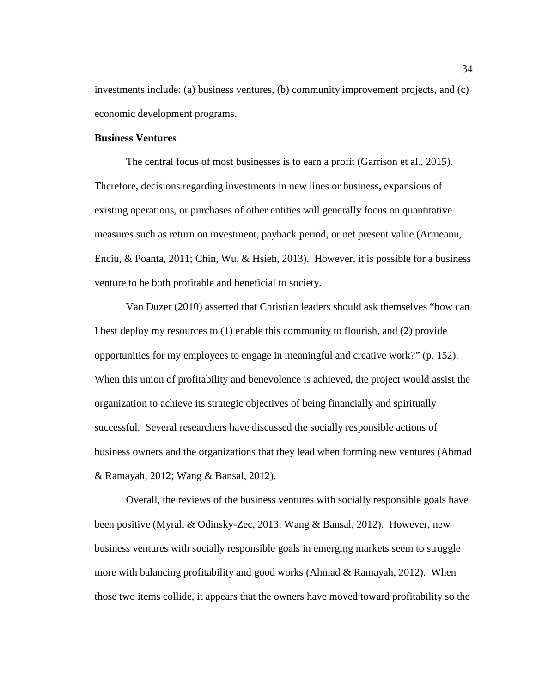investments include: (a) business ventures, (b) community improvement projects, and (c) economic development programs.

## **Business Ventures**

The central focus of most businesses is to earn a profit (Garrison et al., 2015). Therefore, decisions regarding investments in new lines or business, expansions of existing operations, or purchases of other entities will generally focus on quantitative measures such as return on investment, payback period, or net present value (Armeanu, Enciu, & Poanta, 2011; Chin, Wu, & Hsieh, 2013). However, it is possible for a business venture to be both profitable and beneficial to society.

Van Duzer (2010) asserted that Christian leaders should ask themselves "how can I best deploy my resources to (1) enable this community to flourish, and (2) provide opportunities for my employees to engage in meaningful and creative work?" (p. 152). When this union of profitability and benevolence is achieved, the project would assist the organization to achieve its strategic objectives of being financially and spiritually successful. Several researchers have discussed the socially responsible actions of business owners and the organizations that they lead when forming new ventures (Ahmad & Ramayah, 2012; Wang & Bansal, 2012).

Overall, the reviews of the business ventures with socially responsible goals have been positive (Myrah & Odinsky-Zec, 2013; Wang & Bansal, 2012). However, new business ventures with socially responsible goals in emerging markets seem to struggle more with balancing profitability and good works (Ahmad & Ramayah, 2012). When those two items collide, it appears that the owners have moved toward profitability so the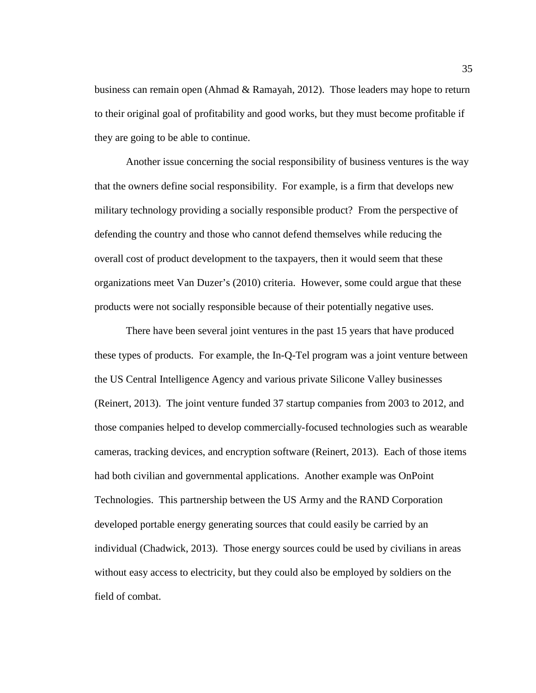business can remain open (Ahmad & Ramayah, 2012). Those leaders may hope to return to their original goal of profitability and good works, but they must become profitable if they are going to be able to continue.

Another issue concerning the social responsibility of business ventures is the way that the owners define social responsibility. For example, is a firm that develops new military technology providing a socially responsible product? From the perspective of defending the country and those who cannot defend themselves while reducing the overall cost of product development to the taxpayers, then it would seem that these organizations meet Van Duzer's (2010) criteria. However, some could argue that these products were not socially responsible because of their potentially negative uses.

There have been several joint ventures in the past 15 years that have produced these types of products. For example, the In-Q-Tel program was a joint venture between the US Central Intelligence Agency and various private Silicone Valley businesses (Reinert, 2013). The joint venture funded 37 startup companies from 2003 to 2012, and those companies helped to develop commercially-focused technologies such as wearable cameras, tracking devices, and encryption software (Reinert, 2013). Each of those items had both civilian and governmental applications. Another example was OnPoint Technologies. This partnership between the US Army and the RAND Corporation developed portable energy generating sources that could easily be carried by an individual (Chadwick, 2013). Those energy sources could be used by civilians in areas without easy access to electricity, but they could also be employed by soldiers on the field of combat.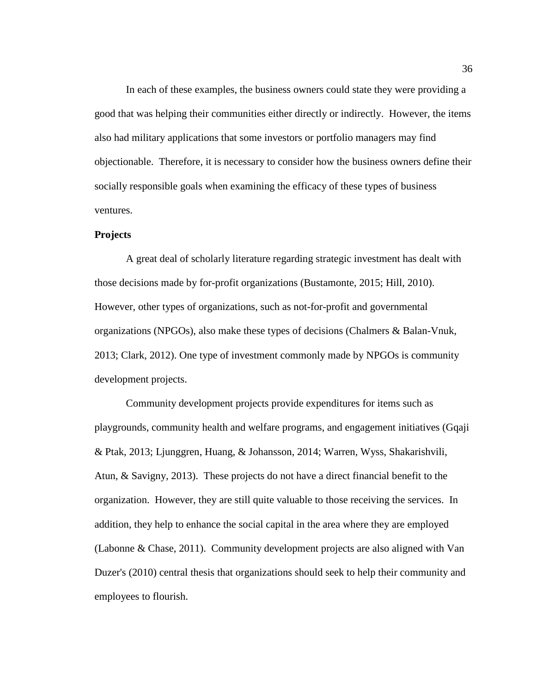In each of these examples, the business owners could state they were providing a good that was helping their communities either directly or indirectly. However, the items also had military applications that some investors or portfolio managers may find objectionable. Therefore, it is necessary to consider how the business owners define their socially responsible goals when examining the efficacy of these types of business ventures.

### **Projects**

A great deal of scholarly literature regarding strategic investment has dealt with those decisions made by for-profit organizations (Bustamonte, 2015; Hill, 2010). However, other types of organizations, such as not-for-profit and governmental organizations (NPGOs), also make these types of decisions (Chalmers & Balan-Vnuk, 2013; Clark, 2012). One type of investment commonly made by NPGOs is community development projects.

Community development projects provide expenditures for items such as playgrounds, community health and welfare programs, and engagement initiatives (Gqaji & Ptak, 2013; Ljunggren, Huang, & Johansson, 2014; Warren, Wyss, Shakarishvili, Atun, & Savigny, 2013). These projects do not have a direct financial benefit to the organization. However, they are still quite valuable to those receiving the services. In addition, they help to enhance the social capital in the area where they are employed (Labonne & Chase, 2011). Community development projects are also aligned with Van Duzer's (2010) central thesis that organizations should seek to help their community and employees to flourish.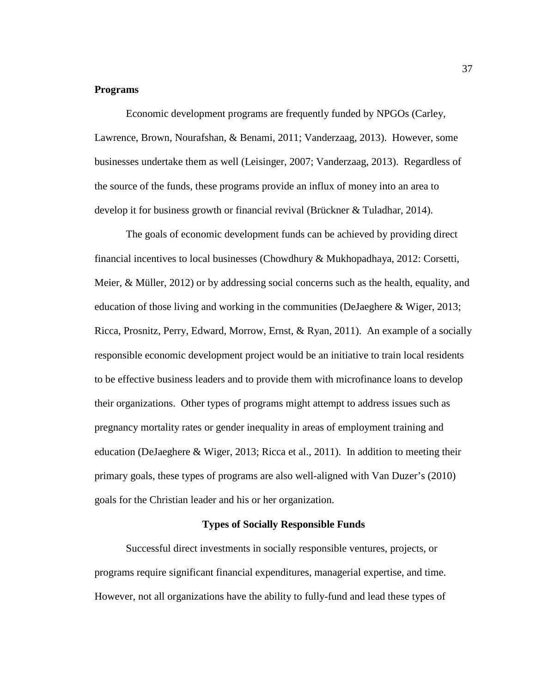#### **Programs**

Economic development programs are frequently funded by NPGOs (Carley, Lawrence, Brown, Nourafshan, & Benami, 2011; Vanderzaag, 2013). However, some businesses undertake them as well (Leisinger, 2007; Vanderzaag, 2013). Regardless of the source of the funds, these programs provide an influx of money into an area to develop it for business growth or financial revival (Brückner & Tuladhar, 2014).

The goals of economic development funds can be achieved by providing direct financial incentives to local businesses (Chowdhury & Mukhopadhaya, 2012: Corsetti, Meier, & Müller, 2012) or by addressing social concerns such as the health, equality, and education of those living and working in the communities (DeJaeghere & Wiger, 2013; Ricca, Prosnitz, Perry, Edward, Morrow, Ernst, & Ryan, 2011). An example of a socially responsible economic development project would be an initiative to train local residents to be effective business leaders and to provide them with microfinance loans to develop their organizations. Other types of programs might attempt to address issues such as pregnancy mortality rates or gender inequality in areas of employment training and education (DeJaeghere & Wiger, 2013; Ricca et al., 2011). In addition to meeting their primary goals, these types of programs are also well-aligned with Van Duzer's (2010) goals for the Christian leader and his or her organization.

## **Types of Socially Responsible Funds**

Successful direct investments in socially responsible ventures, projects, or programs require significant financial expenditures, managerial expertise, and time. However, not all organizations have the ability to fully-fund and lead these types of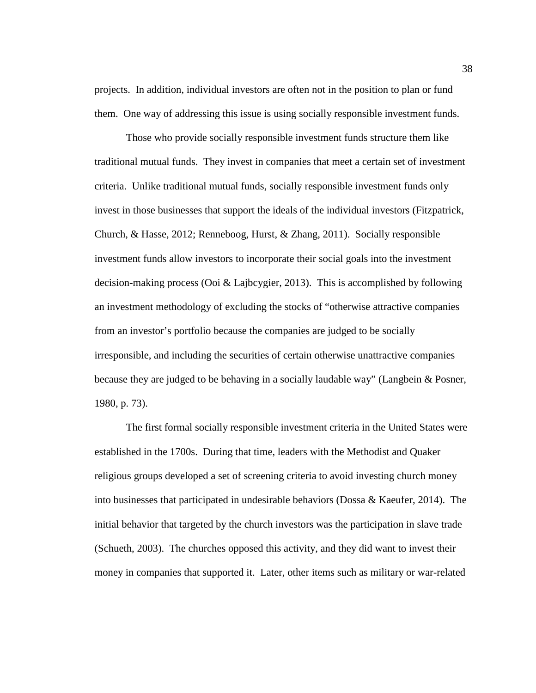projects. In addition, individual investors are often not in the position to plan or fund them. One way of addressing this issue is using socially responsible investment funds.

Those who provide socially responsible investment funds structure them like traditional mutual funds. They invest in companies that meet a certain set of investment criteria. Unlike traditional mutual funds, socially responsible investment funds only invest in those businesses that support the ideals of the individual investors (Fitzpatrick, Church, & Hasse, 2012; Renneboog, Hurst, & Zhang, 2011). Socially responsible investment funds allow investors to incorporate their social goals into the investment decision-making process (Ooi & Lajbcygier, 2013). This is accomplished by following an investment methodology of excluding the stocks of "otherwise attractive companies from an investor's portfolio because the companies are judged to be socially irresponsible, and including the securities of certain otherwise unattractive companies because they are judged to be behaving in a socially laudable way" (Langbein & Posner, 1980, p. 73).

The first formal socially responsible investment criteria in the United States were established in the 1700s. During that time, leaders with the Methodist and Quaker religious groups developed a set of screening criteria to avoid investing church money into businesses that participated in undesirable behaviors (Dossa & Kaeufer, 2014). The initial behavior that targeted by the church investors was the participation in slave trade (Schueth, 2003). The churches opposed this activity, and they did want to invest their money in companies that supported it. Later, other items such as military or war-related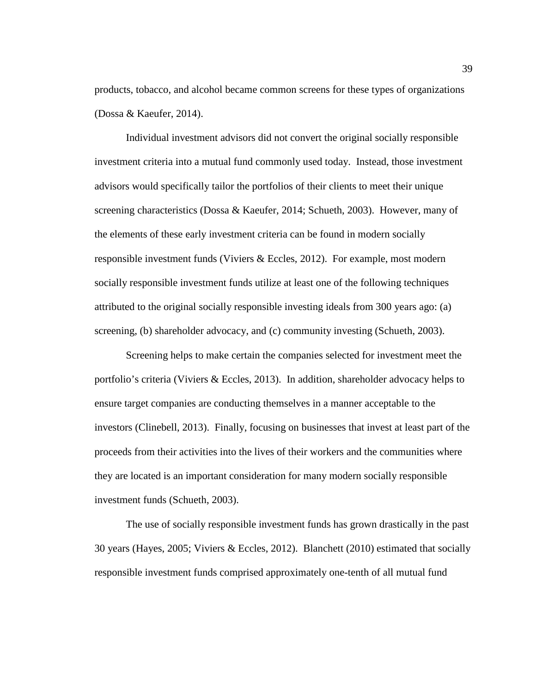products, tobacco, and alcohol became common screens for these types of organizations (Dossa & Kaeufer, 2014).

Individual investment advisors did not convert the original socially responsible investment criteria into a mutual fund commonly used today. Instead, those investment advisors would specifically tailor the portfolios of their clients to meet their unique screening characteristics (Dossa & Kaeufer, 2014; Schueth, 2003). However, many of the elements of these early investment criteria can be found in modern socially responsible investment funds (Viviers & Eccles, 2012). For example, most modern socially responsible investment funds utilize at least one of the following techniques attributed to the original socially responsible investing ideals from 300 years ago: (a) screening, (b) shareholder advocacy, and (c) community investing (Schueth, 2003).

Screening helps to make certain the companies selected for investment meet the portfolio's criteria (Viviers & Eccles, 2013). In addition, shareholder advocacy helps to ensure target companies are conducting themselves in a manner acceptable to the investors (Clinebell, 2013). Finally, focusing on businesses that invest at least part of the proceeds from their activities into the lives of their workers and the communities where they are located is an important consideration for many modern socially responsible investment funds (Schueth, 2003).

The use of socially responsible investment funds has grown drastically in the past 30 years (Hayes, 2005; Viviers & Eccles, 2012). Blanchett (2010) estimated that socially responsible investment funds comprised approximately one-tenth of all mutual fund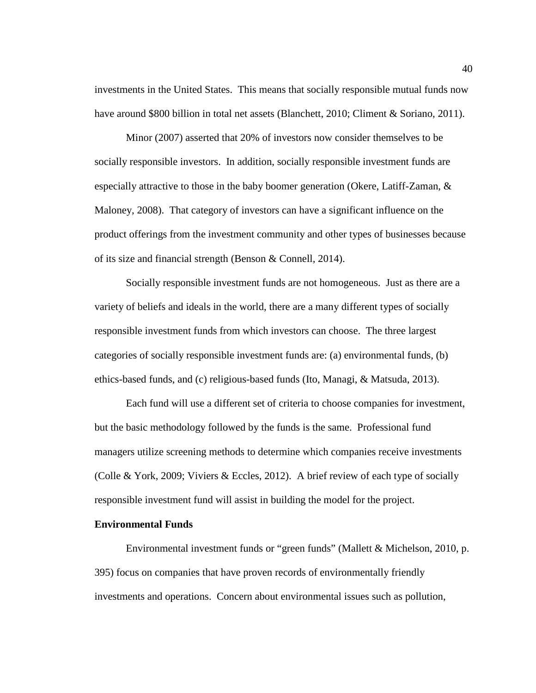investments in the United States. This means that socially responsible mutual funds now have around \$800 billion in total net assets (Blanchett, 2010; Climent & Soriano, 2011).

Minor (2007) asserted that 20% of investors now consider themselves to be socially responsible investors. In addition, socially responsible investment funds are especially attractive to those in the baby boomer generation (Okere, Latiff-Zaman, & Maloney, 2008). That category of investors can have a significant influence on the product offerings from the investment community and other types of businesses because of its size and financial strength (Benson & Connell, 2014).

Socially responsible investment funds are not homogeneous. Just as there are a variety of beliefs and ideals in the world, there are a many different types of socially responsible investment funds from which investors can choose. The three largest categories of socially responsible investment funds are: (a) environmental funds, (b) ethics-based funds, and (c) religious-based funds (Ito, Managi, & Matsuda, 2013).

Each fund will use a different set of criteria to choose companies for investment, but the basic methodology followed by the funds is the same. Professional fund managers utilize screening methods to determine which companies receive investments (Colle & York, 2009; Viviers & Eccles, 2012). A brief review of each type of socially responsible investment fund will assist in building the model for the project.

## **Environmental Funds**

Environmental investment funds or "green funds" (Mallett & Michelson, 2010, p. 395) focus on companies that have proven records of environmentally friendly investments and operations. Concern about environmental issues such as pollution,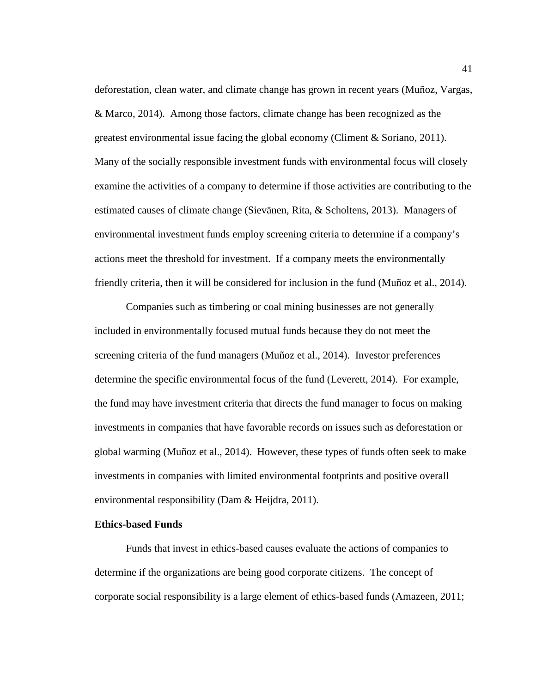deforestation, clean water, and climate change has grown in recent years (Muñoz, Vargas, & Marco, 2014). Among those factors, climate change has been recognized as the greatest environmental issue facing the global economy (Climent  $\&$  Soriano, 2011). Many of the socially responsible investment funds with environmental focus will closely examine the activities of a company to determine if those activities are contributing to the estimated causes of climate change (Sievänen, Rita, & Scholtens, 2013). Managers of environmental investment funds employ screening criteria to determine if a company's actions meet the threshold for investment. If a company meets the environmentally friendly criteria, then it will be considered for inclusion in the fund (Muñoz et al., 2014).

Companies such as timbering or coal mining businesses are not generally included in environmentally focused mutual funds because they do not meet the screening criteria of the fund managers (Muñoz et al., 2014). Investor preferences determine the specific environmental focus of the fund (Leverett, 2014). For example, the fund may have investment criteria that directs the fund manager to focus on making investments in companies that have favorable records on issues such as deforestation or global warming (Muñoz et al., 2014). However, these types of funds often seek to make investments in companies with limited environmental footprints and positive overall environmental responsibility (Dam & Heijdra, 2011).

## **Ethics-based Funds**

Funds that invest in ethics-based causes evaluate the actions of companies to determine if the organizations are being good corporate citizens. The concept of corporate social responsibility is a large element of ethics-based funds (Amazeen, 2011;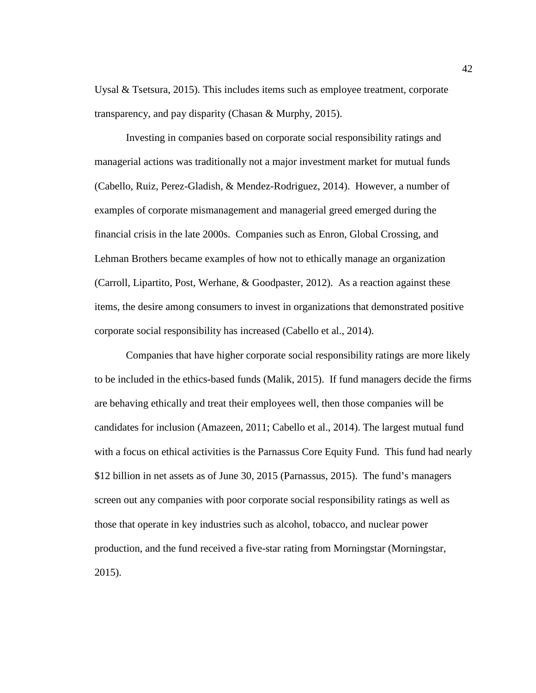Uysal & Tsetsura, 2015). This includes items such as employee treatment, corporate transparency, and pay disparity (Chasan & Murphy, 2015).

Investing in companies based on corporate social responsibility ratings and managerial actions was traditionally not a major investment market for mutual funds (Cabello, Ruiz, Perez-Gladish, & Mendez-Rodriguez, 2014). However, a number of examples of corporate mismanagement and managerial greed emerged during the financial crisis in the late 2000s. Companies such as Enron, Global Crossing, and Lehman Brothers became examples of how not to ethically manage an organization (Carroll, Lipartito, Post, Werhane, & Goodpaster, 2012). As a reaction against these items, the desire among consumers to invest in organizations that demonstrated positive corporate social responsibility has increased (Cabello et al., 2014).

Companies that have higher corporate social responsibility ratings are more likely to be included in the ethics-based funds (Malik, 2015). If fund managers decide the firms are behaving ethically and treat their employees well, then those companies will be candidates for inclusion (Amazeen, 2011; Cabello et al., 2014). The largest mutual fund with a focus on ethical activities is the Parnassus Core Equity Fund. This fund had nearly \$12 billion in net assets as of June 30, 2015 (Parnassus, 2015). The fund's managers screen out any companies with poor corporate social responsibility ratings as well as those that operate in key industries such as alcohol, tobacco, and nuclear power production, and the fund received a five-star rating from Morningstar (Morningstar, 2015).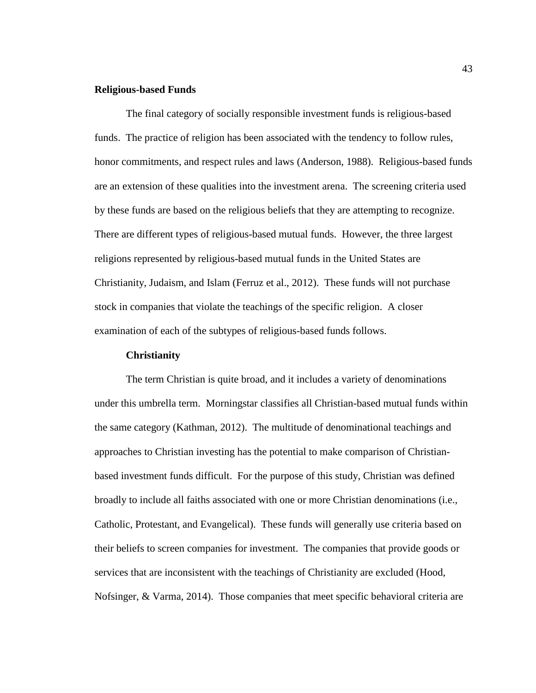### **Religious-based Funds**

The final category of socially responsible investment funds is religious-based funds. The practice of religion has been associated with the tendency to follow rules, honor commitments, and respect rules and laws (Anderson, 1988). Religious-based funds are an extension of these qualities into the investment arena. The screening criteria used by these funds are based on the religious beliefs that they are attempting to recognize. There are different types of religious-based mutual funds. However, the three largest religions represented by religious-based mutual funds in the United States are Christianity, Judaism, and Islam (Ferruz et al., 2012). These funds will not purchase stock in companies that violate the teachings of the specific religion. A closer examination of each of the subtypes of religious-based funds follows.

### **Christianity**

The term Christian is quite broad, and it includes a variety of denominations under this umbrella term. Morningstar classifies all Christian-based mutual funds within the same category (Kathman, 2012). The multitude of denominational teachings and approaches to Christian investing has the potential to make comparison of Christianbased investment funds difficult. For the purpose of this study, Christian was defined broadly to include all faiths associated with one or more Christian denominations (i.e., Catholic, Protestant, and Evangelical). These funds will generally use criteria based on their beliefs to screen companies for investment. The companies that provide goods or services that are inconsistent with the teachings of Christianity are excluded (Hood, Nofsinger, & Varma, 2014). Those companies that meet specific behavioral criteria are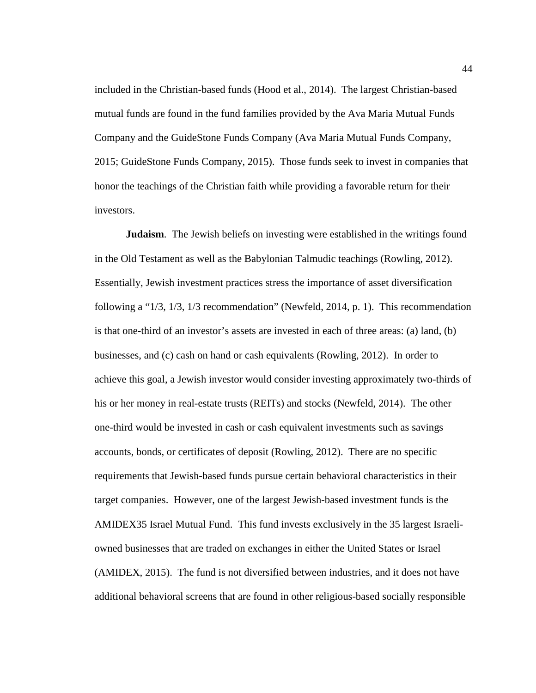included in the Christian-based funds (Hood et al., 2014). The largest Christian-based mutual funds are found in the fund families provided by the Ava Maria Mutual Funds Company and the GuideStone Funds Company (Ava Maria Mutual Funds Company, 2015; GuideStone Funds Company, 2015). Those funds seek to invest in companies that honor the teachings of the Christian faith while providing a favorable return for their investors.

**Judaism.** The Jewish beliefs on investing were established in the writings found in the Old Testament as well as the Babylonian Talmudic teachings (Rowling, 2012). Essentially, Jewish investment practices stress the importance of asset diversification following a "1/3, 1/3, 1/3 recommendation" (Newfeld, 2014, p. 1). This recommendation is that one-third of an investor's assets are invested in each of three areas: (a) land, (b) businesses, and (c) cash on hand or cash equivalents (Rowling, 2012). In order to achieve this goal, a Jewish investor would consider investing approximately two-thirds of his or her money in real-estate trusts (REITs) and stocks (Newfeld, 2014). The other one-third would be invested in cash or cash equivalent investments such as savings accounts, bonds, or certificates of deposit (Rowling, 2012). There are no specific requirements that Jewish-based funds pursue certain behavioral characteristics in their target companies. However, one of the largest Jewish-based investment funds is the AMIDEX35 Israel Mutual Fund. This fund invests exclusively in the 35 largest Israeliowned businesses that are traded on exchanges in either the United States or Israel (AMIDEX, 2015). The fund is not diversified between industries, and it does not have additional behavioral screens that are found in other religious-based socially responsible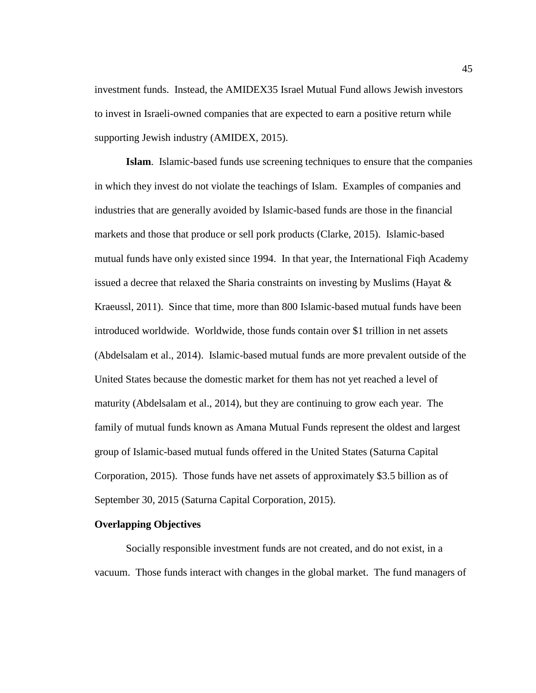investment funds. Instead, the AMIDEX35 Israel Mutual Fund allows Jewish investors to invest in Israeli-owned companies that are expected to earn a positive return while supporting Jewish industry (AMIDEX, 2015).

**Islam**. Islamic-based funds use screening techniques to ensure that the companies in which they invest do not violate the teachings of Islam. Examples of companies and industries that are generally avoided by Islamic-based funds are those in the financial markets and those that produce or sell pork products (Clarke, 2015). Islamic-based mutual funds have only existed since 1994. In that year, the International Fiqh Academy issued a decree that relaxed the Sharia constraints on investing by Muslims (Hayat & Kraeussl, 2011). Since that time, more than 800 Islamic-based mutual funds have been introduced worldwide. Worldwide, those funds contain over \$1 trillion in net assets (Abdelsalam et al., 2014). Islamic-based mutual funds are more prevalent outside of the United States because the domestic market for them has not yet reached a level of maturity (Abdelsalam et al., 2014), but they are continuing to grow each year. The family of mutual funds known as Amana Mutual Funds represent the oldest and largest group of Islamic-based mutual funds offered in the United States (Saturna Capital Corporation, 2015). Those funds have net assets of approximately \$3.5 billion as of September 30, 2015 (Saturna Capital Corporation, 2015).

## **Overlapping Objectives**

Socially responsible investment funds are not created, and do not exist, in a vacuum. Those funds interact with changes in the global market. The fund managers of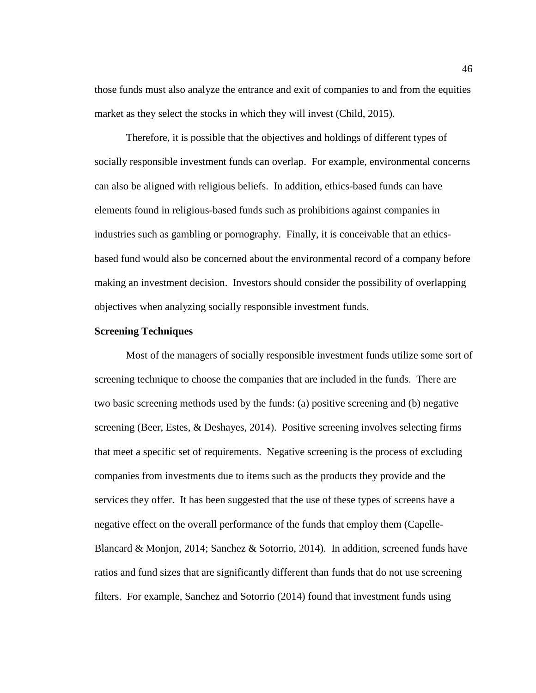those funds must also analyze the entrance and exit of companies to and from the equities market as they select the stocks in which they will invest (Child, 2015).

Therefore, it is possible that the objectives and holdings of different types of socially responsible investment funds can overlap. For example, environmental concerns can also be aligned with religious beliefs. In addition, ethics-based funds can have elements found in religious-based funds such as prohibitions against companies in industries such as gambling or pornography. Finally, it is conceivable that an ethicsbased fund would also be concerned about the environmental record of a company before making an investment decision. Investors should consider the possibility of overlapping objectives when analyzing socially responsible investment funds.

## **Screening Techniques**

Most of the managers of socially responsible investment funds utilize some sort of screening technique to choose the companies that are included in the funds. There are two basic screening methods used by the funds: (a) positive screening and (b) negative screening (Beer, Estes, & Deshayes, 2014). Positive screening involves selecting firms that meet a specific set of requirements. Negative screening is the process of excluding companies from investments due to items such as the products they provide and the services they offer. It has been suggested that the use of these types of screens have a negative effect on the overall performance of the funds that employ them (Capelle-Blancard & Monjon, 2014; Sanchez & Sotorrio, 2014). In addition, screened funds have ratios and fund sizes that are significantly different than funds that do not use screening filters. For example, Sanchez and Sotorrio (2014) found that investment funds using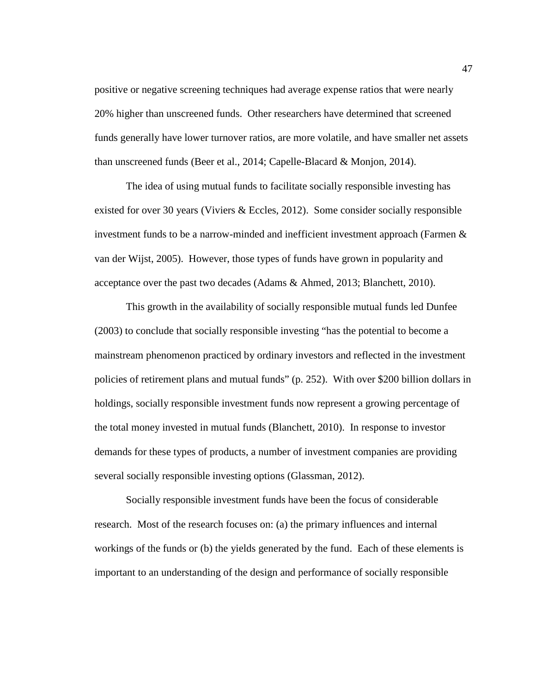positive or negative screening techniques had average expense ratios that were nearly 20% higher than unscreened funds. Other researchers have determined that screened funds generally have lower turnover ratios, are more volatile, and have smaller net assets than unscreened funds (Beer et al., 2014; Capelle-Blacard & Monjon, 2014).

The idea of using mutual funds to facilitate socially responsible investing has existed for over 30 years (Viviers & Eccles, 2012). Some consider socially responsible investment funds to be a narrow-minded and inefficient investment approach (Farmen  $\&$ van der Wijst, 2005). However, those types of funds have grown in popularity and acceptance over the past two decades (Adams & Ahmed, 2013; Blanchett, 2010).

This growth in the availability of socially responsible mutual funds led Dunfee (2003) to conclude that socially responsible investing "has the potential to become a mainstream phenomenon practiced by ordinary investors and reflected in the investment policies of retirement plans and mutual funds" (p. 252). With over \$200 billion dollars in holdings, socially responsible investment funds now represent a growing percentage of the total money invested in mutual funds (Blanchett, 2010). In response to investor demands for these types of products, a number of investment companies are providing several socially responsible investing options (Glassman, 2012).

Socially responsible investment funds have been the focus of considerable research. Most of the research focuses on: (a) the primary influences and internal workings of the funds or (b) the yields generated by the fund. Each of these elements is important to an understanding of the design and performance of socially responsible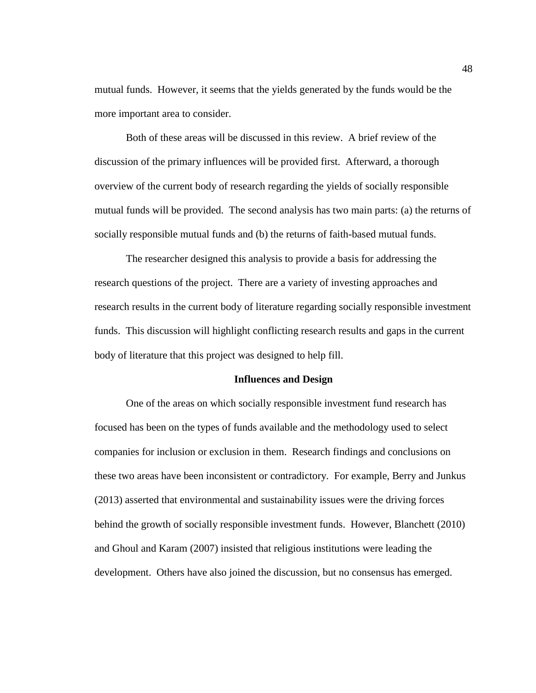mutual funds. However, it seems that the yields generated by the funds would be the more important area to consider.

Both of these areas will be discussed in this review. A brief review of the discussion of the primary influences will be provided first. Afterward, a thorough overview of the current body of research regarding the yields of socially responsible mutual funds will be provided. The second analysis has two main parts: (a) the returns of socially responsible mutual funds and (b) the returns of faith-based mutual funds.

The researcher designed this analysis to provide a basis for addressing the research questions of the project. There are a variety of investing approaches and research results in the current body of literature regarding socially responsible investment funds. This discussion will highlight conflicting research results and gaps in the current body of literature that this project was designed to help fill.

### **Influences and Design**

One of the areas on which socially responsible investment fund research has focused has been on the types of funds available and the methodology used to select companies for inclusion or exclusion in them. Research findings and conclusions on these two areas have been inconsistent or contradictory. For example, Berry and Junkus (2013) asserted that environmental and sustainability issues were the driving forces behind the growth of socially responsible investment funds. However, Blanchett (2010) and Ghoul and Karam (2007) insisted that religious institutions were leading the development. Others have also joined the discussion, but no consensus has emerged.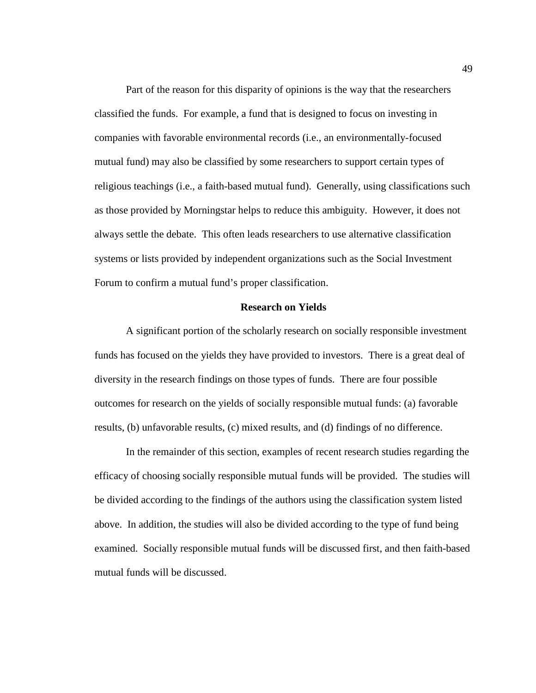Part of the reason for this disparity of opinions is the way that the researchers classified the funds. For example, a fund that is designed to focus on investing in companies with favorable environmental records (i.e., an environmentally-focused mutual fund) may also be classified by some researchers to support certain types of religious teachings (i.e., a faith-based mutual fund). Generally, using classifications such as those provided by Morningstar helps to reduce this ambiguity. However, it does not always settle the debate. This often leads researchers to use alternative classification systems or lists provided by independent organizations such as the Social Investment Forum to confirm a mutual fund's proper classification.

#### **Research on Yields**

A significant portion of the scholarly research on socially responsible investment funds has focused on the yields they have provided to investors. There is a great deal of diversity in the research findings on those types of funds. There are four possible outcomes for research on the yields of socially responsible mutual funds: (a) favorable results, (b) unfavorable results, (c) mixed results, and (d) findings of no difference.

In the remainder of this section, examples of recent research studies regarding the efficacy of choosing socially responsible mutual funds will be provided. The studies will be divided according to the findings of the authors using the classification system listed above. In addition, the studies will also be divided according to the type of fund being examined. Socially responsible mutual funds will be discussed first, and then faith-based mutual funds will be discussed.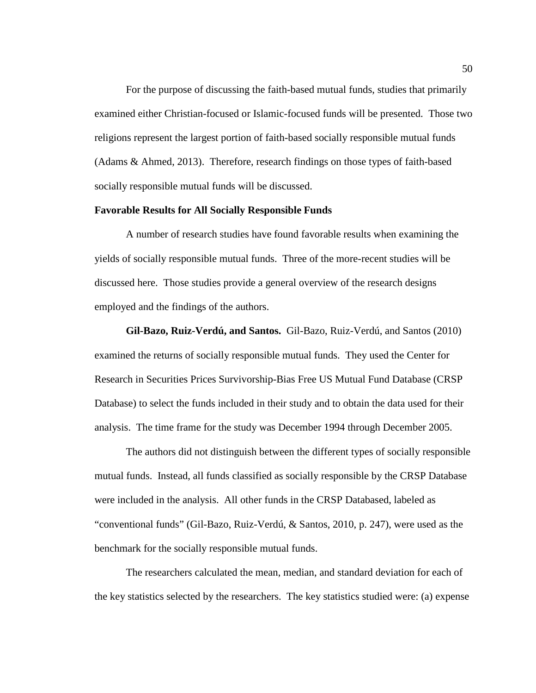For the purpose of discussing the faith-based mutual funds, studies that primarily examined either Christian-focused or Islamic-focused funds will be presented. Those two religions represent the largest portion of faith-based socially responsible mutual funds (Adams & Ahmed, 2013). Therefore, research findings on those types of faith-based socially responsible mutual funds will be discussed.

#### **Favorable Results for All Socially Responsible Funds**

A number of research studies have found favorable results when examining the yields of socially responsible mutual funds. Three of the more-recent studies will be discussed here. Those studies provide a general overview of the research designs employed and the findings of the authors.

**Gil-Bazo, Ruiz-Verdú, and Santos.** Gil-Bazo, Ruiz-Verdú, and Santos (2010) examined the returns of socially responsible mutual funds. They used the Center for Research in Securities Prices Survivorship-Bias Free US Mutual Fund Database (CRSP Database) to select the funds included in their study and to obtain the data used for their analysis. The time frame for the study was December 1994 through December 2005.

The authors did not distinguish between the different types of socially responsible mutual funds. Instead, all funds classified as socially responsible by the CRSP Database were included in the analysis. All other funds in the CRSP Databased, labeled as "conventional funds" (Gil-Bazo, Ruiz-Verdú, & Santos, 2010, p. 247), were used as the benchmark for the socially responsible mutual funds.

The researchers calculated the mean, median, and standard deviation for each of the key statistics selected by the researchers. The key statistics studied were: (a) expense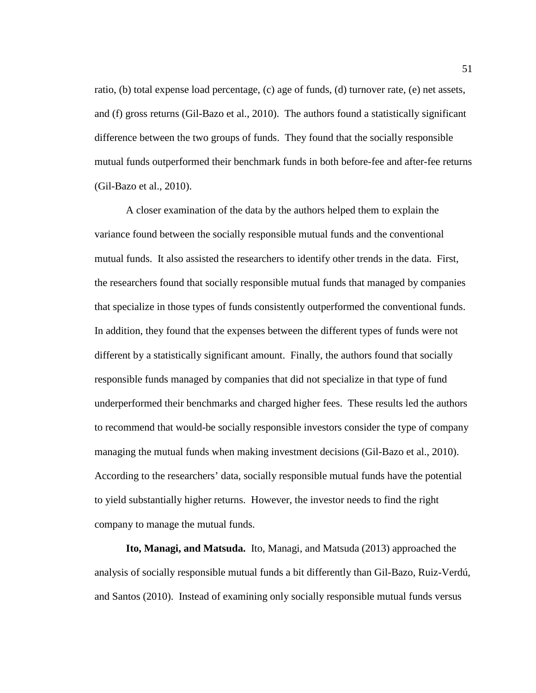ratio, (b) total expense load percentage, (c) age of funds, (d) turnover rate, (e) net assets, and (f) gross returns (Gil-Bazo et al., 2010). The authors found a statistically significant difference between the two groups of funds. They found that the socially responsible mutual funds outperformed their benchmark funds in both before-fee and after-fee returns (Gil-Bazo et al., 2010).

A closer examination of the data by the authors helped them to explain the variance found between the socially responsible mutual funds and the conventional mutual funds. It also assisted the researchers to identify other trends in the data. First, the researchers found that socially responsible mutual funds that managed by companies that specialize in those types of funds consistently outperformed the conventional funds. In addition, they found that the expenses between the different types of funds were not different by a statistically significant amount. Finally, the authors found that socially responsible funds managed by companies that did not specialize in that type of fund underperformed their benchmarks and charged higher fees. These results led the authors to recommend that would-be socially responsible investors consider the type of company managing the mutual funds when making investment decisions (Gil-Bazo et al., 2010). According to the researchers' data, socially responsible mutual funds have the potential to yield substantially higher returns. However, the investor needs to find the right company to manage the mutual funds.

**Ito, Managi, and Matsuda.** Ito, Managi, and Matsuda (2013) approached the analysis of socially responsible mutual funds a bit differently than Gil-Bazo, Ruiz-Verdú, and Santos (2010). Instead of examining only socially responsible mutual funds versus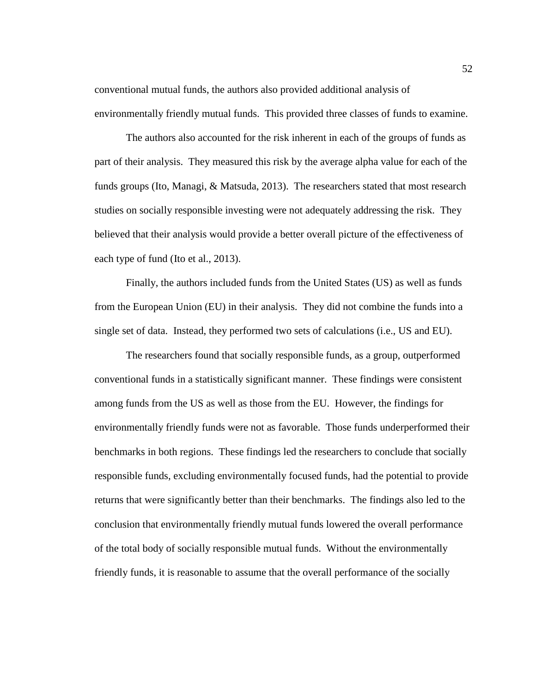conventional mutual funds, the authors also provided additional analysis of environmentally friendly mutual funds. This provided three classes of funds to examine.

The authors also accounted for the risk inherent in each of the groups of funds as part of their analysis. They measured this risk by the average alpha value for each of the funds groups (Ito, Managi, & Matsuda, 2013). The researchers stated that most research studies on socially responsible investing were not adequately addressing the risk. They believed that their analysis would provide a better overall picture of the effectiveness of each type of fund (Ito et al., 2013).

Finally, the authors included funds from the United States (US) as well as funds from the European Union (EU) in their analysis. They did not combine the funds into a single set of data. Instead, they performed two sets of calculations (i.e., US and EU).

The researchers found that socially responsible funds, as a group, outperformed conventional funds in a statistically significant manner. These findings were consistent among funds from the US as well as those from the EU. However, the findings for environmentally friendly funds were not as favorable. Those funds underperformed their benchmarks in both regions. These findings led the researchers to conclude that socially responsible funds, excluding environmentally focused funds, had the potential to provide returns that were significantly better than their benchmarks. The findings also led to the conclusion that environmentally friendly mutual funds lowered the overall performance of the total body of socially responsible mutual funds. Without the environmentally friendly funds, it is reasonable to assume that the overall performance of the socially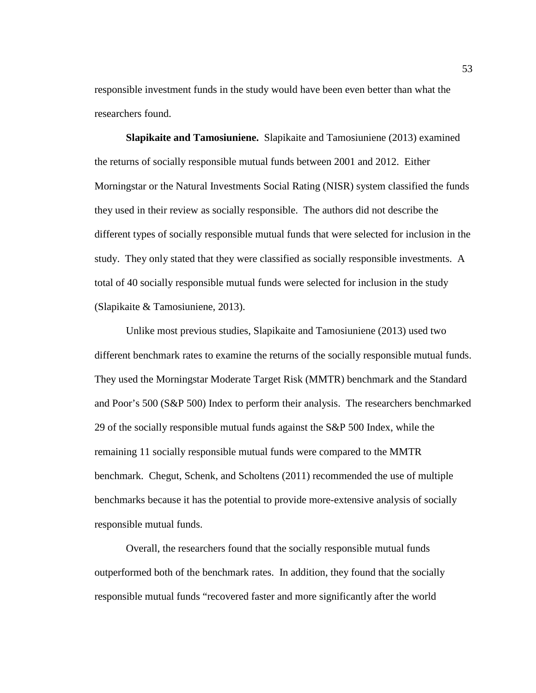responsible investment funds in the study would have been even better than what the researchers found.

**Slapikaite and Tamosiuniene.** Slapikaite and Tamosiuniene (2013) examined the returns of socially responsible mutual funds between 2001 and 2012. Either Morningstar or the Natural Investments Social Rating (NISR) system classified the funds they used in their review as socially responsible. The authors did not describe the different types of socially responsible mutual funds that were selected for inclusion in the study. They only stated that they were classified as socially responsible investments. A total of 40 socially responsible mutual funds were selected for inclusion in the study (Slapikaite & Tamosiuniene, 2013).

Unlike most previous studies, Slapikaite and Tamosiuniene (2013) used two different benchmark rates to examine the returns of the socially responsible mutual funds. They used the Morningstar Moderate Target Risk (MMTR) benchmark and the Standard and Poor's 500 (S&P 500) Index to perform their analysis. The researchers benchmarked 29 of the socially responsible mutual funds against the S&P 500 Index, while the remaining 11 socially responsible mutual funds were compared to the MMTR benchmark. Chegut, Schenk, and Scholtens (2011) recommended the use of multiple benchmarks because it has the potential to provide more-extensive analysis of socially responsible mutual funds.

Overall, the researchers found that the socially responsible mutual funds outperformed both of the benchmark rates. In addition, they found that the socially responsible mutual funds "recovered faster and more significantly after the world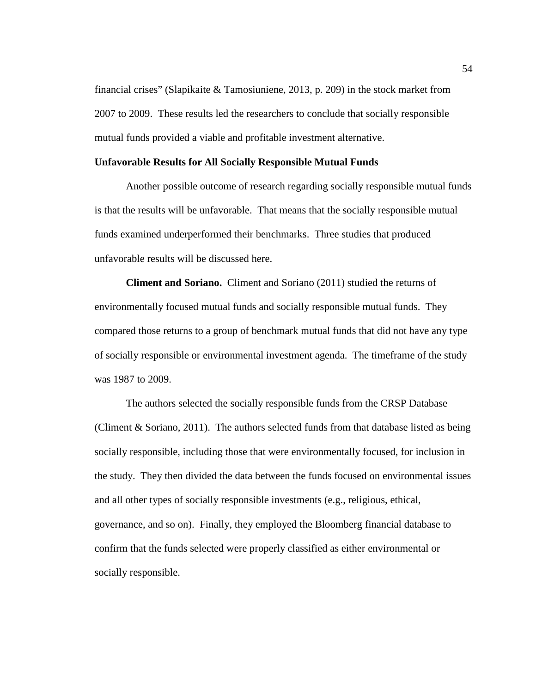financial crises" (Slapikaite & Tamosiuniene, 2013, p. 209) in the stock market from 2007 to 2009. These results led the researchers to conclude that socially responsible mutual funds provided a viable and profitable investment alternative.

#### **Unfavorable Results for All Socially Responsible Mutual Funds**

Another possible outcome of research regarding socially responsible mutual funds is that the results will be unfavorable. That means that the socially responsible mutual funds examined underperformed their benchmarks. Three studies that produced unfavorable results will be discussed here.

**Climent and Soriano.** Climent and Soriano (2011) studied the returns of environmentally focused mutual funds and socially responsible mutual funds. They compared those returns to a group of benchmark mutual funds that did not have any type of socially responsible or environmental investment agenda. The timeframe of the study was 1987 to 2009.

The authors selected the socially responsible funds from the CRSP Database (Climent & Soriano, 2011). The authors selected funds from that database listed as being socially responsible, including those that were environmentally focused, for inclusion in the study. They then divided the data between the funds focused on environmental issues and all other types of socially responsible investments (e.g., religious, ethical, governance, and so on). Finally, they employed the Bloomberg financial database to confirm that the funds selected were properly classified as either environmental or socially responsible.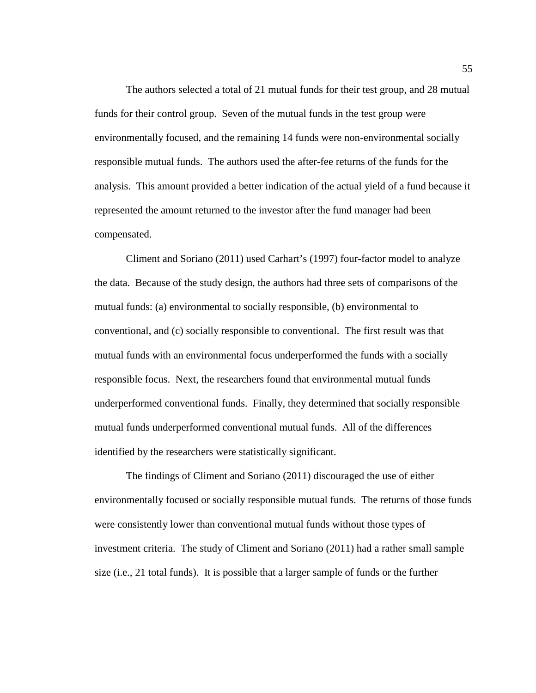The authors selected a total of 21 mutual funds for their test group, and 28 mutual funds for their control group. Seven of the mutual funds in the test group were environmentally focused, and the remaining 14 funds were non-environmental socially responsible mutual funds. The authors used the after-fee returns of the funds for the analysis. This amount provided a better indication of the actual yield of a fund because it represented the amount returned to the investor after the fund manager had been compensated.

Climent and Soriano (2011) used Carhart's (1997) four-factor model to analyze the data. Because of the study design, the authors had three sets of comparisons of the mutual funds: (a) environmental to socially responsible, (b) environmental to conventional, and (c) socially responsible to conventional. The first result was that mutual funds with an environmental focus underperformed the funds with a socially responsible focus. Next, the researchers found that environmental mutual funds underperformed conventional funds. Finally, they determined that socially responsible mutual funds underperformed conventional mutual funds. All of the differences identified by the researchers were statistically significant.

The findings of Climent and Soriano (2011) discouraged the use of either environmentally focused or socially responsible mutual funds. The returns of those funds were consistently lower than conventional mutual funds without those types of investment criteria. The study of Climent and Soriano (2011) had a rather small sample size (i.e., 21 total funds). It is possible that a larger sample of funds or the further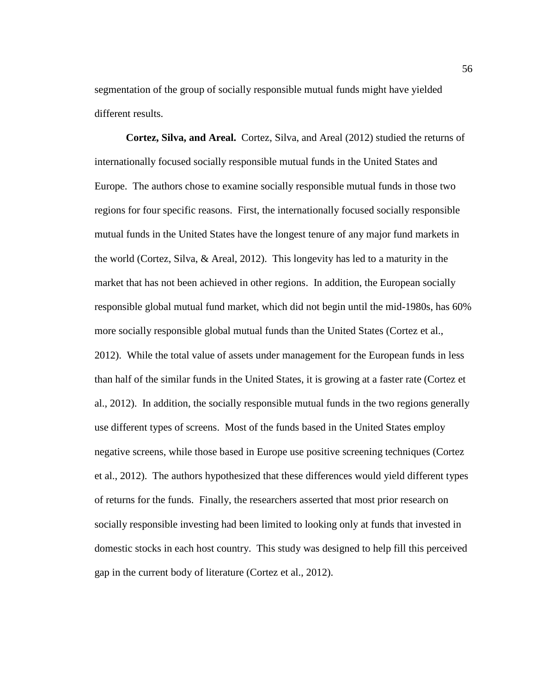segmentation of the group of socially responsible mutual funds might have yielded different results.

**Cortez, Silva, and Areal.** Cortez, Silva, and Areal (2012) studied the returns of internationally focused socially responsible mutual funds in the United States and Europe. The authors chose to examine socially responsible mutual funds in those two regions for four specific reasons. First, the internationally focused socially responsible mutual funds in the United States have the longest tenure of any major fund markets in the world (Cortez, Silva, & Areal, 2012). This longevity has led to a maturity in the market that has not been achieved in other regions. In addition, the European socially responsible global mutual fund market, which did not begin until the mid-1980s, has 60% more socially responsible global mutual funds than the United States (Cortez et al., 2012). While the total value of assets under management for the European funds in less than half of the similar funds in the United States, it is growing at a faster rate (Cortez et al., 2012). In addition, the socially responsible mutual funds in the two regions generally use different types of screens. Most of the funds based in the United States employ negative screens, while those based in Europe use positive screening techniques (Cortez et al., 2012). The authors hypothesized that these differences would yield different types of returns for the funds. Finally, the researchers asserted that most prior research on socially responsible investing had been limited to looking only at funds that invested in domestic stocks in each host country. This study was designed to help fill this perceived gap in the current body of literature (Cortez et al., 2012).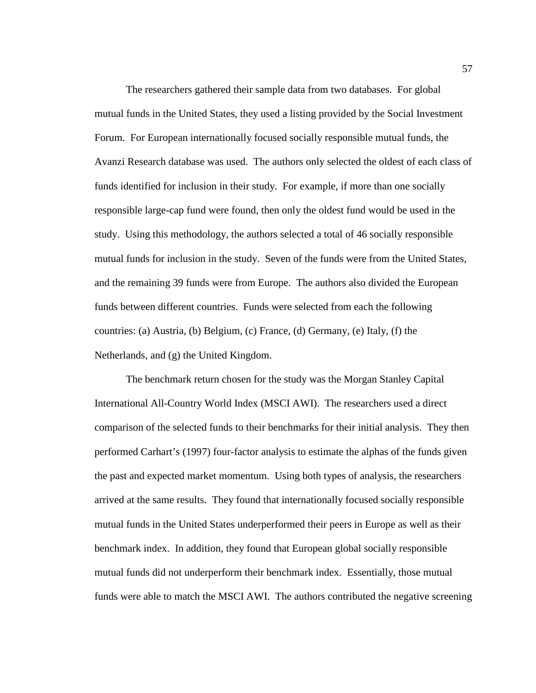The researchers gathered their sample data from two databases. For global mutual funds in the United States, they used a listing provided by the Social Investment Forum. For European internationally focused socially responsible mutual funds, the Avanzi Research database was used. The authors only selected the oldest of each class of funds identified for inclusion in their study. For example, if more than one socially responsible large-cap fund were found, then only the oldest fund would be used in the study. Using this methodology, the authors selected a total of 46 socially responsible mutual funds for inclusion in the study. Seven of the funds were from the United States, and the remaining 39 funds were from Europe. The authors also divided the European funds between different countries. Funds were selected from each the following countries: (a) Austria, (b) Belgium, (c) France, (d) Germany, (e) Italy, (f) the Netherlands, and (g) the United Kingdom.

The benchmark return chosen for the study was the Morgan Stanley Capital International All-Country World Index (MSCI AWI). The researchers used a direct comparison of the selected funds to their benchmarks for their initial analysis. They then performed Carhart's (1997) four-factor analysis to estimate the alphas of the funds given the past and expected market momentum. Using both types of analysis, the researchers arrived at the same results. They found that internationally focused socially responsible mutual funds in the United States underperformed their peers in Europe as well as their benchmark index. In addition, they found that European global socially responsible mutual funds did not underperform their benchmark index. Essentially, those mutual funds were able to match the MSCI AWI. The authors contributed the negative screening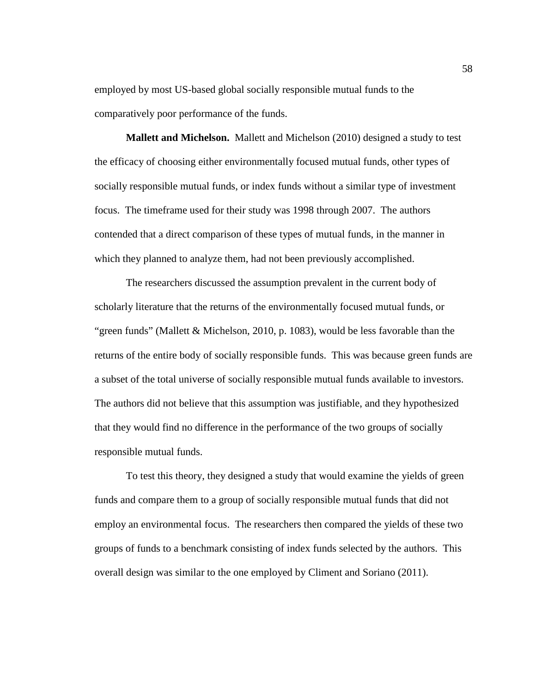employed by most US-based global socially responsible mutual funds to the comparatively poor performance of the funds.

**Mallett and Michelson.** Mallett and Michelson (2010) designed a study to test the efficacy of choosing either environmentally focused mutual funds, other types of socially responsible mutual funds, or index funds without a similar type of investment focus. The timeframe used for their study was 1998 through 2007. The authors contended that a direct comparison of these types of mutual funds, in the manner in which they planned to analyze them, had not been previously accomplished.

The researchers discussed the assumption prevalent in the current body of scholarly literature that the returns of the environmentally focused mutual funds, or "green funds" (Mallett & Michelson, 2010, p. 1083), would be less favorable than the returns of the entire body of socially responsible funds. This was because green funds are a subset of the total universe of socially responsible mutual funds available to investors. The authors did not believe that this assumption was justifiable, and they hypothesized that they would find no difference in the performance of the two groups of socially responsible mutual funds.

To test this theory, they designed a study that would examine the yields of green funds and compare them to a group of socially responsible mutual funds that did not employ an environmental focus. The researchers then compared the yields of these two groups of funds to a benchmark consisting of index funds selected by the authors. This overall design was similar to the one employed by Climent and Soriano (2011).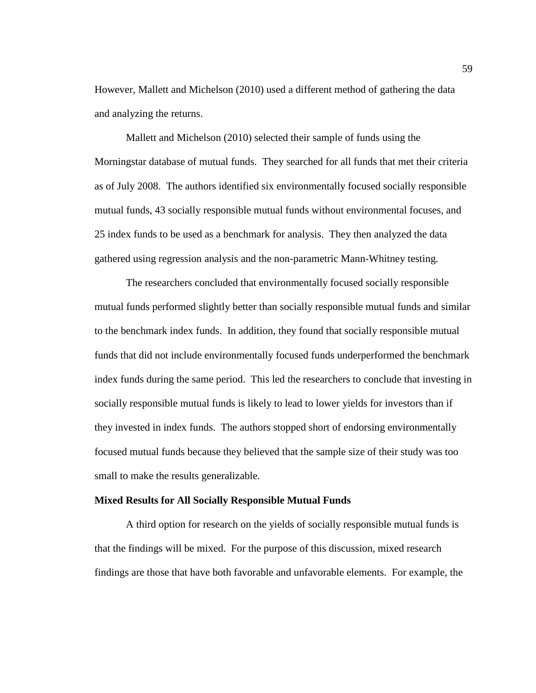However, Mallett and Michelson (2010) used a different method of gathering the data and analyzing the returns.

Mallett and Michelson (2010) selected their sample of funds using the Morningstar database of mutual funds. They searched for all funds that met their criteria as of July 2008. The authors identified six environmentally focused socially responsible mutual funds, 43 socially responsible mutual funds without environmental focuses, and 25 index funds to be used as a benchmark for analysis. They then analyzed the data gathered using regression analysis and the non-parametric Mann-Whitney testing.

The researchers concluded that environmentally focused socially responsible mutual funds performed slightly better than socially responsible mutual funds and similar to the benchmark index funds. In addition, they found that socially responsible mutual funds that did not include environmentally focused funds underperformed the benchmark index funds during the same period. This led the researchers to conclude that investing in socially responsible mutual funds is likely to lead to lower yields for investors than if they invested in index funds. The authors stopped short of endorsing environmentally focused mutual funds because they believed that the sample size of their study was too small to make the results generalizable.

## **Mixed Results for All Socially Responsible Mutual Funds**

A third option for research on the yields of socially responsible mutual funds is that the findings will be mixed. For the purpose of this discussion, mixed research findings are those that have both favorable and unfavorable elements. For example, the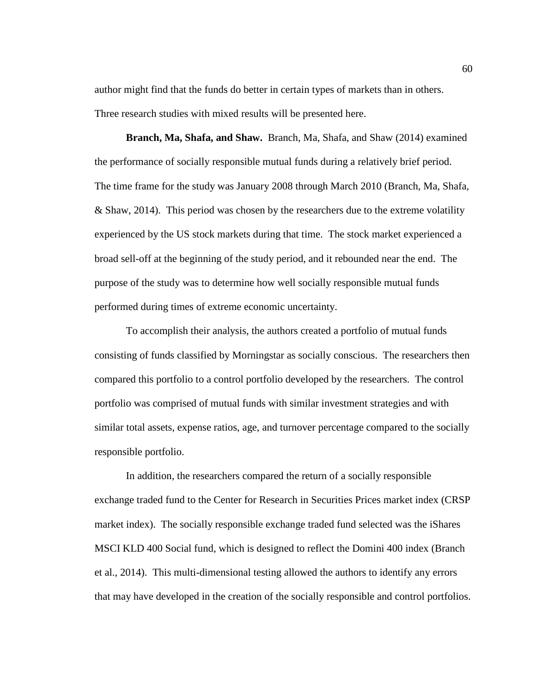author might find that the funds do better in certain types of markets than in others. Three research studies with mixed results will be presented here.

**Branch, Ma, Shafa, and Shaw.** Branch, Ma, Shafa, and Shaw (2014) examined the performance of socially responsible mutual funds during a relatively brief period. The time frame for the study was January 2008 through March 2010 (Branch, Ma, Shafa, & Shaw, 2014). This period was chosen by the researchers due to the extreme volatility experienced by the US stock markets during that time. The stock market experienced a broad sell-off at the beginning of the study period, and it rebounded near the end. The purpose of the study was to determine how well socially responsible mutual funds performed during times of extreme economic uncertainty.

To accomplish their analysis, the authors created a portfolio of mutual funds consisting of funds classified by Morningstar as socially conscious. The researchers then compared this portfolio to a control portfolio developed by the researchers. The control portfolio was comprised of mutual funds with similar investment strategies and with similar total assets, expense ratios, age, and turnover percentage compared to the socially responsible portfolio.

In addition, the researchers compared the return of a socially responsible exchange traded fund to the Center for Research in Securities Prices market index (CRSP market index). The socially responsible exchange traded fund selected was the iShares MSCI KLD 400 Social fund, which is designed to reflect the Domini 400 index (Branch et al., 2014). This multi-dimensional testing allowed the authors to identify any errors that may have developed in the creation of the socially responsible and control portfolios.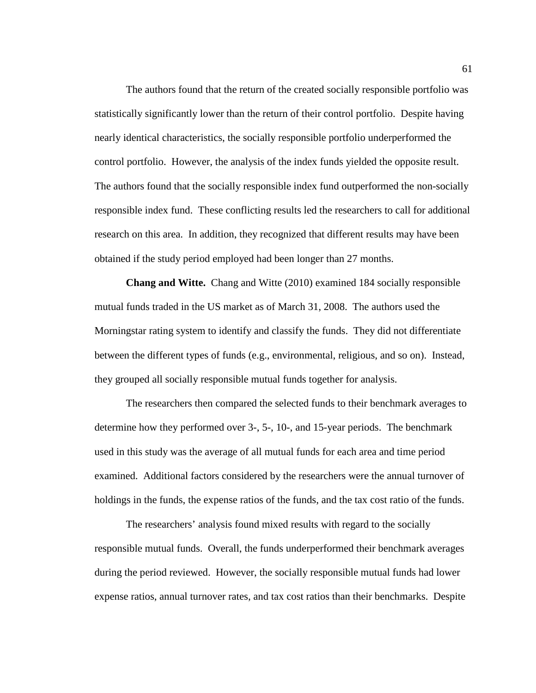The authors found that the return of the created socially responsible portfolio was statistically significantly lower than the return of their control portfolio. Despite having nearly identical characteristics, the socially responsible portfolio underperformed the control portfolio. However, the analysis of the index funds yielded the opposite result. The authors found that the socially responsible index fund outperformed the non-socially responsible index fund. These conflicting results led the researchers to call for additional research on this area. In addition, they recognized that different results may have been obtained if the study period employed had been longer than 27 months.

**Chang and Witte.** Chang and Witte (2010) examined 184 socially responsible mutual funds traded in the US market as of March 31, 2008. The authors used the Morningstar rating system to identify and classify the funds. They did not differentiate between the different types of funds (e.g., environmental, religious, and so on). Instead, they grouped all socially responsible mutual funds together for analysis.

The researchers then compared the selected funds to their benchmark averages to determine how they performed over 3-, 5-, 10-, and 15-year periods. The benchmark used in this study was the average of all mutual funds for each area and time period examined. Additional factors considered by the researchers were the annual turnover of holdings in the funds, the expense ratios of the funds, and the tax cost ratio of the funds.

The researchers' analysis found mixed results with regard to the socially responsible mutual funds. Overall, the funds underperformed their benchmark averages during the period reviewed. However, the socially responsible mutual funds had lower expense ratios, annual turnover rates, and tax cost ratios than their benchmarks. Despite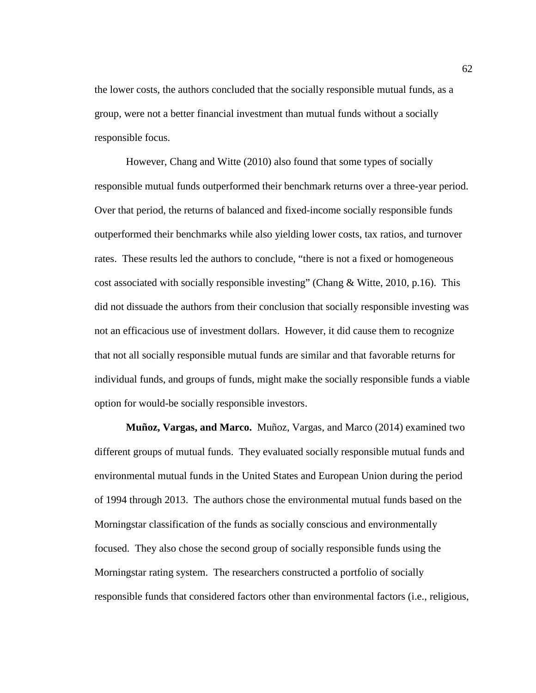the lower costs, the authors concluded that the socially responsible mutual funds, as a group, were not a better financial investment than mutual funds without a socially responsible focus.

However, Chang and Witte (2010) also found that some types of socially responsible mutual funds outperformed their benchmark returns over a three-year period. Over that period, the returns of balanced and fixed-income socially responsible funds outperformed their benchmarks while also yielding lower costs, tax ratios, and turnover rates. These results led the authors to conclude, "there is not a fixed or homogeneous cost associated with socially responsible investing" (Chang & Witte, 2010, p.16). This did not dissuade the authors from their conclusion that socially responsible investing was not an efficacious use of investment dollars. However, it did cause them to recognize that not all socially responsible mutual funds are similar and that favorable returns for individual funds, and groups of funds, might make the socially responsible funds a viable option for would-be socially responsible investors.

**Muñoz, Vargas, and Marco.** Muñoz, Vargas, and Marco (2014) examined two different groups of mutual funds. They evaluated socially responsible mutual funds and environmental mutual funds in the United States and European Union during the period of 1994 through 2013. The authors chose the environmental mutual funds based on the Morningstar classification of the funds as socially conscious and environmentally focused. They also chose the second group of socially responsible funds using the Morningstar rating system. The researchers constructed a portfolio of socially responsible funds that considered factors other than environmental factors (i.e., religious,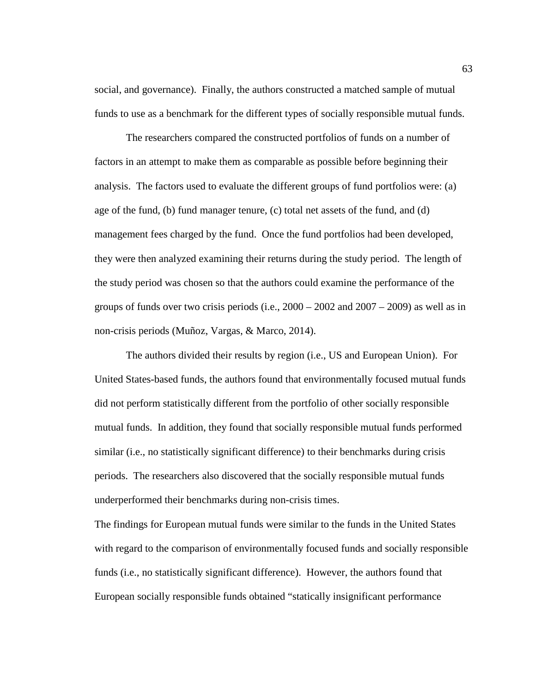social, and governance). Finally, the authors constructed a matched sample of mutual funds to use as a benchmark for the different types of socially responsible mutual funds.

The researchers compared the constructed portfolios of funds on a number of factors in an attempt to make them as comparable as possible before beginning their analysis. The factors used to evaluate the different groups of fund portfolios were: (a) age of the fund, (b) fund manager tenure, (c) total net assets of the fund, and (d) management fees charged by the fund. Once the fund portfolios had been developed, they were then analyzed examining their returns during the study period. The length of the study period was chosen so that the authors could examine the performance of the groups of funds over two crisis periods (i.e.,  $2000 - 2002$  and  $2007 - 2009$ ) as well as in non-crisis periods (Muñoz, Vargas, & Marco, 2014).

The authors divided their results by region (i.e., US and European Union). For United States-based funds, the authors found that environmentally focused mutual funds did not perform statistically different from the portfolio of other socially responsible mutual funds. In addition, they found that socially responsible mutual funds performed similar (i.e., no statistically significant difference) to their benchmarks during crisis periods. The researchers also discovered that the socially responsible mutual funds underperformed their benchmarks during non-crisis times.

The findings for European mutual funds were similar to the funds in the United States with regard to the comparison of environmentally focused funds and socially responsible funds (i.e., no statistically significant difference). However, the authors found that European socially responsible funds obtained "statically insignificant performance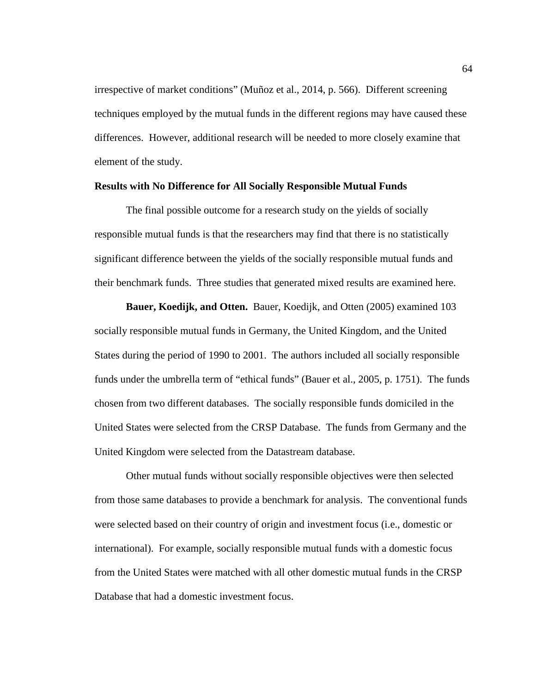irrespective of market conditions" (Muñoz et al., 2014, p. 566). Different screening techniques employed by the mutual funds in the different regions may have caused these differences. However, additional research will be needed to more closely examine that element of the study.

### **Results with No Difference for All Socially Responsible Mutual Funds**

The final possible outcome for a research study on the yields of socially responsible mutual funds is that the researchers may find that there is no statistically significant difference between the yields of the socially responsible mutual funds and their benchmark funds. Three studies that generated mixed results are examined here.

**Bauer, Koedijk, and Otten.** Bauer, Koedijk, and Otten (2005) examined 103 socially responsible mutual funds in Germany, the United Kingdom, and the United States during the period of 1990 to 2001. The authors included all socially responsible funds under the umbrella term of "ethical funds" (Bauer et al., 2005, p. 1751). The funds chosen from two different databases. The socially responsible funds domiciled in the United States were selected from the CRSP Database. The funds from Germany and the United Kingdom were selected from the Datastream database.

Other mutual funds without socially responsible objectives were then selected from those same databases to provide a benchmark for analysis. The conventional funds were selected based on their country of origin and investment focus (i.e., domestic or international). For example, socially responsible mutual funds with a domestic focus from the United States were matched with all other domestic mutual funds in the CRSP Database that had a domestic investment focus.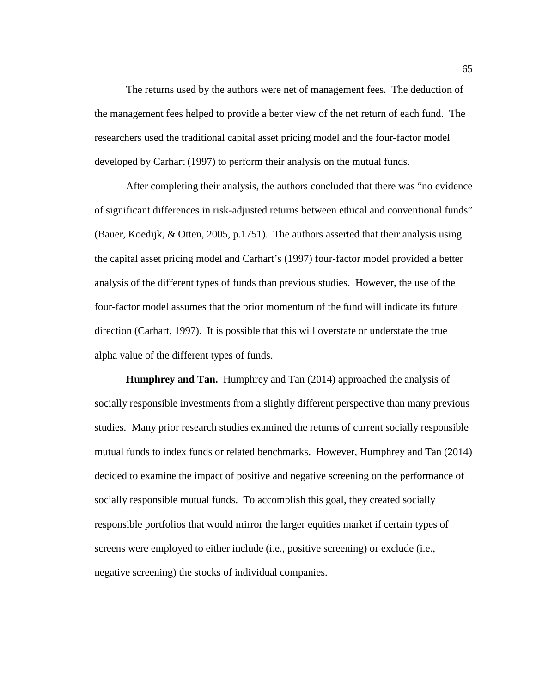The returns used by the authors were net of management fees. The deduction of the management fees helped to provide a better view of the net return of each fund. The researchers used the traditional capital asset pricing model and the four-factor model developed by Carhart (1997) to perform their analysis on the mutual funds.

After completing their analysis, the authors concluded that there was "no evidence of significant differences in risk-adjusted returns between ethical and conventional funds" (Bauer, Koedijk, & Otten, 2005, p.1751). The authors asserted that their analysis using the capital asset pricing model and Carhart's (1997) four-factor model provided a better analysis of the different types of funds than previous studies. However, the use of the four-factor model assumes that the prior momentum of the fund will indicate its future direction (Carhart, 1997). It is possible that this will overstate or understate the true alpha value of the different types of funds.

**Humphrey and Tan.** Humphrey and Tan (2014) approached the analysis of socially responsible investments from a slightly different perspective than many previous studies. Many prior research studies examined the returns of current socially responsible mutual funds to index funds or related benchmarks. However, Humphrey and Tan (2014) decided to examine the impact of positive and negative screening on the performance of socially responsible mutual funds. To accomplish this goal, they created socially responsible portfolios that would mirror the larger equities market if certain types of screens were employed to either include (i.e., positive screening) or exclude (i.e., negative screening) the stocks of individual companies.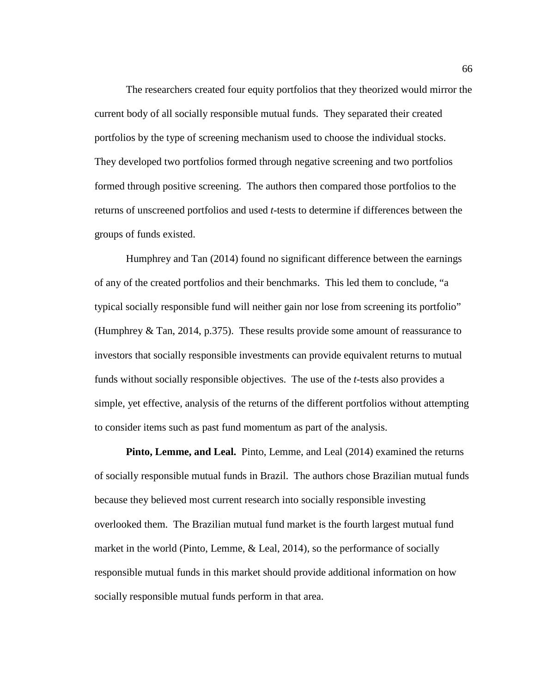The researchers created four equity portfolios that they theorized would mirror the current body of all socially responsible mutual funds. They separated their created portfolios by the type of screening mechanism used to choose the individual stocks. They developed two portfolios formed through negative screening and two portfolios formed through positive screening. The authors then compared those portfolios to the returns of unscreened portfolios and used *t*-tests to determine if differences between the groups of funds existed.

Humphrey and Tan (2014) found no significant difference between the earnings of any of the created portfolios and their benchmarks. This led them to conclude, "a typical socially responsible fund will neither gain nor lose from screening its portfolio" (Humphrey & Tan, 2014, p.375). These results provide some amount of reassurance to investors that socially responsible investments can provide equivalent returns to mutual funds without socially responsible objectives. The use of the *t*-tests also provides a simple, yet effective, analysis of the returns of the different portfolios without attempting to consider items such as past fund momentum as part of the analysis.

**Pinto, Lemme, and Leal.** Pinto, Lemme, and Leal (2014) examined the returns of socially responsible mutual funds in Brazil. The authors chose Brazilian mutual funds because they believed most current research into socially responsible investing overlooked them. The Brazilian mutual fund market is the fourth largest mutual fund market in the world (Pinto, Lemme, & Leal, 2014), so the performance of socially responsible mutual funds in this market should provide additional information on how socially responsible mutual funds perform in that area.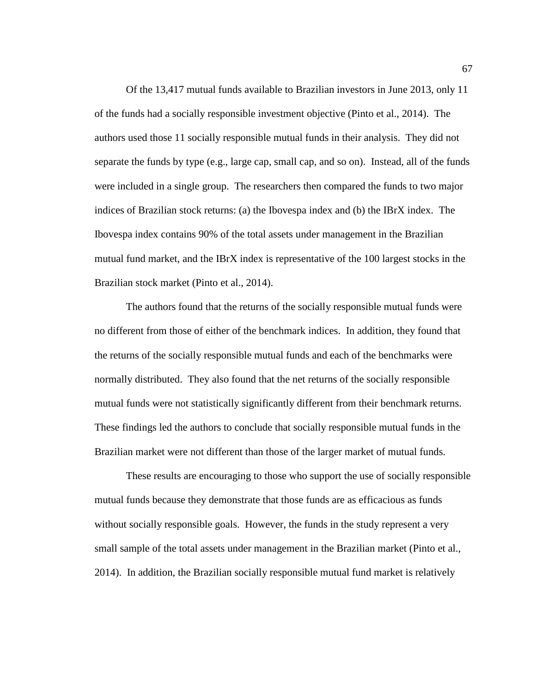Of the 13,417 mutual funds available to Brazilian investors in June 2013, only 11 of the funds had a socially responsible investment objective (Pinto et al., 2014). The authors used those 11 socially responsible mutual funds in their analysis. They did not separate the funds by type (e.g., large cap, small cap, and so on). Instead, all of the funds were included in a single group. The researchers then compared the funds to two major indices of Brazilian stock returns: (a) the Ibovespa index and (b) the IBrX index. The Ibovespa index contains 90% of the total assets under management in the Brazilian mutual fund market, and the IBrX index is representative of the 100 largest stocks in the Brazilian stock market (Pinto et al., 2014).

The authors found that the returns of the socially responsible mutual funds were no different from those of either of the benchmark indices. In addition, they found that the returns of the socially responsible mutual funds and each of the benchmarks were normally distributed. They also found that the net returns of the socially responsible mutual funds were not statistically significantly different from their benchmark returns. These findings led the authors to conclude that socially responsible mutual funds in the Brazilian market were not different than those of the larger market of mutual funds.

These results are encouraging to those who support the use of socially responsible mutual funds because they demonstrate that those funds are as efficacious as funds without socially responsible goals. However, the funds in the study represent a very small sample of the total assets under management in the Brazilian market (Pinto et al., 2014). In addition, the Brazilian socially responsible mutual fund market is relatively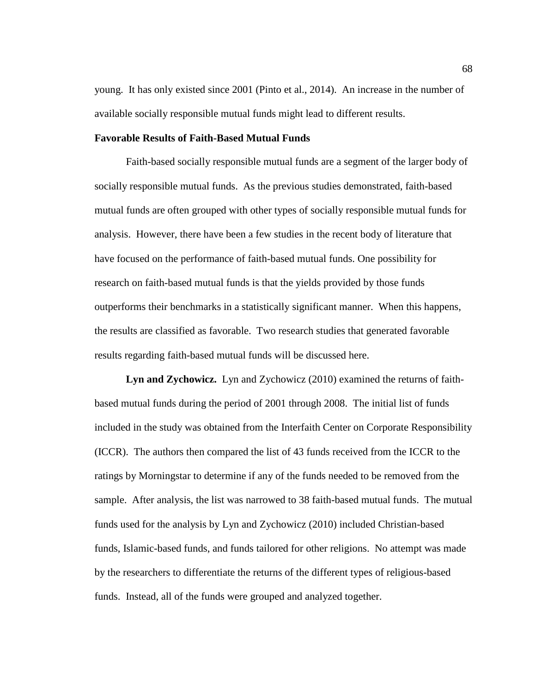young. It has only existed since 2001 (Pinto et al., 2014). An increase in the number of available socially responsible mutual funds might lead to different results.

#### **Favorable Results of Faith-Based Mutual Funds**

Faith-based socially responsible mutual funds are a segment of the larger body of socially responsible mutual funds. As the previous studies demonstrated, faith-based mutual funds are often grouped with other types of socially responsible mutual funds for analysis. However, there have been a few studies in the recent body of literature that have focused on the performance of faith-based mutual funds. One possibility for research on faith-based mutual funds is that the yields provided by those funds outperforms their benchmarks in a statistically significant manner. When this happens, the results are classified as favorable. Two research studies that generated favorable results regarding faith-based mutual funds will be discussed here.

**Lyn and Zychowicz.** Lyn and Zychowicz (2010) examined the returns of faithbased mutual funds during the period of 2001 through 2008. The initial list of funds included in the study was obtained from the Interfaith Center on Corporate Responsibility (ICCR). The authors then compared the list of 43 funds received from the ICCR to the ratings by Morningstar to determine if any of the funds needed to be removed from the sample. After analysis, the list was narrowed to 38 faith-based mutual funds. The mutual funds used for the analysis by Lyn and Zychowicz (2010) included Christian-based funds, Islamic-based funds, and funds tailored for other religions. No attempt was made by the researchers to differentiate the returns of the different types of religious-based funds. Instead, all of the funds were grouped and analyzed together.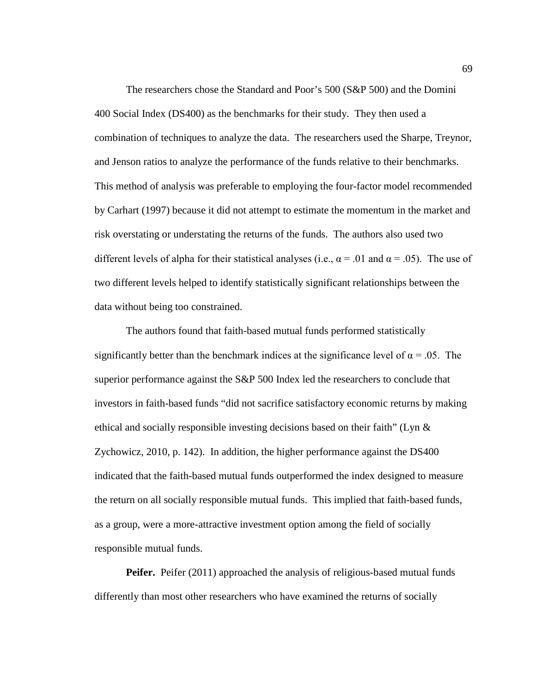The researchers chose the Standard and Poor's 500 (S&P 500) and the Domini 400 Social Index (DS400) as the benchmarks for their study. They then used a combination of techniques to analyze the data. The researchers used the Sharpe, Treynor, and Jenson ratios to analyze the performance of the funds relative to their benchmarks. This method of analysis was preferable to employing the four-factor model recommended by Carhart (1997) because it did not attempt to estimate the momentum in the market and risk overstating or understating the returns of the funds. The authors also used two different levels of alpha for their statistical analyses (i.e.,  $\alpha = .01$  and  $\alpha = .05$ ). The use of two different levels helped to identify statistically significant relationships between the data without being too constrained.

The authors found that faith-based mutual funds performed statistically significantly better than the benchmark indices at the significance level of  $\alpha = .05$ . The superior performance against the S&P 500 Index led the researchers to conclude that investors in faith-based funds "did not sacrifice satisfactory economic returns by making ethical and socially responsible investing decisions based on their faith" (Lyn & Zychowicz, 2010, p. 142). In addition, the higher performance against the DS400 indicated that the faith-based mutual funds outperformed the index designed to measure the return on all socially responsible mutual funds. This implied that faith-based funds, as a group, were a more-attractive investment option among the field of socially responsible mutual funds.

**Peifer.** Peifer (2011) approached the analysis of religious-based mutual funds differently than most other researchers who have examined the returns of socially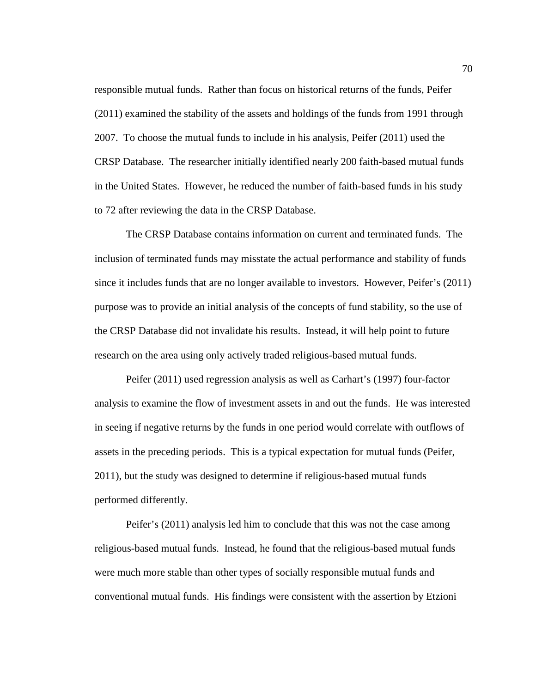responsible mutual funds. Rather than focus on historical returns of the funds, Peifer (2011) examined the stability of the assets and holdings of the funds from 1991 through 2007. To choose the mutual funds to include in his analysis, Peifer (2011) used the CRSP Database. The researcher initially identified nearly 200 faith-based mutual funds in the United States. However, he reduced the number of faith-based funds in his study to 72 after reviewing the data in the CRSP Database.

The CRSP Database contains information on current and terminated funds. The inclusion of terminated funds may misstate the actual performance and stability of funds since it includes funds that are no longer available to investors. However, Peifer's (2011) purpose was to provide an initial analysis of the concepts of fund stability, so the use of the CRSP Database did not invalidate his results. Instead, it will help point to future research on the area using only actively traded religious-based mutual funds.

Peifer (2011) used regression analysis as well as Carhart's (1997) four-factor analysis to examine the flow of investment assets in and out the funds. He was interested in seeing if negative returns by the funds in one period would correlate with outflows of assets in the preceding periods. This is a typical expectation for mutual funds (Peifer, 2011), but the study was designed to determine if religious-based mutual funds performed differently.

Peifer's (2011) analysis led him to conclude that this was not the case among religious-based mutual funds. Instead, he found that the religious-based mutual funds were much more stable than other types of socially responsible mutual funds and conventional mutual funds. His findings were consistent with the assertion by Etzioni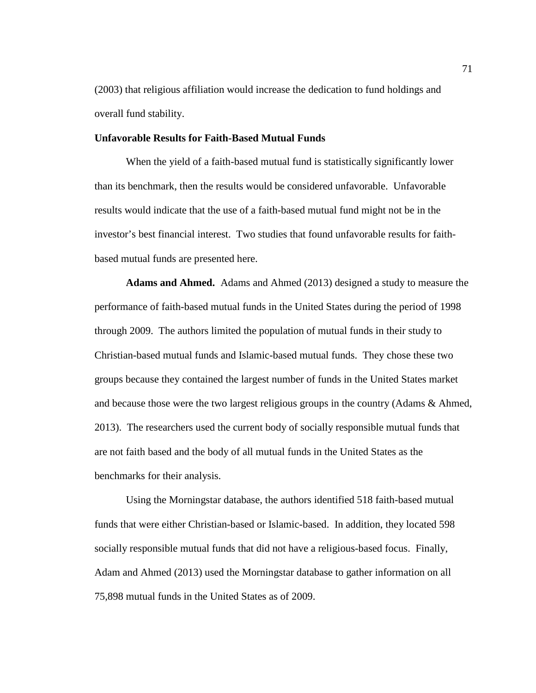(2003) that religious affiliation would increase the dedication to fund holdings and overall fund stability.

### **Unfavorable Results for Faith-Based Mutual Funds**

When the yield of a faith-based mutual fund is statistically significantly lower than its benchmark, then the results would be considered unfavorable. Unfavorable results would indicate that the use of a faith-based mutual fund might not be in the investor's best financial interest. Two studies that found unfavorable results for faithbased mutual funds are presented here.

**Adams and Ahmed.** Adams and Ahmed (2013) designed a study to measure the performance of faith-based mutual funds in the United States during the period of 1998 through 2009. The authors limited the population of mutual funds in their study to Christian-based mutual funds and Islamic-based mutual funds. They chose these two groups because they contained the largest number of funds in the United States market and because those were the two largest religious groups in the country (Adams & Ahmed, 2013). The researchers used the current body of socially responsible mutual funds that are not faith based and the body of all mutual funds in the United States as the benchmarks for their analysis.

Using the Morningstar database, the authors identified 518 faith-based mutual funds that were either Christian-based or Islamic-based. In addition, they located 598 socially responsible mutual funds that did not have a religious-based focus. Finally, Adam and Ahmed (2013) used the Morningstar database to gather information on all 75,898 mutual funds in the United States as of 2009.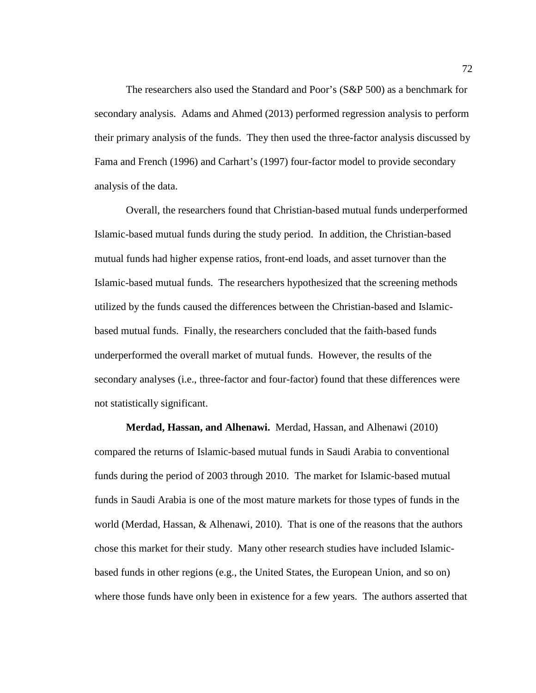The researchers also used the Standard and Poor's (S&P 500) as a benchmark for secondary analysis. Adams and Ahmed (2013) performed regression analysis to perform their primary analysis of the funds. They then used the three-factor analysis discussed by Fama and French (1996) and Carhart's (1997) four-factor model to provide secondary analysis of the data.

Overall, the researchers found that Christian-based mutual funds underperformed Islamic-based mutual funds during the study period. In addition, the Christian-based mutual funds had higher expense ratios, front-end loads, and asset turnover than the Islamic-based mutual funds. The researchers hypothesized that the screening methods utilized by the funds caused the differences between the Christian-based and Islamicbased mutual funds. Finally, the researchers concluded that the faith-based funds underperformed the overall market of mutual funds. However, the results of the secondary analyses (i.e., three-factor and four-factor) found that these differences were not statistically significant.

**Merdad, Hassan, and Alhenawi.** Merdad, Hassan, and Alhenawi (2010) compared the returns of Islamic-based mutual funds in Saudi Arabia to conventional funds during the period of 2003 through 2010. The market for Islamic-based mutual funds in Saudi Arabia is one of the most mature markets for those types of funds in the world (Merdad, Hassan, & Alhenawi, 2010). That is one of the reasons that the authors chose this market for their study. Many other research studies have included Islamicbased funds in other regions (e.g., the United States, the European Union, and so on) where those funds have only been in existence for a few years. The authors asserted that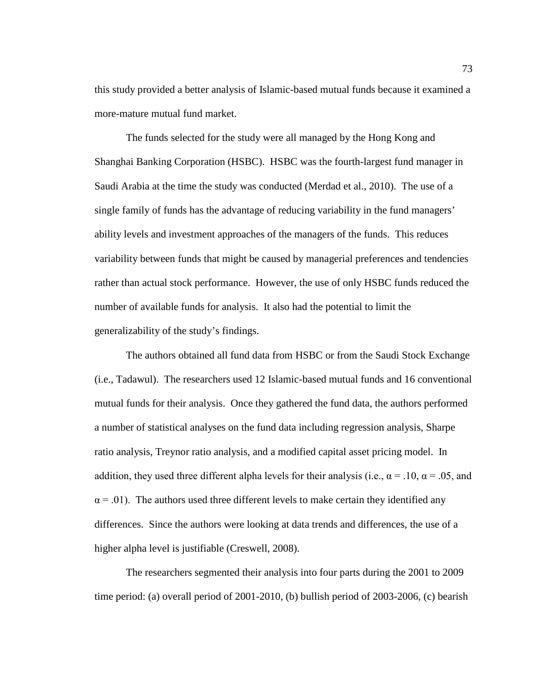this study provided a better analysis of Islamic-based mutual funds because it examined a more-mature mutual fund market.

The funds selected for the study were all managed by the Hong Kong and Shanghai Banking Corporation (HSBC). HSBC was the fourth-largest fund manager in Saudi Arabia at the time the study was conducted (Merdad et al., 2010). The use of a single family of funds has the advantage of reducing variability in the fund managers' ability levels and investment approaches of the managers of the funds. This reduces variability between funds that might be caused by managerial preferences and tendencies rather than actual stock performance. However, the use of only HSBC funds reduced the number of available funds for analysis. It also had the potential to limit the generalizability of the study's findings.

The authors obtained all fund data from HSBC or from the Saudi Stock Exchange (i.e., Tadawul). The researchers used 12 Islamic-based mutual funds and 16 conventional mutual funds for their analysis. Once they gathered the fund data, the authors performed a number of statistical analyses on the fund data including regression analysis, Sharpe ratio analysis, Treynor ratio analysis, and a modified capital asset pricing model. In addition, they used three different alpha levels for their analysis (i.e.,  $\alpha = .10$ ,  $\alpha = .05$ , and  $\alpha$  = .01). The authors used three different levels to make certain they identified any differences. Since the authors were looking at data trends and differences, the use of a higher alpha level is justifiable (Creswell, 2008).

The researchers segmented their analysis into four parts during the 2001 to 2009 time period: (a) overall period of 2001-2010, (b) bullish period of 2003-2006, (c) bearish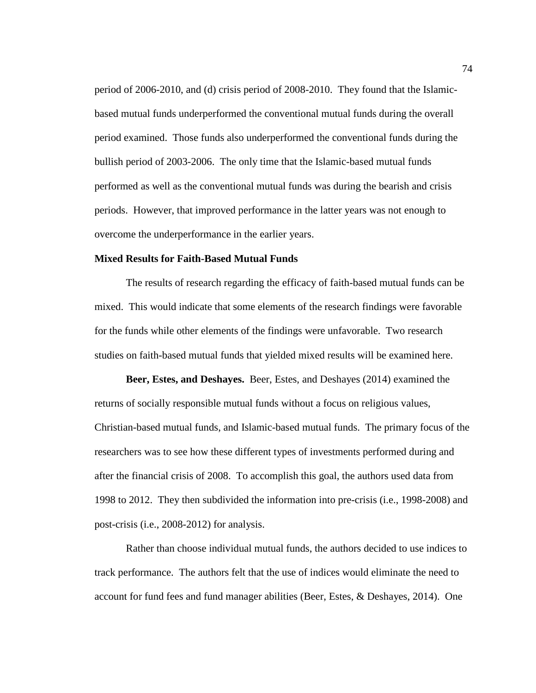period of 2006-2010, and (d) crisis period of 2008-2010. They found that the Islamicbased mutual funds underperformed the conventional mutual funds during the overall period examined. Those funds also underperformed the conventional funds during the bullish period of 2003-2006. The only time that the Islamic-based mutual funds performed as well as the conventional mutual funds was during the bearish and crisis periods. However, that improved performance in the latter years was not enough to overcome the underperformance in the earlier years.

# **Mixed Results for Faith-Based Mutual Funds**

The results of research regarding the efficacy of faith-based mutual funds can be mixed. This would indicate that some elements of the research findings were favorable for the funds while other elements of the findings were unfavorable. Two research studies on faith-based mutual funds that yielded mixed results will be examined here.

**Beer, Estes, and Deshayes.** Beer, Estes, and Deshayes (2014) examined the returns of socially responsible mutual funds without a focus on religious values, Christian-based mutual funds, and Islamic-based mutual funds. The primary focus of the researchers was to see how these different types of investments performed during and after the financial crisis of 2008. To accomplish this goal, the authors used data from 1998 to 2012. They then subdivided the information into pre-crisis (i.e., 1998-2008) and post-crisis (i.e., 2008-2012) for analysis.

Rather than choose individual mutual funds, the authors decided to use indices to track performance. The authors felt that the use of indices would eliminate the need to account for fund fees and fund manager abilities (Beer, Estes, & Deshayes, 2014). One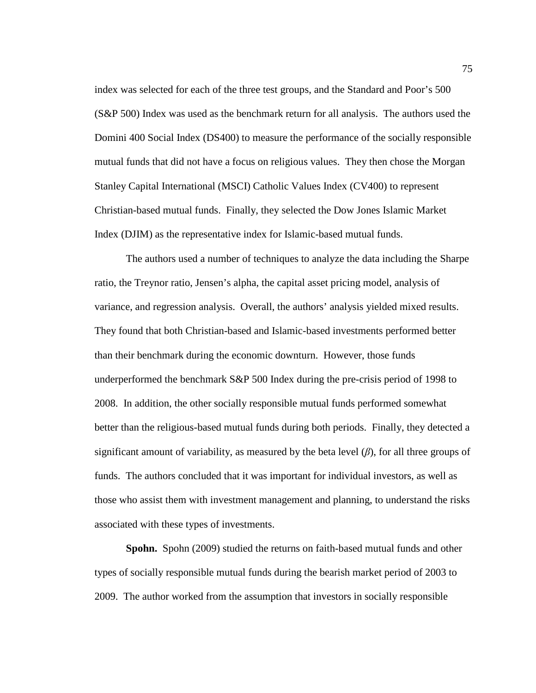index was selected for each of the three test groups, and the Standard and Poor's 500 (S&P 500) Index was used as the benchmark return for all analysis. The authors used the Domini 400 Social Index (DS400) to measure the performance of the socially responsible mutual funds that did not have a focus on religious values. They then chose the Morgan Stanley Capital International (MSCI) Catholic Values Index (CV400) to represent Christian-based mutual funds. Finally, they selected the Dow Jones Islamic Market Index (DJIM) as the representative index for Islamic-based mutual funds.

The authors used a number of techniques to analyze the data including the Sharpe ratio, the Treynor ratio, Jensen's alpha, the capital asset pricing model, analysis of variance, and regression analysis. Overall, the authors' analysis yielded mixed results. They found that both Christian-based and Islamic-based investments performed better than their benchmark during the economic downturn. However, those funds underperformed the benchmark S&P 500 Index during the pre-crisis period of 1998 to 2008. In addition, the other socially responsible mutual funds performed somewhat better than the religious-based mutual funds during both periods. Finally, they detected a significant amount of variability, as measured by the beta level (*β*), for all three groups of funds. The authors concluded that it was important for individual investors, as well as those who assist them with investment management and planning, to understand the risks associated with these types of investments.

**Spohn.** Spohn (2009) studied the returns on faith-based mutual funds and other types of socially responsible mutual funds during the bearish market period of 2003 to 2009. The author worked from the assumption that investors in socially responsible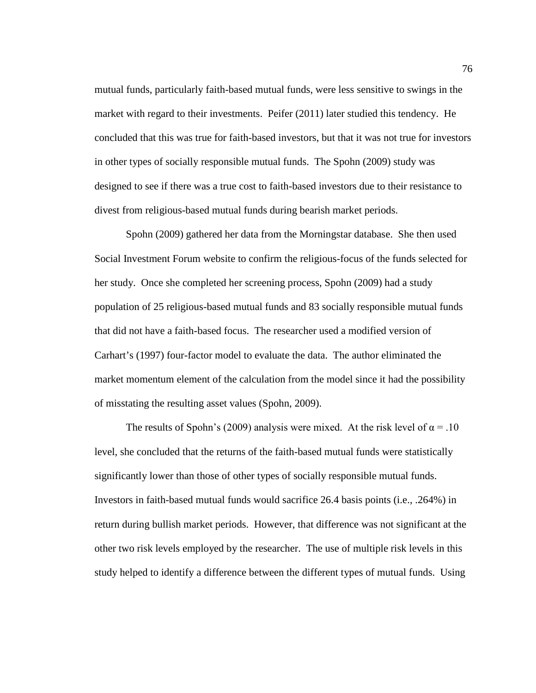mutual funds, particularly faith-based mutual funds, were less sensitive to swings in the market with regard to their investments. Peifer (2011) later studied this tendency. He concluded that this was true for faith-based investors, but that it was not true for investors in other types of socially responsible mutual funds. The Spohn (2009) study was designed to see if there was a true cost to faith-based investors due to their resistance to divest from religious-based mutual funds during bearish market periods.

Spohn (2009) gathered her data from the Morningstar database. She then used Social Investment Forum website to confirm the religious-focus of the funds selected for her study. Once she completed her screening process, Spohn (2009) had a study population of 25 religious-based mutual funds and 83 socially responsible mutual funds that did not have a faith-based focus. The researcher used a modified version of Carhart's (1997) four-factor model to evaluate the data. The author eliminated the market momentum element of the calculation from the model since it had the possibility of misstating the resulting asset values (Spohn, 2009).

The results of Spohn's (2009) analysis were mixed. At the risk level of  $\alpha = .10$ level, she concluded that the returns of the faith-based mutual funds were statistically significantly lower than those of other types of socially responsible mutual funds. Investors in faith-based mutual funds would sacrifice 26.4 basis points (i.e., .264%) in return during bullish market periods. However, that difference was not significant at the other two risk levels employed by the researcher. The use of multiple risk levels in this study helped to identify a difference between the different types of mutual funds. Using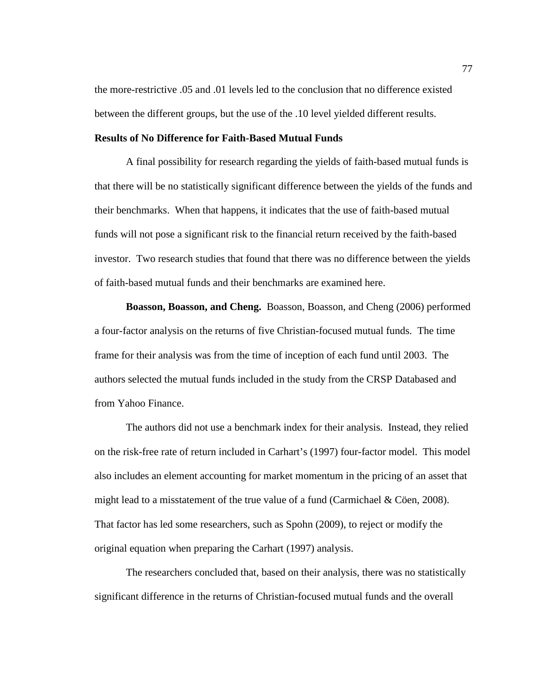the more-restrictive .05 and .01 levels led to the conclusion that no difference existed between the different groups, but the use of the .10 level yielded different results.

#### **Results of No Difference for Faith-Based Mutual Funds**

A final possibility for research regarding the yields of faith-based mutual funds is that there will be no statistically significant difference between the yields of the funds and their benchmarks. When that happens, it indicates that the use of faith-based mutual funds will not pose a significant risk to the financial return received by the faith-based investor. Two research studies that found that there was no difference between the yields of faith-based mutual funds and their benchmarks are examined here.

**Boasson, Boasson, and Cheng.** Boasson, Boasson, and Cheng (2006) performed a four-factor analysis on the returns of five Christian-focused mutual funds. The time frame for their analysis was from the time of inception of each fund until 2003. The authors selected the mutual funds included in the study from the CRSP Databased and from Yahoo Finance.

The authors did not use a benchmark index for their analysis. Instead, they relied on the risk-free rate of return included in Carhart's (1997) four-factor model. This model also includes an element accounting for market momentum in the pricing of an asset that might lead to a misstatement of the true value of a fund (Carmichael & Cöen, 2008). That factor has led some researchers, such as Spohn (2009), to reject or modify the original equation when preparing the Carhart (1997) analysis.

The researchers concluded that, based on their analysis, there was no statistically significant difference in the returns of Christian-focused mutual funds and the overall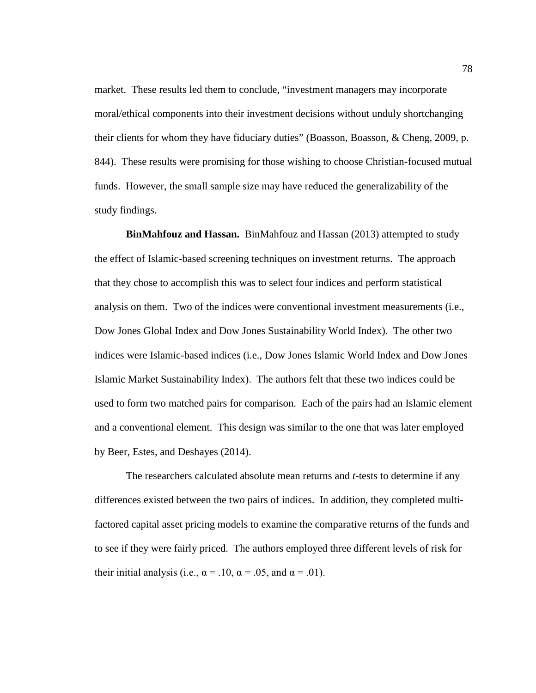market. These results led them to conclude, "investment managers may incorporate moral/ethical components into their investment decisions without unduly shortchanging their clients for whom they have fiduciary duties" (Boasson, Boasson, & Cheng, 2009, p. 844). These results were promising for those wishing to choose Christian-focused mutual funds. However, the small sample size may have reduced the generalizability of the study findings.

**BinMahfouz and Hassan.** BinMahfouz and Hassan (2013) attempted to study the effect of Islamic-based screening techniques on investment returns. The approach that they chose to accomplish this was to select four indices and perform statistical analysis on them. Two of the indices were conventional investment measurements (i.e., Dow Jones Global Index and Dow Jones Sustainability World Index). The other two indices were Islamic-based indices (i.e., Dow Jones Islamic World Index and Dow Jones Islamic Market Sustainability Index). The authors felt that these two indices could be used to form two matched pairs for comparison. Each of the pairs had an Islamic element and a conventional element. This design was similar to the one that was later employed by Beer, Estes, and Deshayes (2014).

The researchers calculated absolute mean returns and *t*-tests to determine if any differences existed between the two pairs of indices. In addition, they completed multifactored capital asset pricing models to examine the comparative returns of the funds and to see if they were fairly priced. The authors employed three different levels of risk for their initial analysis (i.e.,  $\alpha = .10$ ,  $\alpha = .05$ , and  $\alpha = .01$ ).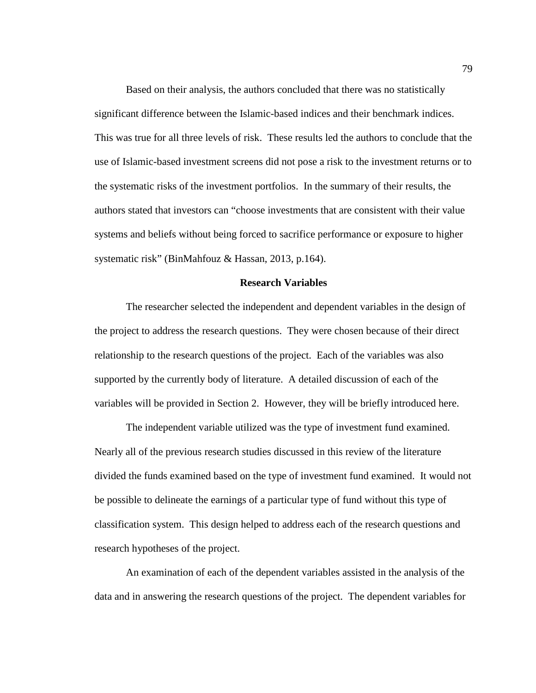Based on their analysis, the authors concluded that there was no statistically significant difference between the Islamic-based indices and their benchmark indices. This was true for all three levels of risk. These results led the authors to conclude that the use of Islamic-based investment screens did not pose a risk to the investment returns or to the systematic risks of the investment portfolios. In the summary of their results, the authors stated that investors can "choose investments that are consistent with their value systems and beliefs without being forced to sacrifice performance or exposure to higher systematic risk" (BinMahfouz & Hassan, 2013, p.164).

## **Research Variables**

The researcher selected the independent and dependent variables in the design of the project to address the research questions. They were chosen because of their direct relationship to the research questions of the project. Each of the variables was also supported by the currently body of literature. A detailed discussion of each of the variables will be provided in Section 2. However, they will be briefly introduced here.

The independent variable utilized was the type of investment fund examined. Nearly all of the previous research studies discussed in this review of the literature divided the funds examined based on the type of investment fund examined. It would not be possible to delineate the earnings of a particular type of fund without this type of classification system. This design helped to address each of the research questions and research hypotheses of the project.

An examination of each of the dependent variables assisted in the analysis of the data and in answering the research questions of the project. The dependent variables for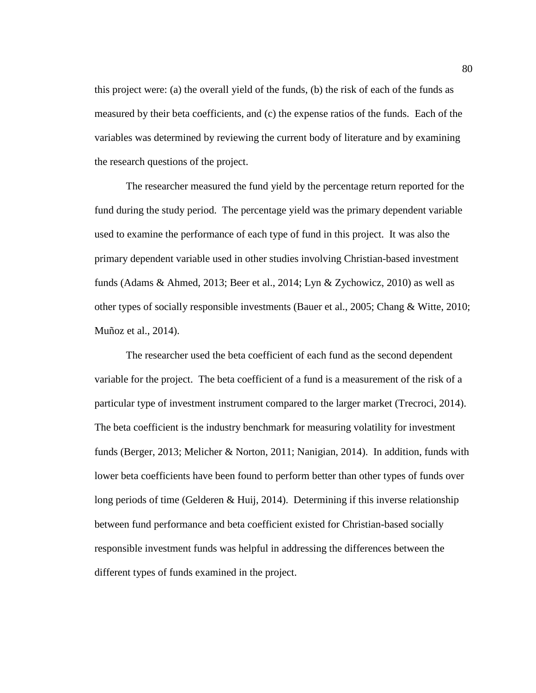this project were: (a) the overall yield of the funds, (b) the risk of each of the funds as measured by their beta coefficients, and (c) the expense ratios of the funds. Each of the variables was determined by reviewing the current body of literature and by examining the research questions of the project.

The researcher measured the fund yield by the percentage return reported for the fund during the study period. The percentage yield was the primary dependent variable used to examine the performance of each type of fund in this project. It was also the primary dependent variable used in other studies involving Christian-based investment funds (Adams & Ahmed, 2013; Beer et al., 2014; Lyn & Zychowicz, 2010) as well as other types of socially responsible investments (Bauer et al., 2005; Chang & Witte, 2010; Muñoz et al., 2014).

The researcher used the beta coefficient of each fund as the second dependent variable for the project. The beta coefficient of a fund is a measurement of the risk of a particular type of investment instrument compared to the larger market (Trecroci, 2014). The beta coefficient is the industry benchmark for measuring volatility for investment funds (Berger, 2013; Melicher & Norton, 2011; Nanigian, 2014). In addition, funds with lower beta coefficients have been found to perform better than other types of funds over long periods of time (Gelderen & Huij, 2014). Determining if this inverse relationship between fund performance and beta coefficient existed for Christian-based socially responsible investment funds was helpful in addressing the differences between the different types of funds examined in the project.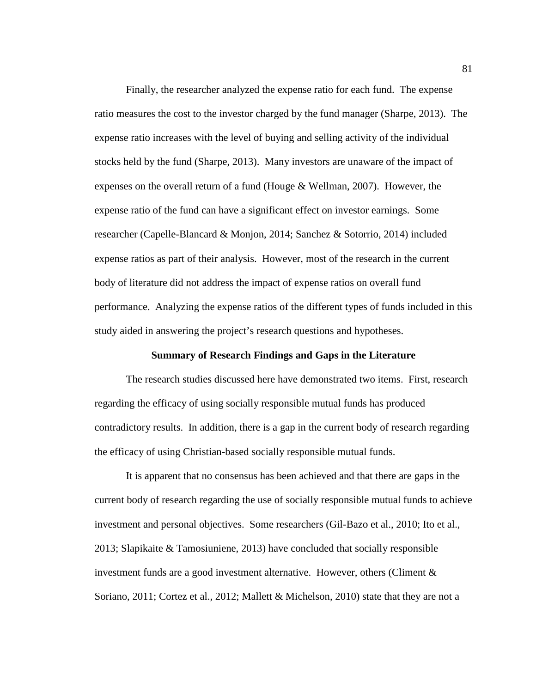Finally, the researcher analyzed the expense ratio for each fund. The expense ratio measures the cost to the investor charged by the fund manager (Sharpe, 2013). The expense ratio increases with the level of buying and selling activity of the individual stocks held by the fund (Sharpe, 2013). Many investors are unaware of the impact of expenses on the overall return of a fund (Houge & Wellman, 2007). However, the expense ratio of the fund can have a significant effect on investor earnings. Some researcher (Capelle-Blancard & Monjon, 2014; Sanchez & Sotorrio, 2014) included expense ratios as part of their analysis. However, most of the research in the current body of literature did not address the impact of expense ratios on overall fund performance. Analyzing the expense ratios of the different types of funds included in this study aided in answering the project's research questions and hypotheses.

# **Summary of Research Findings and Gaps in the Literature**

The research studies discussed here have demonstrated two items. First, research regarding the efficacy of using socially responsible mutual funds has produced contradictory results. In addition, there is a gap in the current body of research regarding the efficacy of using Christian-based socially responsible mutual funds.

It is apparent that no consensus has been achieved and that there are gaps in the current body of research regarding the use of socially responsible mutual funds to achieve investment and personal objectives. Some researchers (Gil-Bazo et al., 2010; Ito et al., 2013; Slapikaite & Tamosiuniene, 2013) have concluded that socially responsible investment funds are a good investment alternative. However, others (Climent & Soriano, 2011; Cortez et al., 2012; Mallett & Michelson, 2010) state that they are not a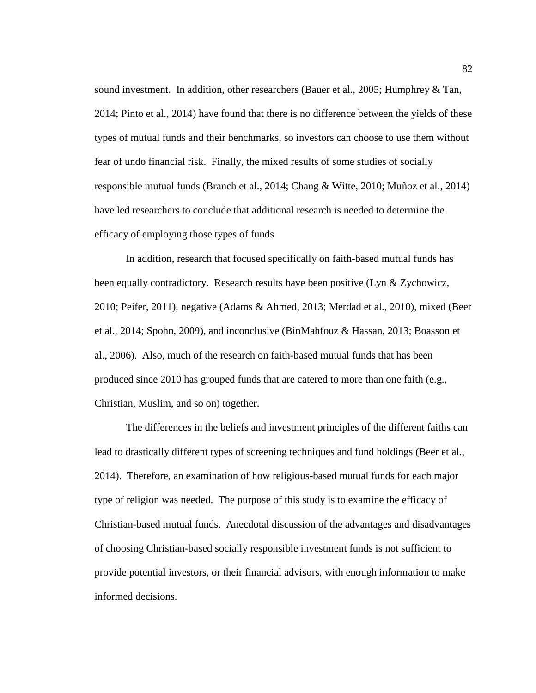sound investment. In addition, other researchers (Bauer et al., 2005; Humphrey & Tan, 2014; Pinto et al., 2014) have found that there is no difference between the yields of these types of mutual funds and their benchmarks, so investors can choose to use them without fear of undo financial risk. Finally, the mixed results of some studies of socially responsible mutual funds (Branch et al., 2014; Chang & Witte, 2010; Muñoz et al., 2014) have led researchers to conclude that additional research is needed to determine the efficacy of employing those types of funds

In addition, research that focused specifically on faith-based mutual funds has been equally contradictory. Research results have been positive (Lyn & Zychowicz, 2010; Peifer, 2011), negative (Adams & Ahmed, 2013; Merdad et al., 2010), mixed (Beer et al., 2014; Spohn, 2009), and inconclusive (BinMahfouz & Hassan, 2013; Boasson et al., 2006). Also, much of the research on faith-based mutual funds that has been produced since 2010 has grouped funds that are catered to more than one faith (e.g., Christian, Muslim, and so on) together.

The differences in the beliefs and investment principles of the different faiths can lead to drastically different types of screening techniques and fund holdings (Beer et al., 2014). Therefore, an examination of how religious-based mutual funds for each major type of religion was needed. The purpose of this study is to examine the efficacy of Christian-based mutual funds. Anecdotal discussion of the advantages and disadvantages of choosing Christian-based socially responsible investment funds is not sufficient to provide potential investors, or their financial advisors, with enough information to make informed decisions.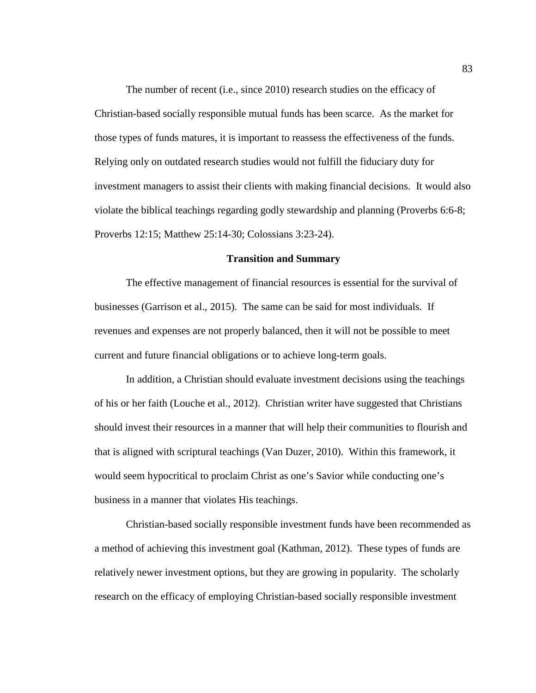The number of recent (i.e., since 2010) research studies on the efficacy of Christian-based socially responsible mutual funds has been scarce. As the market for those types of funds matures, it is important to reassess the effectiveness of the funds. Relying only on outdated research studies would not fulfill the fiduciary duty for investment managers to assist their clients with making financial decisions. It would also violate the biblical teachings regarding godly stewardship and planning (Proverbs 6:6-8; Proverbs 12:15; Matthew 25:14-30; Colossians 3:23-24).

### **Transition and Summary**

The effective management of financial resources is essential for the survival of businesses (Garrison et al., 2015). The same can be said for most individuals. If revenues and expenses are not properly balanced, then it will not be possible to meet current and future financial obligations or to achieve long-term goals.

In addition, a Christian should evaluate investment decisions using the teachings of his or her faith (Louche et al., 2012). Christian writer have suggested that Christians should invest their resources in a manner that will help their communities to flourish and that is aligned with scriptural teachings (Van Duzer, 2010). Within this framework, it would seem hypocritical to proclaim Christ as one's Savior while conducting one's business in a manner that violates His teachings.

Christian-based socially responsible investment funds have been recommended as a method of achieving this investment goal (Kathman, 2012). These types of funds are relatively newer investment options, but they are growing in popularity. The scholarly research on the efficacy of employing Christian-based socially responsible investment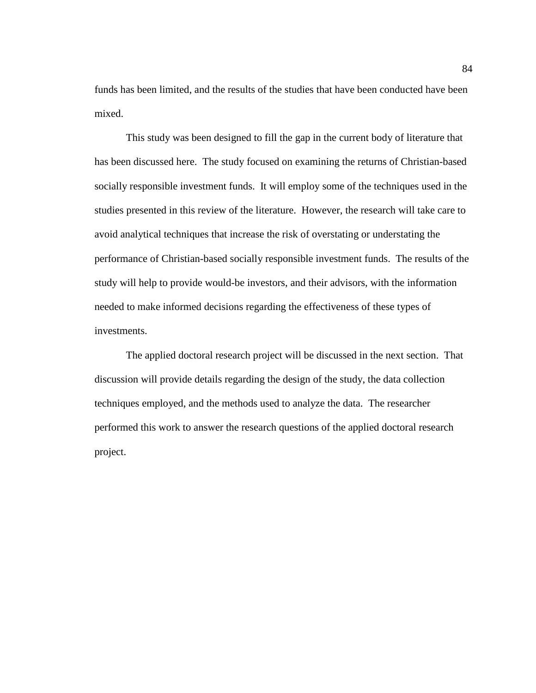funds has been limited, and the results of the studies that have been conducted have been mixed.

This study was been designed to fill the gap in the current body of literature that has been discussed here. The study focused on examining the returns of Christian-based socially responsible investment funds. It will employ some of the techniques used in the studies presented in this review of the literature. However, the research will take care to avoid analytical techniques that increase the risk of overstating or understating the performance of Christian-based socially responsible investment funds. The results of the study will help to provide would-be investors, and their advisors, with the information needed to make informed decisions regarding the effectiveness of these types of investments.

The applied doctoral research project will be discussed in the next section. That discussion will provide details regarding the design of the study, the data collection techniques employed, and the methods used to analyze the data. The researcher performed this work to answer the research questions of the applied doctoral research project.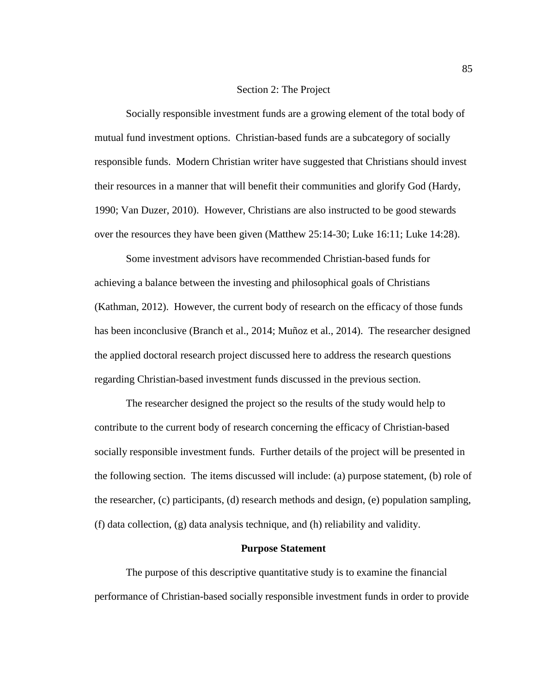#### Section 2: The Project

Socially responsible investment funds are a growing element of the total body of mutual fund investment options. Christian-based funds are a subcategory of socially responsible funds. Modern Christian writer have suggested that Christians should invest their resources in a manner that will benefit their communities and glorify God (Hardy, 1990; Van Duzer, 2010). However, Christians are also instructed to be good stewards over the resources they have been given (Matthew 25:14-30; Luke 16:11; Luke 14:28).

Some investment advisors have recommended Christian-based funds for achieving a balance between the investing and philosophical goals of Christians (Kathman, 2012). However, the current body of research on the efficacy of those funds has been inconclusive (Branch et al., 2014; Muñoz et al., 2014). The researcher designed the applied doctoral research project discussed here to address the research questions regarding Christian-based investment funds discussed in the previous section.

The researcher designed the project so the results of the study would help to contribute to the current body of research concerning the efficacy of Christian-based socially responsible investment funds. Further details of the project will be presented in the following section. The items discussed will include: (a) purpose statement, (b) role of the researcher, (c) participants, (d) research methods and design, (e) population sampling, (f) data collection, (g) data analysis technique, and (h) reliability and validity.

# **Purpose Statement**

The purpose of this descriptive quantitative study is to examine the financial performance of Christian-based socially responsible investment funds in order to provide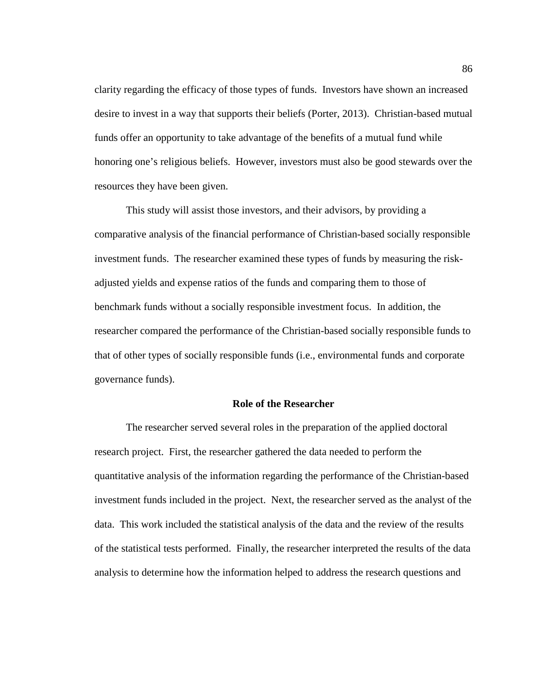clarity regarding the efficacy of those types of funds. Investors have shown an increased desire to invest in a way that supports their beliefs (Porter, 2013). Christian-based mutual funds offer an opportunity to take advantage of the benefits of a mutual fund while honoring one's religious beliefs. However, investors must also be good stewards over the resources they have been given.

This study will assist those investors, and their advisors, by providing a comparative analysis of the financial performance of Christian-based socially responsible investment funds. The researcher examined these types of funds by measuring the riskadjusted yields and expense ratios of the funds and comparing them to those of benchmark funds without a socially responsible investment focus. In addition, the researcher compared the performance of the Christian-based socially responsible funds to that of other types of socially responsible funds (i.e., environmental funds and corporate governance funds).

### **Role of the Researcher**

The researcher served several roles in the preparation of the applied doctoral research project. First, the researcher gathered the data needed to perform the quantitative analysis of the information regarding the performance of the Christian-based investment funds included in the project. Next, the researcher served as the analyst of the data. This work included the statistical analysis of the data and the review of the results of the statistical tests performed. Finally, the researcher interpreted the results of the data analysis to determine how the information helped to address the research questions and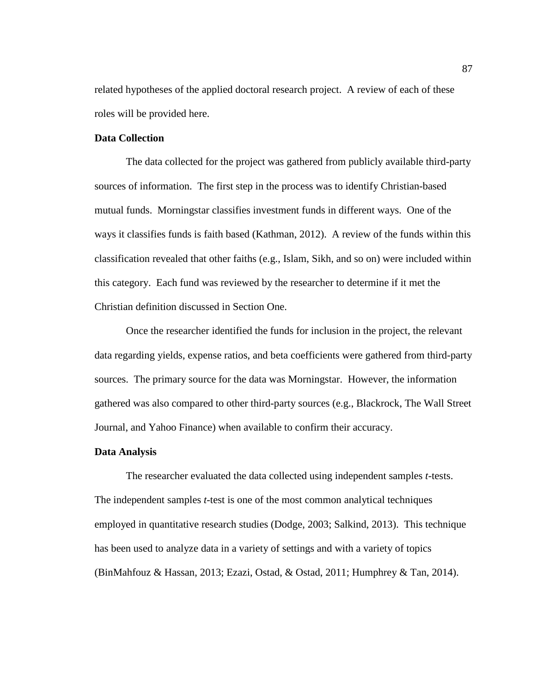related hypotheses of the applied doctoral research project. A review of each of these roles will be provided here.

# **Data Collection**

The data collected for the project was gathered from publicly available third-party sources of information. The first step in the process was to identify Christian-based mutual funds. Morningstar classifies investment funds in different ways. One of the ways it classifies funds is faith based (Kathman, 2012). A review of the funds within this classification revealed that other faiths (e.g., Islam, Sikh, and so on) were included within this category. Each fund was reviewed by the researcher to determine if it met the Christian definition discussed in Section One.

Once the researcher identified the funds for inclusion in the project, the relevant data regarding yields, expense ratios, and beta coefficients were gathered from third-party sources. The primary source for the data was Morningstar. However, the information gathered was also compared to other third-party sources (e.g., Blackrock, The Wall Street Journal, and Yahoo Finance) when available to confirm their accuracy.

# **Data Analysis**

The researcher evaluated the data collected using independent samples *t*-tests. The independent samples *t*-test is one of the most common analytical techniques employed in quantitative research studies (Dodge, 2003; Salkind, 2013). This technique has been used to analyze data in a variety of settings and with a variety of topics (BinMahfouz & Hassan, 2013; Ezazi, Ostad, & Ostad, 2011; Humphrey & Tan, 2014).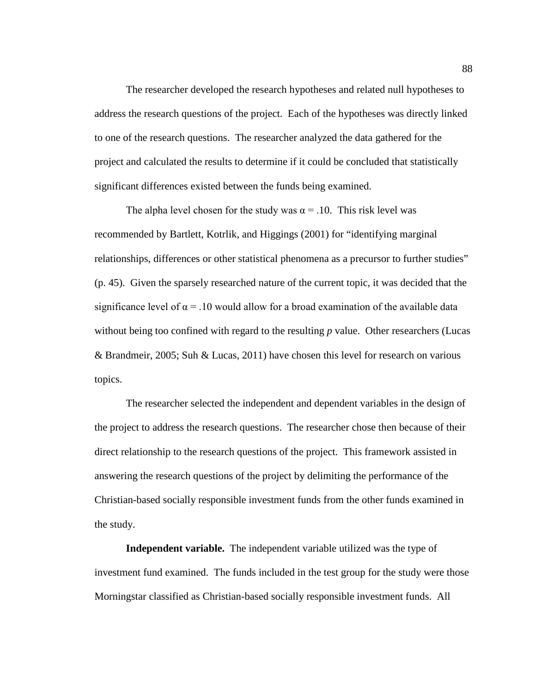The researcher developed the research hypotheses and related null hypotheses to address the research questions of the project. Each of the hypotheses was directly linked to one of the research questions. The researcher analyzed the data gathered for the project and calculated the results to determine if it could be concluded that statistically significant differences existed between the funds being examined.

The alpha level chosen for the study was  $\alpha = 0.10$ . This risk level was recommended by Bartlett, Kotrlik, and Higgings (2001) for "identifying marginal relationships, differences or other statistical phenomena as a precursor to further studies" (p. 45). Given the sparsely researched nature of the current topic, it was decided that the significance level of  $\alpha = 0.10$  would allow for a broad examination of the available data without being too confined with regard to the resulting *p* value. Other researchers (Lucas & Brandmeir, 2005; Suh & Lucas, 2011) have chosen this level for research on various topics.

The researcher selected the independent and dependent variables in the design of the project to address the research questions. The researcher chose then because of their direct relationship to the research questions of the project. This framework assisted in answering the research questions of the project by delimiting the performance of the Christian-based socially responsible investment funds from the other funds examined in the study.

**Independent variable.** The independent variable utilized was the type of investment fund examined. The funds included in the test group for the study were those Morningstar classified as Christian-based socially responsible investment funds. All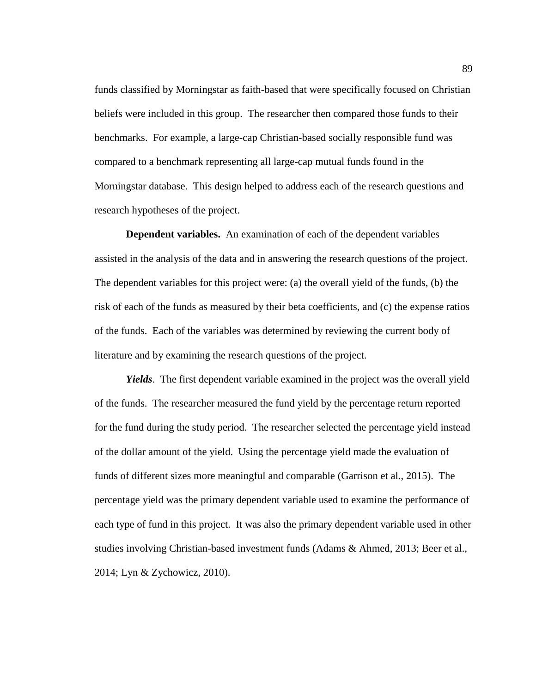funds classified by Morningstar as faith-based that were specifically focused on Christian beliefs were included in this group. The researcher then compared those funds to their benchmarks. For example, a large-cap Christian-based socially responsible fund was compared to a benchmark representing all large-cap mutual funds found in the Morningstar database. This design helped to address each of the research questions and research hypotheses of the project.

**Dependent variables.** An examination of each of the dependent variables assisted in the analysis of the data and in answering the research questions of the project. The dependent variables for this project were: (a) the overall yield of the funds, (b) the risk of each of the funds as measured by their beta coefficients, and (c) the expense ratios of the funds. Each of the variables was determined by reviewing the current body of literature and by examining the research questions of the project.

*Yields*. The first dependent variable examined in the project was the overall yield of the funds. The researcher measured the fund yield by the percentage return reported for the fund during the study period. The researcher selected the percentage yield instead of the dollar amount of the yield. Using the percentage yield made the evaluation of funds of different sizes more meaningful and comparable (Garrison et al., 2015). The percentage yield was the primary dependent variable used to examine the performance of each type of fund in this project. It was also the primary dependent variable used in other studies involving Christian-based investment funds (Adams & Ahmed, 2013; Beer et al., 2014; Lyn & Zychowicz, 2010).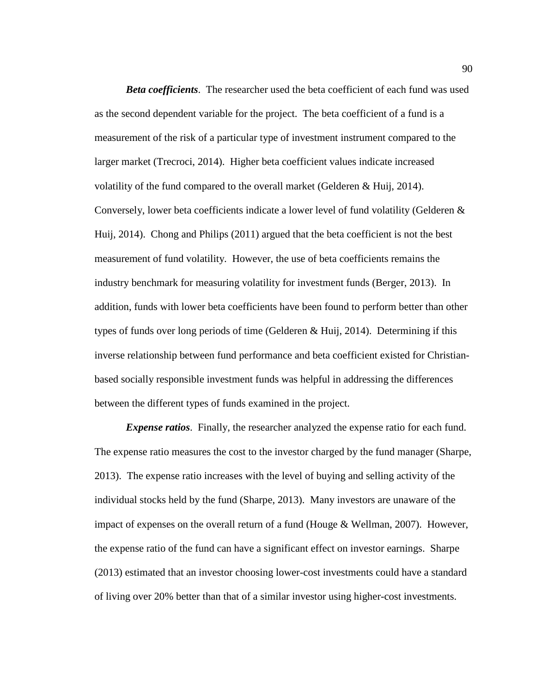*Beta coefficients*. The researcher used the beta coefficient of each fund was used as the second dependent variable for the project. The beta coefficient of a fund is a measurement of the risk of a particular type of investment instrument compared to the larger market (Trecroci, 2014). Higher beta coefficient values indicate increased volatility of the fund compared to the overall market (Gelderen & Huij, 2014). Conversely, lower beta coefficients indicate a lower level of fund volatility (Gelderen & Huij, 2014). Chong and Philips (2011) argued that the beta coefficient is not the best measurement of fund volatility. However, the use of beta coefficients remains the industry benchmark for measuring volatility for investment funds (Berger, 2013). In addition, funds with lower beta coefficients have been found to perform better than other types of funds over long periods of time (Gelderen & Huij, 2014). Determining if this inverse relationship between fund performance and beta coefficient existed for Christianbased socially responsible investment funds was helpful in addressing the differences between the different types of funds examined in the project.

*Expense ratios*. Finally, the researcher analyzed the expense ratio for each fund. The expense ratio measures the cost to the investor charged by the fund manager (Sharpe, 2013). The expense ratio increases with the level of buying and selling activity of the individual stocks held by the fund (Sharpe, 2013). Many investors are unaware of the impact of expenses on the overall return of a fund (Houge & Wellman, 2007). However, the expense ratio of the fund can have a significant effect on investor earnings. Sharpe (2013) estimated that an investor choosing lower-cost investments could have a standard of living over 20% better than that of a similar investor using higher-cost investments.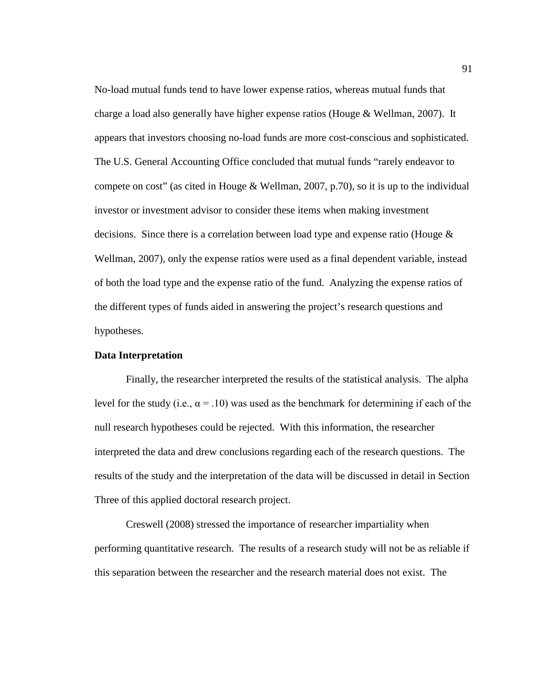No-load mutual funds tend to have lower expense ratios, whereas mutual funds that charge a load also generally have higher expense ratios (Houge & Wellman, 2007). It appears that investors choosing no-load funds are more cost-conscious and sophisticated. The U.S. General Accounting Office concluded that mutual funds "rarely endeavor to compete on cost" (as cited in Houge & Wellman, 2007, p.70), so it is up to the individual investor or investment advisor to consider these items when making investment decisions. Since there is a correlation between load type and expense ratio (Houge & Wellman, 2007), only the expense ratios were used as a final dependent variable, instead of both the load type and the expense ratio of the fund. Analyzing the expense ratios of the different types of funds aided in answering the project's research questions and hypotheses.

# **Data Interpretation**

Finally, the researcher interpreted the results of the statistical analysis. The alpha level for the study (i.e.,  $\alpha = .10$ ) was used as the benchmark for determining if each of the null research hypotheses could be rejected. With this information, the researcher interpreted the data and drew conclusions regarding each of the research questions. The results of the study and the interpretation of the data will be discussed in detail in Section Three of this applied doctoral research project.

Creswell (2008) stressed the importance of researcher impartiality when performing quantitative research. The results of a research study will not be as reliable if this separation between the researcher and the research material does not exist. The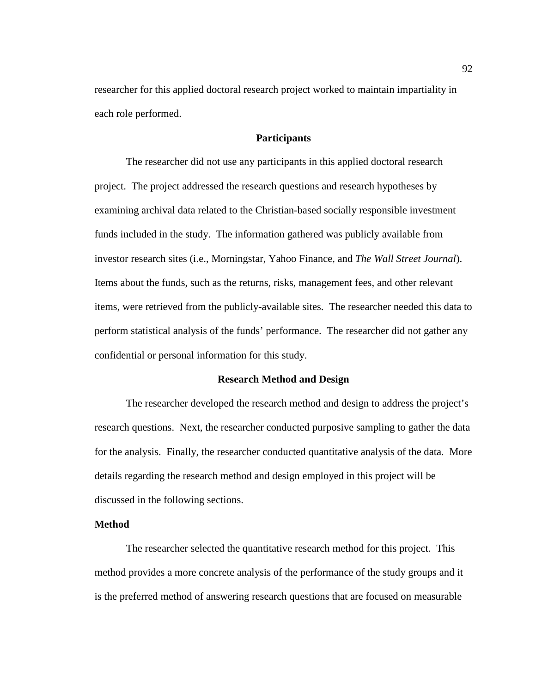researcher for this applied doctoral research project worked to maintain impartiality in each role performed.

### **Participants**

The researcher did not use any participants in this applied doctoral research project. The project addressed the research questions and research hypotheses by examining archival data related to the Christian-based socially responsible investment funds included in the study. The information gathered was publicly available from investor research sites (i.e., Morningstar, Yahoo Finance, and *The Wall Street Journal*). Items about the funds, such as the returns, risks, management fees, and other relevant items, were retrieved from the publicly-available sites. The researcher needed this data to perform statistical analysis of the funds' performance. The researcher did not gather any confidential or personal information for this study.

# **Research Method and Design**

The researcher developed the research method and design to address the project's research questions. Next, the researcher conducted purposive sampling to gather the data for the analysis. Finally, the researcher conducted quantitative analysis of the data. More details regarding the research method and design employed in this project will be discussed in the following sections.

# **Method**

The researcher selected the quantitative research method for this project. This method provides a more concrete analysis of the performance of the study groups and it is the preferred method of answering research questions that are focused on measurable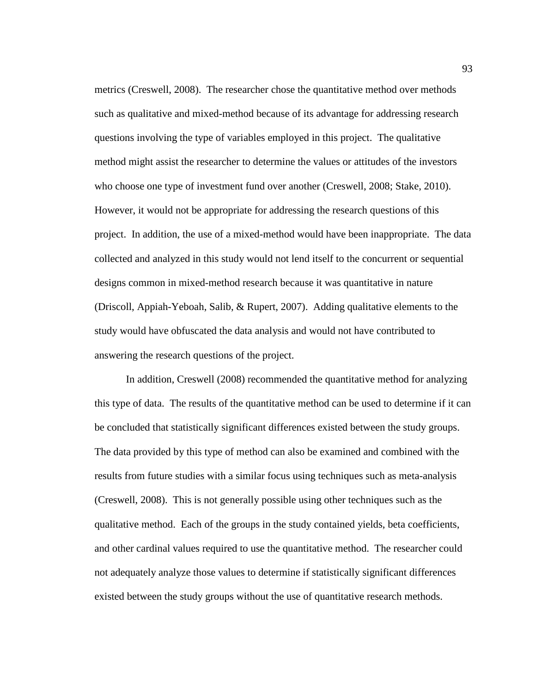metrics (Creswell, 2008). The researcher chose the quantitative method over methods such as qualitative and mixed-method because of its advantage for addressing research questions involving the type of variables employed in this project. The qualitative method might assist the researcher to determine the values or attitudes of the investors who choose one type of investment fund over another (Creswell, 2008; Stake, 2010). However, it would not be appropriate for addressing the research questions of this project. In addition, the use of a mixed-method would have been inappropriate. The data collected and analyzed in this study would not lend itself to the concurrent or sequential designs common in mixed-method research because it was quantitative in nature (Driscoll, Appiah-Yeboah, Salib, & Rupert, 2007). Adding qualitative elements to the study would have obfuscated the data analysis and would not have contributed to answering the research questions of the project.

In addition, Creswell (2008) recommended the quantitative method for analyzing this type of data. The results of the quantitative method can be used to determine if it can be concluded that statistically significant differences existed between the study groups. The data provided by this type of method can also be examined and combined with the results from future studies with a similar focus using techniques such as meta-analysis (Creswell, 2008). This is not generally possible using other techniques such as the qualitative method. Each of the groups in the study contained yields, beta coefficients, and other cardinal values required to use the quantitative method. The researcher could not adequately analyze those values to determine if statistically significant differences existed between the study groups without the use of quantitative research methods.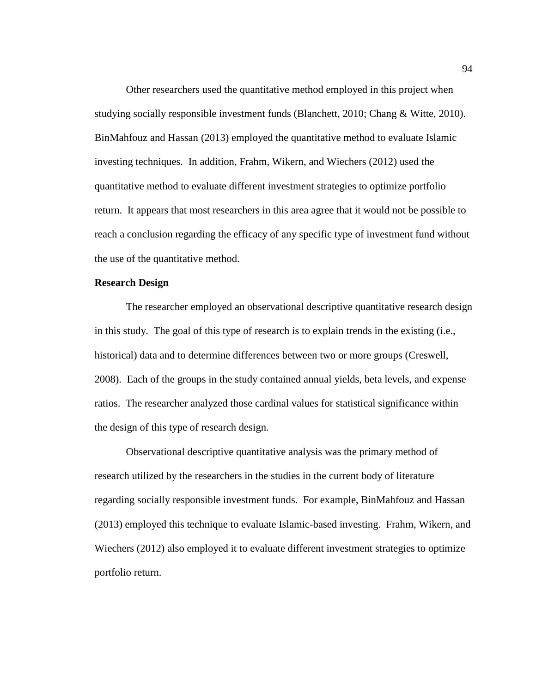Other researchers used the quantitative method employed in this project when studying socially responsible investment funds (Blanchett, 2010; Chang & Witte, 2010). BinMahfouz and Hassan (2013) employed the quantitative method to evaluate Islamic investing techniques. In addition, Frahm, Wikern, and Wiechers (2012) used the quantitative method to evaluate different investment strategies to optimize portfolio return. It appears that most researchers in this area agree that it would not be possible to reach a conclusion regarding the efficacy of any specific type of investment fund without the use of the quantitative method.

## **Research Design**

The researcher employed an observational descriptive quantitative research design in this study. The goal of this type of research is to explain trends in the existing (i.e., historical) data and to determine differences between two or more groups (Creswell, 2008). Each of the groups in the study contained annual yields, beta levels, and expense ratios. The researcher analyzed those cardinal values for statistical significance within the design of this type of research design.

Observational descriptive quantitative analysis was the primary method of research utilized by the researchers in the studies in the current body of literature regarding socially responsible investment funds. For example, BinMahfouz and Hassan (2013) employed this technique to evaluate Islamic-based investing. Frahm, Wikern, and Wiechers (2012) also employed it to evaluate different investment strategies to optimize portfolio return.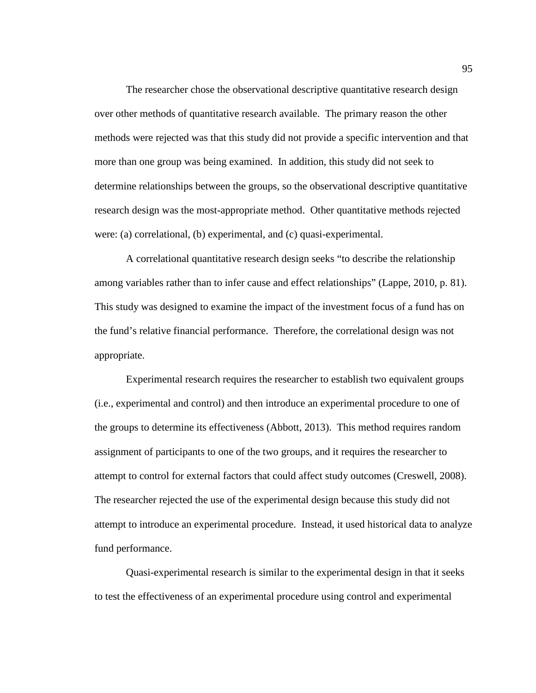The researcher chose the observational descriptive quantitative research design over other methods of quantitative research available. The primary reason the other methods were rejected was that this study did not provide a specific intervention and that more than one group was being examined. In addition, this study did not seek to determine relationships between the groups, so the observational descriptive quantitative research design was the most-appropriate method. Other quantitative methods rejected were: (a) correlational, (b) experimental, and (c) quasi-experimental.

A correlational quantitative research design seeks "to describe the relationship among variables rather than to infer cause and effect relationships" (Lappe, 2010, p. 81). This study was designed to examine the impact of the investment focus of a fund has on the fund's relative financial performance. Therefore, the correlational design was not appropriate.

Experimental research requires the researcher to establish two equivalent groups (i.e., experimental and control) and then introduce an experimental procedure to one of the groups to determine its effectiveness (Abbott, 2013). This method requires random assignment of participants to one of the two groups, and it requires the researcher to attempt to control for external factors that could affect study outcomes (Creswell, 2008). The researcher rejected the use of the experimental design because this study did not attempt to introduce an experimental procedure. Instead, it used historical data to analyze fund performance.

Quasi-experimental research is similar to the experimental design in that it seeks to test the effectiveness of an experimental procedure using control and experimental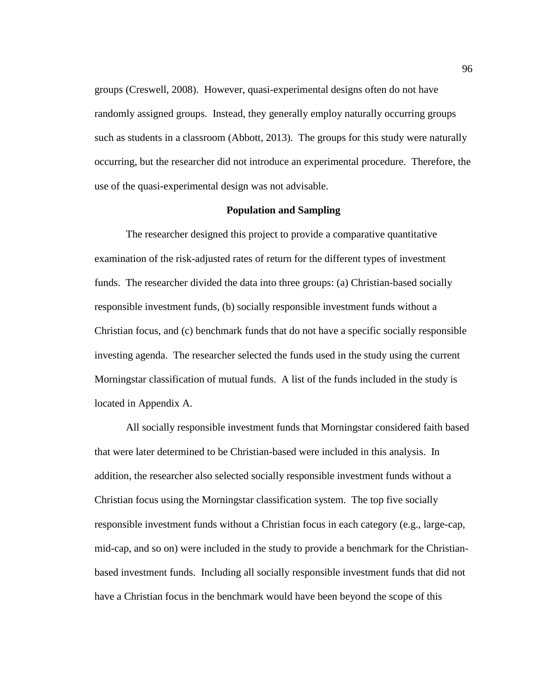groups (Creswell, 2008). However, quasi-experimental designs often do not have randomly assigned groups. Instead, they generally employ naturally occurring groups such as students in a classroom (Abbott, 2013). The groups for this study were naturally occurring, but the researcher did not introduce an experimental procedure. Therefore, the use of the quasi-experimental design was not advisable.

### **Population and Sampling**

The researcher designed this project to provide a comparative quantitative examination of the risk-adjusted rates of return for the different types of investment funds. The researcher divided the data into three groups: (a) Christian-based socially responsible investment funds, (b) socially responsible investment funds without a Christian focus, and (c) benchmark funds that do not have a specific socially responsible investing agenda. The researcher selected the funds used in the study using the current Morningstar classification of mutual funds. A list of the funds included in the study is located in Appendix A.

All socially responsible investment funds that Morningstar considered faith based that were later determined to be Christian-based were included in this analysis. In addition, the researcher also selected socially responsible investment funds without a Christian focus using the Morningstar classification system. The top five socially responsible investment funds without a Christian focus in each category (e.g., large-cap, mid-cap, and so on) were included in the study to provide a benchmark for the Christianbased investment funds. Including all socially responsible investment funds that did not have a Christian focus in the benchmark would have been beyond the scope of this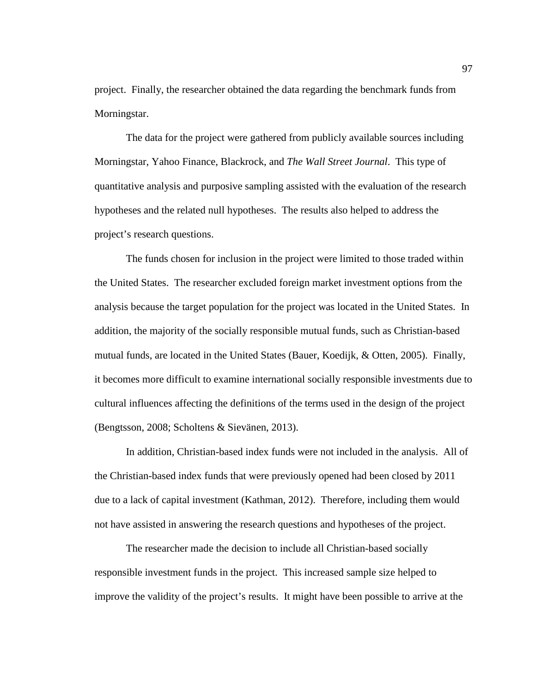project. Finally, the researcher obtained the data regarding the benchmark funds from Morningstar.

The data for the project were gathered from publicly available sources including Morningstar, Yahoo Finance, Blackrock, and *The Wall Street Journal*. This type of quantitative analysis and purposive sampling assisted with the evaluation of the research hypotheses and the related null hypotheses. The results also helped to address the project's research questions.

The funds chosen for inclusion in the project were limited to those traded within the United States. The researcher excluded foreign market investment options from the analysis because the target population for the project was located in the United States. In addition, the majority of the socially responsible mutual funds, such as Christian-based mutual funds, are located in the United States (Bauer, Koedijk, & Otten, 2005). Finally, it becomes more difficult to examine international socially responsible investments due to cultural influences affecting the definitions of the terms used in the design of the project (Bengtsson, 2008; Scholtens & Sievänen, 2013).

In addition, Christian-based index funds were not included in the analysis. All of the Christian-based index funds that were previously opened had been closed by 2011 due to a lack of capital investment (Kathman, 2012). Therefore, including them would not have assisted in answering the research questions and hypotheses of the project.

The researcher made the decision to include all Christian-based socially responsible investment funds in the project. This increased sample size helped to improve the validity of the project's results. It might have been possible to arrive at the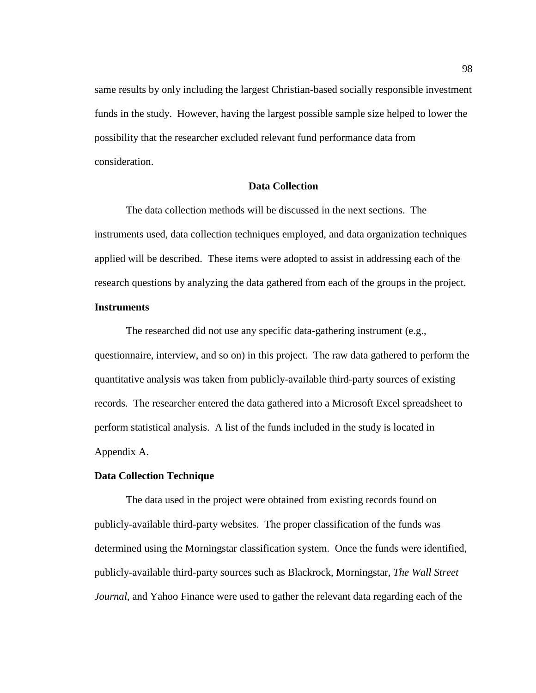same results by only including the largest Christian-based socially responsible investment funds in the study. However, having the largest possible sample size helped to lower the possibility that the researcher excluded relevant fund performance data from consideration.

## **Data Collection**

The data collection methods will be discussed in the next sections. The instruments used, data collection techniques employed, and data organization techniques applied will be described. These items were adopted to assist in addressing each of the research questions by analyzing the data gathered from each of the groups in the project.

# **Instruments**

The researched did not use any specific data-gathering instrument (e.g., questionnaire, interview, and so on) in this project. The raw data gathered to perform the quantitative analysis was taken from publicly-available third-party sources of existing records. The researcher entered the data gathered into a Microsoft Excel spreadsheet to perform statistical analysis. A list of the funds included in the study is located in Appendix A.

## **Data Collection Technique**

The data used in the project were obtained from existing records found on publicly-available third-party websites. The proper classification of the funds was determined using the Morningstar classification system. Once the funds were identified, publicly-available third-party sources such as Blackrock, Morningstar, *The Wall Street Journal*, and Yahoo Finance were used to gather the relevant data regarding each of the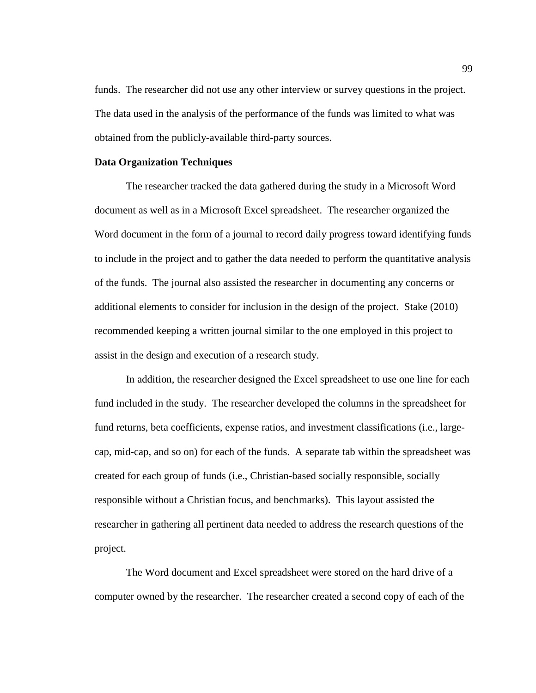funds. The researcher did not use any other interview or survey questions in the project. The data used in the analysis of the performance of the funds was limited to what was obtained from the publicly-available third-party sources.

#### **Data Organization Techniques**

The researcher tracked the data gathered during the study in a Microsoft Word document as well as in a Microsoft Excel spreadsheet. The researcher organized the Word document in the form of a journal to record daily progress toward identifying funds to include in the project and to gather the data needed to perform the quantitative analysis of the funds. The journal also assisted the researcher in documenting any concerns or additional elements to consider for inclusion in the design of the project. Stake (2010) recommended keeping a written journal similar to the one employed in this project to assist in the design and execution of a research study.

In addition, the researcher designed the Excel spreadsheet to use one line for each fund included in the study. The researcher developed the columns in the spreadsheet for fund returns, beta coefficients, expense ratios, and investment classifications (i.e., largecap, mid-cap, and so on) for each of the funds. A separate tab within the spreadsheet was created for each group of funds (i.e., Christian-based socially responsible, socially responsible without a Christian focus, and benchmarks). This layout assisted the researcher in gathering all pertinent data needed to address the research questions of the project.

The Word document and Excel spreadsheet were stored on the hard drive of a computer owned by the researcher. The researcher created a second copy of each of the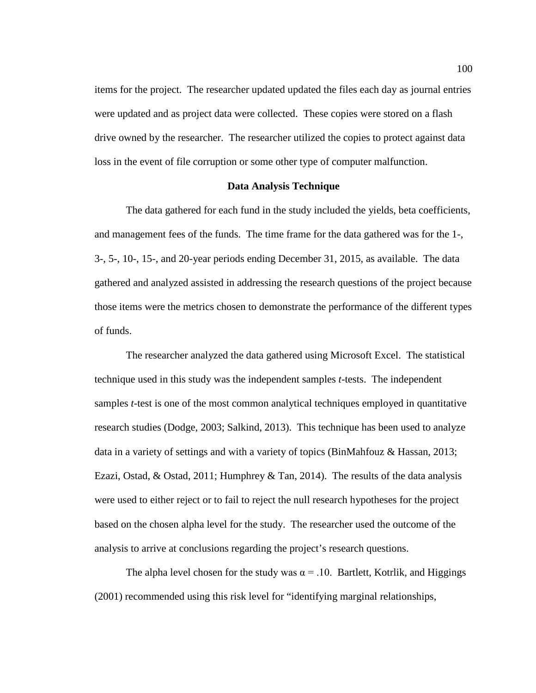items for the project. The researcher updated updated the files each day as journal entries were updated and as project data were collected. These copies were stored on a flash drive owned by the researcher. The researcher utilized the copies to protect against data loss in the event of file corruption or some other type of computer malfunction.

### **Data Analysis Technique**

The data gathered for each fund in the study included the yields, beta coefficients, and management fees of the funds. The time frame for the data gathered was for the 1-, 3-, 5-, 10-, 15-, and 20-year periods ending December 31, 2015, as available. The data gathered and analyzed assisted in addressing the research questions of the project because those items were the metrics chosen to demonstrate the performance of the different types of funds.

The researcher analyzed the data gathered using Microsoft Excel. The statistical technique used in this study was the independent samples *t*-tests. The independent samples *t*-test is one of the most common analytical techniques employed in quantitative research studies (Dodge, 2003; Salkind, 2013). This technique has been used to analyze data in a variety of settings and with a variety of topics (BinMahfouz & Hassan, 2013; Ezazi, Ostad, & Ostad, 2011; Humphrey & Tan, 2014). The results of the data analysis were used to either reject or to fail to reject the null research hypotheses for the project based on the chosen alpha level for the study. The researcher used the outcome of the analysis to arrive at conclusions regarding the project's research questions.

The alpha level chosen for the study was  $\alpha = 0.10$ . Bartlett, Kotrlik, and Higgings (2001) recommended using this risk level for "identifying marginal relationships,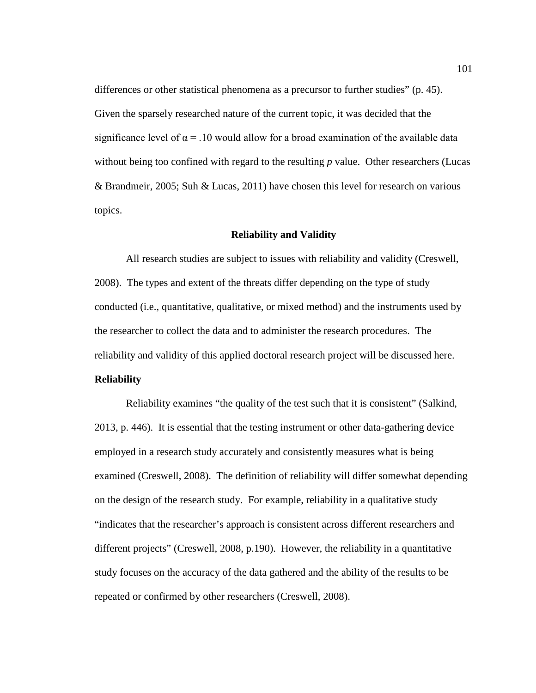differences or other statistical phenomena as a precursor to further studies" (p. 45). Given the sparsely researched nature of the current topic, it was decided that the significance level of  $\alpha = 0.10$  would allow for a broad examination of the available data without being too confined with regard to the resulting *p* value. Other researchers (Lucas & Brandmeir, 2005; Suh & Lucas, 2011) have chosen this level for research on various topics.

## **Reliability and Validity**

All research studies are subject to issues with reliability and validity (Creswell, 2008). The types and extent of the threats differ depending on the type of study conducted (i.e., quantitative, qualitative, or mixed method) and the instruments used by the researcher to collect the data and to administer the research procedures. The reliability and validity of this applied doctoral research project will be discussed here.

# **Reliability**

Reliability examines "the quality of the test such that it is consistent" (Salkind, 2013, p. 446). It is essential that the testing instrument or other data-gathering device employed in a research study accurately and consistently measures what is being examined (Creswell, 2008). The definition of reliability will differ somewhat depending on the design of the research study. For example, reliability in a qualitative study "indicates that the researcher's approach is consistent across different researchers and different projects" (Creswell, 2008, p.190). However, the reliability in a quantitative study focuses on the accuracy of the data gathered and the ability of the results to be repeated or confirmed by other researchers (Creswell, 2008).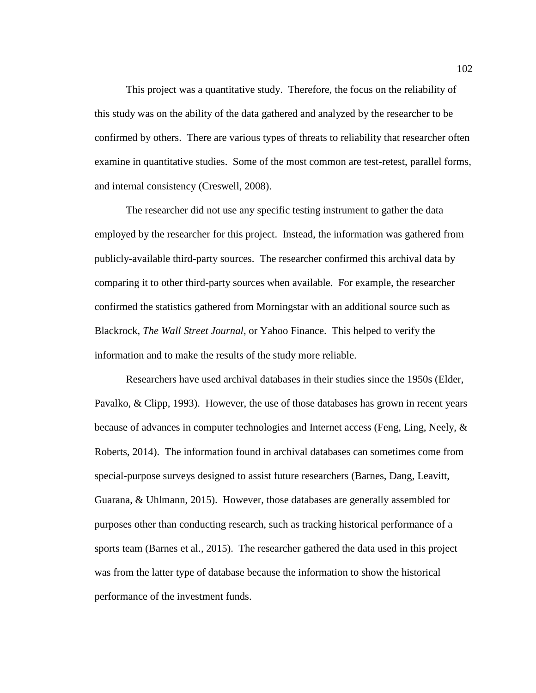This project was a quantitative study. Therefore, the focus on the reliability of this study was on the ability of the data gathered and analyzed by the researcher to be confirmed by others. There are various types of threats to reliability that researcher often examine in quantitative studies. Some of the most common are test-retest, parallel forms, and internal consistency (Creswell, 2008).

The researcher did not use any specific testing instrument to gather the data employed by the researcher for this project. Instead, the information was gathered from publicly-available third-party sources. The researcher confirmed this archival data by comparing it to other third-party sources when available. For example, the researcher confirmed the statistics gathered from Morningstar with an additional source such as Blackrock, *The Wall Street Journal*, or Yahoo Finance. This helped to verify the information and to make the results of the study more reliable.

Researchers have used archival databases in their studies since the 1950s (Elder, Pavalko, & Clipp, 1993). However, the use of those databases has grown in recent years because of advances in computer technologies and Internet access (Feng, Ling, Neely, & Roberts, 2014). The information found in archival databases can sometimes come from special-purpose surveys designed to assist future researchers (Barnes, Dang, Leavitt, Guarana, & Uhlmann, 2015). However, those databases are generally assembled for purposes other than conducting research, such as tracking historical performance of a sports team (Barnes et al., 2015). The researcher gathered the data used in this project was from the latter type of database because the information to show the historical performance of the investment funds.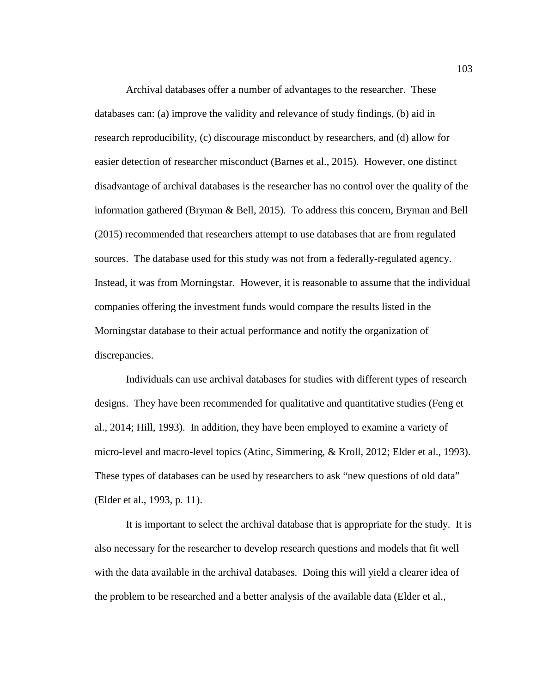Archival databases offer a number of advantages to the researcher. These databases can: (a) improve the validity and relevance of study findings, (b) aid in research reproducibility, (c) discourage misconduct by researchers, and (d) allow for easier detection of researcher misconduct (Barnes et al., 2015). However, one distinct disadvantage of archival databases is the researcher has no control over the quality of the information gathered (Bryman & Bell, 2015). To address this concern, Bryman and Bell (2015) recommended that researchers attempt to use databases that are from regulated sources. The database used for this study was not from a federally-regulated agency. Instead, it was from Morningstar. However, it is reasonable to assume that the individual companies offering the investment funds would compare the results listed in the Morningstar database to their actual performance and notify the organization of discrepancies.

Individuals can use archival databases for studies with different types of research designs. They have been recommended for qualitative and quantitative studies (Feng et al., 2014; Hill, 1993). In addition, they have been employed to examine a variety of micro-level and macro-level topics (Atinc, Simmering, & Kroll, 2012; Elder et al., 1993). These types of databases can be used by researchers to ask "new questions of old data" (Elder et al., 1993, p. 11).

It is important to select the archival database that is appropriate for the study. It is also necessary for the researcher to develop research questions and models that fit well with the data available in the archival databases. Doing this will yield a clearer idea of the problem to be researched and a better analysis of the available data (Elder et al.,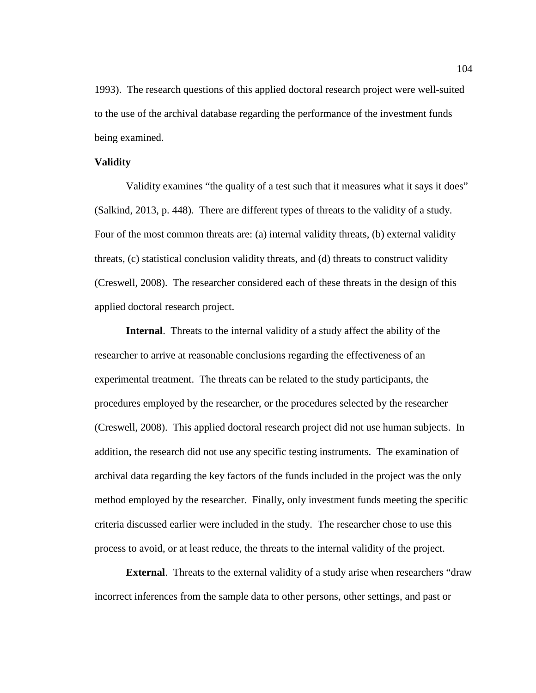1993). The research questions of this applied doctoral research project were well-suited to the use of the archival database regarding the performance of the investment funds being examined.

#### **Validity**

Validity examines "the quality of a test such that it measures what it says it does" (Salkind, 2013, p. 448). There are different types of threats to the validity of a study. Four of the most common threats are: (a) internal validity threats, (b) external validity threats, (c) statistical conclusion validity threats, and (d) threats to construct validity (Creswell, 2008). The researcher considered each of these threats in the design of this applied doctoral research project.

**Internal**. Threats to the internal validity of a study affect the ability of the researcher to arrive at reasonable conclusions regarding the effectiveness of an experimental treatment. The threats can be related to the study participants, the procedures employed by the researcher, or the procedures selected by the researcher (Creswell, 2008). This applied doctoral research project did not use human subjects. In addition, the research did not use any specific testing instruments. The examination of archival data regarding the key factors of the funds included in the project was the only method employed by the researcher. Finally, only investment funds meeting the specific criteria discussed earlier were included in the study. The researcher chose to use this process to avoid, or at least reduce, the threats to the internal validity of the project.

**External.** Threats to the external validity of a study arise when researchers "draw" incorrect inferences from the sample data to other persons, other settings, and past or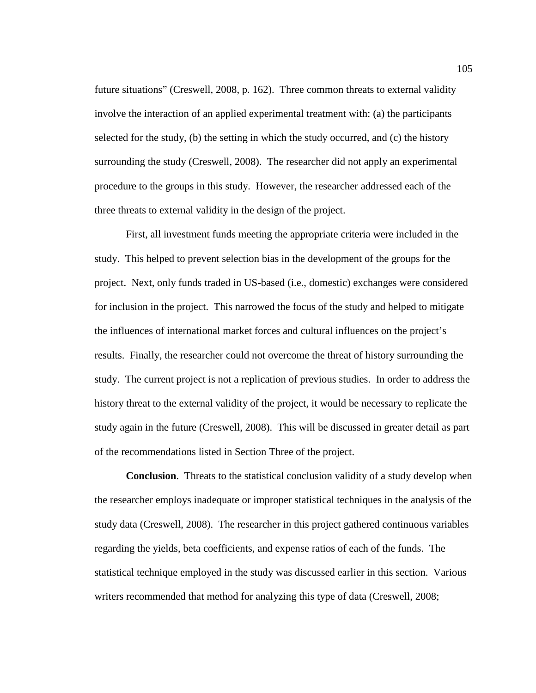future situations" (Creswell, 2008, p. 162). Three common threats to external validity involve the interaction of an applied experimental treatment with: (a) the participants selected for the study, (b) the setting in which the study occurred, and (c) the history surrounding the study (Creswell, 2008). The researcher did not apply an experimental procedure to the groups in this study. However, the researcher addressed each of the three threats to external validity in the design of the project.

First, all investment funds meeting the appropriate criteria were included in the study. This helped to prevent selection bias in the development of the groups for the project. Next, only funds traded in US-based (i.e., domestic) exchanges were considered for inclusion in the project. This narrowed the focus of the study and helped to mitigate the influences of international market forces and cultural influences on the project's results. Finally, the researcher could not overcome the threat of history surrounding the study. The current project is not a replication of previous studies. In order to address the history threat to the external validity of the project, it would be necessary to replicate the study again in the future (Creswell, 2008). This will be discussed in greater detail as part of the recommendations listed in Section Three of the project.

**Conclusion**. Threats to the statistical conclusion validity of a study develop when the researcher employs inadequate or improper statistical techniques in the analysis of the study data (Creswell, 2008). The researcher in this project gathered continuous variables regarding the yields, beta coefficients, and expense ratios of each of the funds. The statistical technique employed in the study was discussed earlier in this section. Various writers recommended that method for analyzing this type of data (Creswell, 2008;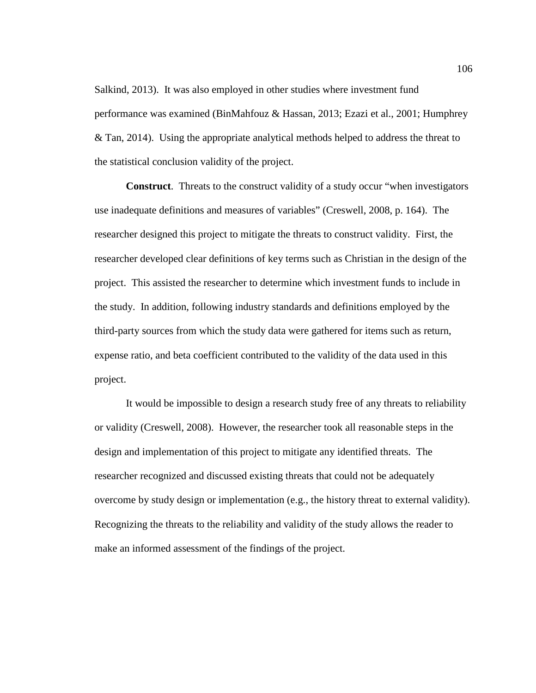Salkind, 2013). It was also employed in other studies where investment fund performance was examined (BinMahfouz & Hassan, 2013; Ezazi et al., 2001; Humphrey  $& Tan, 2014$ ). Using the appropriate analytical methods helped to address the threat to the statistical conclusion validity of the project.

**Construct**. Threats to the construct validity of a study occur "when investigators use inadequate definitions and measures of variables" (Creswell, 2008, p. 164). The researcher designed this project to mitigate the threats to construct validity. First, the researcher developed clear definitions of key terms such as Christian in the design of the project. This assisted the researcher to determine which investment funds to include in the study. In addition, following industry standards and definitions employed by the third-party sources from which the study data were gathered for items such as return, expense ratio, and beta coefficient contributed to the validity of the data used in this project.

It would be impossible to design a research study free of any threats to reliability or validity (Creswell, 2008). However, the researcher took all reasonable steps in the design and implementation of this project to mitigate any identified threats. The researcher recognized and discussed existing threats that could not be adequately overcome by study design or implementation (e.g., the history threat to external validity). Recognizing the threats to the reliability and validity of the study allows the reader to make an informed assessment of the findings of the project.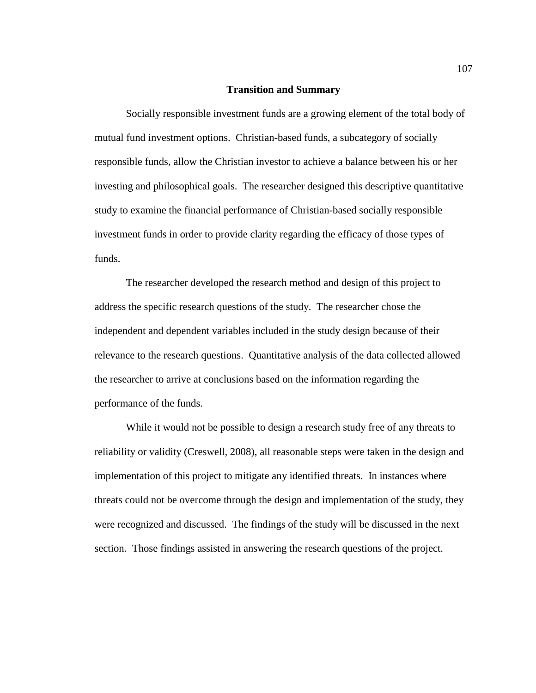#### **Transition and Summary**

Socially responsible investment funds are a growing element of the total body of mutual fund investment options. Christian-based funds, a subcategory of socially responsible funds, allow the Christian investor to achieve a balance between his or her investing and philosophical goals. The researcher designed this descriptive quantitative study to examine the financial performance of Christian-based socially responsible investment funds in order to provide clarity regarding the efficacy of those types of funds.

The researcher developed the research method and design of this project to address the specific research questions of the study. The researcher chose the independent and dependent variables included in the study design because of their relevance to the research questions. Quantitative analysis of the data collected allowed the researcher to arrive at conclusions based on the information regarding the performance of the funds.

While it would not be possible to design a research study free of any threats to reliability or validity (Creswell, 2008), all reasonable steps were taken in the design and implementation of this project to mitigate any identified threats. In instances where threats could not be overcome through the design and implementation of the study, they were recognized and discussed. The findings of the study will be discussed in the next section. Those findings assisted in answering the research questions of the project.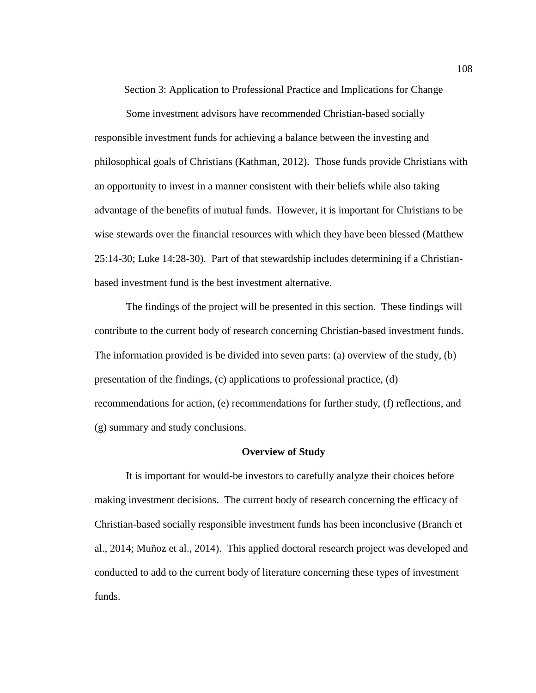Section 3: Application to Professional Practice and Implications for Change

Some investment advisors have recommended Christian-based socially responsible investment funds for achieving a balance between the investing and philosophical goals of Christians (Kathman, 2012). Those funds provide Christians with an opportunity to invest in a manner consistent with their beliefs while also taking advantage of the benefits of mutual funds. However, it is important for Christians to be wise stewards over the financial resources with which they have been blessed (Matthew 25:14-30; Luke 14:28-30). Part of that stewardship includes determining if a Christianbased investment fund is the best investment alternative.

The findings of the project will be presented in this section. These findings will contribute to the current body of research concerning Christian-based investment funds. The information provided is be divided into seven parts: (a) overview of the study, (b) presentation of the findings, (c) applications to professional practice, (d) recommendations for action, (e) recommendations for further study, (f) reflections, and (g) summary and study conclusions.

## **Overview of Study**

It is important for would-be investors to carefully analyze their choices before making investment decisions. The current body of research concerning the efficacy of Christian-based socially responsible investment funds has been inconclusive (Branch et al., 2014; Muñoz et al., 2014). This applied doctoral research project was developed and conducted to add to the current body of literature concerning these types of investment funds.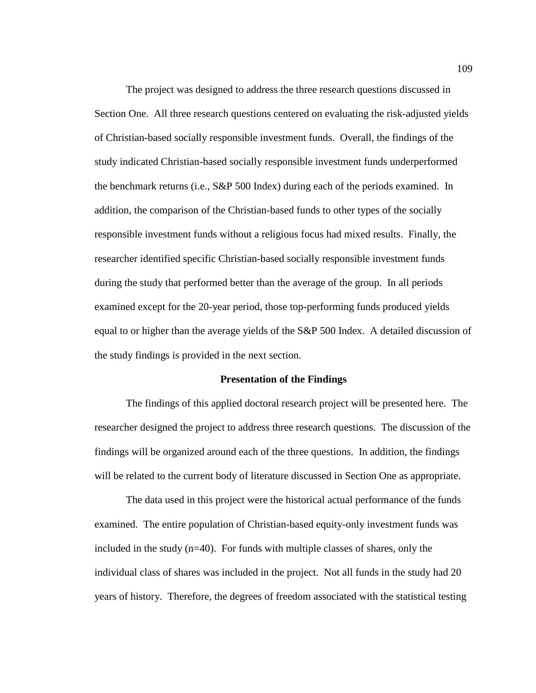The project was designed to address the three research questions discussed in Section One. All three research questions centered on evaluating the risk-adjusted yields of Christian-based socially responsible investment funds. Overall, the findings of the study indicated Christian-based socially responsible investment funds underperformed the benchmark returns (i.e., S&P 500 Index) during each of the periods examined. In addition, the comparison of the Christian-based funds to other types of the socially responsible investment funds without a religious focus had mixed results. Finally, the researcher identified specific Christian-based socially responsible investment funds during the study that performed better than the average of the group. In all periods examined except for the 20-year period, those top-performing funds produced yields equal to or higher than the average yields of the S&P 500 Index. A detailed discussion of the study findings is provided in the next section.

#### **Presentation of the Findings**

The findings of this applied doctoral research project will be presented here. The researcher designed the project to address three research questions. The discussion of the findings will be organized around each of the three questions. In addition, the findings will be related to the current body of literature discussed in Section One as appropriate.

The data used in this project were the historical actual performance of the funds examined. The entire population of Christian-based equity-only investment funds was included in the study  $(n=40)$ . For funds with multiple classes of shares, only the individual class of shares was included in the project. Not all funds in the study had 20 years of history. Therefore, the degrees of freedom associated with the statistical testing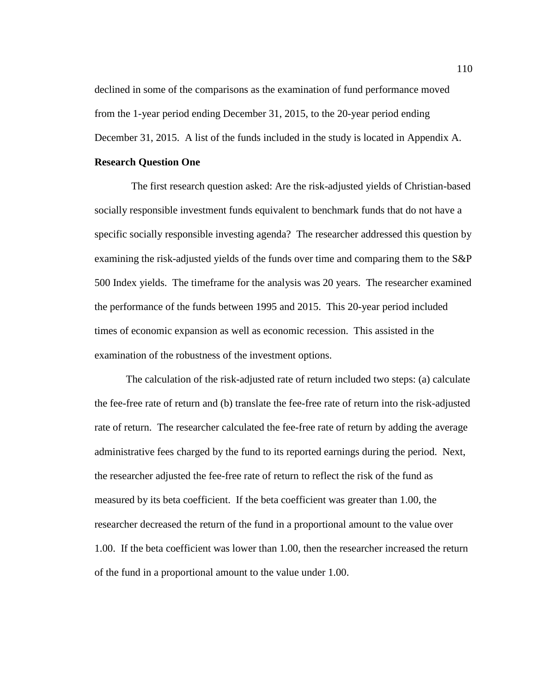declined in some of the comparisons as the examination of fund performance moved from the 1-year period ending December 31, 2015, to the 20-year period ending December 31, 2015. A list of the funds included in the study is located in Appendix A.

### **Research Question One**

 The first research question asked: Are the risk-adjusted yields of Christian-based socially responsible investment funds equivalent to benchmark funds that do not have a specific socially responsible investing agenda? The researcher addressed this question by examining the risk-adjusted yields of the funds over time and comparing them to the S&P 500 Index yields. The timeframe for the analysis was 20 years. The researcher examined the performance of the funds between 1995 and 2015. This 20-year period included times of economic expansion as well as economic recession. This assisted in the examination of the robustness of the investment options.

The calculation of the risk-adjusted rate of return included two steps: (a) calculate the fee-free rate of return and (b) translate the fee-free rate of return into the risk-adjusted rate of return. The researcher calculated the fee-free rate of return by adding the average administrative fees charged by the fund to its reported earnings during the period. Next, the researcher adjusted the fee-free rate of return to reflect the risk of the fund as measured by its beta coefficient. If the beta coefficient was greater than 1.00, the researcher decreased the return of the fund in a proportional amount to the value over 1.00. If the beta coefficient was lower than 1.00, then the researcher increased the return of the fund in a proportional amount to the value under 1.00.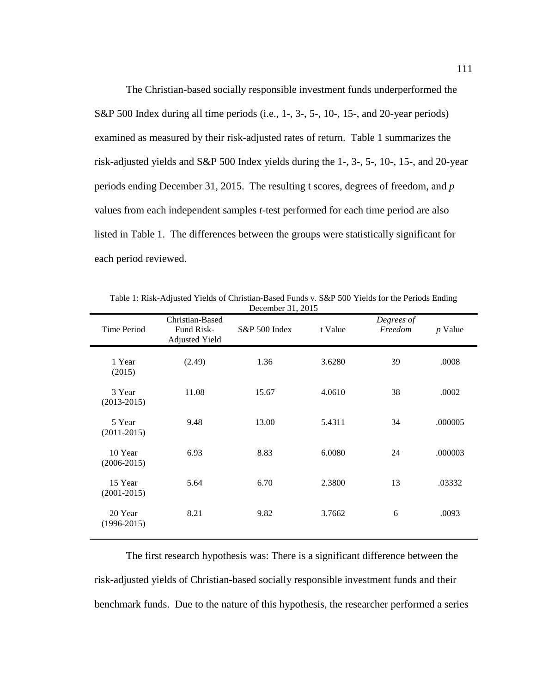The Christian-based socially responsible investment funds underperformed the S&P 500 Index during all time periods (i.e., 1-, 3-, 5-, 10-, 15-, and 20-year periods) examined as measured by their risk-adjusted rates of return. Table 1 summarizes the risk-adjusted yields and S&P 500 Index yields during the 1-, 3-, 5-, 10-, 15-, and 20-year periods ending December 31, 2015. The resulting t scores, degrees of freedom, and *p* values from each independent samples *t*-test performed for each time period are also listed in Table 1. The differences between the groups were statistically significant for each period reviewed.

| <b>Time Period</b>         | Christian-Based<br>Fund Risk-<br><b>Adjusted Yield</b> | S&P 500 Index | t Value | Degrees of<br>Freedom | $p$ Value |
|----------------------------|--------------------------------------------------------|---------------|---------|-----------------------|-----------|
| 1 Year<br>(2015)           | (2.49)                                                 | 1.36          | 3.6280  | 39                    | .0008     |
| 3 Year<br>$(2013 - 2015)$  | 11.08                                                  | 15.67         | 4.0610  | 38                    | .0002     |
| 5 Year<br>$(2011 - 2015)$  | 9.48                                                   | 13.00         | 5.4311  | 34                    | .000005   |
| 10 Year<br>$(2006 - 2015)$ | 6.93                                                   | 8.83          | 6.0080  | 24                    | .000003   |
| 15 Year<br>$(2001 - 2015)$ | 5.64                                                   | 6.70          | 2.3800  | 13                    | .03332    |
| 20 Year<br>$(1996 - 2015)$ | 8.21                                                   | 9.82          | 3.7662  | 6                     | .0093     |

Table 1: Risk-Adjusted Yields of Christian-Based Funds v. S&P 500 Yields for the Periods Ending December 31, 2015

The first research hypothesis was: There is a significant difference between the risk-adjusted yields of Christian-based socially responsible investment funds and their benchmark funds. Due to the nature of this hypothesis, the researcher performed a series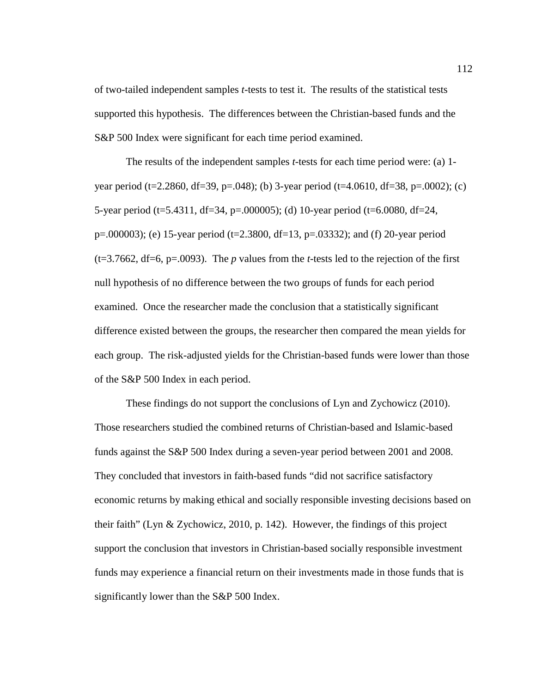of two-tailed independent samples *t*-tests to test it. The results of the statistical tests supported this hypothesis. The differences between the Christian-based funds and the S&P 500 Index were significant for each time period examined.

The results of the independent samples *t*-tests for each time period were: (a) 1 year period (t=2.2860, df=39, p=.048); (b) 3-year period (t=4.0610, df=38, p=.0002); (c) 5-year period (t=5.4311, df=34, p=.000005); (d) 10-year period (t=6.0080, df=24, p=.000003); (e) 15-year period (t=2.3800, df=13, p=.03332); and (f) 20-year period (t=3.7662, df=6, p=.0093). The *p* values from the *t*-tests led to the rejection of the first null hypothesis of no difference between the two groups of funds for each period examined. Once the researcher made the conclusion that a statistically significant difference existed between the groups, the researcher then compared the mean yields for each group. The risk-adjusted yields for the Christian-based funds were lower than those of the S&P 500 Index in each period.

These findings do not support the conclusions of Lyn and Zychowicz (2010). Those researchers studied the combined returns of Christian-based and Islamic-based funds against the S&P 500 Index during a seven-year period between 2001 and 2008. They concluded that investors in faith-based funds "did not sacrifice satisfactory economic returns by making ethical and socially responsible investing decisions based on their faith" (Lyn & Zychowicz, 2010, p. 142). However, the findings of this project support the conclusion that investors in Christian-based socially responsible investment funds may experience a financial return on their investments made in those funds that is significantly lower than the S&P 500 Index.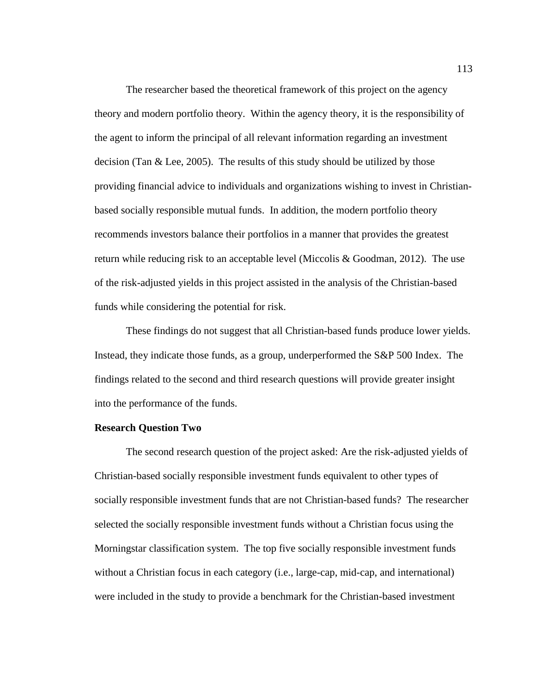The researcher based the theoretical framework of this project on the agency theory and modern portfolio theory. Within the agency theory, it is the responsibility of the agent to inform the principal of all relevant information regarding an investment decision (Tan & Lee, 2005). The results of this study should be utilized by those providing financial advice to individuals and organizations wishing to invest in Christianbased socially responsible mutual funds. In addition, the modern portfolio theory recommends investors balance their portfolios in a manner that provides the greatest return while reducing risk to an acceptable level (Miccolis & Goodman, 2012). The use of the risk-adjusted yields in this project assisted in the analysis of the Christian-based funds while considering the potential for risk.

These findings do not suggest that all Christian-based funds produce lower yields. Instead, they indicate those funds, as a group, underperformed the S&P 500 Index. The findings related to the second and third research questions will provide greater insight into the performance of the funds.

### **Research Question Two**

The second research question of the project asked: Are the risk-adjusted yields of Christian-based socially responsible investment funds equivalent to other types of socially responsible investment funds that are not Christian-based funds? The researcher selected the socially responsible investment funds without a Christian focus using the Morningstar classification system. The top five socially responsible investment funds without a Christian focus in each category (i.e., large-cap, mid-cap, and international) were included in the study to provide a benchmark for the Christian-based investment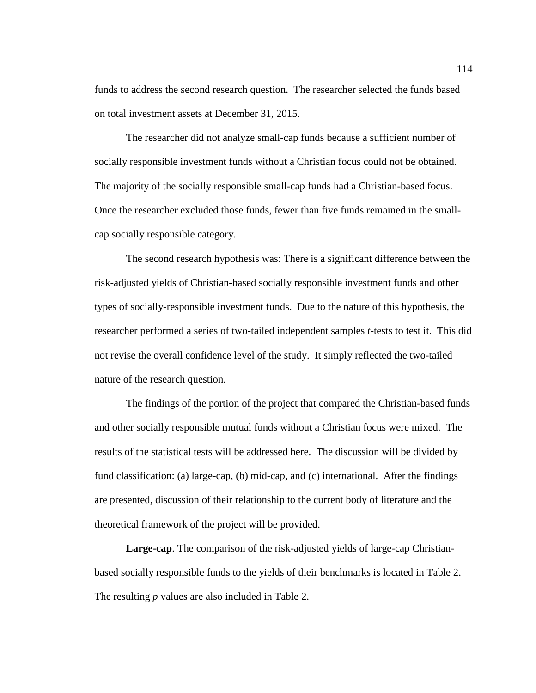funds to address the second research question. The researcher selected the funds based on total investment assets at December 31, 2015.

The researcher did not analyze small-cap funds because a sufficient number of socially responsible investment funds without a Christian focus could not be obtained. The majority of the socially responsible small-cap funds had a Christian-based focus. Once the researcher excluded those funds, fewer than five funds remained in the smallcap socially responsible category.

The second research hypothesis was: There is a significant difference between the risk-adjusted yields of Christian-based socially responsible investment funds and other types of socially-responsible investment funds. Due to the nature of this hypothesis, the researcher performed a series of two-tailed independent samples *t*-tests to test it. This did not revise the overall confidence level of the study. It simply reflected the two-tailed nature of the research question.

The findings of the portion of the project that compared the Christian-based funds and other socially responsible mutual funds without a Christian focus were mixed. The results of the statistical tests will be addressed here. The discussion will be divided by fund classification: (a) large-cap, (b) mid-cap, and (c) international. After the findings are presented, discussion of their relationship to the current body of literature and the theoretical framework of the project will be provided.

**Large-cap**. The comparison of the risk-adjusted yields of large-cap Christianbased socially responsible funds to the yields of their benchmarks is located in Table 2. The resulting *p* values are also included in Table 2.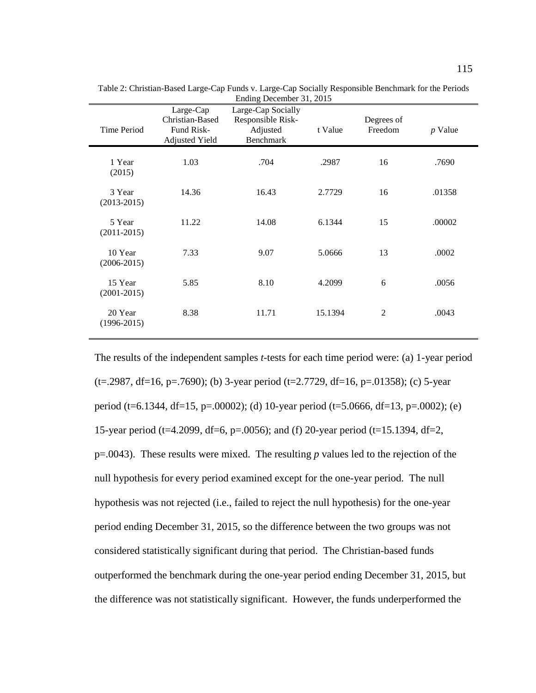| <b>Time Period</b>         | Large-Cap<br>Christian-Based<br>Fund Risk-<br><b>Adjusted Yield</b> | Large-Cap Socially<br>Responsible Risk-<br>Adjusted<br><b>Benchmark</b> | t Value | Degrees of<br>Freedom | $p$ Value |
|----------------------------|---------------------------------------------------------------------|-------------------------------------------------------------------------|---------|-----------------------|-----------|
| 1 Year<br>(2015)           | 1.03                                                                | .704                                                                    | .2987   | 16                    | .7690     |
| 3 Year<br>$(2013 - 2015)$  | 14.36                                                               | 16.43                                                                   | 2.7729  | 16                    | .01358    |
| 5 Year<br>$(2011 - 2015)$  | 11.22                                                               | 14.08                                                                   | 6.1344  | 15                    | .00002    |
| 10 Year<br>$(2006 - 2015)$ | 7.33                                                                | 9.07                                                                    | 5.0666  | 13                    | .0002     |
| 15 Year<br>$(2001 - 2015)$ | 5.85                                                                | 8.10                                                                    | 4.2099  | 6                     | .0056     |
| 20 Year<br>$(1996 - 2015)$ | 8.38                                                                | 11.71                                                                   | 15.1394 | 2                     | .0043     |
|                            |                                                                     |                                                                         |         |                       |           |

Table 2: Christian-Based Large-Cap Funds v. Large-Cap Socially Responsible Benchmark for the Periods Ending December 31, 2015

The results of the independent samples *t*-tests for each time period were: (a) 1-year period  $(t=0.2987, df=16, p=.7690)$ ; (b) 3-year period (t=2.7729, df=16, p=.01358); (c) 5-year period (t=6.1344, df=15, p=.00002); (d) 10-year period (t=5.0666, df=13, p=.0002); (e) 15-year period (t=4.2099, df=6, p=.0056); and (f) 20-year period (t=15.1394, df=2, p=.0043). These results were mixed. The resulting *p* values led to the rejection of the null hypothesis for every period examined except for the one-year period. The null hypothesis was not rejected (i.e., failed to reject the null hypothesis) for the one-year period ending December 31, 2015, so the difference between the two groups was not considered statistically significant during that period. The Christian-based funds outperformed the benchmark during the one-year period ending December 31, 2015, but the difference was not statistically significant. However, the funds underperformed the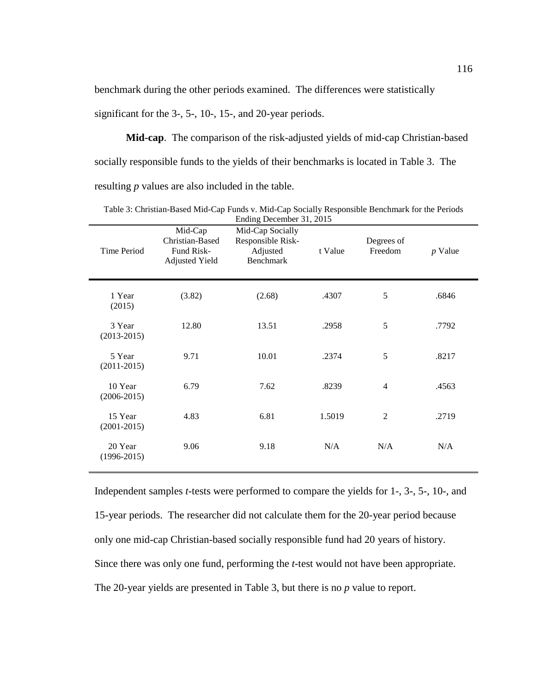benchmark during the other periods examined. The differences were statistically significant for the 3-, 5-, 10-, 15-, and 20-year periods.

**Mid-cap**. The comparison of the risk-adjusted yields of mid-cap Christian-based socially responsible funds to the yields of their benchmarks is located in Table 3. The resulting *p* values are also included in the table.

| Time Period                | Mid-Cap<br>Christian-Based<br>Fund Risk-<br><b>Adjusted Yield</b> | Mid-Cap Socially<br>Responsible Risk-<br>Adjusted<br>Benchmark | t Value | Degrees of<br>Freedom | $p$ Value |
|----------------------------|-------------------------------------------------------------------|----------------------------------------------------------------|---------|-----------------------|-----------|
| 1 Year<br>(2015)           | (3.82)                                                            | (2.68)                                                         | .4307   | 5                     | .6846     |
| 3 Year<br>$(2013 - 2015)$  | 12.80                                                             | 13.51                                                          | .2958   | 5                     | .7792     |
| 5 Year<br>$(2011 - 2015)$  | 9.71                                                              | 10.01                                                          | .2374   | 5                     | .8217     |
| 10 Year<br>$(2006 - 2015)$ | 6.79                                                              | 7.62                                                           | .8239   | $\overline{4}$        | .4563     |
| 15 Year<br>$(2001 - 2015)$ | 4.83                                                              | 6.81                                                           | 1.5019  | $\overline{2}$        | .2719     |
| 20 Year<br>$(1996 - 2015)$ | 9.06                                                              | 9.18                                                           | N/A     | N/A                   | N/A       |

Table 3: Christian-Based Mid-Cap Funds v. Mid-Cap Socially Responsible Benchmark for the Periods Ending December 31, 2015

Independent samples *t*-tests were performed to compare the yields for 1-, 3-, 5-, 10-, and 15-year periods. The researcher did not calculate them for the 20-year period because only one mid-cap Christian-based socially responsible fund had 20 years of history. Since there was only one fund, performing the *t*-test would not have been appropriate. The 20-year yields are presented in Table 3, but there is no *p* value to report.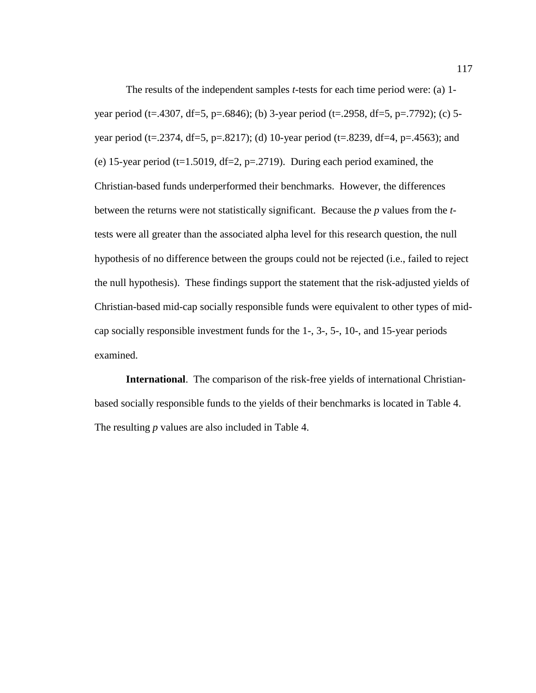The results of the independent samples *t*-tests for each time period were: (a) 1 year period (t=.4307, df=5, p=.6846); (b) 3-year period (t=.2958, df=5, p=.7792); (c) 5 year period (t=.2374, df=5, p=.8217); (d) 10-year period (t=.8239, df=4, p=.4563); and (e) 15-year period (t=1.5019, df=2, p=.2719). During each period examined, the Christian-based funds underperformed their benchmarks. However, the differences between the returns were not statistically significant. Because the *p* values from the *t*tests were all greater than the associated alpha level for this research question, the null hypothesis of no difference between the groups could not be rejected (i.e., failed to reject the null hypothesis). These findings support the statement that the risk-adjusted yields of Christian-based mid-cap socially responsible funds were equivalent to other types of midcap socially responsible investment funds for the 1-, 3-, 5-, 10-, and 15-year periods examined.

**International**. The comparison of the risk-free yields of international Christianbased socially responsible funds to the yields of their benchmarks is located in Table 4. The resulting *p* values are also included in Table 4.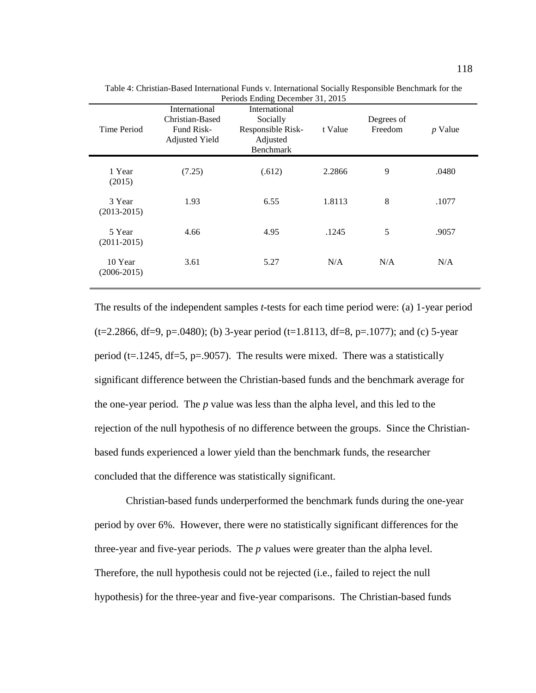| Time Period                | International<br>Christian-Based<br>Fund Risk-<br><b>Adjusted Yield</b> | International<br>Socially<br>Responsible Risk-<br>Adjusted<br>Benchmark | t Value | Degrees of<br>Freedom | $p$ Value |
|----------------------------|-------------------------------------------------------------------------|-------------------------------------------------------------------------|---------|-----------------------|-----------|
| 1 Year<br>(2015)           | (7.25)                                                                  | (.612)                                                                  | 2.2866  | 9                     | .0480     |
| 3 Year<br>$(2013 - 2015)$  | 1.93                                                                    | 6.55                                                                    | 1.8113  | 8                     | .1077     |
| 5 Year<br>$(2011 - 2015)$  | 4.66                                                                    | 4.95                                                                    | .1245   | 5                     | .9057     |
| 10 Year<br>$(2006 - 2015)$ | 3.61                                                                    | 5.27                                                                    | N/A     | N/A                   | N/A       |

Table 4: Christian-Based International Funds v. International Socially Responsible Benchmark for the Periods Ending December 31, 2015

The results of the independent samples *t*-tests for each time period were: (a) 1-year period  $(t=2.2866, df=9, p=.0480)$ ; (b) 3-year period (t=1.8113, df=8, p=.1077); and (c) 5-year period ( $t=1245$ ,  $df=5$ ,  $p=.9057$ ). The results were mixed. There was a statistically significant difference between the Christian-based funds and the benchmark average for the one-year period. The *p* value was less than the alpha level, and this led to the rejection of the null hypothesis of no difference between the groups. Since the Christianbased funds experienced a lower yield than the benchmark funds, the researcher concluded that the difference was statistically significant.

Christian-based funds underperformed the benchmark funds during the one-year period by over 6%. However, there were no statistically significant differences for the three-year and five-year periods. The *p* values were greater than the alpha level. Therefore, the null hypothesis could not be rejected (i.e., failed to reject the null hypothesis) for the three-year and five-year comparisons. The Christian-based funds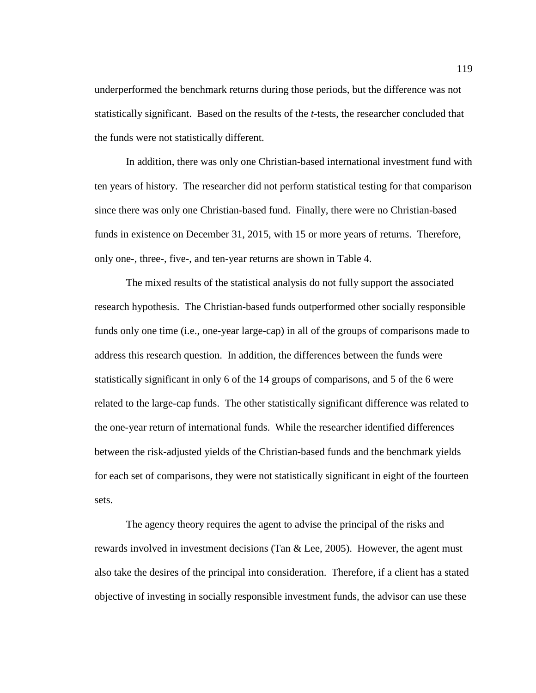underperformed the benchmark returns during those periods, but the difference was not statistically significant. Based on the results of the *t*-tests, the researcher concluded that the funds were not statistically different.

In addition, there was only one Christian-based international investment fund with ten years of history. The researcher did not perform statistical testing for that comparison since there was only one Christian-based fund. Finally, there were no Christian-based funds in existence on December 31, 2015, with 15 or more years of returns. Therefore, only one-, three-, five-, and ten-year returns are shown in Table 4.

The mixed results of the statistical analysis do not fully support the associated research hypothesis. The Christian-based funds outperformed other socially responsible funds only one time (i.e., one-year large-cap) in all of the groups of comparisons made to address this research question. In addition, the differences between the funds were statistically significant in only 6 of the 14 groups of comparisons, and 5 of the 6 were related to the large-cap funds. The other statistically significant difference was related to the one-year return of international funds. While the researcher identified differences between the risk-adjusted yields of the Christian-based funds and the benchmark yields for each set of comparisons, they were not statistically significant in eight of the fourteen sets.

The agency theory requires the agent to advise the principal of the risks and rewards involved in investment decisions (Tan & Lee, 2005). However, the agent must also take the desires of the principal into consideration. Therefore, if a client has a stated objective of investing in socially responsible investment funds, the advisor can use these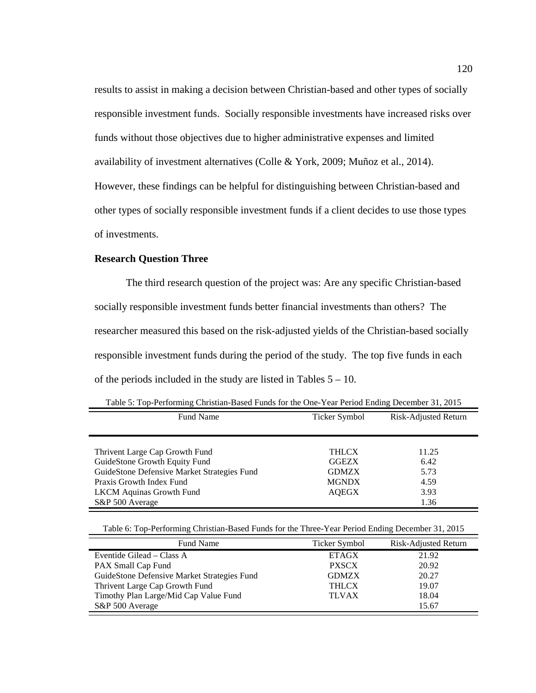results to assist in making a decision between Christian-based and other types of socially responsible investment funds. Socially responsible investments have increased risks over funds without those objectives due to higher administrative expenses and limited availability of investment alternatives (Colle & York, 2009; Muñoz et al., 2014). However, these findings can be helpful for distinguishing between Christian-based and other types of socially responsible investment funds if a client decides to use those types of investments.

## **Research Question Three**

The third research question of the project was: Are any specific Christian-based socially responsible investment funds better financial investments than others? The researcher measured this based on the risk-adjusted yields of the Christian-based socially responsible investment funds during the period of the study. The top five funds in each of the periods included in the study are listed in Tables  $5 - 10$ .

|  | Table 5: Top-Performing Christian-Based Funds for the One-Year Period Ending December 31, 2015 |
|--|------------------------------------------------------------------------------------------------|
|  |                                                                                                |

| <b>Fund Name</b>                            | Ticker Symbol | Risk-Adjusted Return |
|---------------------------------------------|---------------|----------------------|
|                                             |               |                      |
|                                             |               |                      |
| Thrivent Large Cap Growth Fund              | <b>THLCX</b>  | 11.25                |
| GuideStone Growth Equity Fund               | <b>GGEZX</b>  | 6.42                 |
| GuideStone Defensive Market Strategies Fund | <b>GDMZX</b>  | 5.73                 |
| Praxis Growth Index Fund                    | <b>MGNDX</b>  | 4.59                 |
| <b>LKCM</b> Aquinas Growth Fund             | <b>AOEGX</b>  | 3.93                 |
| S&P 500 Average                             |               | 1.36                 |

Table 6: Top-Performing Christian-Based Funds for the Three-Year Period Ending December 31, 2015

| <b>Fund Name</b>                            | Ticker Symbol | Risk-Adjusted Return |
|---------------------------------------------|---------------|----------------------|
| Eventide Gilead – Class A                   | <b>ETAGX</b>  | 21.92                |
| PAX Small Cap Fund                          | <b>PXSCX</b>  | 20.92                |
| GuideStone Defensive Market Strategies Fund | <b>GDMZX</b>  | 20.27                |
| Thrivent Large Cap Growth Fund              | <b>THLCX</b>  | 19.07                |
| Timothy Plan Large/Mid Cap Value Fund       | <b>TLVAX</b>  | 18.04                |
| S&P 500 Average                             |               | 15.67                |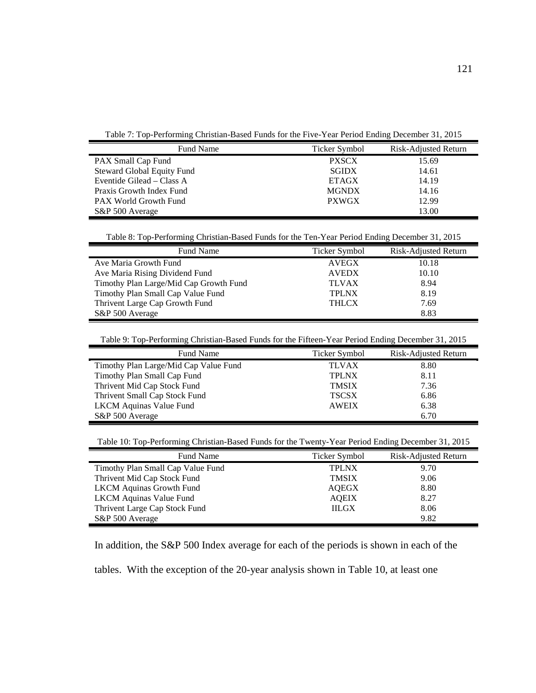Table 7: Top-Performing Christian-Based Funds for the Five-Year Period Ending December 31, 2015

| <b>Fund Name</b>                  | Ticker Symbol | Risk-Adjusted Return |
|-----------------------------------|---------------|----------------------|
| PAX Small Cap Fund                | <b>PXSCX</b>  | 15.69                |
| <b>Steward Global Equity Fund</b> | <b>SGIDX</b>  | 14.61                |
| Eventide Gilead – Class A         | <b>ETAGX</b>  | 14.19                |
| Praxis Growth Index Fund          | <b>MGNDX</b>  | 14.16                |
| <b>PAX World Growth Fund</b>      | <b>PXWGX</b>  | 12.99                |
| S&P 500 Average                   |               | 13.00                |

Table 8: Top-Performing Christian-Based Funds for the Ten-Year Period Ending December 31, 2015

| Fund Name                              | Ticker Symbol | Risk-Adjusted Return |
|----------------------------------------|---------------|----------------------|
| Ave Maria Growth Fund                  | <b>AVEGX</b>  | 10.18                |
| Ave Maria Rising Dividend Fund         | <b>AVEDX</b>  | 10.10                |
| Timothy Plan Large/Mid Cap Growth Fund | <b>TLVAX</b>  | 8.94                 |
| Timothy Plan Small Cap Value Fund      | <b>TPLNX</b>  | 8.19                 |
| Thrivent Large Cap Growth Fund         | <b>THLCX</b>  | 7.69                 |
| S&P 500 Average                        |               | 8.83                 |

Table 9: Top-Performing Christian-Based Funds for the Fifteen-Year Period Ending December 31, 2015

| Fund Name                             | Ticker Symbol | Risk-Adjusted Return |
|---------------------------------------|---------------|----------------------|
| Timothy Plan Large/Mid Cap Value Fund | <b>TLVAX</b>  | 8.80                 |
| Timothy Plan Small Cap Fund           | <b>TPLNX</b>  | 8.11                 |
| Thrivent Mid Cap Stock Fund           | <b>TMSIX</b>  | 7.36                 |
| Thrivent Small Cap Stock Fund         | <b>TSCSX</b>  | 6.86                 |
| <b>LKCM</b> Aquinas Value Fund        | <b>AWEIX</b>  | 6.38                 |
| S&P 500 Average                       |               | 6.70                 |

Table 10: Top-Performing Christian-Based Funds for the Twenty-Year Period Ending December 31, 2015

| Fund Name                         | Ticker Symbol | Risk-Adjusted Return |
|-----------------------------------|---------------|----------------------|
| Timothy Plan Small Cap Value Fund | <b>TPLNX</b>  | 9.70                 |
| Thrivent Mid Cap Stock Fund       | <b>TMSIX</b>  | 9.06                 |
| <b>LKCM Aquinas Growth Fund</b>   | AOEGX         | 8.80                 |
| <b>LKCM</b> Aquinas Value Fund    | <b>AOEIX</b>  | 8.27                 |
| Thrivent Large Cap Stock Fund     | <b>IILGX</b>  | 8.06                 |
| S&P 500 Average                   |               | 9.82                 |

In addition, the S&P 500 Index average for each of the periods is shown in each of the

tables. With the exception of the 20-year analysis shown in Table 10, at least one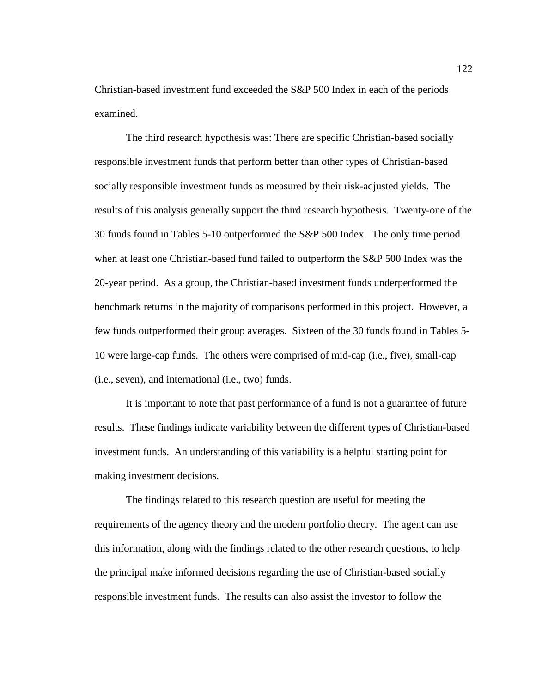Christian-based investment fund exceeded the S&P 500 Index in each of the periods examined.

The third research hypothesis was: There are specific Christian-based socially responsible investment funds that perform better than other types of Christian-based socially responsible investment funds as measured by their risk-adjusted yields. The results of this analysis generally support the third research hypothesis. Twenty-one of the 30 funds found in Tables 5-10 outperformed the S&P 500 Index. The only time period when at least one Christian-based fund failed to outperform the S&P 500 Index was the 20-year period. As a group, the Christian-based investment funds underperformed the benchmark returns in the majority of comparisons performed in this project. However, a few funds outperformed their group averages. Sixteen of the 30 funds found in Tables 5- 10 were large-cap funds. The others were comprised of mid-cap (i.e., five), small-cap (i.e., seven), and international (i.e., two) funds.

It is important to note that past performance of a fund is not a guarantee of future results. These findings indicate variability between the different types of Christian-based investment funds. An understanding of this variability is a helpful starting point for making investment decisions.

The findings related to this research question are useful for meeting the requirements of the agency theory and the modern portfolio theory. The agent can use this information, along with the findings related to the other research questions, to help the principal make informed decisions regarding the use of Christian-based socially responsible investment funds. The results can also assist the investor to follow the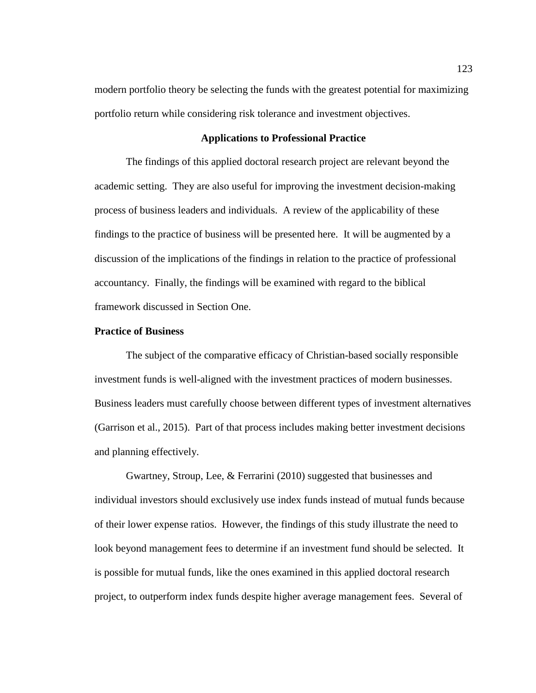modern portfolio theory be selecting the funds with the greatest potential for maximizing portfolio return while considering risk tolerance and investment objectives.

#### **Applications to Professional Practice**

The findings of this applied doctoral research project are relevant beyond the academic setting. They are also useful for improving the investment decision-making process of business leaders and individuals. A review of the applicability of these findings to the practice of business will be presented here. It will be augmented by a discussion of the implications of the findings in relation to the practice of professional accountancy. Finally, the findings will be examined with regard to the biblical framework discussed in Section One.

## **Practice of Business**

The subject of the comparative efficacy of Christian-based socially responsible investment funds is well-aligned with the investment practices of modern businesses. Business leaders must carefully choose between different types of investment alternatives (Garrison et al., 2015). Part of that process includes making better investment decisions and planning effectively.

Gwartney, Stroup, Lee, & Ferrarini (2010) suggested that businesses and individual investors should exclusively use index funds instead of mutual funds because of their lower expense ratios. However, the findings of this study illustrate the need to look beyond management fees to determine if an investment fund should be selected. It is possible for mutual funds, like the ones examined in this applied doctoral research project, to outperform index funds despite higher average management fees. Several of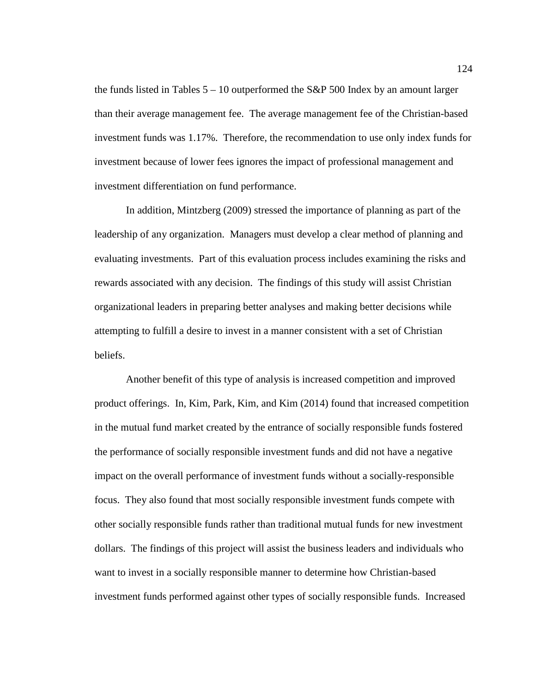the funds listed in Tables  $5 - 10$  outperformed the S&P 500 Index by an amount larger than their average management fee. The average management fee of the Christian-based investment funds was 1.17%. Therefore, the recommendation to use only index funds for investment because of lower fees ignores the impact of professional management and investment differentiation on fund performance.

In addition, Mintzberg (2009) stressed the importance of planning as part of the leadership of any organization. Managers must develop a clear method of planning and evaluating investments. Part of this evaluation process includes examining the risks and rewards associated with any decision. The findings of this study will assist Christian organizational leaders in preparing better analyses and making better decisions while attempting to fulfill a desire to invest in a manner consistent with a set of Christian beliefs.

Another benefit of this type of analysis is increased competition and improved product offerings. In, Kim, Park, Kim, and Kim (2014) found that increased competition in the mutual fund market created by the entrance of socially responsible funds fostered the performance of socially responsible investment funds and did not have a negative impact on the overall performance of investment funds without a socially-responsible focus. They also found that most socially responsible investment funds compete with other socially responsible funds rather than traditional mutual funds for new investment dollars. The findings of this project will assist the business leaders and individuals who want to invest in a socially responsible manner to determine how Christian-based investment funds performed against other types of socially responsible funds. Increased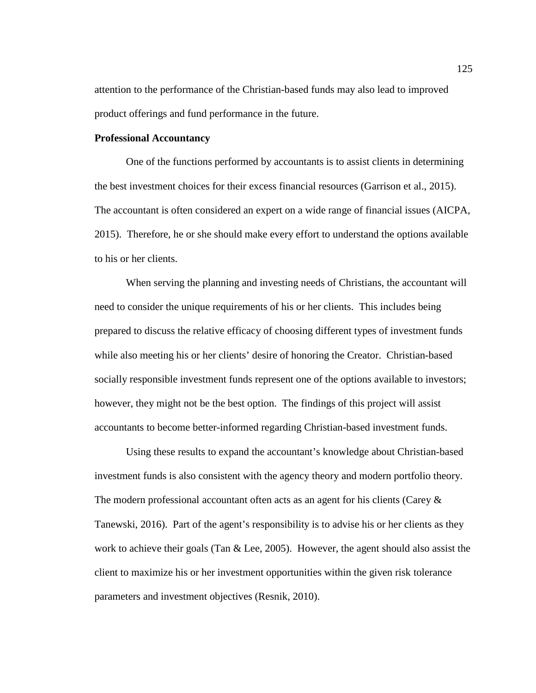attention to the performance of the Christian-based funds may also lead to improved product offerings and fund performance in the future.

#### **Professional Accountancy**

One of the functions performed by accountants is to assist clients in determining the best investment choices for their excess financial resources (Garrison et al., 2015). The accountant is often considered an expert on a wide range of financial issues (AICPA, 2015). Therefore, he or she should make every effort to understand the options available to his or her clients.

When serving the planning and investing needs of Christians, the accountant will need to consider the unique requirements of his or her clients. This includes being prepared to discuss the relative efficacy of choosing different types of investment funds while also meeting his or her clients' desire of honoring the Creator. Christian-based socially responsible investment funds represent one of the options available to investors; however, they might not be the best option. The findings of this project will assist accountants to become better-informed regarding Christian-based investment funds.

Using these results to expand the accountant's knowledge about Christian-based investment funds is also consistent with the agency theory and modern portfolio theory. The modern professional accountant often acts as an agent for his clients (Carey & Tanewski, 2016). Part of the agent's responsibility is to advise his or her clients as they work to achieve their goals (Tan  $& Lee, 2005$ ). However, the agent should also assist the client to maximize his or her investment opportunities within the given risk tolerance parameters and investment objectives (Resnik, 2010).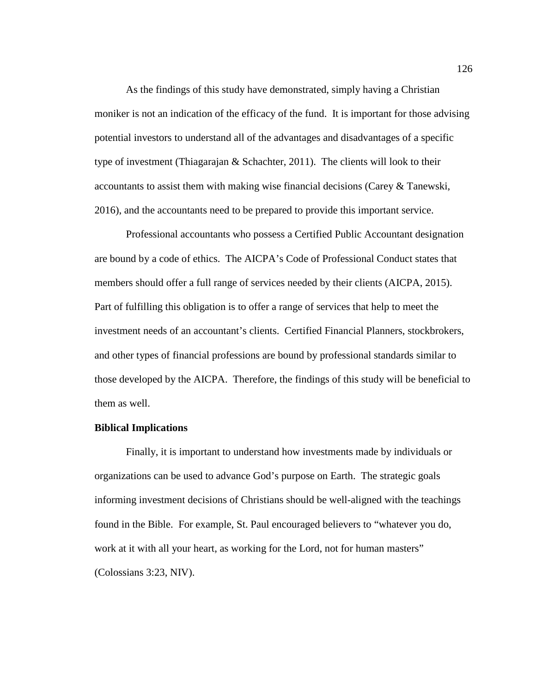As the findings of this study have demonstrated, simply having a Christian moniker is not an indication of the efficacy of the fund. It is important for those advising potential investors to understand all of the advantages and disadvantages of a specific type of investment (Thiagarajan & Schachter, 2011). The clients will look to their accountants to assist them with making wise financial decisions (Carey & Tanewski, 2016), and the accountants need to be prepared to provide this important service.

Professional accountants who possess a Certified Public Accountant designation are bound by a code of ethics. The AICPA's Code of Professional Conduct states that members should offer a full range of services needed by their clients (AICPA, 2015). Part of fulfilling this obligation is to offer a range of services that help to meet the investment needs of an accountant's clients. Certified Financial Planners, stockbrokers, and other types of financial professions are bound by professional standards similar to those developed by the AICPA. Therefore, the findings of this study will be beneficial to them as well.

## **Biblical Implications**

Finally, it is important to understand how investments made by individuals or organizations can be used to advance God's purpose on Earth. The strategic goals informing investment decisions of Christians should be well-aligned with the teachings found in the Bible. For example, St. Paul encouraged believers to "whatever you do, work at it with all your heart, as working for the Lord, not for human masters" (Colossians 3:23, NIV).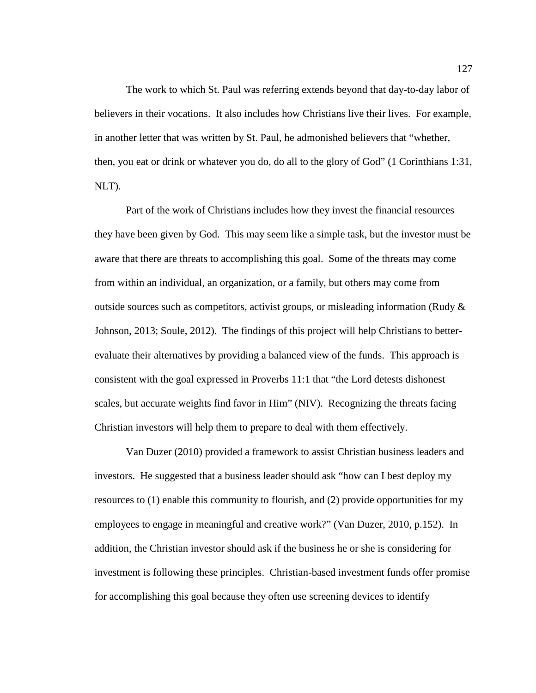The work to which St. Paul was referring extends beyond that day-to-day labor of believers in their vocations. It also includes how Christians live their lives. For example, in another letter that was written by St. Paul, he admonished believers that "whether, then, you eat or drink or whatever you do, do all to the glory of God" (1 Corinthians 1:31, NLT).

Part of the work of Christians includes how they invest the financial resources they have been given by God. This may seem like a simple task, but the investor must be aware that there are threats to accomplishing this goal. Some of the threats may come from within an individual, an organization, or a family, but others may come from outside sources such as competitors, activist groups, or misleading information (Rudy  $\&$ Johnson, 2013; Soule, 2012). The findings of this project will help Christians to betterevaluate their alternatives by providing a balanced view of the funds. This approach is consistent with the goal expressed in Proverbs 11:1 that "the Lord detests dishonest scales, but accurate weights find favor in Him" (NIV). Recognizing the threats facing Christian investors will help them to prepare to deal with them effectively.

Van Duzer (2010) provided a framework to assist Christian business leaders and investors. He suggested that a business leader should ask "how can I best deploy my resources to (1) enable this community to flourish, and (2) provide opportunities for my employees to engage in meaningful and creative work?" (Van Duzer, 2010, p.152). In addition, the Christian investor should ask if the business he or she is considering for investment is following these principles. Christian-based investment funds offer promise for accomplishing this goal because they often use screening devices to identify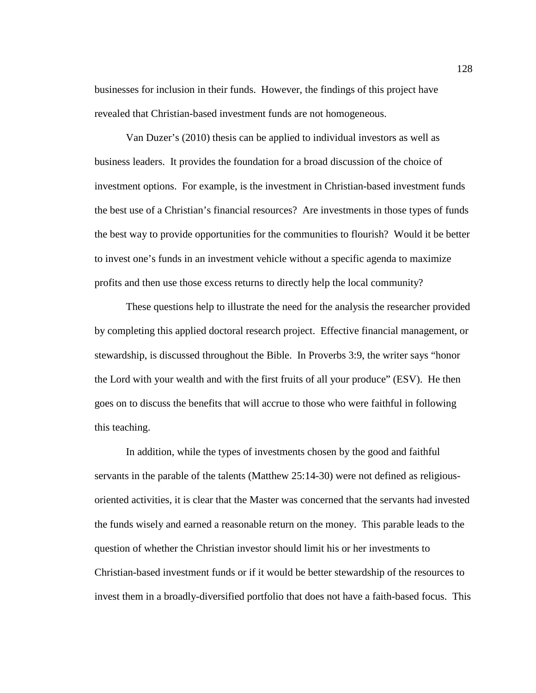businesses for inclusion in their funds. However, the findings of this project have revealed that Christian-based investment funds are not homogeneous.

Van Duzer's (2010) thesis can be applied to individual investors as well as business leaders. It provides the foundation for a broad discussion of the choice of investment options. For example, is the investment in Christian-based investment funds the best use of a Christian's financial resources? Are investments in those types of funds the best way to provide opportunities for the communities to flourish? Would it be better to invest one's funds in an investment vehicle without a specific agenda to maximize profits and then use those excess returns to directly help the local community?

These questions help to illustrate the need for the analysis the researcher provided by completing this applied doctoral research project. Effective financial management, or stewardship, is discussed throughout the Bible. In Proverbs 3:9, the writer says "honor the Lord with your wealth and with the first fruits of all your produce" (ESV). He then goes on to discuss the benefits that will accrue to those who were faithful in following this teaching.

In addition, while the types of investments chosen by the good and faithful servants in the parable of the talents (Matthew 25:14-30) were not defined as religiousoriented activities, it is clear that the Master was concerned that the servants had invested the funds wisely and earned a reasonable return on the money. This parable leads to the question of whether the Christian investor should limit his or her investments to Christian-based investment funds or if it would be better stewardship of the resources to invest them in a broadly-diversified portfolio that does not have a faith-based focus. This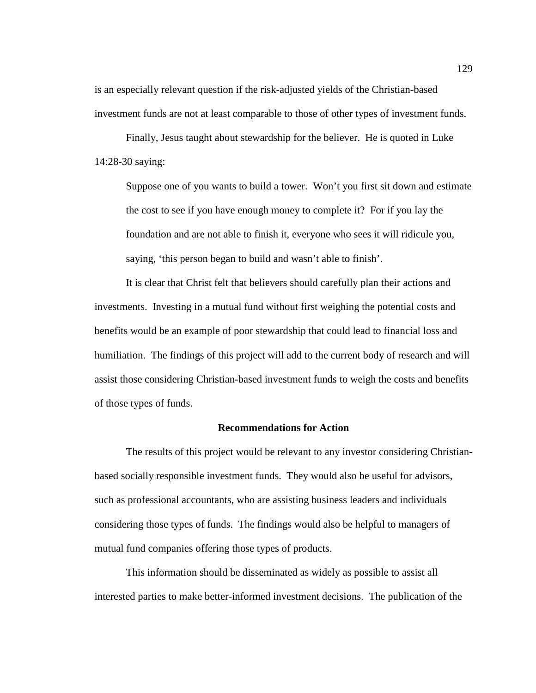is an especially relevant question if the risk-adjusted yields of the Christian-based investment funds are not at least comparable to those of other types of investment funds.

Finally, Jesus taught about stewardship for the believer. He is quoted in Luke 14:28-30 saying:

Suppose one of you wants to build a tower. Won't you first sit down and estimate the cost to see if you have enough money to complete it? For if you lay the foundation and are not able to finish it, everyone who sees it will ridicule you, saying, 'this person began to build and wasn't able to finish'.

It is clear that Christ felt that believers should carefully plan their actions and investments. Investing in a mutual fund without first weighing the potential costs and benefits would be an example of poor stewardship that could lead to financial loss and humiliation. The findings of this project will add to the current body of research and will assist those considering Christian-based investment funds to weigh the costs and benefits of those types of funds.

## **Recommendations for Action**

The results of this project would be relevant to any investor considering Christianbased socially responsible investment funds. They would also be useful for advisors, such as professional accountants, who are assisting business leaders and individuals considering those types of funds. The findings would also be helpful to managers of mutual fund companies offering those types of products.

This information should be disseminated as widely as possible to assist all interested parties to make better-informed investment decisions. The publication of the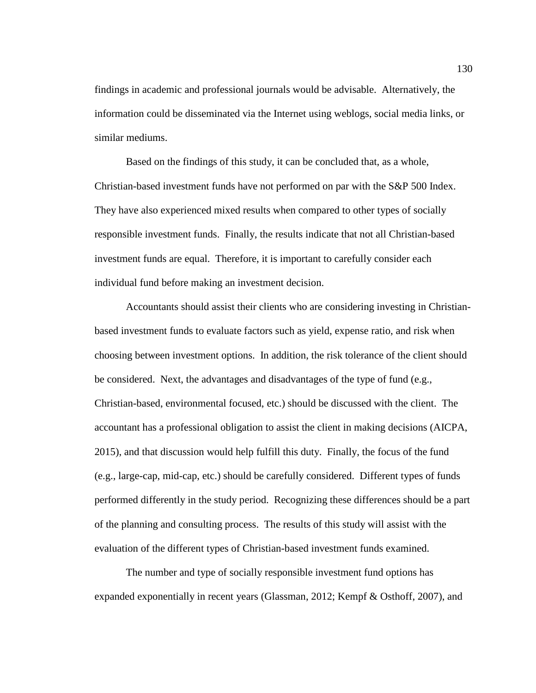findings in academic and professional journals would be advisable. Alternatively, the information could be disseminated via the Internet using weblogs, social media links, or similar mediums.

Based on the findings of this study, it can be concluded that, as a whole, Christian-based investment funds have not performed on par with the S&P 500 Index. They have also experienced mixed results when compared to other types of socially responsible investment funds. Finally, the results indicate that not all Christian-based investment funds are equal. Therefore, it is important to carefully consider each individual fund before making an investment decision.

Accountants should assist their clients who are considering investing in Christianbased investment funds to evaluate factors such as yield, expense ratio, and risk when choosing between investment options. In addition, the risk tolerance of the client should be considered. Next, the advantages and disadvantages of the type of fund (e.g., Christian-based, environmental focused, etc.) should be discussed with the client. The accountant has a professional obligation to assist the client in making decisions (AICPA, 2015), and that discussion would help fulfill this duty. Finally, the focus of the fund (e.g., large-cap, mid-cap, etc.) should be carefully considered. Different types of funds performed differently in the study period. Recognizing these differences should be a part of the planning and consulting process. The results of this study will assist with the evaluation of the different types of Christian-based investment funds examined.

The number and type of socially responsible investment fund options has expanded exponentially in recent years (Glassman, 2012; Kempf & Osthoff, 2007), and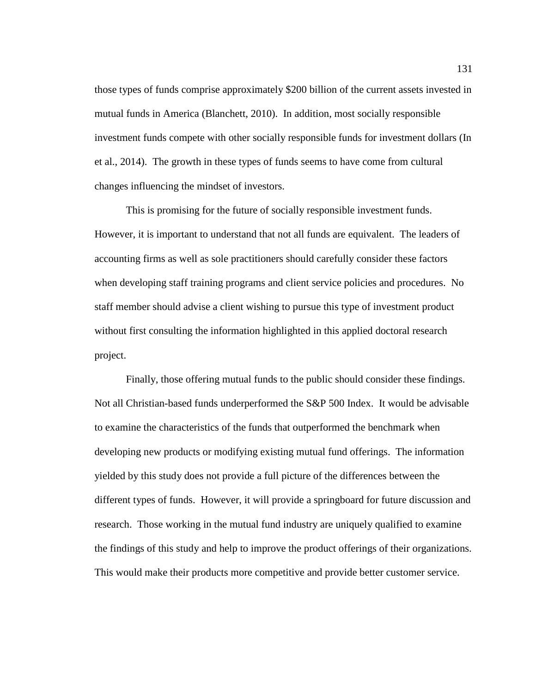those types of funds comprise approximately \$200 billion of the current assets invested in mutual funds in America (Blanchett, 2010). In addition, most socially responsible investment funds compete with other socially responsible funds for investment dollars (In et al., 2014). The growth in these types of funds seems to have come from cultural changes influencing the mindset of investors.

This is promising for the future of socially responsible investment funds. However, it is important to understand that not all funds are equivalent. The leaders of accounting firms as well as sole practitioners should carefully consider these factors when developing staff training programs and client service policies and procedures. No staff member should advise a client wishing to pursue this type of investment product without first consulting the information highlighted in this applied doctoral research project.

Finally, those offering mutual funds to the public should consider these findings. Not all Christian-based funds underperformed the S&P 500 Index. It would be advisable to examine the characteristics of the funds that outperformed the benchmark when developing new products or modifying existing mutual fund offerings. The information yielded by this study does not provide a full picture of the differences between the different types of funds. However, it will provide a springboard for future discussion and research. Those working in the mutual fund industry are uniquely qualified to examine the findings of this study and help to improve the product offerings of their organizations. This would make their products more competitive and provide better customer service.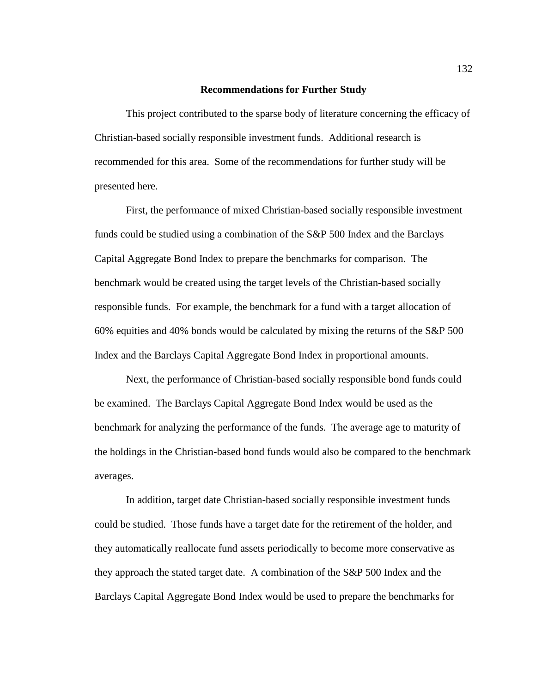#### **Recommendations for Further Study**

This project contributed to the sparse body of literature concerning the efficacy of Christian-based socially responsible investment funds. Additional research is recommended for this area. Some of the recommendations for further study will be presented here.

First, the performance of mixed Christian-based socially responsible investment funds could be studied using a combination of the S&P 500 Index and the Barclays Capital Aggregate Bond Index to prepare the benchmarks for comparison. The benchmark would be created using the target levels of the Christian-based socially responsible funds. For example, the benchmark for a fund with a target allocation of 60% equities and 40% bonds would be calculated by mixing the returns of the S&P 500 Index and the Barclays Capital Aggregate Bond Index in proportional amounts.

Next, the performance of Christian-based socially responsible bond funds could be examined. The Barclays Capital Aggregate Bond Index would be used as the benchmark for analyzing the performance of the funds. The average age to maturity of the holdings in the Christian-based bond funds would also be compared to the benchmark averages.

In addition, target date Christian-based socially responsible investment funds could be studied. Those funds have a target date for the retirement of the holder, and they automatically reallocate fund assets periodically to become more conservative as they approach the stated target date. A combination of the S&P 500 Index and the Barclays Capital Aggregate Bond Index would be used to prepare the benchmarks for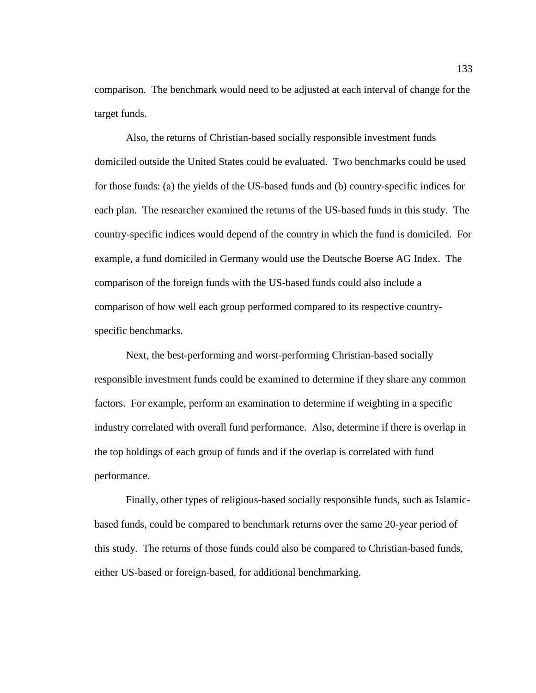comparison. The benchmark would need to be adjusted at each interval of change for the target funds.

Also, the returns of Christian-based socially responsible investment funds domiciled outside the United States could be evaluated. Two benchmarks could be used for those funds: (a) the yields of the US-based funds and (b) country-specific indices for each plan. The researcher examined the returns of the US-based funds in this study. The country-specific indices would depend of the country in which the fund is domiciled. For example, a fund domiciled in Germany would use the Deutsche Boerse AG Index. The comparison of the foreign funds with the US-based funds could also include a comparison of how well each group performed compared to its respective countryspecific benchmarks.

Next, the best-performing and worst-performing Christian-based socially responsible investment funds could be examined to determine if they share any common factors. For example, perform an examination to determine if weighting in a specific industry correlated with overall fund performance. Also, determine if there is overlap in the top holdings of each group of funds and if the overlap is correlated with fund performance.

Finally, other types of religious-based socially responsible funds, such as Islamicbased funds, could be compared to benchmark returns over the same 20-year period of this study. The returns of those funds could also be compared to Christian-based funds, either US-based or foreign-based, for additional benchmarking.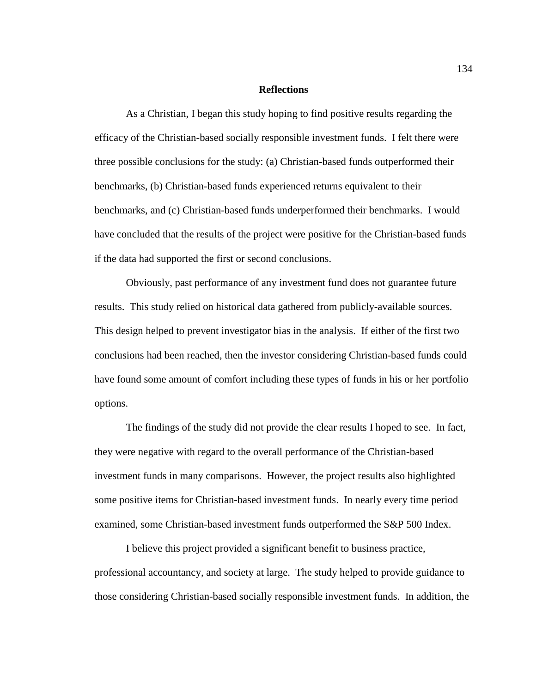## **Reflections**

As a Christian, I began this study hoping to find positive results regarding the efficacy of the Christian-based socially responsible investment funds. I felt there were three possible conclusions for the study: (a) Christian-based funds outperformed their benchmarks, (b) Christian-based funds experienced returns equivalent to their benchmarks, and (c) Christian-based funds underperformed their benchmarks. I would have concluded that the results of the project were positive for the Christian-based funds if the data had supported the first or second conclusions.

Obviously, past performance of any investment fund does not guarantee future results. This study relied on historical data gathered from publicly-available sources. This design helped to prevent investigator bias in the analysis. If either of the first two conclusions had been reached, then the investor considering Christian-based funds could have found some amount of comfort including these types of funds in his or her portfolio options.

The findings of the study did not provide the clear results I hoped to see. In fact, they were negative with regard to the overall performance of the Christian-based investment funds in many comparisons. However, the project results also highlighted some positive items for Christian-based investment funds. In nearly every time period examined, some Christian-based investment funds outperformed the S&P 500 Index.

I believe this project provided a significant benefit to business practice, professional accountancy, and society at large. The study helped to provide guidance to those considering Christian-based socially responsible investment funds. In addition, the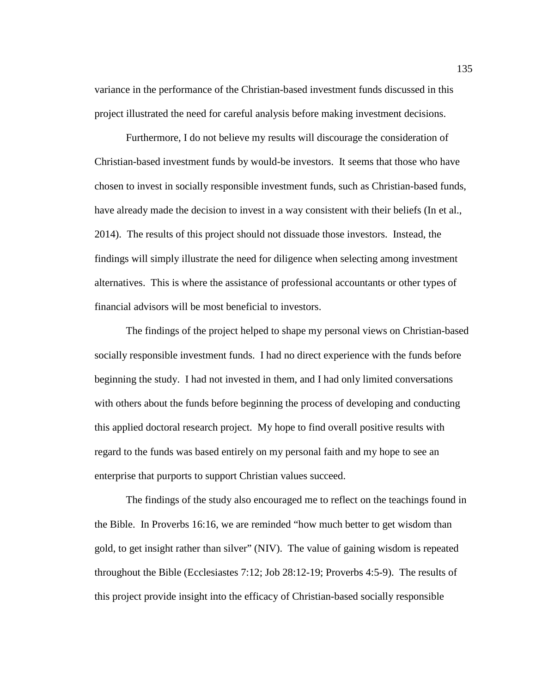variance in the performance of the Christian-based investment funds discussed in this project illustrated the need for careful analysis before making investment decisions.

Furthermore, I do not believe my results will discourage the consideration of Christian-based investment funds by would-be investors. It seems that those who have chosen to invest in socially responsible investment funds, such as Christian-based funds, have already made the decision to invest in a way consistent with their beliefs (In et al., 2014). The results of this project should not dissuade those investors. Instead, the findings will simply illustrate the need for diligence when selecting among investment alternatives. This is where the assistance of professional accountants or other types of financial advisors will be most beneficial to investors.

The findings of the project helped to shape my personal views on Christian-based socially responsible investment funds. I had no direct experience with the funds before beginning the study. I had not invested in them, and I had only limited conversations with others about the funds before beginning the process of developing and conducting this applied doctoral research project. My hope to find overall positive results with regard to the funds was based entirely on my personal faith and my hope to see an enterprise that purports to support Christian values succeed.

The findings of the study also encouraged me to reflect on the teachings found in the Bible. In Proverbs 16:16, we are reminded "how much better to get wisdom than gold, to get insight rather than silver" (NIV). The value of gaining wisdom is repeated throughout the Bible (Ecclesiastes 7:12; Job 28:12-19; Proverbs 4:5-9). The results of this project provide insight into the efficacy of Christian-based socially responsible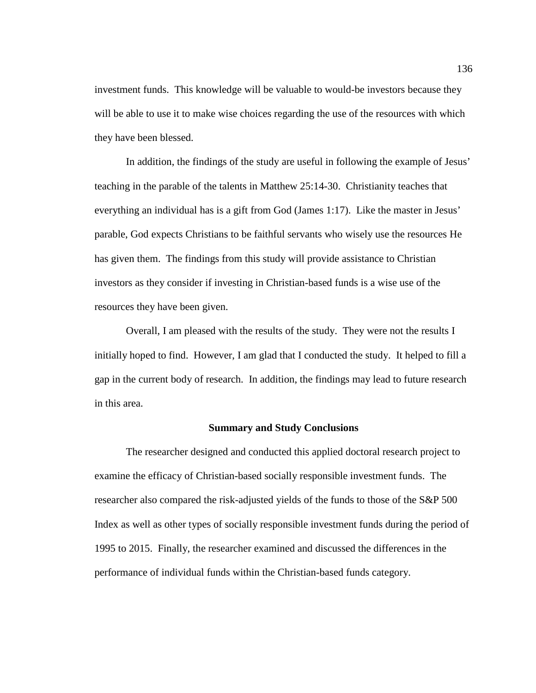investment funds. This knowledge will be valuable to would-be investors because they will be able to use it to make wise choices regarding the use of the resources with which they have been blessed.

In addition, the findings of the study are useful in following the example of Jesus' teaching in the parable of the talents in Matthew 25:14-30. Christianity teaches that everything an individual has is a gift from God (James 1:17). Like the master in Jesus' parable, God expects Christians to be faithful servants who wisely use the resources He has given them. The findings from this study will provide assistance to Christian investors as they consider if investing in Christian-based funds is a wise use of the resources they have been given.

Overall, I am pleased with the results of the study. They were not the results I initially hoped to find. However, I am glad that I conducted the study. It helped to fill a gap in the current body of research. In addition, the findings may lead to future research in this area.

## **Summary and Study Conclusions**

The researcher designed and conducted this applied doctoral research project to examine the efficacy of Christian-based socially responsible investment funds. The researcher also compared the risk-adjusted yields of the funds to those of the S&P 500 Index as well as other types of socially responsible investment funds during the period of 1995 to 2015. Finally, the researcher examined and discussed the differences in the performance of individual funds within the Christian-based funds category.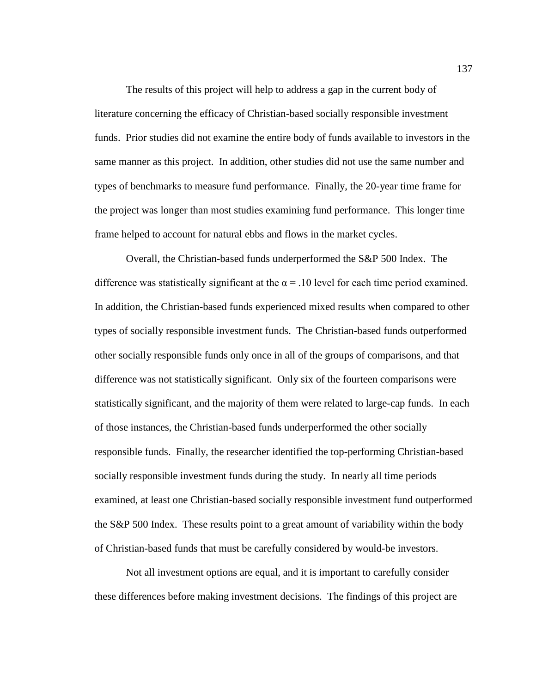The results of this project will help to address a gap in the current body of literature concerning the efficacy of Christian-based socially responsible investment funds. Prior studies did not examine the entire body of funds available to investors in the same manner as this project. In addition, other studies did not use the same number and types of benchmarks to measure fund performance. Finally, the 20-year time frame for the project was longer than most studies examining fund performance. This longer time frame helped to account for natural ebbs and flows in the market cycles.

Overall, the Christian-based funds underperformed the S&P 500 Index. The difference was statistically significant at the  $\alpha$  = .10 level for each time period examined. In addition, the Christian-based funds experienced mixed results when compared to other types of socially responsible investment funds. The Christian-based funds outperformed other socially responsible funds only once in all of the groups of comparisons, and that difference was not statistically significant. Only six of the fourteen comparisons were statistically significant, and the majority of them were related to large-cap funds. In each of those instances, the Christian-based funds underperformed the other socially responsible funds. Finally, the researcher identified the top-performing Christian-based socially responsible investment funds during the study. In nearly all time periods examined, at least one Christian-based socially responsible investment fund outperformed the S&P 500 Index. These results point to a great amount of variability within the body of Christian-based funds that must be carefully considered by would-be investors.

Not all investment options are equal, and it is important to carefully consider these differences before making investment decisions. The findings of this project are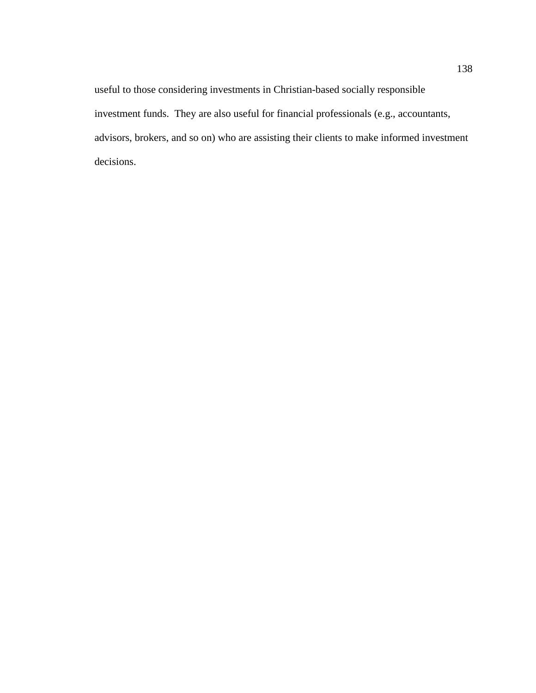useful to those considering investments in Christian-based socially responsible investment funds. They are also useful for financial professionals (e.g., accountants, advisors, brokers, and so on) who are assisting their clients to make informed investment decisions.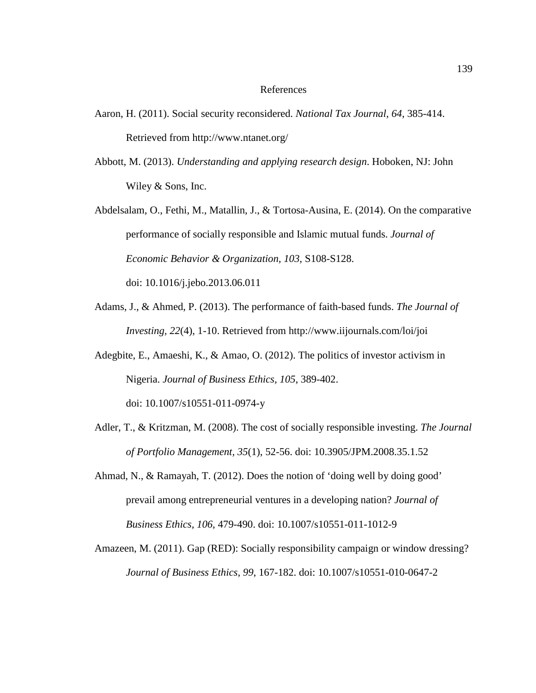## References

- Aaron, H. (2011). Social security reconsidered. *National Tax Journal, 64*, 385-414. Retrieved from http://www.ntanet.org/
- Abbott, M. (2013). *Understanding and applying research design*. Hoboken, NJ: John Wiley & Sons, Inc.
- Abdelsalam, O., Fethi, M., Matallin, J., & Tortosa-Ausina, E. (2014). On the comparative performance of socially responsible and Islamic mutual funds. *Journal of Economic Behavior & Organization, 103*, S108-S128. doi: 10.1016/j.jebo.2013.06.011
- Adams, J., & Ahmed, P. (2013). The performance of faith-based funds. *The Journal of Investing, 22*(4), 1-10. Retrieved from http://www.iijournals.com/loi/joi
- Adegbite, E., Amaeshi, K., & Amao, O. (2012). The politics of investor activism in Nigeria. *Journal of Business Ethics, 105*, 389-402.

doi: 10.1007/s10551-011-0974-y

- Adler, T., & Kritzman, M. (2008). The cost of socially responsible investing. *The Journal of Portfolio Management, 35*(1), 52-56. doi: 10.3905/JPM.2008.35.1.52
- Ahmad, N., & Ramayah, T. (2012). Does the notion of 'doing well by doing good' prevail among entrepreneurial ventures in a developing nation? *Journal of Business Ethics, 106*, 479-490. doi: 10.1007/s10551-011-1012-9
- Amazeen, M. (2011). Gap (RED): Socially responsibility campaign or window dressing? *Journal of Business Ethics, 99*, 167-182. doi: 10.1007/s10551-010-0647-2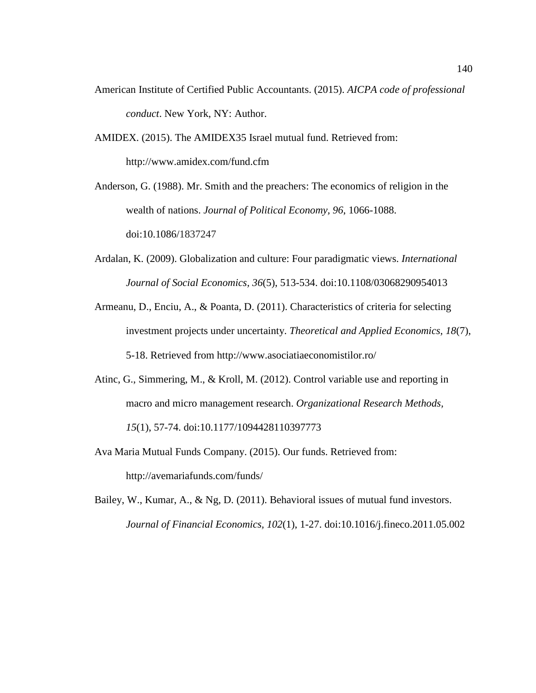- American Institute of Certified Public Accountants. (2015). *AICPA code of professional conduct*. New York, NY: Author.
- AMIDEX. (2015). The AMIDEX35 Israel mutual fund. Retrieved from: http://www.amidex.com/fund.cfm

Anderson, G. (1988). Mr. Smith and the preachers: The economics of religion in the wealth of nations. *Journal of Political Economy, 96*, 1066-1088. doi:10.1086/1837247

- Ardalan, K. (2009). Globalization and culture: Four paradigmatic views. *International Journal of Social Economics, 36*(5), 513-534. doi:10.1108/03068290954013
- Armeanu, D., Enciu, A., & Poanta, D. (2011). Characteristics of criteria for selecting investment projects under uncertainty. *Theoretical and Applied Economics, 18*(7), 5-18. Retrieved from http://www.asociatiaeconomistilor.ro/
- Atinc, G., Simmering, M., & Kroll, M. (2012). Control variable use and reporting in macro and micro management research. *Organizational Research Methods, 15*(1), 57-74. doi:10.1177/1094428110397773
- Ava Maria Mutual Funds Company. (2015). Our funds. Retrieved from: http://avemariafunds.com/funds/
- Bailey, W., Kumar, A., & Ng, D. (2011). Behavioral issues of mutual fund investors. *Journal of Financial Economics, 102*(1), 1-27. doi:10.1016/j.fineco.2011.05.002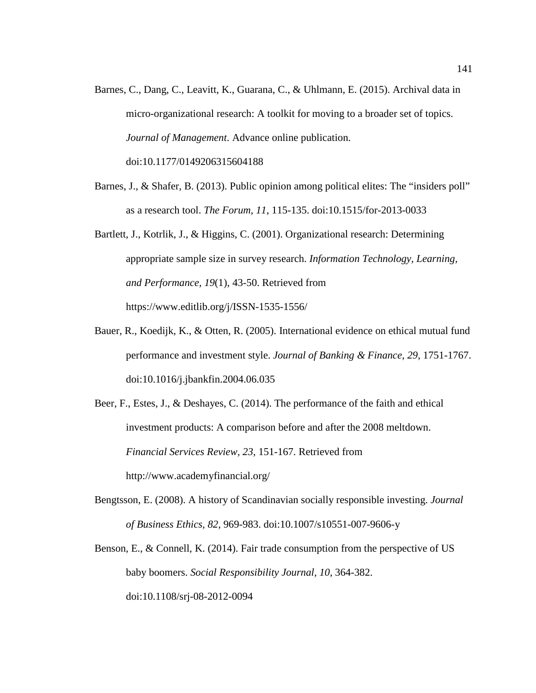- Barnes, C., Dang, C., Leavitt, K., Guarana, C., & Uhlmann, E. (2015). Archival data in micro-organizational research: A toolkit for moving to a broader set of topics. *Journal of Management*. Advance online publication. doi:10.1177/0149206315604188
- Barnes, J., & Shafer, B. (2013). Public opinion among political elites: The "insiders poll" as a research tool. *The Forum, 11*, 115-135. doi:10.1515/for-2013-0033
- Bartlett, J., Kotrlik, J., & Higgins, C. (2001). Organizational research: Determining appropriate sample size in survey research. *Information Technology, Learning, and Performance, 19*(1), 43-50. Retrieved from https://www.editlib.org/j/ISSN-1535-1556/
- Bauer, R., Koedijk, K., & Otten, R. (2005). International evidence on ethical mutual fund performance and investment style. *Journal of Banking & Finance, 29*, 1751-1767. doi:10.1016/j.jbankfin.2004.06.035
- Beer, F., Estes, J., & Deshayes, C. (2014). The performance of the faith and ethical investment products: A comparison before and after the 2008 meltdown. *Financial Services Review, 23*, 151-167. Retrieved from http://www.academyfinancial.org/
- Bengtsson, E. (2008). A history of Scandinavian socially responsible investing. *Journal of Business Ethics, 82*, 969-983. doi:10.1007/s10551-007-9606-y
- Benson, E., & Connell, K. (2014). Fair trade consumption from the perspective of US baby boomers. *Social Responsibility Journal, 10*, 364-382. doi:10.1108/srj-08-2012-0094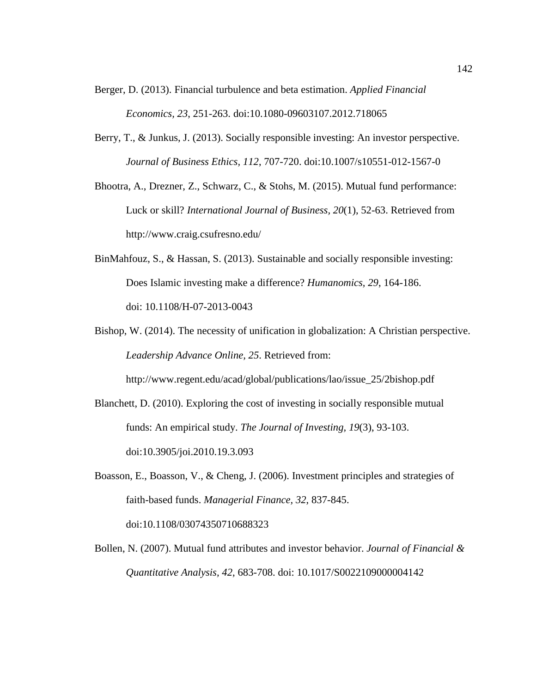- Berger, D. (2013). Financial turbulence and beta estimation. *Applied Financial Economics, 23*, 251-263. doi:10.1080-09603107.2012.718065
- Berry, T., & Junkus, J. (2013). Socially responsible investing: An investor perspective. *Journal of Business Ethics, 112*, 707-720. doi:10.1007/s10551-012-1567-0
- Bhootra, A., Drezner, Z., Schwarz, C., & Stohs, M. (2015). Mutual fund performance: Luck or skill? *International Journal of Business, 20*(1), 52-63. Retrieved from http://www.craig.csufresno.edu/
- BinMahfouz, S., & Hassan, S. (2013). Sustainable and socially responsible investing: Does Islamic investing make a difference? *Humanomics, 29*, 164-186. doi: 10.1108/H-07-2013-0043
- Bishop, W. (2014). The necessity of unification in globalization: A Christian perspective. *Leadership Advance Online, 25*. Retrieved from:

http://www.regent.edu/acad/global/publications/lao/issue\_25/2bishop.pdf

- Blanchett, D. (2010). Exploring the cost of investing in socially responsible mutual funds: An empirical study. *The Journal of Investing, 19*(3), 93-103. doi:10.3905/joi.2010.19.3.093
- Boasson, E., Boasson, V., & Cheng, J. (2006). Investment principles and strategies of faith-based funds. *Managerial Finance, 32*, 837-845. doi:10.1108/03074350710688323
- Bollen, N. (2007). Mutual fund attributes and investor behavior. *Journal of Financial & Quantitative Analysis, 42*, 683-708. doi: 10.1017/S0022109000004142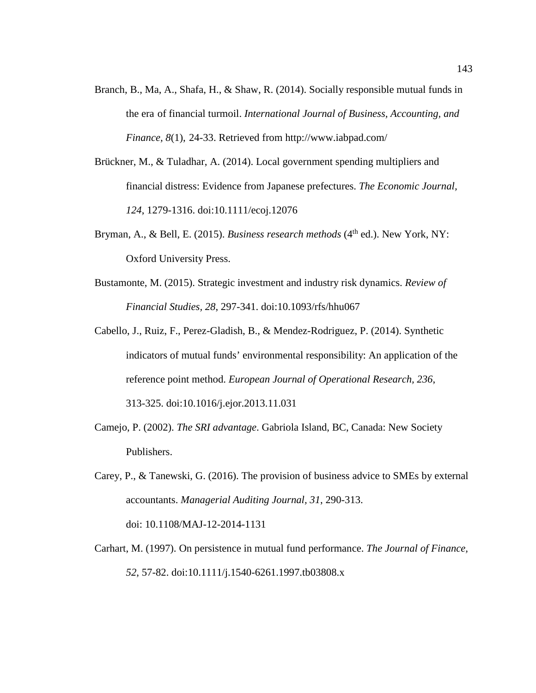- Branch, B., Ma, A., Shafa, H., & Shaw, R. (2014). Socially responsible mutual funds in the era of financial turmoil. *International Journal of Business, Accounting, and Finance, 8*(1), 24-33. Retrieved from http://www.iabpad.com/
- Brückner, M., & Tuladhar, A. (2014). Local government spending multipliers and financial distress: Evidence from Japanese prefectures. *The Economic Journal, 124*, 1279-1316. doi:10.1111/ecoj.12076
- Bryman, A., & Bell, E. (2015). *Business research methods* (4<sup>th</sup> ed.). New York, NY: Oxford University Press.
- Bustamonte, M. (2015). Strategic investment and industry risk dynamics. *Review of Financial Studies, 28*, 297-341. doi:10.1093/rfs/hhu067
- Cabello, J., Ruiz, F., Perez-Gladish, B., & Mendez-Rodriguez, P. (2014). Synthetic indicators of mutual funds' environmental responsibility: An application of the reference point method. *European Journal of Operational Research, 236*, 313-325. doi:10.1016/j.ejor.2013.11.031
- Camejo, P. (2002). *The SRI advantage*. Gabriola Island, BC, Canada: New Society Publishers.
- Carey, P., & Tanewski, G. (2016). The provision of business advice to SMEs by external accountants. *Managerial Auditing Journal, 31*, 290-313. doi: 10.1108/MAJ-12-2014-1131
- Carhart, M. (1997). On persistence in mutual fund performance. *The Journal of Finance, 52*, 57-82. doi:10.1111/j.1540-6261.1997.tb03808.x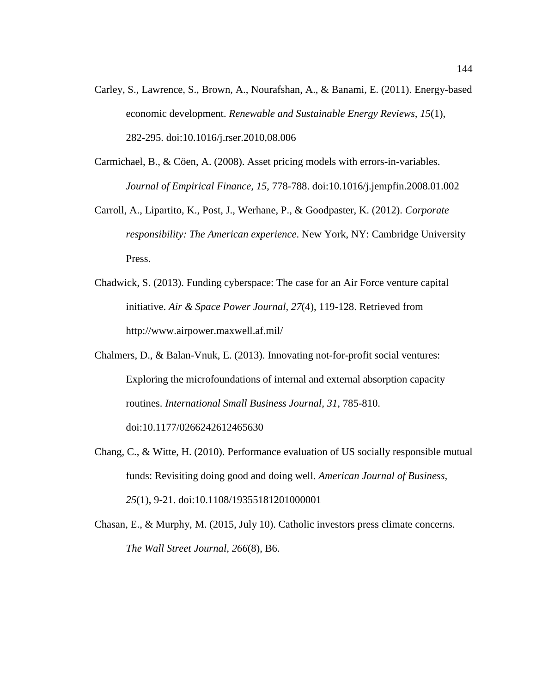- Carley, S., Lawrence, S., Brown, A., Nourafshan, A., & Banami, E. (2011). Energy-based economic development. *Renewable and Sustainable Energy Reviews, 15*(1), 282-295. doi:10.1016/j.rser.2010,08.006
- Carmichael, B., & Cöen, A. (2008). Asset pricing models with errors-in-variables. *Journal of Empirical Finance, 15*, 778-788. doi:10.1016/j.jempfin.2008.01.002
- Carroll, A., Lipartito, K., Post, J., Werhane, P., & Goodpaster, K. (2012). *Corporate responsibility: The American experience*. New York, NY: Cambridge University Press.
- Chadwick, S. (2013). Funding cyberspace: The case for an Air Force venture capital initiative. *Air & Space Power Journal, 27*(4), 119-128. Retrieved from http://www.airpower.maxwell.af.mil/
- Chalmers, D., & Balan-Vnuk, E. (2013). Innovating not-for-profit social ventures: Exploring the microfoundations of internal and external absorption capacity routines. *International Small Business Journal, 31*, 785-810. doi:10.1177/0266242612465630
- Chang, C., & Witte, H. (2010). Performance evaluation of US socially responsible mutual funds: Revisiting doing good and doing well. *American Journal of Business, 25*(1), 9-21. doi:10.1108/19355181201000001
- Chasan, E., & Murphy, M. (2015, July 10). Catholic investors press climate concerns. *The Wall Street Journal, 266*(8), B6.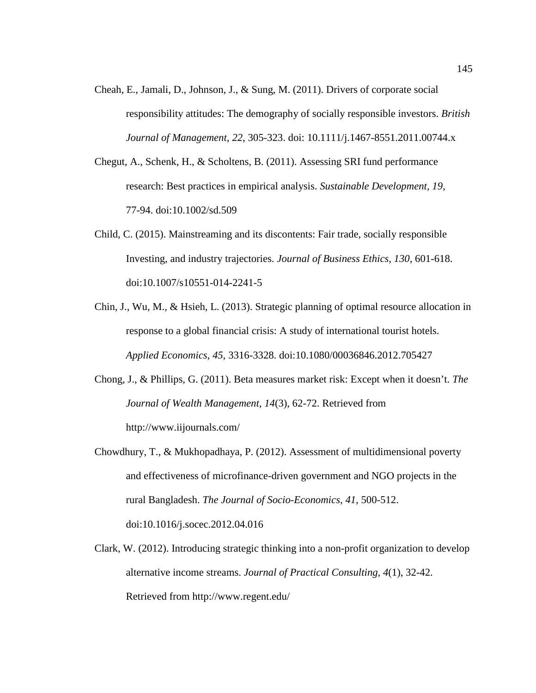- Cheah, E., Jamali, D., Johnson, J., & Sung, M. (2011). Drivers of corporate social responsibility attitudes: The demography of socially responsible investors. *British Journal of Management, 22*, 305-323. doi: 10.1111/j.1467-8551.2011.00744.x
- Chegut, A., Schenk, H., & Scholtens, B. (2011). Assessing SRI fund performance research: Best practices in empirical analysis. *Sustainable Development, 19*, 77-94. doi:10.1002/sd.509
- Child, C. (2015). Mainstreaming and its discontents: Fair trade, socially responsible Investing, and industry trajectories. *Journal of Business Ethics, 130*, 601-618. doi:10.1007/s10551-014-2241-5
- Chin, J., Wu, M., & Hsieh, L. (2013). Strategic planning of optimal resource allocation in response to a global financial crisis: A study of international tourist hotels. *Applied Economics, 45*, 3316-3328. doi:10.1080/00036846.2012.705427
- Chong, J., & Phillips, G. (2011). Beta measures market risk: Except when it doesn't. *The Journal of Wealth Management, 14*(3), 62-72. Retrieved from http://www.iijournals.com/
- Chowdhury, T., & Mukhopadhaya, P. (2012). Assessment of multidimensional poverty and effectiveness of microfinance-driven government and NGO projects in the rural Bangladesh. *The Journal of Socio-Economics, 41*, 500-512. doi:10.1016/j.socec.2012.04.016
- Clark, W. (2012). Introducing strategic thinking into a non-profit organization to develop alternative income streams. *Journal of Practical Consulting, 4*(1), 32-42. Retrieved from http://www.regent.edu/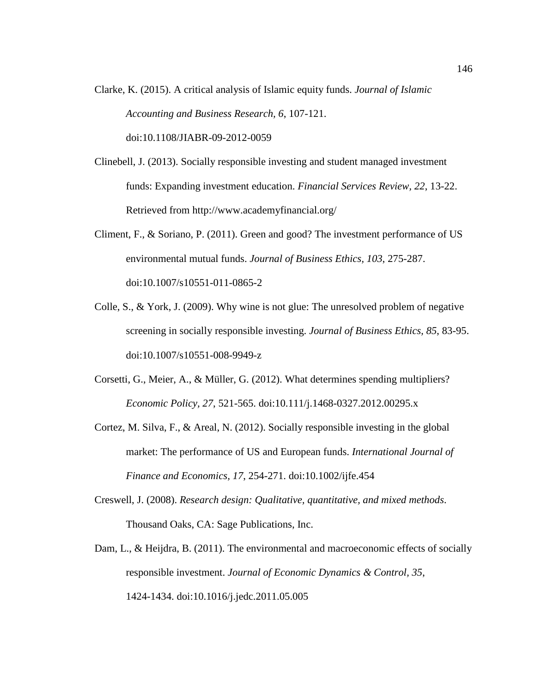Clarke, K. (2015). A critical analysis of Islamic equity funds. *Journal of Islamic Accounting and Business Research, 6*, 107-121.

doi:10.1108/JIABR-09-2012-0059

- Clinebell, J. (2013). Socially responsible investing and student managed investment funds: Expanding investment education. *Financial Services Review, 22*, 13-22. Retrieved from http://www.academyfinancial.org/
- Climent, F., & Soriano, P. (2011). Green and good? The investment performance of US environmental mutual funds. *Journal of Business Ethics, 103*, 275-287. doi:10.1007/s10551-011-0865-2
- Colle, S., & York, J. (2009). Why wine is not glue: The unresolved problem of negative screening in socially responsible investing. *Journal of Business Ethics, 85*, 83-95. doi:10.1007/s10551-008-9949-z
- Corsetti, G., Meier, A., & Müller, G. (2012). What determines spending multipliers? *Economic Policy, 27*, 521-565. doi:10.111/j.1468-0327.2012.00295.x
- Cortez, M. Silva, F., & Areal, N. (2012). Socially responsible investing in the global market: The performance of US and European funds. *International Journal of Finance and Economics, 17*, 254-271. doi:10.1002/ijfe.454
- Creswell, J. (2008). *Research design: Qualitative, quantitative, and mixed methods*. Thousand Oaks, CA: Sage Publications, Inc.
- Dam, L., & Heijdra, B. (2011). The environmental and macroeconomic effects of socially responsible investment. *Journal of Economic Dynamics & Control, 35*, 1424-1434. doi:10.1016/j.jedc.2011.05.005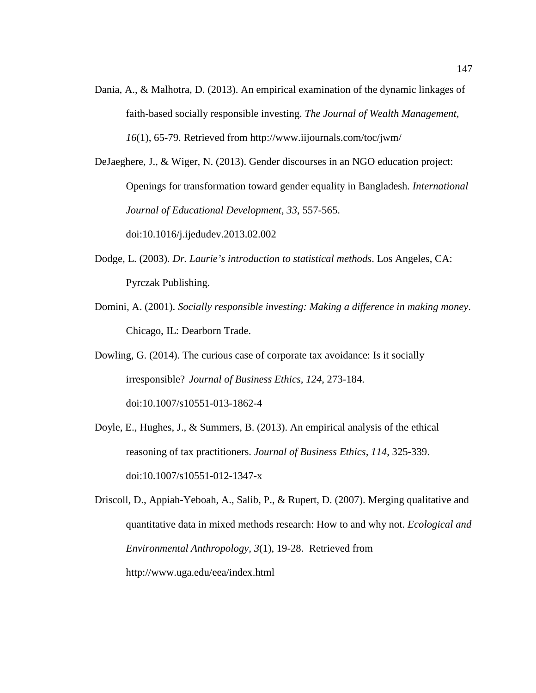Dania, A., & Malhotra, D. (2013). An empirical examination of the dynamic linkages of faith-based socially responsible investing. *The Journal of Wealth Management, 16*(1), 65-79. Retrieved from http://www.iijournals.com/toc/jwm/

DeJaeghere, J., & Wiger, N. (2013). Gender discourses in an NGO education project: Openings for transformation toward gender equality in Bangladesh*. International Journal of Educational Development, 33*, 557-565. doi:10.1016/j.ijedudev.2013.02.002

- Dodge, L. (2003). *Dr. Laurie's introduction to statistical methods*. Los Angeles, CA: Pyrczak Publishing.
- Domini, A. (2001). *Socially responsible investing: Making a difference in making money*. Chicago, IL: Dearborn Trade.

Dowling, G. (2014). The curious case of corporate tax avoidance: Is it socially irresponsible? *Journal of Business Ethics, 124*, 273-184. doi:10.1007/s10551-013-1862-4

Doyle, E., Hughes, J., & Summers, B. (2013). An empirical analysis of the ethical reasoning of tax practitioners. *Journal of Business Ethics, 114*, 325-339. doi:10.1007/s10551-012-1347-x

Driscoll, D., Appiah-Yeboah, A., Salib, P., & Rupert, D. (2007). Merging qualitative and quantitative data in mixed methods research: How to and why not. *Ecological and Environmental Anthropology, 3*(1), 19-28. Retrieved from http://www.uga.edu/eea/index.html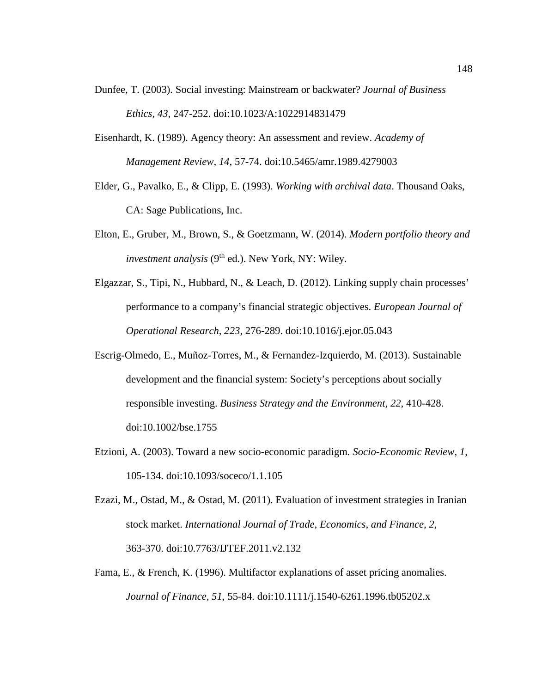- Dunfee, T. (2003). Social investing: Mainstream or backwater? *Journal of Business Ethics, 43*, 247-252. doi:10.1023/A:1022914831479
- Eisenhardt, K. (1989). Agency theory: An assessment and review. *Academy of Management Review, 14*, 57-74. doi:10.5465/amr.1989.4279003
- Elder, G., Pavalko, E., & Clipp, E. (1993). *Working with archival data*. Thousand Oaks, CA: Sage Publications, Inc.
- Elton, E., Gruber, M., Brown, S., & Goetzmann, W. (2014). *Modern portfolio theory and investment analysis* (9<sup>th</sup> ed.). New York, NY: Wiley.
- Elgazzar, S., Tipi, N., Hubbard, N., & Leach, D. (2012). Linking supply chain processes' performance to a company's financial strategic objectives. *European Journal of Operational Research, 223*, 276-289. doi:10.1016/j.ejor.05.043
- Escrig-Olmedo, E., Muñoz-Torres, M., & Fernandez-Izquierdo, M. (2013). Sustainable development and the financial system: Society's perceptions about socially responsible investing. *Business Strategy and the Environment, 22*, 410-428. doi:10.1002/bse.1755
- Etzioni, A. (2003). Toward a new socio-economic paradigm*. Socio-Economic Review, 1*, 105-134. doi:10.1093/soceco/1.1.105
- Ezazi, M., Ostad, M., & Ostad, M. (2011). Evaluation of investment strategies in Iranian stock market. *International Journal of Trade, Economics, and Finance, 2*, 363-370. doi:10.7763/IJTEF.2011.v2.132
- Fama, E., & French, K. (1996). Multifactor explanations of asset pricing anomalies. *Journal of Finance, 51*, 55-84. doi:10.1111/j.1540-6261.1996.tb05202.x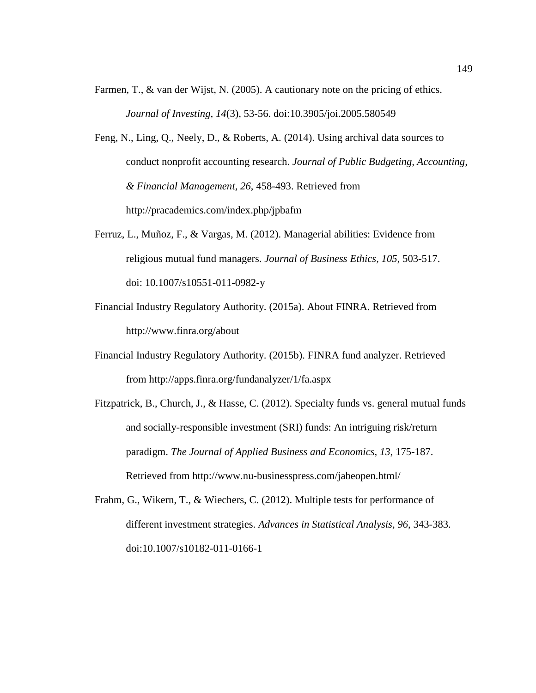- Farmen, T., & van der Wijst, N. (2005). A cautionary note on the pricing of ethics. *Journal of Investing, 14*(3), 53-56. doi:10.3905/joi.2005.580549
- Feng, N., Ling, Q., Neely, D., & Roberts, A. (2014). Using archival data sources to conduct nonprofit accounting research. *Journal of Public Budgeting, Accounting, & Financial Management, 26*, 458-493. Retrieved from http://pracademics.com/index.php/jpbafm
- Ferruz, L., Muñoz, F., & Vargas, M. (2012). Managerial abilities: Evidence from religious mutual fund managers. *Journal of Business Ethics, 105*, 503-517. doi: 10.1007/s10551-011-0982-y
- Financial Industry Regulatory Authority. (2015a). About FINRA. Retrieved from http://www.finra.org/about
- Financial Industry Regulatory Authority. (2015b). FINRA fund analyzer. Retrieved from http://apps.finra.org/fundanalyzer/1/fa.aspx
- Fitzpatrick, B., Church, J., & Hasse, C. (2012). Specialty funds vs. general mutual funds and socially-responsible investment (SRI) funds: An intriguing risk/return paradigm. *The Journal of Applied Business and Economics, 13*, 175-187. Retrieved from http://www.nu-businesspress.com/jabeopen.html/
- Frahm, G., Wikern, T., & Wiechers, C. (2012). Multiple tests for performance of different investment strategies. *Advances in Statistical Analysis, 96*, 343-383. doi:10.1007/s10182-011-0166-1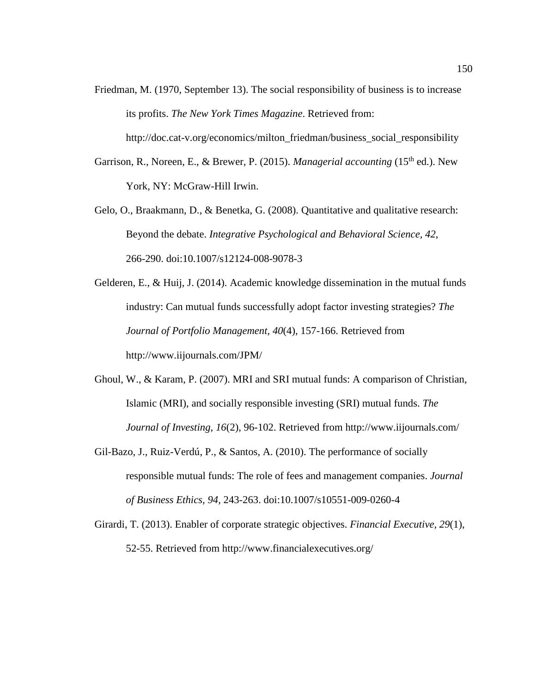- Friedman, M. (1970, September 13). The social responsibility of business is to increase its profits. *The New York Times Magazine*. Retrieved from: http://doc.cat-v.org/economics/milton\_friedman/business\_social\_responsibility
- Garrison, R., Noreen, E., & Brewer, P. (2015). *Managerial accounting* (15<sup>th</sup> ed.). New York, NY: McGraw-Hill Irwin.
- Gelo, O., Braakmann, D., & Benetka, G. (2008). Quantitative and qualitative research: Beyond the debate. *Integrative Psychological and Behavioral Science, 42*, 266-290. doi:10.1007/s12124-008-9078-3
- Gelderen, E., & Huij, J. (2014). Academic knowledge dissemination in the mutual funds industry: Can mutual funds successfully adopt factor investing strategies? *The Journal of Portfolio Management, 40*(4), 157-166. Retrieved from http://www.iijournals.com/JPM/
- Ghoul, W., & Karam, P. (2007). MRI and SRI mutual funds: A comparison of Christian, Islamic (MRI), and socially responsible investing (SRI) mutual funds. *The Journal of Investing, 16*(2), 96-102. Retrieved from http://www.iijournals.com/
- Gil-Bazo, J., Ruiz-Verdú, P., & Santos, A. (2010). The performance of socially responsible mutual funds: The role of fees and management companies. *Journal of Business Ethics, 94*, 243-263. doi:10.1007/s10551-009-0260-4
- Girardi, T. (2013). Enabler of corporate strategic objectives. *Financial Executive, 29*(1), 52-55. Retrieved from http://www.financialexecutives.org/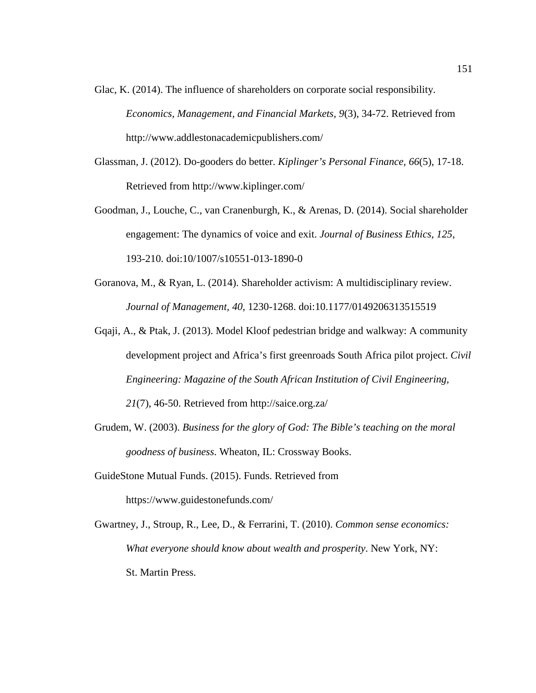- Glac, K. (2014). The influence of shareholders on corporate social responsibility. *Economics, Management, and Financial Markets, 9*(3), 34-72. Retrieved from http://www.addlestonacademicpublishers.com/
- Glassman, J. (2012). Do-gooders do better. *Kiplinger's Personal Finance, 66*(5), 17-18. Retrieved from http://www.kiplinger.com/
- Goodman, J., Louche, C., van Cranenburgh, K., & Arenas, D. (2014). Social shareholder engagement: The dynamics of voice and exit. *Journal of Business Ethics, 125*, 193-210. doi:10/1007/s10551-013-1890-0
- Goranova, M., & Ryan, L. (2014). Shareholder activism: A multidisciplinary review. *Journal of Management, 40*, 1230-1268. doi:10.1177/0149206313515519
- Gqaji, A., & Ptak, J. (2013). Model Kloof pedestrian bridge and walkway: A community development project and Africa's first greenroads South Africa pilot project. *Civil Engineering: Magazine of the South African Institution of Civil Engineering, 21*(7), 46-50. Retrieved from http://saice.org.za/
- Grudem, W. (2003). *Business for the glory of God: The Bible's teaching on the moral goodness of business*. Wheaton, IL: Crossway Books.
- GuideStone Mutual Funds. (2015). Funds. Retrieved from https://www.guidestonefunds.com/

Gwartney, J., Stroup, R., Lee, D., & Ferrarini, T. (2010). *Common sense economics: What everyone should know about wealth and prosperity*. New York, NY: St. Martin Press.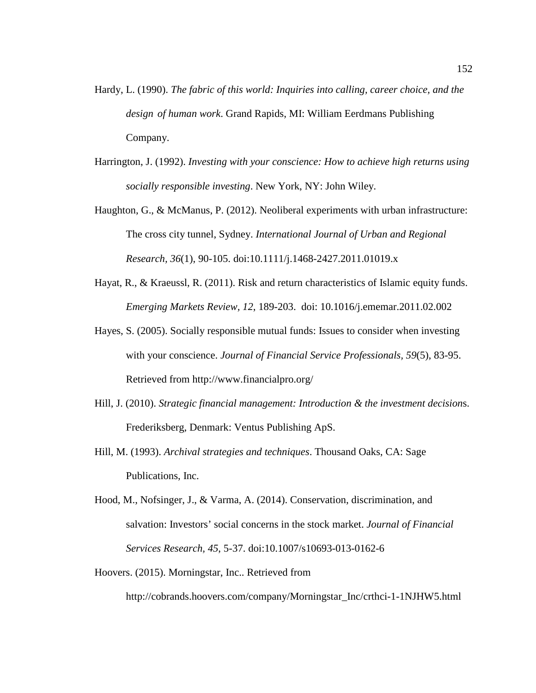- Hardy, L. (1990). *The fabric of this world: Inquiries into calling, career choice, and the design of human work*. Grand Rapids, MI: William Eerdmans Publishing Company.
- Harrington, J. (1992). *Investing with your conscience: How to achieve high returns using socially responsible investing*. New York, NY: John Wiley.
- Haughton, G., & McManus, P. (2012). Neoliberal experiments with urban infrastructure: The cross city tunnel, Sydney. *International Journal of Urban and Regional Research, 36*(1), 90-105. doi:10.1111/j.1468-2427.2011.01019.x
- Hayat, R., & Kraeussl, R. (2011). Risk and return characteristics of Islamic equity funds. *Emerging Markets Review, 12*, 189-203. doi: 10.1016/j.ememar.2011.02.002
- Hayes, S. (2005). Socially responsible mutual funds: Issues to consider when investing with your conscience. *Journal of Financial Service Professionals, 59*(5), 83-95. Retrieved from http://www.financialpro.org/
- Hill, J. (2010). *Strategic financial management: Introduction & the investment decision*s. Frederiksberg, Denmark: Ventus Publishing ApS.
- Hill, M. (1993). *Archival strategies and techniques*. Thousand Oaks, CA: Sage Publications, Inc.
- Hood, M., Nofsinger, J., & Varma, A. (2014). Conservation, discrimination, and salvation: Investors' social concerns in the stock market. *Journal of Financial Services Research, 45*, 5-37. doi:10.1007/s10693-013-0162-6
- Hoovers. (2015). Morningstar, Inc.. Retrieved from

http://cobrands.hoovers.com/company/Morningstar\_Inc/crthci-1-1NJHW5.html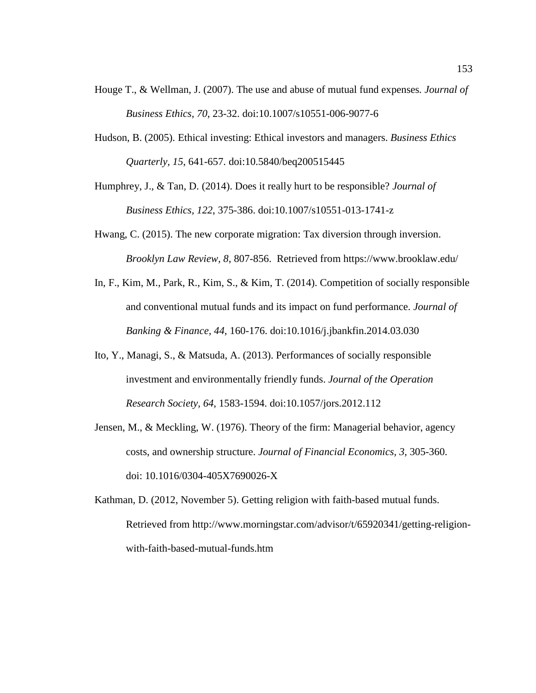- Houge T., & Wellman, J. (2007). The use and abuse of mutual fund expenses*. Journal of Business Ethics, 70*, 23-32. doi:10.1007/s10551-006-9077-6
- Hudson, B. (2005). Ethical investing: Ethical investors and managers. *Business Ethics Quarterly, 15*, 641-657. doi:10.5840/beq200515445

Humphrey, J., & Tan, D. (2014). Does it really hurt to be responsible? *Journal of Business Ethics, 122*, 375-386. doi:10.1007/s10551-013-1741-z

- Hwang, C. (2015). The new corporate migration: Tax diversion through inversion. *Brooklyn Law Review, 8*, 807-856. Retrieved from https://www.brooklaw.edu/
- In, F., Kim, M., Park, R., Kim, S., & Kim, T. (2014). Competition of socially responsible and conventional mutual funds and its impact on fund performance. *Journal of Banking & Finance, 44*, 160-176. doi:10.1016/j.jbankfin.2014.03.030
- Ito, Y., Managi, S., & Matsuda, A. (2013). Performances of socially responsible investment and environmentally friendly funds. *Journal of the Operation Research Society, 64*, 1583-1594. doi:10.1057/jors.2012.112
- Jensen, M., & Meckling, W. (1976). Theory of the firm: Managerial behavior, agency costs, and ownership structure. *Journal of Financial Economics, 3*, 305-360. doi: 10.1016/0304-405X7690026-X
- Kathman, D. (2012, November 5). Getting religion with faith-based mutual funds. Retrieved from http://www.morningstar.com/advisor/t/65920341/getting-religionwith-faith-based-mutual-funds.htm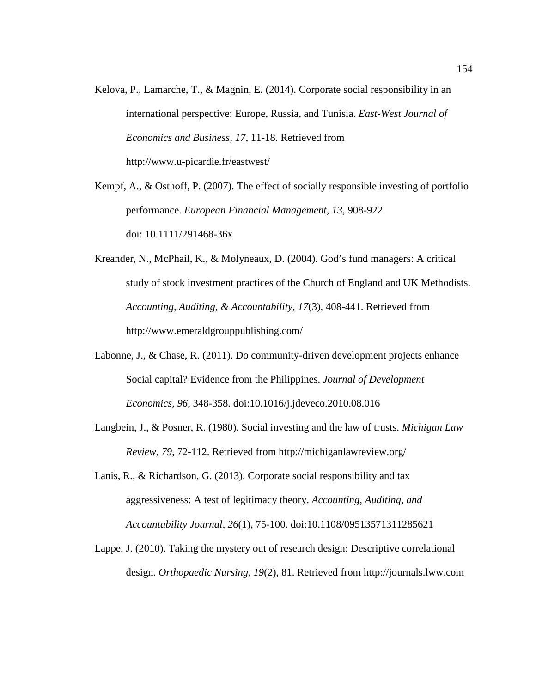Kelova, P., Lamarche, T., & Magnin, E. (2014). Corporate social responsibility in an international perspective: Europe, Russia, and Tunisia. *East-West Journal of Economics and Business, 17*, 11-18. Retrieved from http://www.u-picardie.fr/eastwest/

Kempf, A., & Osthoff, P. (2007). The effect of socially responsible investing of portfolio performance. *European Financial Management, 13*, 908-922. doi: 10.1111/291468-36x

- Kreander, N., McPhail, K., & Molyneaux, D. (2004). God's fund managers: A critical study of stock investment practices of the Church of England and UK Methodists. *Accounting, Auditing, & Accountability, 17*(3), 408-441. Retrieved from http://www.emeraldgrouppublishing.com/
- Labonne, J., & Chase, R. (2011). Do community-driven development projects enhance Social capital? Evidence from the Philippines. *Journal of Development Economics, 96*, 348-358. doi:10.1016/j.jdeveco.2010.08.016
- Langbein, J., & Posner, R. (1980). Social investing and the law of trusts. *Michigan Law Review, 79*, 72-112. Retrieved from http://michiganlawreview.org/
- Lanis, R., & Richardson, G. (2013). Corporate social responsibility and tax aggressiveness: A test of legitimacy theory. *Accounting, Auditing, and Accountability Journal, 26*(1), 75-100. doi:10.1108/09513571311285621
- Lappe, J. (2010). Taking the mystery out of research design: Descriptive correlational design. *Orthopaedic Nursing, 19*(2), 81. Retrieved from http://journals.lww.com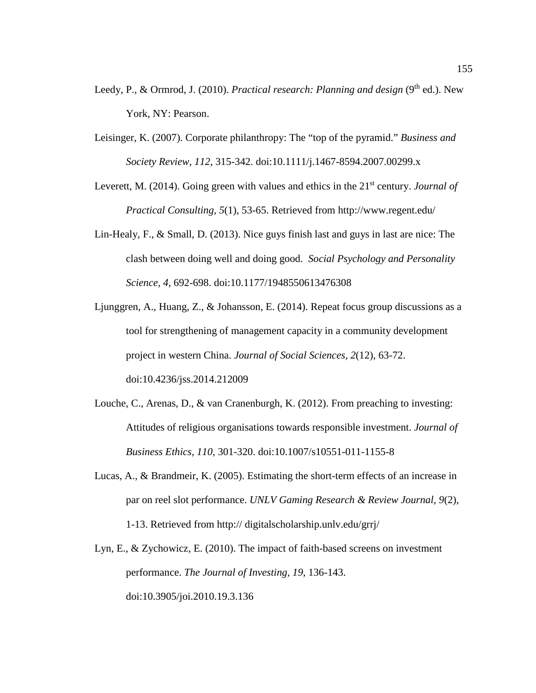- Leedy, P., & Ormrod, J. (2010). *Practical research: Planning and design* (9<sup>th</sup> ed.). New York, NY: Pearson.
- Leisinger, K. (2007). Corporate philanthropy: The "top of the pyramid." *Business and Society Review, 112*, 315-342. doi:10.1111/j.1467-8594.2007.00299.x
- Leverett, M. (2014). Going green with values and ethics in the 21<sup>st</sup> century. *Journal of Practical Consulting, 5*(1), 53-65. Retrieved from http://www.regent.edu/
- Lin-Healy, F., & Small, D. (2013). Nice guys finish last and guys in last are nice: The clash between doing well and doing good. *Social Psychology and Personality Science, 4*, 692-698. doi:10.1177/1948550613476308
- Ljunggren, A., Huang, Z., & Johansson, E. (2014). Repeat focus group discussions as a tool for strengthening of management capacity in a community development project in western China. *Journal of Social Sciences, 2*(12), 63-72. doi:10.4236/jss.2014.212009
- Louche, C., Arenas, D., & van Cranenburgh, K. (2012). From preaching to investing: Attitudes of religious organisations towards responsible investment. *Journal of Business Ethics, 110*, 301-320. doi:10.1007/s10551-011-1155-8
- Lucas, A., & Brandmeir, K. (2005). Estimating the short-term effects of an increase in par on reel slot performance. *UNLV Gaming Research & Review Journal, 9*(2), 1-13. Retrieved from http:// digitalscholarship.unlv.edu/grrj/
- Lyn, E., & Zychowicz, E. (2010). The impact of faith-based screens on investment performance. *The Journal of Investing, 19*, 136-143. doi:10.3905/joi.2010.19.3.136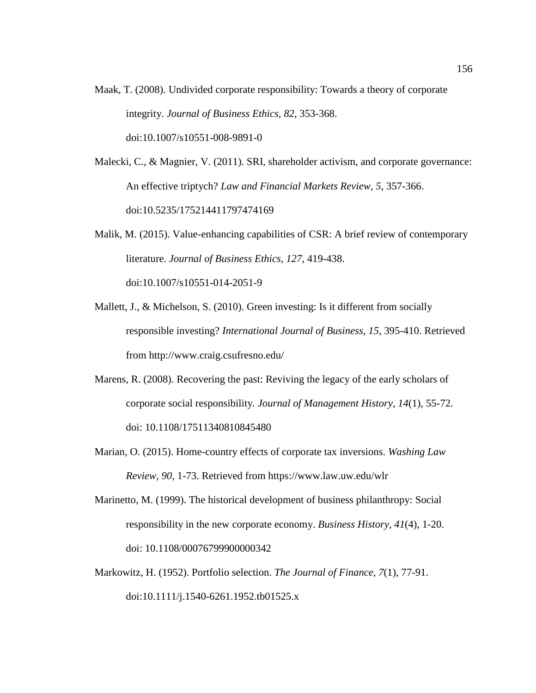Maak, T. (2008). Undivided corporate responsibility: Towards a theory of corporate integrity*. Journal of Business Ethics, 82*, 353-368. doi:10.1007/s10551-008-9891-0

Malecki, C., & Magnier, V. (2011). SRI, shareholder activism, and corporate governance: An effective triptych? *Law and Financial Markets Review, 5*, 357-366. doi:10.5235/175214411797474169

- Malik, M. (2015). Value-enhancing capabilities of CSR: A brief review of contemporary literature. *Journal of Business Ethics, 127*, 419-438. doi:10.1007/s10551-014-2051-9
- Mallett, J., & Michelson, S. (2010). Green investing: Is it different from socially responsible investing? *International Journal of Business, 15*, 395-410. Retrieved from http://www.craig.csufresno.edu/
- Marens, R. (2008). Recovering the past: Reviving the legacy of the early scholars of corporate social responsibility*. Journal of Management History, 14*(1), 55-72. doi: 10.1108/17511340810845480
- Marian, O. (2015). Home-country effects of corporate tax inversions. *Washing Law Review, 90*, 1-73. Retrieved from https://www.law.uw.edu/wlr
- Marinetto, M. (1999). The historical development of business philanthropy: Social responsibility in the new corporate economy. *Business History, 41*(4), 1-20. doi: 10.1108/00076799900000342
- Markowitz, H. (1952). Portfolio selection. *The Journal of Finance, 7*(1), 77-91. doi:10.1111/j.1540-6261.1952.tb01525.x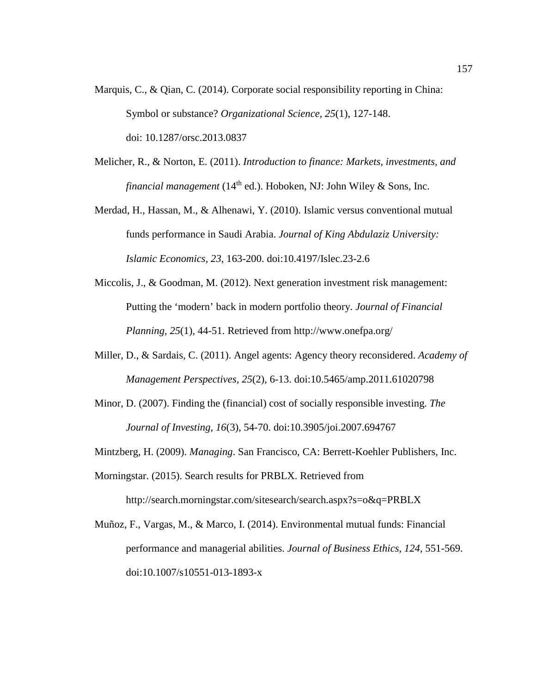- Marquis, C., & Qian, C. (2014). Corporate social responsibility reporting in China: Symbol or substance? *Organizational Science, 25*(1), 127-148. doi: 10.1287/orsc.2013.0837
- Melicher, R., & Norton, E. (2011). *Introduction to finance: Markets, investments, and financial management* ( $14<sup>th</sup>$  ed.). Hoboken, NJ: John Wiley & Sons, Inc.
- Merdad, H., Hassan, M., & Alhenawi, Y. (2010). Islamic versus conventional mutual funds performance in Saudi Arabia. *Journal of King Abdulaziz University: Islamic Economics, 23*, 163-200. doi:10.4197/Islec.23-2.6
- Miccolis, J., & Goodman, M. (2012). Next generation investment risk management: Putting the 'modern' back in modern portfolio theory. *Journal of Financial Planning, 25*(1), 44-51. Retrieved from http://www.onefpa.org/
- Miller, D., & Sardais, C. (2011). Angel agents: Agency theory reconsidered. *Academy of Management Perspectives, 25*(2), 6-13. doi:10.5465/amp.2011.61020798
- Minor, D. (2007). Finding the (financial) cost of socially responsible investing. *The Journal of Investing, 16*(3), 54-70. doi:10.3905/joi.2007.694767

Mintzberg, H. (2009). *Managing*. San Francisco, CA: Berrett-Koehler Publishers, Inc.

- Morningstar. (2015). Search results for PRBLX. Retrieved from http://search.morningstar.com/sitesearch/search.aspx?s=o&q=PRBLX
- Muñoz, F., Vargas, M., & Marco, I. (2014). Environmental mutual funds: Financial performance and managerial abilities. *Journal of Business Ethics, 124*, 551-569. doi:10.1007/s10551-013-1893-x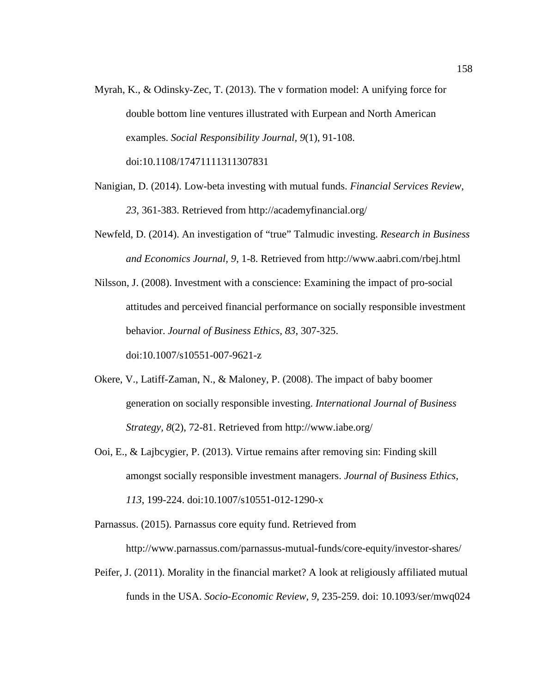- Myrah, K., & Odinsky-Zec, T. (2013). The v formation model: A unifying force for double bottom line ventures illustrated with Eurpean and North American examples. *Social Responsibility Journal, 9*(1), 91-108. doi:10.1108/17471111311307831
- Nanigian, D. (2014). Low-beta investing with mutual funds. *Financial Services Review, 23*, 361-383. Retrieved from http://academyfinancial.org/
- Newfeld, D. (2014). An investigation of "true" Talmudic investing. *Research in Business and Economics Journal, 9*, 1-8. Retrieved from http://www.aabri.com/rbej.html
- Nilsson, J. (2008). Investment with a conscience: Examining the impact of pro-social attitudes and perceived financial performance on socially responsible investment behavior. *Journal of Business Ethics, 83*, 307-325. doi:10.1007/s10551-007-9621-z
- Okere, V., Latiff-Zaman, N., & Maloney, P. (2008). The impact of baby boomer generation on socially responsible investing. *International Journal of Business Strategy, 8*(2), 72-81. Retrieved from http://www.iabe.org/
- Ooi, E., & Lajbcygier, P. (2013). Virtue remains after removing sin: Finding skill amongst socially responsible investment managers. *Journal of Business Ethics, 113*, 199-224. doi:10.1007/s10551-012-1290-x

Parnassus. (2015). Parnassus core equity fund. Retrieved from

http://www.parnassus.com/parnassus-mutual-funds/core-equity/investor-shares/

Peifer, J. (2011). Morality in the financial market? A look at religiously affiliated mutual funds in the USA. *Socio-Economic Review, 9*, 235-259. doi: 10.1093/ser/mwq024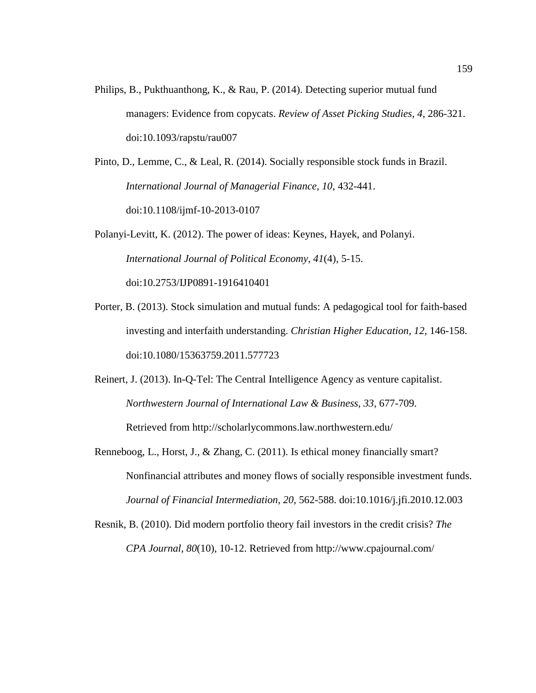Philips, B., Pukthuanthong, K., & Rau, P. (2014). Detecting superior mutual fund managers: Evidence from copycats. *Review of Asset Picking Studies, 4*, 286-321. doi:10.1093/rapstu/rau007

Pinto, D., Lemme, C., & Leal, R. (2014). Socially responsible stock funds in Brazil. *International Journal of Managerial Finance, 10*, 432-441. doi:10.1108/ijmf-10-2013-0107

Polanyi-Levitt, K. (2012). The power of ideas: Keynes, Hayek, and Polanyi. *International Journal of Political Economy, 41*(4), 5-15. doi:10.2753/IJP0891-1916410401

Porter, B. (2013). Stock simulation and mutual funds: A pedagogical tool for faith-based investing and interfaith understanding. *Christian Higher Education, 12*, 146-158. doi:10.1080/15363759.2011.577723

Reinert, J. (2013). In-Q-Tel: The Central Intelligence Agency as venture capitalist. *Northwestern Journal of International Law & Business, 33*, 677-709. Retrieved from http://scholarlycommons.law.northwestern.edu/

- Renneboog, L., Horst, J., & Zhang, C. (2011). Is ethical money financially smart? Nonfinancial attributes and money flows of socially responsible investment funds. *Journal of Financial Intermediation, 20*, 562-588. doi:10.1016/j.jfi.2010.12.003
- Resnik, B. (2010). Did modern portfolio theory fail investors in the credit crisis? *The CPA Journal, 80*(10), 10-12. Retrieved from http://www.cpajournal.com/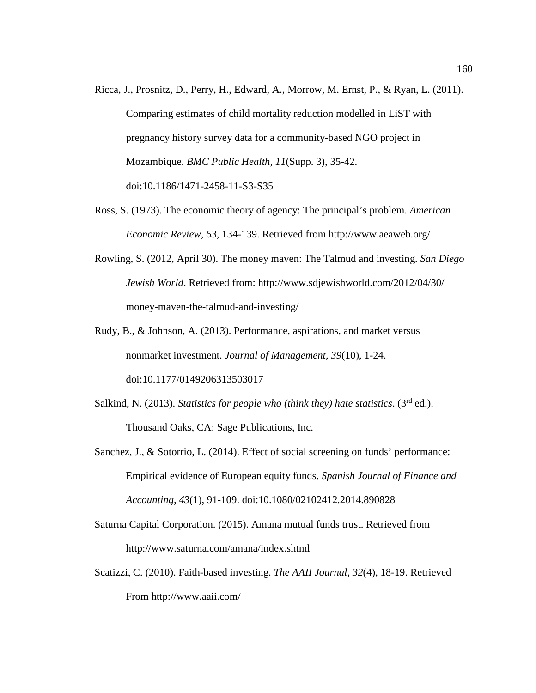- Ricca, J., Prosnitz, D., Perry, H., Edward, A., Morrow, M. Ernst, P., & Ryan, L. (2011). Comparing estimates of child mortality reduction modelled in LiST with pregnancy history survey data for a community-based NGO project in Mozambique. *BMC Public Health, 11*(Supp. 3), 35-42. doi:10.1186/1471-2458-11-S3-S35
- Ross, S. (1973). The economic theory of agency: The principal's problem. *American Economic Review, 63*, 134-139. Retrieved from http://www.aeaweb.org/
- Rowling, S. (2012, April 30). The money maven: The Talmud and investing. *San Diego Jewish World*. Retrieved from: http://www.sdjewishworld.com/2012/04/30/ money-maven-the-talmud-and-investing/
- Rudy, B., & Johnson, A. (2013). Performance, aspirations, and market versus nonmarket investment. *Journal of Management, 39*(10), 1-24. doi:10.1177/0149206313503017
- Salkind, N. (2013). *Statistics for people who (think they) hate statistics*. (3<sup>rd</sup> ed.). Thousand Oaks, CA: Sage Publications, Inc.
- Sanchez, J., & Sotorrio, L. (2014). Effect of social screening on funds' performance: Empirical evidence of European equity funds. *Spanish Journal of Finance and Accounting, 43*(1), 91-109. doi:10.1080/02102412.2014.890828
- Saturna Capital Corporation. (2015). Amana mutual funds trust. Retrieved from http://www.saturna.com/amana/index.shtml
- Scatizzi, C. (2010). Faith-based investing. *The AAII Journal, 32*(4), 18-19. Retrieved From http://www.aaii.com/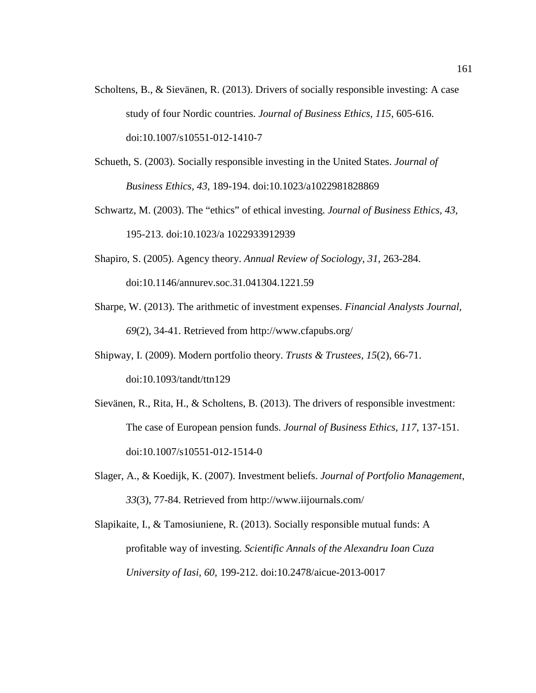- Scholtens, B., & Sievänen, R. (2013). Drivers of socially responsible investing: A case study of four Nordic countries. *Journal of Business Ethics, 115*, 605-616. doi:10.1007/s10551-012-1410-7
- Schueth, S. (2003). Socially responsible investing in the United States. *Journal of Business Ethics, 43*, 189-194. doi:10.1023/a1022981828869
- Schwartz, M. (2003). The "ethics" of ethical investing. *Journal of Business Ethics, 43*, 195-213. doi:10.1023/a 1022933912939
- Shapiro, S. (2005). Agency theory. *Annual Review of Sociology, 31*, 263-284. doi:10.1146/annurev.soc.31.041304.1221.59
- Sharpe, W. (2013). The arithmetic of investment expenses. *Financial Analysts Journal, 69*(2), 34-41. Retrieved from http://www.cfapubs.org/
- Shipway, I. (2009). Modern portfolio theory. *Trusts & Trustees, 15*(2), 66-71. doi:10.1093/tandt/ttn129
- Sievänen, R., Rita, H., & Scholtens, B. (2013). The drivers of responsible investment: The case of European pension funds. *Journal of Business Ethics, 117*, 137-151. doi:10.1007/s10551-012-1514-0
- Slager, A., & Koedijk, K. (2007). Investment beliefs. *Journal of Portfolio Management, 33*(3), 77-84. Retrieved from http://www.iijournals.com/
- Slapikaite, I., & Tamosiuniene, R. (2013). Socially responsible mutual funds: A profitable way of investing. *Scientific Annals of the Alexandru Ioan Cuza University of Iasi, 60*, 199-212. doi:10.2478/aicue-2013-0017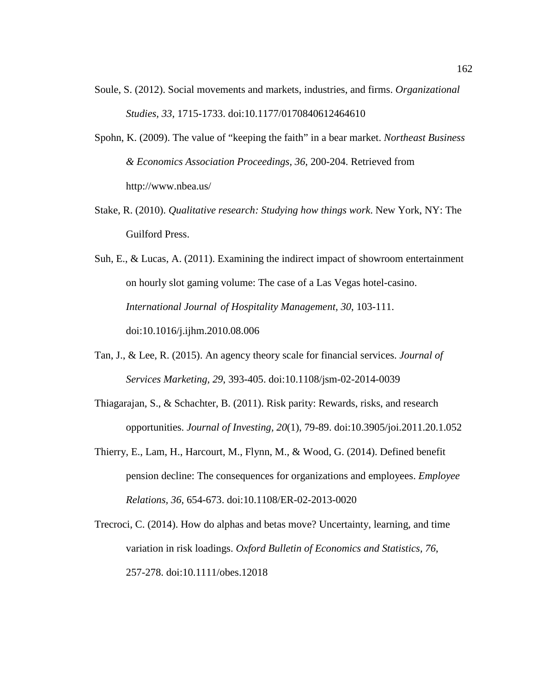- Soule, S. (2012). Social movements and markets, industries, and firms. *Organizational Studies, 33*, 1715-1733. doi:10.1177/0170840612464610
- Spohn, K. (2009). The value of "keeping the faith" in a bear market. *Northeast Business & Economics Association Proceedings, 36*, 200-204. Retrieved from http://www.nbea.us/
- Stake, R. (2010). *Qualitative research: Studying how things work*. New York, NY: The Guilford Press.
- Suh, E., & Lucas, A. (2011). Examining the indirect impact of showroom entertainment on hourly slot gaming volume: The case of a Las Vegas hotel-casino. *International Journal of Hospitality Management, 30*, 103-111. doi:10.1016/j.ijhm.2010.08.006
- Tan, J., & Lee, R. (2015). An agency theory scale for financial services. *Journal of Services Marketing, 29*, 393-405. doi:10.1108/jsm-02-2014-0039
- Thiagarajan, S., & Schachter, B. (2011). Risk parity: Rewards, risks, and research opportunities. *Journal of Investing, 20*(1), 79-89. doi:10.3905/joi.2011.20.1.052
- Thierry, E., Lam, H., Harcourt, M., Flynn, M., & Wood, G. (2014). Defined benefit pension decline: The consequences for organizations and employees. *Employee Relations, 36*, 654-673. doi:10.1108/ER-02-2013-0020
- Trecroci, C. (2014). How do alphas and betas move? Uncertainty, learning, and time variation in risk loadings. *Oxford Bulletin of Economics and Statistics, 76*, 257-278. doi:10.1111/obes.12018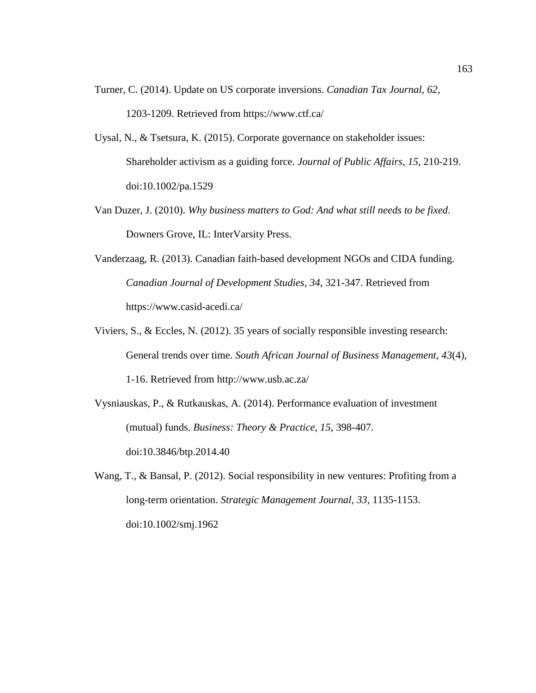- Turner, C. (2014). Update on US corporate inversions. *Canadian Tax Journal, 62*, 1203-1209. Retrieved from https://www.ctf.ca/
- Uysal, N., & Tsetsura, K. (2015). Corporate governance on stakeholder issues: Shareholder activism as a guiding force. *Journal of Public Affairs, 15*, 210-219. doi:10.1002/pa.1529
- Van Duzer, J. (2010). *Why business matters to God: And what still needs to be fixed*. Downers Grove, IL: InterVarsity Press.
- Vanderzaag, R. (2013). Canadian faith-based development NGOs and CIDA funding. *Canadian Journal of Development Studies, 34*, 321-347. Retrieved from https://www.casid-acedi.ca/
- Viviers, S., & Eccles, N. (2012). 35 years of socially responsible investing research: General trends over time. *South African Journal of Business Management, 43*(4), 1-16. Retrieved from http://www.usb.ac.za/
- Vysniauskas, P., & Rutkauskas, A. (2014). Performance evaluation of investment (mutual) funds. *Business: Theory & Practice, 15*, 398-407. doi:10.3846/btp.2014.40
- Wang, T., & Bansal, P. (2012). Social responsibility in new ventures: Profiting from a long-term orientation. *Strategic Management Journal, 33*, 1135-1153. doi:10.1002/smj.1962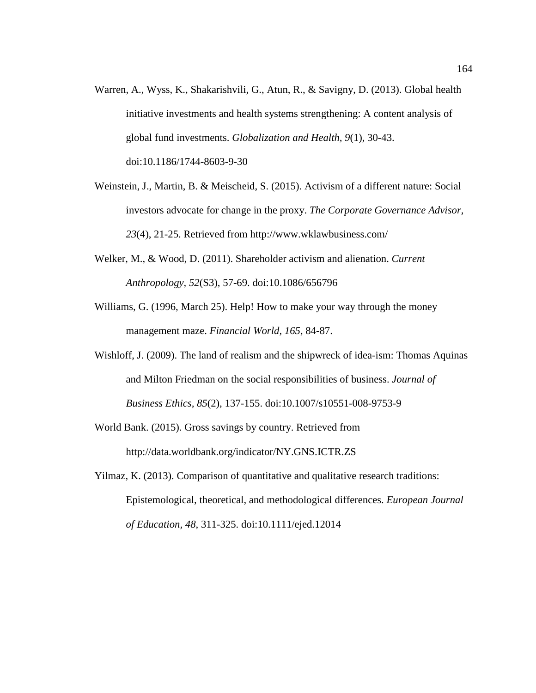- Warren, A., Wyss, K., Shakarishvili, G., Atun, R., & Savigny, D. (2013). Global health initiative investments and health systems strengthening: A content analysis of global fund investments. *Globalization and Health, 9*(1), 30-43. doi:10.1186/1744-8603-9-30
- Weinstein, J., Martin, B. & Meischeid, S. (2015). Activism of a different nature: Social investors advocate for change in the proxy. *The Corporate Governance Advisor, 23*(4), 21-25. Retrieved from http://www.wklawbusiness.com/
- Welker, M., & Wood, D. (2011). Shareholder activism and alienation. *Current Anthropology, 52*(S3), 57-69. doi:10.1086/656796
- Williams, G. (1996, March 25). Help! How to make your way through the money management maze. *Financial World, 165*, 84-87.
- Wishloff, J. (2009). The land of realism and the shipwreck of idea-ism: Thomas Aquinas and Milton Friedman on the social responsibilities of business. *Journal of Business Ethics, 85*(2), 137-155. doi:10.1007/s10551-008-9753-9
- World Bank. (2015). Gross savings by country. Retrieved from http://data.worldbank.org/indicator/NY.GNS.ICTR.ZS
- Yilmaz, K. (2013). Comparison of quantitative and qualitative research traditions: Epistemological, theoretical, and methodological differences. *European Journal of Education, 48*, 311-325. doi:10.1111/ejed.12014